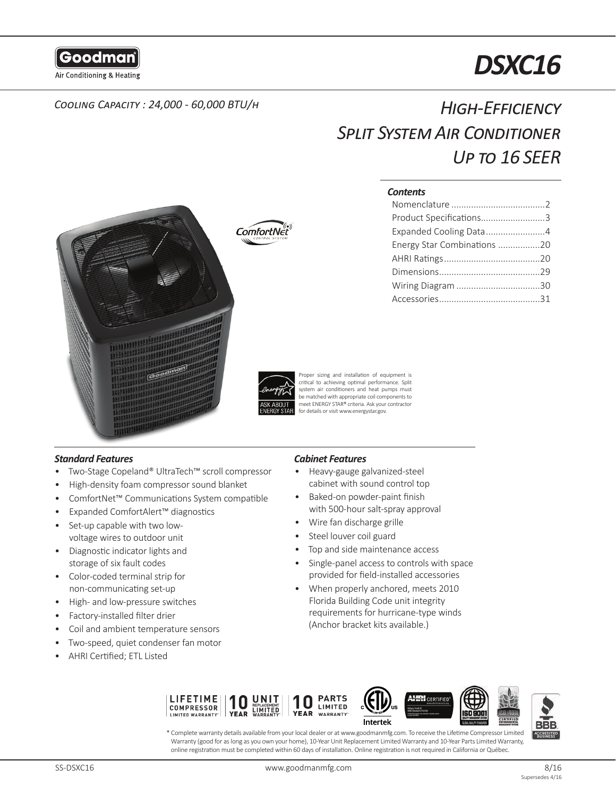

# *DSXC16*

## *Cooling Capacity : 24,000 - 60,000 BTU/h High-Efficiency Split System Air Conditioner Up to 16 SEER*

#### *Contents*

| Product Specifications3     |  |
|-----------------------------|--|
| Expanded Cooling Data4      |  |
| Energy Star Combinations 20 |  |
|                             |  |
|                             |  |
|                             |  |
|                             |  |



ComfortNet

Proper sizing and installation of equipment is critical to achieving optimal performance. Split system air conditioners and heat pumps must be matched with appropriate coil components to meet ENERGY STAR® criteria. Ask your contractor for details or visit www.energystar.gov.

#### *Standard Features*

- Two-Stage Copeland® UltraTech™ scroll compressor
- High-density foam compressor sound blanket
- ComfortNet™ Communications System compatible
- Expanded ComfortAlert™ diagnostics
- Set-up capable with two lowvoltage wires to outdoor unit
- Diagnostic indicator lights and storage of six fault codes
- Color-coded terminal strip for non-communicating set-up
- High- and low-pressure switches
- Factory-installed filter drier
- Coil and ambient temperature sensors
- Two-speed, quiet condenser fan motor
- AHRI Certified; ETL Listed

### *Cabinet Features*

- Heavy-gauge galvanized-steel cabinet with sound control top
- Baked-on powder-paint finish with 500-hour salt-spray approval
- Wire fan discharge grille
- Steel louver coil guard
- Top and side maintenance access
- Single-panel access to controls with space provided for field-installed accessories
- When properly anchored, meets 2010 Florida Building Code unit integrity requirements for hurricane-type winds (Anchor bracket kits available.)



\* Complete warranty details available from your local dealer or at www.goodmanmfg.com. To receive the Lifetime Compressor Limited Warranty (good for as long as you own your home), 10-Year Unit Replacement Limited Warranty and 10-Year Parts Limited Warranty, online registration must be completed within 60 days of installation. Online registration is not required in California or Québec.

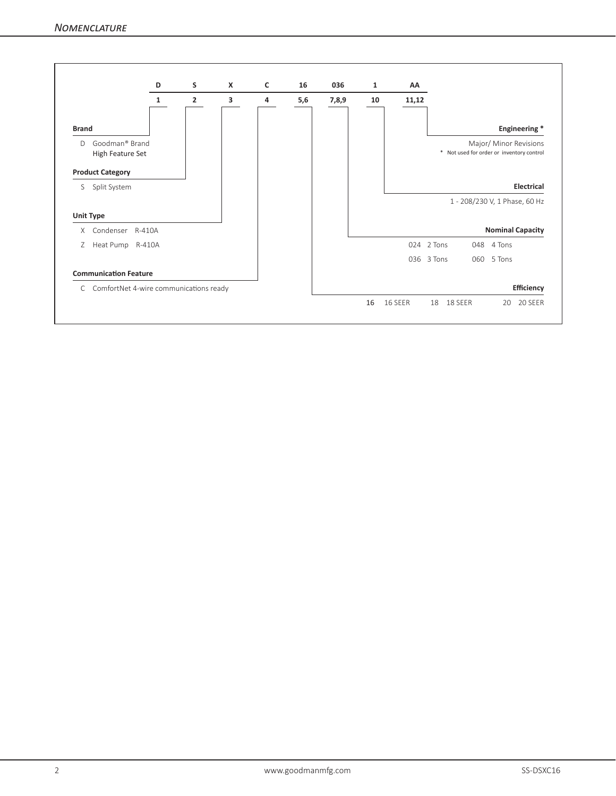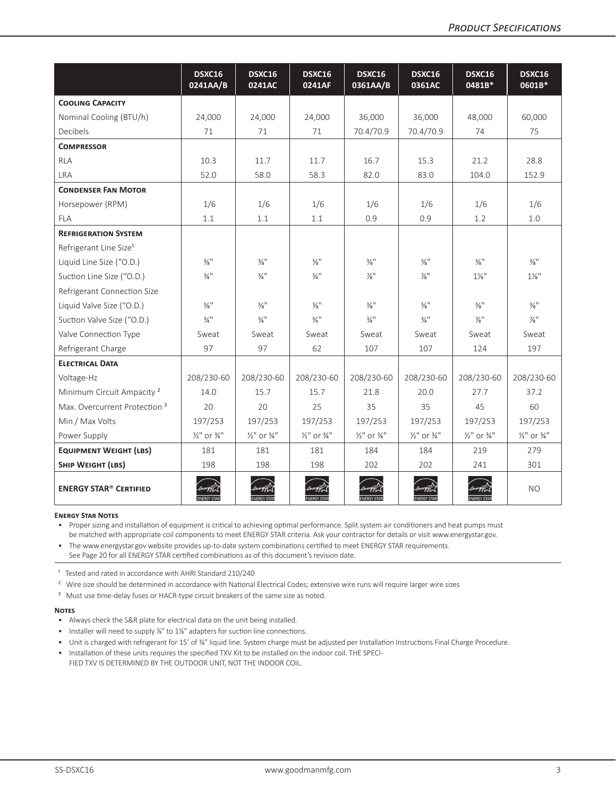|                                          | DSXC16<br>0241AA/B                 | DSXC16<br>0241AC                   | DSXC16<br>0241AF                   | DSXC16<br>0361AA/B                 | DSXC16<br>0361AC                   | DSXC16<br>0481B*                   | DSXC16<br>0601B*                   |
|------------------------------------------|------------------------------------|------------------------------------|------------------------------------|------------------------------------|------------------------------------|------------------------------------|------------------------------------|
| <b>COOLING CAPACITY</b>                  |                                    |                                    |                                    |                                    |                                    |                                    |                                    |
| Nominal Cooling (BTU/h)                  | 24,000                             | 24,000                             | 24,000                             | 36,000                             | 36,000                             | 48,000                             | 60,000                             |
| Decibels                                 | 71                                 | 71                                 | 71                                 | 70.4/70.9                          | 70.4/70.9                          | 74                                 | 75                                 |
| <b>COMPRESSOR</b>                        |                                    |                                    |                                    |                                    |                                    |                                    |                                    |
| <b>RLA</b>                               | 10.3                               | 11.7                               | 11.7                               | 16.7                               | 15.3                               | 21.2                               | 28.8                               |
| <b>LRA</b>                               | 52.0                               | 58.0                               | 58.3                               | 82.0                               | 83.0                               | 104.0                              | 152.9                              |
| <b>CONDENSER FAN MOTOR</b>               |                                    |                                    |                                    |                                    |                                    |                                    |                                    |
| Horsepower (RPM)                         | 1/6                                | 1/6                                | 1/6                                | 1/6                                | 1/6                                | 1/6                                | 1/6                                |
| <b>FLA</b>                               | 1.1                                | 1.1                                | 1.1                                | 0.9                                | 0.9                                | 1.2                                | 1.0                                |
| <b>REFRIGERATION SYSTEM</b>              |                                    |                                    |                                    |                                    |                                    |                                    |                                    |
| Refrigerant Line Size <sup>1</sup>       |                                    |                                    |                                    |                                    |                                    |                                    |                                    |
| Liquid Line Size ("O.D.)                 | $\frac{3}{8}$ <sup>11</sup>        | $\frac{3}{8}$ <sup>11</sup>        | $\frac{3}{8}$ <sup>11</sup>        | $\frac{3}{8}$ <sup>11</sup>        | $\frac{3}{8}$ <sup>11</sup>        | $\frac{3}{8}$ <sup>11</sup>        | $\frac{3}{8}$ !!                   |
| Suction Line Size ("O.D.)                | $\frac{3}{4}$ <sup>11</sup>        | $\frac{3}{4}$ <sup>11</sup>        | $\frac{3}{4}$ <sup>11</sup>        | $\frac{7}{8}$ "                    | $\frac{7}{8}$ "                    | $1\frac{1}{8}$ "                   | $1\%$ "                            |
| Refrigerant Connection Size              |                                    |                                    |                                    |                                    |                                    |                                    |                                    |
| Liquid Valve Size ("O.D.)                | $\frac{3}{8}$ <sup>11</sup>        | $\frac{3}{8}$ <sup>11</sup>        | $\frac{3}{8}$ <sup>11</sup>        | $\frac{3}{8}$ <sup>11</sup>        | $\frac{3}{8}$ <sup>11</sup>        | $\frac{3}{8}$ <sup>11</sup>        | $\frac{3}{8}$ <sup>11</sup>        |
| Suction Valve Size ("O.D.)               | $\frac{3}{4}$ <sup>11</sup>        | $\frac{3}{4}$ <sup>11</sup>        | $\frac{3}{4}$ <sup>11</sup>        | $\frac{3}{4}$ <sup>11</sup>        | $\frac{3}{4}$ <sup>11</sup>        | $\frac{7}{8}$ "                    | $\frac{7}{8}$ "                    |
| Valve Connection Type                    | Sweat                              | Sweat                              | Sweat                              | Sweat                              | Sweat                              | Sweat                              | Sweat                              |
| Refrigerant Charge                       | 97                                 | 97                                 | 62                                 | 107                                | 107                                | 124                                | 197                                |
| <b>ELECTRICAL DATA</b>                   |                                    |                                    |                                    |                                    |                                    |                                    |                                    |
| Voltage-Hz                               | 208/230-60                         | 208/230-60                         | 208/230-60                         | 208/230-60                         | 208/230-60                         | 208/230-60                         | 208/230-60                         |
| Minimum Circuit Ampacity <sup>2</sup>    | 14.0                               | 15.7                               | 15.7                               | 21.8                               | 20.0                               | 27.7                               | 37.2                               |
| Max. Overcurrent Protection <sup>3</sup> | 20                                 | 20                                 | 25                                 | 35                                 | 35                                 | 45                                 | 60                                 |
| Min / Max Volts                          | 197/253                            | 197/253                            | 197/253                            | 197/253                            | 197/253                            | 197/253                            | 197/253                            |
| Power Supply                             | $\frac{1}{2}$ " or $\frac{3}{4}$ " | $\frac{1}{2}$ " or $\frac{3}{4}$ " | $\frac{1}{2}$ " or $\frac{3}{4}$ " | $\frac{1}{2}$ " or $\frac{3}{4}$ " | $\frac{1}{2}$ " or $\frac{3}{4}$ " | $\frac{1}{2}$ " or $\frac{3}{4}$ " | $\frac{1}{2}$ " or $\frac{3}{4}$ " |
| <b>EQUIPMENT WEIGHT (LBS)</b>            | 181                                | 181                                | 181                                | 184                                | 184                                | 219                                | 279                                |
| SHIP WEIGHT (LBS)                        | 198                                | 198                                | 198                                | 202                                | 202                                | 241                                | 301                                |
| <b>ENERGY STAR® CERTIFIED</b>            |                                    | <b>ENERGY STAR</b>                 |                                    |                                    |                                    |                                    | <b>NO</b>                          |

#### **Energy Star Notes**

• Proper sizing and installation of equipment is critical to achieving optimal performance. Split system air conditioners and heat pumps must be matched with appropriate coil components to meet ENERGY STAR criteria. Ask your contractor for details or visit www.energystar.gov.

• The www.energystar.gov website provides up-to-date system combinations certified to meet ENERGY STAR requirements. See Page 20 for all ENERGY STAR certified combinations as of this document's revision date.

<sup>1</sup> Tested and rated in accordance with AHRI Standard 210/240

<sup>2</sup> Wire size should be determined in accordance with National Electrical Codes; extensive wire runs will require larger wire sizes

<sup>3</sup> Must use time-delay fuses or HACR-type circuit breakers of the same size as noted.

#### **Notes**

- Always check the S&R plate for electrical data on the unit being installed.
- Installer will need to supply %" to 1%" adapters for suction line connections.
- Unit is charged with refrigerant for 15' of 3%" liquid line. System charge must be adjusted per Installation Instructions Final Charge Procedure.
- Installation of these units requires the specified TXV Kit to be installed on the indoor coil. THE SPECI-FIED TXV IS DETERMINED BY THE OUTDOOR UNIT, NOT THE INDOOR COIL.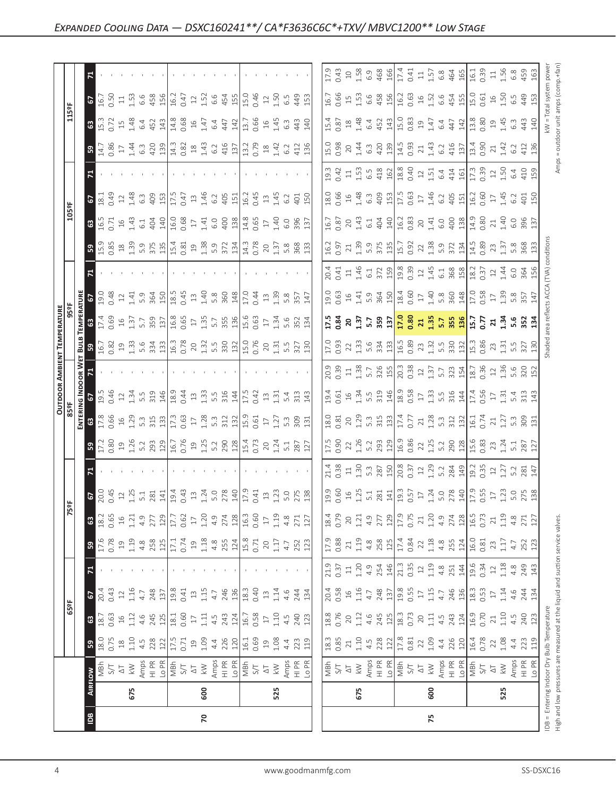|                                             | ιa                   | $\mathbf{g}$                                                                                                                                                                                                                                                                                                      |                                                                                                                                                                                                                                                                                                                                                                                                                                                                                              |                                                                                                                                                                                                                                                                                                                                                                                                        | 75  |     |
|---------------------------------------------|----------------------|-------------------------------------------------------------------------------------------------------------------------------------------------------------------------------------------------------------------------------------------------------------------------------------------------------------------|----------------------------------------------------------------------------------------------------------------------------------------------------------------------------------------------------------------------------------------------------------------------------------------------------------------------------------------------------------------------------------------------------------------------------------------------------------------------------------------------|--------------------------------------------------------------------------------------------------------------------------------------------------------------------------------------------------------------------------------------------------------------------------------------------------------------------------------------------------------------------------------------------------------|-----|-----|
|                                             | 675                  | 600                                                                                                                                                                                                                                                                                                               | 525                                                                                                                                                                                                                                                                                                                                                                                                                                                                                          | 675                                                                                                                                                                                                                                                                                                                                                                                                    | 600 | 525 |
|                                             | $\delta$             |                                                                                                                                                                                                                                                                                                                   |                                                                                                                                                                                                                                                                                                                                                                                                                                                                                              | $\begin{array}{ l l l l }\hline \frac{1}{2} & \frac{1}{2} & \frac{1}{2} & \frac{1}{2} & \frac{1}{2} & \frac{1}{2} & \frac{1}{2} & \frac{1}{2} & \frac{1}{2} & \frac{1}{2} \\ \hline \frac{1}{2} & \frac{1}{2} & \frac{1}{2} & \frac{1}{2} & \frac{1}{2} & \frac{1}{2} & \frac{1}{2} & \frac{1}{2} & \frac{1}{2} & \frac{1}{2} & \frac{1}{2} & \frac{1}{2} & \frac{1}{2} & \frac{1}{2} & \frac{1}{2} &$ |     |     |
|                                             | ြို့                 |                                                                                                                                                                                                                                                                                                                   |                                                                                                                                                                                                                                                                                                                                                                                                                                                                                              |                                                                                                                                                                                                                                                                                                                                                                                                        |     |     |
|                                             | 63                   |                                                                                                                                                                                                                                                                                                                   | $\begin{bmatrix} \tilde{\mathbf{g}} & \tilde{\mathbf{g}} & \tilde{\mathbf{g}} & \tilde{\mathbf{g}} & \tilde{\mathbf{g}} & \tilde{\mathbf{g}} \\ \tilde{\mathbf{g}} & \tilde{\mathbf{g}} & \tilde{\mathbf{g}} & \tilde{\mathbf{g}} & \tilde{\mathbf{g}} \\ \tilde{\mathbf{g}} & \tilde{\mathbf{g}} & \tilde{\mathbf{g}} & \tilde{\mathbf{g}} & \tilde{\mathbf{g}} \\ \end{bmatrix} \begin{bmatrix} \tilde{\mathbf{g}} & \tilde{\mathbf{g}} & \tilde{\mathbf{g}} & \tilde{\mathbf{g}} \\ \til$ | 828224222224222222222222222                                                                                                                                                                                                                                                                                                                                                                            |     |     |
|                                             | 67                   |                                                                                                                                                                                                                                                                                                                   |                                                                                                                                                                                                                                                                                                                                                                                                                                                                                              |                                                                                                                                                                                                                                                                                                                                                                                                        |     |     |
|                                             |                      |                                                                                                                                                                                                                                                                                                                   |                                                                                                                                                                                                                                                                                                                                                                                                                                                                                              |                                                                                                                                                                                                                                                                                                                                                                                                        |     |     |
|                                             | $\sqrt{5}$           |                                                                                                                                                                                                                                                                                                                   |                                                                                                                                                                                                                                                                                                                                                                                                                                                                                              |                                                                                                                                                                                                                                                                                                                                                                                                        |     |     |
|                                             |                      |                                                                                                                                                                                                                                                                                                                   |                                                                                                                                                                                                                                                                                                                                                                                                                                                                                              |                                                                                                                                                                                                                                                                                                                                                                                                        |     |     |
|                                             |                      |                                                                                                                                                                                                                                                                                                                   |                                                                                                                                                                                                                                                                                                                                                                                                                                                                                              |                                                                                                                                                                                                                                                                                                                                                                                                        |     |     |
|                                             |                      |                                                                                                                                                                                                                                                                                                                   |                                                                                                                                                                                                                                                                                                                                                                                                                                                                                              | 11 20 21 21 22 23 24 25 26 26 27 28 27 28 27 28 29 20 20 21 22 23 24 25 26 27 28 27 28 27 27 28 27 27 28 27 2                                                                                                                                                                                                                                                                                          |     |     |
|                                             | <b>S</b>             | $\frac{1}{2}$ $\frac{2}{8}$ $\frac{8}{12}$ $\frac{8}{12}$ $\frac{1}{2}$ $\frac{1}{3}$ $\frac{3}{12}$ $\frac{2}{12}$ $\frac{1}{12}$ $\frac{2}{12}$ $\frac{2}{12}$ $\frac{1}{22}$ $\frac{1}{22}$ $\frac{1}{22}$ $\frac{1}{22}$ $\frac{1}{22}$ $\frac{1}{22}$ $\frac{1}{22}$ $\frac{1}{22}$ $\frac{1}{22}$ $\frac{1$ | 290<br>128<br>15.4<br>0.73<br>20<br>12<br>5.1<br>5.7<br>27                                                                                                                                                                                                                                                                                                                                                                                                                                   |                                                                                                                                                                                                                                                                                                                                                                                                        |     |     |
|                                             | ENTERIN<br>63        |                                                                                                                                                                                                                                                                                                                   |                                                                                                                                                                                                                                                                                                                                                                                                                                                                                              |                                                                                                                                                                                                                                                                                                                                                                                                        |     |     |
| OUTDOOR AMBIENT TEMPERATURE<br>359F<br>959F | ה<br>ה T1<br>ה Proce |                                                                                                                                                                                                                                                                                                                   |                                                                                                                                                                                                                                                                                                                                                                                                                                                                                              |                                                                                                                                                                                                                                                                                                                                                                                                        |     |     |
|                                             |                      |                                                                                                                                                                                                                                                                                                                   | the contract of the con-                                                                                                                                                                                                                                                                                                                                                                                                                                                                     |                                                                                                                                                                                                                                                                                                                                                                                                        |     |     |
|                                             | $\frac{1}{5}$ 39     |                                                                                                                                                                                                                                                                                                                   | re signal control of the signal signal signal signal signal signal signal signal signal signal signal signal s<br>Control of the signal signal signal signal signal signal signal signal signal signal signal signal signal sign                                                                                                                                                                                                                                                             |                                                                                                                                                                                                                                                                                                                                                                                                        |     |     |
|                                             |                      |                                                                                                                                                                                                                                                                                                                   | $\frac{17}{12}$ $\frac{18}{12}$ $\frac{17}{12}$ $\frac{18}{12}$ $\frac{18}{12}$ $\frac{18}{12}$ $\frac{17}{12}$ $\frac{17}{12}$ $\frac{17}{12}$ $\frac{18}{12}$ $\frac{19}{12}$ $\frac{19}{12}$ $\frac{17}{12}$ $\frac{17}{12}$ $\frac{19}{12}$ $\frac{19}{12}$ $\frac{19}{12}$ $\frac{19}{12}$ $\frac{1$                                                                                                                                                                                    | ដូ ខ្ទី ខ ដូ ៉េ ឌូ ដូ <mark>ដូ ខ្ញី ដ ដូ ៉េ ឌូ ដូ ដូ</mark> ដូ ្ងូ ដ ដូ ៉េ ឌូ ដូ ដូ <mark>ដ</mark>                                                                                                                                                                                                                                                                                                     |     |     |
|                                             |                      |                                                                                                                                                                                                                                                                                                                   |                                                                                                                                                                                                                                                                                                                                                                                                                                                                                              |                                                                                                                                                                                                                                                                                                                                                                                                        |     |     |
|                                             | $\mathbf{z}$         |                                                                                                                                                                                                                                                                                                                   |                                                                                                                                                                                                                                                                                                                                                                                                                                                                                              |                                                                                                                                                                                                                                                                                                                                                                                                        |     |     |
|                                             | <b>S</b>             |                                                                                                                                                                                                                                                                                                                   |                                                                                                                                                                                                                                                                                                                                                                                                                                                                                              | $\begin{bmatrix} 1 & 2 & 2 & 3 \\ 1 & 2 & 3 & 1 \\ 2 & 3 & 2 & 3 \\ 3 & 3 & 3 & 5 \\ 4 & 5 & 5 & 6 \\ 5 & 6 & 6 & 7 \\ 6 & 6 & 7 & 8 \\ 7 & 8 & 1 & 1 \\ 8 & 9 & 1 & 1 \\ 10 & 10 & 2 & 3 \\ 11 & 11 & 2 & 3 & 3 \\ 12 & 12 & 3 & 3 & 3 \\ 13 & 13 & 13 & 1 & 1 \\ 14 & 15 & 2 & 3 & 3 & 3 \\ 15 & 2 & 1 & 3 & 3 & 3 \\ $                                                                              |     |     |
|                                             | 63                   |                                                                                                                                                                                                                                                                                                                   |                                                                                                                                                                                                                                                                                                                                                                                                                                                                                              |                                                                                                                                                                                                                                                                                                                                                                                                        |     |     |
|                                             | $\mathbb{P}$         |                                                                                                                                                                                                                                                                                                                   |                                                                                                                                                                                                                                                                                                                                                                                                                                                                                              |                                                                                                                                                                                                                                                                                                                                                                                                        |     |     |
|                                             |                      |                                                                                                                                                                                                                                                                                                                   |                                                                                                                                                                                                                                                                                                                                                                                                                                                                                              | a d u m e a d   a d u u u a d u   u a d u   u a d u d d d u                                                                                                                                                                                                                                                                                                                                            |     |     |
|                                             | 3 <sup>o</sup>       |                                                                                                                                                                                                                                                                                                                   |                                                                                                                                                                                                                                                                                                                                                                                                                                                                                              |                                                                                                                                                                                                                                                                                                                                                                                                        |     |     |
|                                             | $-5$                 |                                                                                                                                                                                                                                                                                                                   | [5] 2010 10:00 2010 10:00 10:00 10:00 10:00 10:00 10:00 10:00 10:00 10:00 10:00 10:00 10:00 10:00 10:00 10:00 10:00 10:00 10:00 10:00 10:00 10:00 10:00 10:00 10:00 10:00 10:00 10:00 10:00 10:00 10:00 10:00 10:00 10:00 10:00                                                                                                                                                                                                                                                              |                                                                                                                                                                                                                                                                                                                                                                                                        |     |     |
|                                             |                      |                                                                                                                                                                                                                                                                                                                   |                                                                                                                                                                                                                                                                                                                                                                                                                                                                                              |                                                                                                                                                                                                                                                                                                                                                                                                        |     |     |
|                                             |                      |                                                                                                                                                                                                                                                                                                                   |                                                                                                                                                                                                                                                                                                                                                                                                                                                                                              |                                                                                                                                                                                                                                                                                                                                                                                                        |     |     |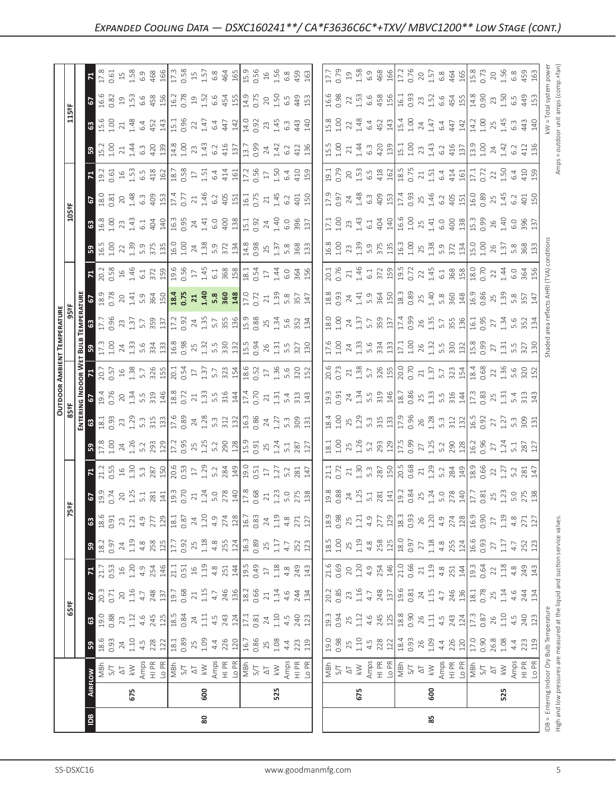| ιã                                                        |                                                                                                                                                                                                                                                                                                                                                                                                                                | 80              |                                                                       |                                                                                                                                                                                                                                                                                                               | 85                                                                                                                                                                                                                                                                                                                                                                                                                                                                   |  |                                                                                                                                                   |                                        |                                                                                                       |                                                                                                                           |
|-----------------------------------------------------------|--------------------------------------------------------------------------------------------------------------------------------------------------------------------------------------------------------------------------------------------------------------------------------------------------------------------------------------------------------------------------------------------------------------------------------|-----------------|-----------------------------------------------------------------------|---------------------------------------------------------------------------------------------------------------------------------------------------------------------------------------------------------------------------------------------------------------------------------------------------------------|----------------------------------------------------------------------------------------------------------------------------------------------------------------------------------------------------------------------------------------------------------------------------------------------------------------------------------------------------------------------------------------------------------------------------------------------------------------------|--|---------------------------------------------------------------------------------------------------------------------------------------------------|----------------------------------------|-------------------------------------------------------------------------------------------------------|---------------------------------------------------------------------------------------------------------------------------|
|                                                           | 675                                                                                                                                                                                                                                                                                                                                                                                                                            | 600             |                                                                       | 525                                                                                                                                                                                                                                                                                                           | 675                                                                                                                                                                                                                                                                                                                                                                                                                                                                  |  | 600                                                                                                                                               |                                        |                                                                                                       | 525                                                                                                                       |
| $\frac{3}{6}$                                             |                                                                                                                                                                                                                                                                                                                                                                                                                                |                 |                                                                       |                                                                                                                                                                                                                                                                                                               | $\begin{array}{ l l l }\hline \frac{\pi}{2} & \pi & \pi\\ \hline \frac{\pi}{2} & \pi & \pi\\ \hline \frac{\pi}{2} & \pi & \pi\\ \hline \frac{\pi}{2} & \pi & \pi\\ \hline \frac{\pi}{2} & \pi & \pi\\ \hline \frac{\pi}{2} & \pi & \pi\\ \hline \frac{\pi}{2} & \pi & \pi\\ \hline \frac{\pi}{2} & \pi & \pi\\ \hline \frac{\pi}{2} & \pi & \pi\\ \hline \frac{\pi}{2} & \pi & \pi\\ \hline \frac{\pi}{2} & \pi & \pi\\ \hline \frac{\pi}{2} & \pi & \pi\\ \hline \$ |  |                                                                                                                                                   |                                        |                                                                                                       | $\begin{array}{c}\n\Delta T \\ \hline\n\lambda \gg \Delta F \\ \Delta T \\ \Delta T \\ \Delta T \\ \Delta T\n\end{array}$ |
| ြို့                                                      | $\begin{array}{c c}\n 24 & 1.10 \\  4.1 & 2.8 \\  2 & 2.1\n \end{array}$<br>0.93                                                                                                                                                                                                                                                                                                                                               | 0.89<br>25      | $\begin{array}{c c}\n1.09 \\ 4.4 \\ 226 \\ 16.7 \\ 0.86\n\end{array}$ | $35$<br>$108$<br>$43$<br>$12$<br>$11$                                                                                                                                                                                                                                                                         | $\begin{array}{ l } \hline 19.0 & 0.98 \\ 0.98 & 0.10 \\ 1.10 & 4.02 \\ \hline \end{array}$                                                                                                                                                                                                                                                                                                                                                                          |  | $\begin{array}{ l l l l l }\n\hline\n18.9 & 26 & 48 & 120 \\ 0.9 & 26 & 48 & 120 \\ 0.9 & 4 & 24 & 120 \\ \hline\n11 & 12 & 12 & 12\n\end{array}$ |                                        | 0.90<br>26.8<br>4.4<br>223<br>119                                                                     |                                                                                                                           |
| <b>63</b>                                                 |                                                                                                                                                                                                                                                                                                                                                                                                                                |                 |                                                                       |                                                                                                                                                                                                                                                                                                               | $\begin{array}{ l } \hline 19.34 & 0.94 \\ 0.34 & 0.12 \\ 0.14 & 0.45 \\ \hline 0.80 & 0.90 \\ \hline \end{array}$                                                                                                                                                                                                                                                                                                                                                   |  |                                                                                                                                                   | $26$<br>1.11 4.5<br>243<br>124<br>17.3 | $\begin{bmatrix} . & . & . \\ . & . & . \\ . & . & . \\ . & . & . & . \\ . & . & . & . \end{bmatrix}$ |                                                                                                                           |
| <b>G7</b>                                                 | $\begin{array}{c} 20.3 \\ 0.71 \\ 20 \\ 1.16 \\ 4.7 \\ 8 \\ 248 \\ 13 \\ \hline \end{array}$                                                                                                                                                                                                                                                                                                                                   |                 |                                                                       |                                                                                                                                                                                                                                                                                                               | $\begin{bmatrix} 22 & 23 & 23 & 23 & 23 \\ 24 & 23 & 24 & 23 & 23 \\ 25 & 23 & 24 & 23 & 24 \\ 25 & 24 & 25 & 24 & 24 & 25 \\ 25 & 25 & 25 & 25 & 25 & 25 \\ 25 & 25 & 25 & 25 & 25 & 25 \\ 25 & 25 & 25 & 25 & 25 & 25 \\ 25 & 25 & 25 & 25 & 25 & 25 \\ 25 & 25 & 25 & 25 & 25 & 25 \\ 25 & 25 & 2$                                                                                                                                                                |  |                                                                                                                                                   |                                        |                                                                                                       |                                                                                                                           |
| $\mathbb{R}$                                              | $\begin{array}{cccc}\n7.17 & 0.53 & 0.00 & 0.00 & 0.00 & 0.00 & 0.00 & 0.00 & 0.00 & 0.00 & 0.00 & 0.00 & 0.00 & 0.00 & 0.00 & 0.00 & 0.00 & 0.00 & 0.00 & 0.00 & 0.00 & 0.00 & 0.00 & 0.00 & 0.00 & 0.00 & 0.00 & 0.00 & 0.00 & 0.00 & 0.00 & 0.00 & 0.00 & 0.00 & 0.00 & 0.$                                                                                                                                                 |                 |                                                                       | $\begin{array}{c} 1.51 \\ 2.51 \\ 3.44 \\ 4.53 \\ 5.64 \\ 6.75 \\ 7.75 \\ 7.75 \\ 8.75 \\ 7.43 \\ 7.43 \\ 8.75 \\ 1.43 \\ 1.43 \\ 1.43 \\ 1.43 \\ 1.43 \\ 1.43 \\ 1.43 \\ 1.43 \\ 1.43 \\ 1.43 \\ 1.43 \\ 1.43 \\ 1.43 \\ 1.43 \\ 1.43 \\ 1.43 \\ 1.43 \\ 1.43 \\ 1.43 \\ 1.43 \\ 1.43 \\ 1.43 \\ 1.43 \\ 1.$ |                                                                                                                                                                                                                                                                                                                                                                                                                                                                      |  |                                                                                                                                                   |                                        |                                                                                                       |                                                                                                                           |
| ြို့                                                      | $\begin{array}{ l }\n 225 \\  235 \\  345 \\  438 \\  588 \\  717 \\  117\n \end{array}$                                                                                                                                                                                                                                                                                                                                       |                 |                                                                       | $\begin{array}{c} 0.92 \\ 0.94 \\ 0.74 \\ 0.74 \\ 0.85 \\ 0.74 \\ 0.89 \\ 0.71 \\ 0.71 \\ 0.89 \\ 0.71 \\ 0.71 \\ 0.72 \\ 0.73 \\ 0.74 \\ 0.73 \\ 0.74 \\ 0.73 \\ 0.75 \\ 0.74 \\ 0.75 \\ 0.75 \\ 0.77 \\ 0.77 \\ 0.78 \\ 0.79 \\ 0.79 \\ 0.79 \\ 0.79 \\ 0.79 \\ 0.79 \\ 0.79 \\ 0.79 \\ 0.79 \\ 0.79 \\ 0.$ | $18.5$<br>$1.00$                                                                                                                                                                                                                                                                                                                                                                                                                                                     |  |                                                                                                                                                   |                                        |                                                                                                       | -8 21                                                                                                                     |
|                                                           |                                                                                                                                                                                                                                                                                                                                                                                                                                |                 |                                                                       |                                                                                                                                                                                                                                                                                                               |                                                                                                                                                                                                                                                                                                                                                                                                                                                                      |  |                                                                                                                                                   |                                        |                                                                                                       | $1.19$<br>4.8<br>271<br>127                                                                                               |
| $\frac{6}{2}$                                             |                                                                                                                                                                                                                                                                                                                                                                                                                                |                 |                                                                       |                                                                                                                                                                                                                                                                                                               |                                                                                                                                                                                                                                                                                                                                                                                                                                                                      |  |                                                                                                                                                   |                                        |                                                                                                       |                                                                                                                           |
| $\mathbb{R}$                                              |                                                                                                                                                                                                                                                                                                                                                                                                                                | $1.29$<br>$5.2$ |                                                                       | $\begin{array}{c cc}\n 284 & 149 \\  \hline\n 19.0 & 17 \\  0.51 & 1.27 \\  0.51 & 0.281 \\  \end{array}$                                                                                                                                                                                                     | $\begin{array}{l} 11.72 & 12.73 & 13.73 & 14.73 \\ 11.72 & 13.73 & 14.73 & 15.73 \\ 13.73 & 14.73 & 15.73 & 15.73 \\ 15.73 & 15.73 & 15.73 & 15.73 \\ 16.73 & 17.73 & 18.73 & 15.73 \\ 17.73 & 18.73 & 19.73 & 19.73 \\ 18.73 & 19.73 & 19.73 & 19.73 \\ 19.73 & 19.73 & 19$                                                                                                                                                                                         |  |                                                                                                                                                   |                                        |                                                                                                       |                                                                                                                           |
| ြို့                                                      | $\begin{bmatrix} 2 & 3 & 4 & 6 \\ 11 & 3 & 5 & 1 & 1 \\ 21 & 3 & 5 & 1 & 1 \\ 31 & 3 & 5 & 1 & 1 \\ 41 & 3 & 5 & 1 & 1 \\ 51 & 3 & 5 & 1 & 1 \\ 61 & 3 & 5 & 1 & 1 \\ 71 & 3 & 5 & 1 & 1 \\ 81 & 3 & 5 & 1 & 1 \\ 91 & 3 & 5 & 1 & 1 \\ 10 & 3 & 5 & 1 & 1 \\ 11 & 3 & 5 & 1 & 1 \\ 12 & 3 & 5 & 1 & 1 \\ 13 & 3 & 5 &$                                                                                                        |                 |                                                                       |                                                                                                                                                                                                                                                                                                               | $\begin{bmatrix} 1 & 1 & 1 & 1 & 1 \\ 1 & 1 & 1 & 1 & 1 \\ 1 & 1 & 1 & 1 & 1 \\ 1 & 1 & 1 & 1 & 1 \\ 1 & 1 & 1 & 1 & 1 \\ 1 & 1 & 1 & 1 & 1 \\ 1 & 1 & 1 & 1 & 1 \\ 1 & 1 & 1 & 1 & 1 \\ 1 & 1 & 1 & 1 & 1 \\ 1 & 1 & 1 & 1 & 1 \\ 1 & 1 & 1 & 1 & 1 \\ 1 & 1 & 1 & 1 & 1 \\ 1 & 1 & 1 & 1 & 1 \\ 1 & 1 & 1 & 1 & 1 \\ 1 & $                                                                                                                                         |  |                                                                                                                                                   |                                        |                                                                                                       |                                                                                                                           |
|                                                           | <u>ផ្ទា និង ដូច ដូច និង ដូច ង ដូច និង ដូច និង ដ</u> ូ                                                                                                                                                                                                                                                                                                                                                                          |                 |                                                                       |                                                                                                                                                                                                                                                                                                               | $\begin{bmatrix} \vec{a} & \vec{c} & \vec{c} & \vec{c} \\ \vec{c} & \vec{c} & \vec{c} & \vec{c} \\ \vec{c} & \vec{c} & \vec{c} & \vec{c} \\ \vec{c} & \vec{c} & \vec{c} & \vec{c} \\ \vec{c} & \vec{c} & \vec{c} & \vec{c} \\ \vec{c} & \vec{c} & \vec{c} & \vec{c} \\ \vec{c} & \vec{c} & \vec{c} & \vec{c} \\ \vec{c} & \vec{c} & \vec{c} & \vec{c} \\ \vec{c} & \vec{c} & \vec{c} & \vec{c$                                                                       |  |                                                                                                                                                   |                                        |                                                                                                       |                                                                                                                           |
|                                                           | $\begin{array}{l} 1976 \\ 1926 \\ 1946 \\ 1956 \\ 1966 \\ 1976 \\ 1986 \\ 1996 \\ 1996 \\ 1996 \\ 1996 \\ 1996 \\ 1996 \\ 1996 \\ 1996 \\ 1996 \\ 1996 \\ 1996 \\ 1996 \\ 1996 \\ 1996 \\ 1996 \\ 1996 \\ 1996 \\ 1996 \\ 1996 \\ 1996 \\ 1996 \\ 1996 \\ 1996 \\ 1996 \\ 1996 \\ 1996 \\ 1996 \\ 1996 \\ 19$                                                                                                                  |                 |                                                                       |                                                                                                                                                                                                                                                                                                               |                                                                                                                                                                                                                                                                                                                                                                                                                                                                      |  |                                                                                                                                                   |                                        |                                                                                                       |                                                                                                                           |
|                                                           |                                                                                                                                                                                                                                                                                                                                                                                                                                |                 |                                                                       |                                                                                                                                                                                                                                                                                                               |                                                                                                                                                                                                                                                                                                                                                                                                                                                                      |  |                                                                                                                                                   |                                        |                                                                                                       |                                                                                                                           |
|                                                           | $\begin{array}{l} 1255 \\ 1556 \end{array} \begin{array}{l} 245 \\ 2556 \end{array} \begin{array}{l} 2556 \\ 2556 \end{array} \begin{array}{l} 2556 \\ 2556 \end{array} \begin{array}{l} 2556 \\ 2556 \end{array} \begin{array}{l} 2556 \\ 2556 \end{array} \begin{array}{l} 2556 \\ 2556 \end{array} \begin{array}{l} 2556 \\ 2556 \end{array}$                                                                               |                 |                                                                       |                                                                                                                                                                                                                                                                                                               | $\frac{17.6}{1.00}$                                                                                                                                                                                                                                                                                                                                                                                                                                                  |  |                                                                                                                                                   |                                        |                                                                                                       |                                                                                                                           |
| <b>TEMPERATURE</b><br>63 67<br><b>TEMPERATURE</b><br>959F | $\frac{12}{13}$ $\frac{26}{13}$ $\frac{12}{12}$ $\frac{12}{12}$ $\frac{26}{13}$ $\frac{14}{12}$ $\frac{15}{12}$ $\frac{16}{12}$ $\frac{18}{12}$ $\frac{19}{12}$ $\frac{19}{12}$ $\frac{19}{12}$ $\frac{19}{12}$ $\frac{19}{12}$ $\frac{19}{12}$ $\frac{19}{12}$ $\frac{19}{12}$ $\frac{19}{12}$ $\frac{1$                                                                                                                      |                 |                                                                       |                                                                                                                                                                                                                                                                                                               |                                                                                                                                                                                                                                                                                                                                                                                                                                                                      |  |                                                                                                                                                   |                                        |                                                                                                       |                                                                                                                           |
|                                                           | 18, 2007 19, 2008 19, 2009 19, 2009 19, 2009 19, 2009 19, 2009 19, 2009 19, 2009 19, 2009 19, 2009 19, 2009 19                                                                                                                                                                                                                                                                                                                 |                 |                                                                       |                                                                                                                                                                                                                                                                                                               |                                                                                                                                                                                                                                                                                                                                                                                                                                                                      |  |                                                                                                                                                   |                                        |                                                                                                       |                                                                                                                           |
| $\mathbf{z}$                                              |                                                                                                                                                                                                                                                                                                                                                                                                                                |                 |                                                                       |                                                                                                                                                                                                                                                                                                               |                                                                                                                                                                                                                                                                                                                                                                                                                                                                      |  |                                                                                                                                                   |                                        | $2\frac{1}{4}$ 3 $\frac{36}{4}$                                                                       |                                                                                                                           |
| ြို့                                                      |                                                                                                                                                                                                                                                                                                                                                                                                                                |                 |                                                                       |                                                                                                                                                                                                                                                                                                               |                                                                                                                                                                                                                                                                                                                                                                                                                                                                      |  |                                                                                                                                                   |                                        |                                                                                                       |                                                                                                                           |
| $\frac{2}{3}$                                             | $3.68\frac{3}{10} = 2.73\frac{1}{10} = 2.53\frac{1}{10} = 2.53\frac{1}{10} = 2.53\frac{1}{10} = 2.53\frac{1}{10} = 2.53\frac{1}{10} = 2.53\frac{1}{10} = 2.53\frac{1}{10} = 2.53\frac{1}{10} = 2.53\frac{1}{10} = 2.53\frac{1}{10} = 2.53\frac{1}{10} = 2.53\frac{1}{10} = 2.53\frac{1}{10} = 2.53\frac{1}{1$                                                                                                                  |                 |                                                                       |                                                                                                                                                                                                                                                                                                               | 1202 x a c d c d l l l c c x d c d c d l l d c c x d c d l l d c c x d c d l l d c c x d c l l l c c c d l l l                                                                                                                                                                                                                                                                                                                                                       |  |                                                                                                                                                   |                                        |                                                                                                       |                                                                                                                           |
| $\mathbf{z}$                                              | $\begin{array}{l} 23.65 \\ 25.67 \\ 25.67 \\ 25.67 \\ 25.67 \\ 25.67 \\ 25.67 \\ 25.67 \\ 25.67 \\ 25.67 \\ 25.67 \\ 25.67 \\ 25.67 \\ 25.67 \\ 25.67 \\ 25.67 \\ 25.67 \\ 25.67 \\ 25.67 \\ 25.67 \\ 25.67 \\ 25.67 \\ 25.67 \\ 25.67 \\ 25.67 \\ 25.67 \\ 25.67 \\ 25.67 \\ 25.67 \\ 25.67 \\ 25$                                                                                                                            |                 |                                                                       |                                                                                                                                                                                                                                                                                                               |                                                                                                                                                                                                                                                                                                                                                                                                                                                                      |  |                                                                                                                                                   |                                        |                                                                                                       |                                                                                                                           |
| ြို့                                                      |                                                                                                                                                                                                                                                                                                                                                                                                                                |                 |                                                                       |                                                                                                                                                                                                                                                                                                               |                                                                                                                                                                                                                                                                                                                                                                                                                                                                      |  |                                                                                                                                                   |                                        |                                                                                                       |                                                                                                                           |
|                                                           | $\begin{array}{ l l l l l }\hline \textbf{3} & \textbf{5} & \textbf{2} & \textbf{3} & \textbf{4} & \textbf{5} \\ \hline \textbf{4} & \textbf{5} & \textbf{5} & \textbf{5} & \textbf{5} & \textbf{5} & \textbf{5} \\ \textbf{5} & \textbf{5} & \textbf{5} & \textbf{5} & \textbf{5} & \textbf{5} & \textbf{5} & \textbf{5} \\ \textbf{6} & \textbf{5} & \textbf{5} & \textbf{5} & \textbf{5} & \textbf{5} & \textbf{5} & \text$ |                 |                                                                       | $477\n140\n092\n745\n0344\n440\n0440$                                                                                                                                                                                                                                                                         |                                                                                                                                                                                                                                                                                                                                                                                                                                                                      |  |                                                                                                                                                   |                                        |                                                                                                       |                                                                                                                           |
|                                                           | $G \sin 2\theta$ $G \sin 2\theta$ $G \sin 2\theta$ $G \sin 2\theta$ $G \sin 2\theta$ $G \sin 2\theta$ $G \sin 2\theta$ $G \sin 2\theta$ $G \sin 2\theta$ $G \sin 2\theta$ $G \sin 2\theta$ $G \sin 2\theta$ $G \sin 2\theta$ $G \sin 2\theta$ $G \sin 2\theta$ $G \sin 2\theta$ $G \sin 2\theta$ $G \sin 2\theta$ $G \sin 2\theta$ $G \sin 2\theta$ $G \sin 2\theta$ $G \sin 2\theta$                                          |                 |                                                                       |                                                                                                                                                                                                                                                                                                               | 1988 2 3 3 4 5 5 6 7 7 9 9 9 2 9 2 9 9 2 9 9 2 9 9 2 9 9 2 9 9 2 9 9 2 9 9 2 9 9 9 2 9 9 9 1 9 9 9 0 1 9 9 9 1                                                                                                                                                                                                                                                                                                                                                       |  |                                                                                                                                                   |                                        |                                                                                                       |                                                                                                                           |
|                                                           |                                                                                                                                                                                                                                                                                                                                                                                                                                |                 |                                                                       |                                                                                                                                                                                                                                                                                                               |                                                                                                                                                                                                                                                                                                                                                                                                                                                                      |  |                                                                                                                                                   |                                        |                                                                                                       |                                                                                                                           |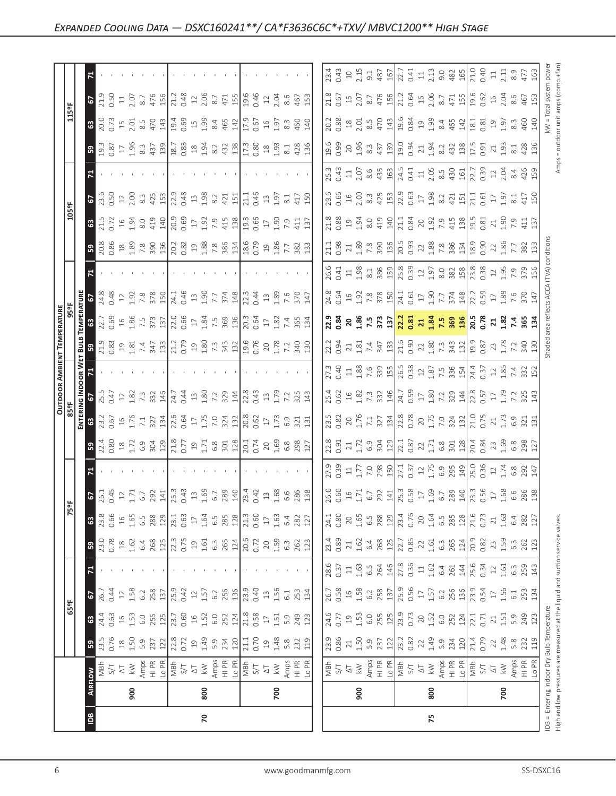|                                                       | 900                                                                                       | $\frac{1}{2}$<br>$\frac{1}{2}$<br>$\frac{1}{2}$<br>$\frac{1}{2}$<br>$\frac{1}{2}$<br>$\frac{1}{2}$<br>$\frac{1}{2}$<br>$\frac{1}{2}$<br>$\frac{1}{2}$<br>$\frac{1}{2}$<br>$\frac{1}{2}$<br>$\frac{1}{2}$<br>$\frac{1}{2}$<br>$\frac{1}{2}$<br>$\frac{1}{2}$<br>$\frac{1}{2}$<br>$\frac{1}{2}$<br>$\frac{1}{2}$<br>$\frac{1}{2}$<br>$\frac{1}{2}$<br><br>800                                                                                              | 700                                                                                                                                                                                                                                                                                                             | $\begin{array}{ l l l l }\hline \frac{1}{2} & \frac{1}{2} & \frac{1}{2} & \frac{1}{2} & \frac{1}{2} & \frac{1}{2} & \frac{1}{2} & \frac{1}{2} & \frac{1}{2} & \frac{1}{2} \\ \hline \frac{1}{2} & \frac{1}{2} & \frac{1}{2} & \frac{1}{2} & \frac{1}{2} & \frac{1}{2} & \frac{1}{2} & \frac{1}{2} & \frac{1}{2} & \frac{1}{2} & \frac{1}{2} & \frac{1}{2} & \frac{1}{2} \\ \hline \frac{1}{2} & \frac{1}{$<br>900 | 800 | 700                                                                                                                                                                                                                                                                                                                      |
|-------------------------------------------------------|-------------------------------------------------------------------------------------------|----------------------------------------------------------------------------------------------------------------------------------------------------------------------------------------------------------------------------------------------------------------------------------------------------------------------------------------------------------------------------------------------------------------------------------------------------------|-----------------------------------------------------------------------------------------------------------------------------------------------------------------------------------------------------------------------------------------------------------------------------------------------------------------|-------------------------------------------------------------------------------------------------------------------------------------------------------------------------------------------------------------------------------------------------------------------------------------------------------------------------------------------------------------------------------------------------------------------|-----|--------------------------------------------------------------------------------------------------------------------------------------------------------------------------------------------------------------------------------------------------------------------------------------------------------------------------|
|                                                       |                                                                                           |                                                                                                                                                                                                                                                                                                                                                                                                                                                          |                                                                                                                                                                                                                                                                                                                 |                                                                                                                                                                                                                                                                                                                                                                                                                   |     |                                                                                                                                                                                                                                                                                                                          |
| 65°F<br>$\sqrt{3}$                                    |                                                                                           |                                                                                                                                                                                                                                                                                                                                                                                                                                                          |                                                                                                                                                                                                                                                                                                                 |                                                                                                                                                                                                                                                                                                                                                                                                                   |     |                                                                                                                                                                                                                                                                                                                          |
|                                                       |                                                                                           |                                                                                                                                                                                                                                                                                                                                                                                                                                                          |                                                                                                                                                                                                                                                                                                                 |                                                                                                                                                                                                                                                                                                                                                                                                                   |     |                                                                                                                                                                                                                                                                                                                          |
| R                                                     |                                                                                           |                                                                                                                                                                                                                                                                                                                                                                                                                                                          |                                                                                                                                                                                                                                                                                                                 |                                                                                                                                                                                                                                                                                                                                                                                                                   |     |                                                                                                                                                                                                                                                                                                                          |
|                                                       |                                                                                           |                                                                                                                                                                                                                                                                                                                                                                                                                                                          |                                                                                                                                                                                                                                                                                                                 |                                                                                                                                                                                                                                                                                                                                                                                                                   |     |                                                                                                                                                                                                                                                                                                                          |
|                                                       |                                                                                           |                                                                                                                                                                                                                                                                                                                                                                                                                                                          |                                                                                                                                                                                                                                                                                                                 |                                                                                                                                                                                                                                                                                                                                                                                                                   |     |                                                                                                                                                                                                                                                                                                                          |
|                                                       |                                                                                           |                                                                                                                                                                                                                                                                                                                                                                                                                                                          |                                                                                                                                                                                                                                                                                                                 |                                                                                                                                                                                                                                                                                                                                                                                                                   |     |                                                                                                                                                                                                                                                                                                                          |
|                                                       |                                                                                           |                                                                                                                                                                                                                                                                                                                                                                                                                                                          |                                                                                                                                                                                                                                                                                                                 |                                                                                                                                                                                                                                                                                                                                                                                                                   |     |                                                                                                                                                                                                                                                                                                                          |
|                                                       | $32489$<br>$23489$<br>$-1259$<br>$-125$<br>$-125$<br>$-125$<br>$-125$<br>$-125$<br>$-125$ |                                                                                                                                                                                                                                                                                                                                                                                                                                                          | $\begin{array}{c c}\n301 & 128 \\ 120 & 74 \\ 0 & 74 \\ 0 & 4 & 6 \\ 0 & 4 & 6 \\ 0 & 3 & 7 \\ 1 & 6 & 8 \\ 1 & 7 & 7\n\end{array}$                                                                                                                                                                             | $\begin{bmatrix} 23 & 23 & 23 & 23 \\ 23 & 23 & 23 & 23 \\ 24 & 25 & 25 & 26 \\ 25 & 25 & 26 & 27 \\ 25 & 25 & 27 & 28 \\ 25 & 25 & 27 & 28 \\ 25 & 25 & 27 & 29 \\ 25 & 25 & 27 & 29 \\ 25 & 25 & 27 & 29 \\ 25 & 25 & 27 & 29 \\ 25 & 25 & 27 & 29 \\ 25 & 25 & 27 & 29 \\ 25 & 25 & 27 & 29 \\ 25 & 2$                                                                                                         |     |                                                                                                                                                                                                                                                                                                                          |
|                                                       |                                                                                           | $\begin{array}{l} \begin{array}{l} \hline \text{I} & \text{I} & \text{I} & \text{I} \\ \hline \text{I} & \text{I} & \text{I} & \text{I} \\ \hline \text{I} & \text{I} & \text{I} & \text{I} \\ \hline \end{array} & \begin{array}{l} \text{I} & \text{I} & \text{I} & \text{I} \\ \text{I} & \text{I} & \text{I} & \text{I} \\ \text{I} & \text{I} & \text{I} & \text{I} \\ \text{I} & \text{I} & \text{I} & \text{I} \\ \end{array} & \begin{array}{l}$ |                                                                                                                                                                                                                                                                                                                 |                                                                                                                                                                                                                                                                                                                                                                                                                   |     |                                                                                                                                                                                                                                                                                                                          |
|                                                       |                                                                                           |                                                                                                                                                                                                                                                                                                                                                                                                                                                          |                                                                                                                                                                                                                                                                                                                 | $\begin{array}{l} 1.75 & 0.75 & 0.75 & 0.75 \\ 1.75 & 0.75 & 0.75 & 0.75 \\ 1.75 & 0.75 & 0.75 & 0.75 \\ 1.75 & 0.75 & 0.75 & 0.75 \\ 1.75 & 0.75 & 0.75 & 0.75 \\ 1.75 & 0.75 & 0.75 & 0.75 \\ 1.75 & 0.75 & 0.75 & 0.75 \\ 1.75 & 0.75 & 0.75 & 0.75 \\ 1.75 & 0.75 & 0.75 & 0.$                                                                                                                                |     |                                                                                                                                                                                                                                                                                                                          |
|                                                       |                                                                                           |                                                                                                                                                                                                                                                                                                                                                                                                                                                          |                                                                                                                                                                                                                                                                                                                 |                                                                                                                                                                                                                                                                                                                                                                                                                   |     |                                                                                                                                                                                                                                                                                                                          |
| 936<br>82ae<br>82ae<br>TEMPE<br>63<br>$\frac{2}{5}$ s |                                                                                           |                                                                                                                                                                                                                                                                                                                                                                                                                                                          |                                                                                                                                                                                                                                                                                                                 |                                                                                                                                                                                                                                                                                                                                                                                                                   |     |                                                                                                                                                                                                                                                                                                                          |
|                                                       |                                                                                           | $\frac{1}{20}$ $\frac{1}{20}$ $\frac{1}{20}$ $\frac{1}{20}$ $\frac{1}{20}$ $\frac{1}{20}$ $\frac{1}{20}$ $\frac{1}{20}$ $\frac{1}{20}$ $\frac{1}{20}$ $\frac{1}{20}$ $\frac{1}{20}$ $\frac{1}{20}$ $\frac{1}{20}$ $\frac{1}{20}$ $\frac{1}{20}$ $\frac{1}{20}$ $\frac{1}{20}$ $\frac{1}{20}$ $\frac{1}{20}$                                                                                                                                              |                                                                                                                                                                                                                                                                                                                 |                                                                                                                                                                                                                                                                                                                                                                                                                   |     |                                                                                                                                                                                                                                                                                                                          |
|                                                       |                                                                                           |                                                                                                                                                                                                                                                                                                                                                                                                                                                          |                                                                                                                                                                                                                                                                                                                 | $\begin{bmatrix} 2 & 2 & 3 & 3 & 3 & 3 & 3 & 3 & 4 & 5 & 6 & 7 & 8 & 8 & 8 & 9 & 6 & 7 & 8 & 7 & 8 & 8 & 9 & 6 & 7 & 8 & 8 & 9 & 6 & 7 & 8 & 8 & 9 & 6 & 7 & 8 & 8 & 9 & 6 & 7 & 8 & 8 & 9 & 8 & 9 & 8 & 9 & 8 & 9 & 8 & 9 & 8 & 9 & 8 & 9 & 8 & 9 & 8 & 9 & 8 & 9 & 8 & 9 & 8 & 9 & 8 & 9 & 8 & 9 & 8 & 9 & $                                                                                                    |     |                                                                                                                                                                                                                                                                                                                          |
| 1년                                                    |                                                                                           |                                                                                                                                                                                                                                                                                                                                                                                                                                                          |                                                                                                                                                                                                                                                                                                                 |                                                                                                                                                                                                                                                                                                                                                                                                                   |     |                                                                                                                                                                                                                                                                                                                          |
|                                                       |                                                                                           |                                                                                                                                                                                                                                                                                                                                                                                                                                                          | $\begin{array}{c} 386 \\ 384 \\ 186 \\ 186 \\ 0.79 \\ 0.99 \\ 1.86 \\ 7.7 \\ 82 \\ 1.33 \\ 1.33 \\ 1.33 \\ 1.33 \\ 1.33 \\ 1.33 \\ 1.33 \\ 1.33 \\ 1.33 \\ 1.33 \\ 1.33 \\ 1.33 \\ 1.33 \\ 1.33 \\ 1.33 \\ 1.33 \\ 1.33 \\ 1.33 \\ 1.33 \\ 1.33 \\ 1.33 \\ 1.33 \\ 1.33 \\ 1.33 \\ 1.33 \\ 1.33 \\ 1.33 \\ 1.3$ |                                                                                                                                                                                                                                                                                                                                                                                                                   |     |                                                                                                                                                                                                                                                                                                                          |
| 105ºF                                                 |                                                                                           |                                                                                                                                                                                                                                                                                                                                                                                                                                                          |                                                                                                                                                                                                                                                                                                                 |                                                                                                                                                                                                                                                                                                                                                                                                                   |     |                                                                                                                                                                                                                                                                                                                          |
|                                                       |                                                                                           |                                                                                                                                                                                                                                                                                                                                                                                                                                                          |                                                                                                                                                                                                                                                                                                                 |                                                                                                                                                                                                                                                                                                                                                                                                                   |     |                                                                                                                                                                                                                                                                                                                          |
|                                                       |                                                                                           |                                                                                                                                                                                                                                                                                                                                                                                                                                                          |                                                                                                                                                                                                                                                                                                                 |                                                                                                                                                                                                                                                                                                                                                                                                                   |     |                                                                                                                                                                                                                                                                                                                          |
|                                                       |                                                                                           |                                                                                                                                                                                                                                                                                                                                                                                                                                                          |                                                                                                                                                                                                                                                                                                                 |                                                                                                                                                                                                                                                                                                                                                                                                                   |     |                                                                                                                                                                                                                                                                                                                          |
| 115eF                                                 |                                                                                           |                                                                                                                                                                                                                                                                                                                                                                                                                                                          |                                                                                                                                                                                                                                                                                                                 |                                                                                                                                                                                                                                                                                                                                                                                                                   |     |                                                                                                                                                                                                                                                                                                                          |
|                                                       |                                                                                           |                                                                                                                                                                                                                                                                                                                                                                                                                                                          |                                                                                                                                                                                                                                                                                                                 |                                                                                                                                                                                                                                                                                                                                                                                                                   |     | $\begin{bmatrix} 3 & 3 & 3 & 3 & 3 & 6 \\ 3 & 3 & 3 & 3 & 5 & 6 \\ 3 & 3 & 3 & 3 & 5 & 6 \\ 4 & 3 & 3 & 3 & 5 & 6 \\ 5 & 4 & 3 & 3 & 5 & 6 \\ 6 & 5 & 3 & 3 & 5 & 6 \\ 7 & 3 & 3 & 3 & 5 & 6 \\ 8 & 3 & 3 & 3 & 5 & 6 \\ 9 & 3 & 3 & 3 & 5 & 6 \\ 10 & 3 & 3 & 3 & 5 & 6 \\ 11 & 3 & 3 & 3 & 5 & 6 \\ 13 & 3 & 3 & 3 & $ |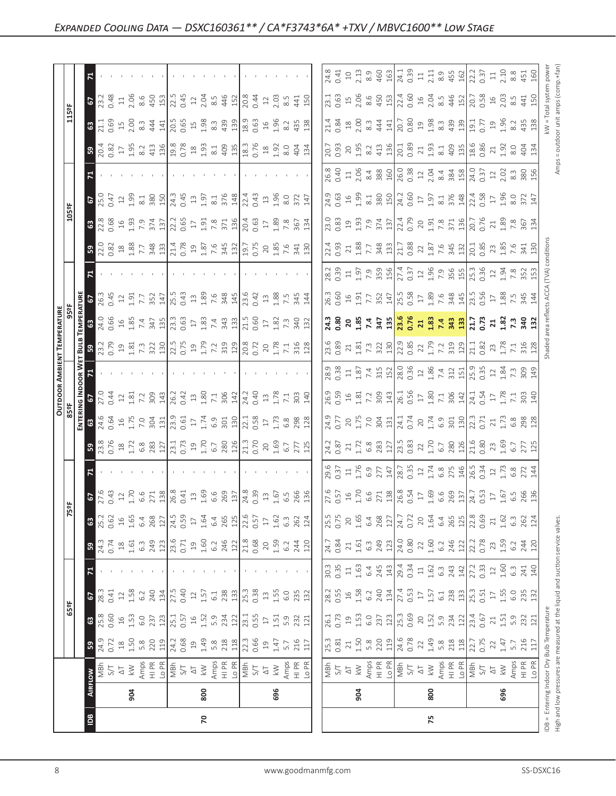|                                                                                               |     |                                                                                                                                                                                                                                                                                                                                                                                                                                                                                                                                                                                                                                                                                                                                                                                                                                                                                                                                                                                                                                                                                                                                                                                                                                                                                                                                                                      |                                                                                                                                                                                                                                                                                                                                                                                                                                                                                                                                                                                                                                                                                                                                                                                                                                                                                                                                                                                                                                                                                                                                                                                                                                                                                                             | $rac{2}{4}$ $rac{2}{10}$                                                                                                                                                                                                                                                                                                                                                                                                                                                                                                                                                                                                                                                                                                                                                                                                                                                                                                                                                                                                                                                                                                                                                                                                                                                                                                                                                                                                                                                                                                                                                                                                                                                                                                                                                                                                                                                                                                                                                                                                                                                                                                                                                                                                                                                                                                                                                                                                                                                                                                                                                                                    |
|-----------------------------------------------------------------------------------------------|-----|----------------------------------------------------------------------------------------------------------------------------------------------------------------------------------------------------------------------------------------------------------------------------------------------------------------------------------------------------------------------------------------------------------------------------------------------------------------------------------------------------------------------------------------------------------------------------------------------------------------------------------------------------------------------------------------------------------------------------------------------------------------------------------------------------------------------------------------------------------------------------------------------------------------------------------------------------------------------------------------------------------------------------------------------------------------------------------------------------------------------------------------------------------------------------------------------------------------------------------------------------------------------------------------------------------------------------------------------------------------------|-------------------------------------------------------------------------------------------------------------------------------------------------------------------------------------------------------------------------------------------------------------------------------------------------------------------------------------------------------------------------------------------------------------------------------------------------------------------------------------------------------------------------------------------------------------------------------------------------------------------------------------------------------------------------------------------------------------------------------------------------------------------------------------------------------------------------------------------------------------------------------------------------------------------------------------------------------------------------------------------------------------------------------------------------------------------------------------------------------------------------------------------------------------------------------------------------------------------------------------------------------------------------------------------------------------|-------------------------------------------------------------------------------------------------------------------------------------------------------------------------------------------------------------------------------------------------------------------------------------------------------------------------------------------------------------------------------------------------------------------------------------------------------------------------------------------------------------------------------------------------------------------------------------------------------------------------------------------------------------------------------------------------------------------------------------------------------------------------------------------------------------------------------------------------------------------------------------------------------------------------------------------------------------------------------------------------------------------------------------------------------------------------------------------------------------------------------------------------------------------------------------------------------------------------------------------------------------------------------------------------------------------------------------------------------------------------------------------------------------------------------------------------------------------------------------------------------------------------------------------------------------------------------------------------------------------------------------------------------------------------------------------------------------------------------------------------------------------------------------------------------------------------------------------------------------------------------------------------------------------------------------------------------------------------------------------------------------------------------------------------------------------------------------------------------------------------------------------------------------------------------------------------------------------------------------------------------------------------------------------------------------------------------------------------------------------------------------------------------------------------------------------------------------------------------------------------------------------------------------------------------------------------------------------------------------|
|                                                                                               |     |                                                                                                                                                                                                                                                                                                                                                                                                                                                                                                                                                                                                                                                                                                                                                                                                                                                                                                                                                                                                                                                                                                                                                                                                                                                                                                                                                                      |                                                                                                                                                                                                                                                                                                                                                                                                                                                                                                                                                                                                                                                                                                                                                                                                                                                                                                                                                                                                                                                                                                                                                                                                                                                                                                             |                                                                                                                                                                                                                                                                                                                                                                                                                                                                                                                                                                                                                                                                                                                                                                                                                                                                                                                                                                                                                                                                                                                                                                                                                                                                                                                                                                                                                                                                                                                                                                                                                                                                                                                                                                                                                                                                                                                                                                                                                                                                                                                                                                                                                                                                                                                                                                                                                                                                                                                                                                                                             |
|                                                                                               |     |                                                                                                                                                                                                                                                                                                                                                                                                                                                                                                                                                                                                                                                                                                                                                                                                                                                                                                                                                                                                                                                                                                                                                                                                                                                                                                                                                                      |                                                                                                                                                                                                                                                                                                                                                                                                                                                                                                                                                                                                                                                                                                                                                                                                                                                                                                                                                                                                                                                                                                                                                                                                                                                                                                             |                                                                                                                                                                                                                                                                                                                                                                                                                                                                                                                                                                                                                                                                                                                                                                                                                                                                                                                                                                                                                                                                                                                                                                                                                                                                                                                                                                                                                                                                                                                                                                                                                                                                                                                                                                                                                                                                                                                                                                                                                                                                                                                                                                                                                                                                                                                                                                                                                                                                                                                                                                                                             |
|                                                                                               |     |                                                                                                                                                                                                                                                                                                                                                                                                                                                                                                                                                                                                                                                                                                                                                                                                                                                                                                                                                                                                                                                                                                                                                                                                                                                                                                                                                                      |                                                                                                                                                                                                                                                                                                                                                                                                                                                                                                                                                                                                                                                                                                                                                                                                                                                                                                                                                                                                                                                                                                                                                                                                                                                                                                             |                                                                                                                                                                                                                                                                                                                                                                                                                                                                                                                                                                                                                                                                                                                                                                                                                                                                                                                                                                                                                                                                                                                                                                                                                                                                                                                                                                                                                                                                                                                                                                                                                                                                                                                                                                                                                                                                                                                                                                                                                                                                                                                                                                                                                                                                                                                                                                                                                                                                                                                                                                                                             |
|                                                                                               |     |                                                                                                                                                                                                                                                                                                                                                                                                                                                                                                                                                                                                                                                                                                                                                                                                                                                                                                                                                                                                                                                                                                                                                                                                                                                                                                                                                                      |                                                                                                                                                                                                                                                                                                                                                                                                                                                                                                                                                                                                                                                                                                                                                                                                                                                                                                                                                                                                                                                                                                                                                                                                                                                                                                             |                                                                                                                                                                                                                                                                                                                                                                                                                                                                                                                                                                                                                                                                                                                                                                                                                                                                                                                                                                                                                                                                                                                                                                                                                                                                                                                                                                                                                                                                                                                                                                                                                                                                                                                                                                                                                                                                                                                                                                                                                                                                                                                                                                                                                                                                                                                                                                                                                                                                                                                                                                                                             |
|                                                                                               |     |                                                                                                                                                                                                                                                                                                                                                                                                                                                                                                                                                                                                                                                                                                                                                                                                                                                                                                                                                                                                                                                                                                                                                                                                                                                                                                                                                                      |                                                                                                                                                                                                                                                                                                                                                                                                                                                                                                                                                                                                                                                                                                                                                                                                                                                                                                                                                                                                                                                                                                                                                                                                                                                                                                             |                                                                                                                                                                                                                                                                                                                                                                                                                                                                                                                                                                                                                                                                                                                                                                                                                                                                                                                                                                                                                                                                                                                                                                                                                                                                                                                                                                                                                                                                                                                                                                                                                                                                                                                                                                                                                                                                                                                                                                                                                                                                                                                                                                                                                                                                                                                                                                                                                                                                                                                                                                                                             |
|                                                                                               |     |                                                                                                                                                                                                                                                                                                                                                                                                                                                                                                                                                                                                                                                                                                                                                                                                                                                                                                                                                                                                                                                                                                                                                                                                                                                                                                                                                                      |                                                                                                                                                                                                                                                                                                                                                                                                                                                                                                                                                                                                                                                                                                                                                                                                                                                                                                                                                                                                                                                                                                                                                                                                                                                                                                             | 696                                                                                                                                                                                                                                                                                                                                                                                                                                                                                                                                                                                                                                                                                                                                                                                                                                                                                                                                                                                                                                                                                                                                                                                                                                                                                                                                                                                                                                                                                                                                                                                                                                                                                                                                                                                                                                                                                                                                                                                                                                                                                                                                                                                                                                                                                                                                                                                                                                                                                                                                                                                                         |
|                                                                                               |     |                                                                                                                                                                                                                                                                                                                                                                                                                                                                                                                                                                                                                                                                                                                                                                                                                                                                                                                                                                                                                                                                                                                                                                                                                                                                                                                                                                      |                                                                                                                                                                                                                                                                                                                                                                                                                                                                                                                                                                                                                                                                                                                                                                                                                                                                                                                                                                                                                                                                                                                                                                                                                                                                                                             |                                                                                                                                                                                                                                                                                                                                                                                                                                                                                                                                                                                                                                                                                                                                                                                                                                                                                                                                                                                                                                                                                                                                                                                                                                                                                                                                                                                                                                                                                                                                                                                                                                                                                                                                                                                                                                                                                                                                                                                                                                                                                                                                                                                                                                                                                                                                                                                                                                                                                                                                                                                                             |
| <b>63</b><br>$\mathbb{R}$<br>$\mathbf{z}$<br><u>ដ្ឋី ឩ</u><br>59<br>$\sqrt{2}$<br>ြို့<br>904 | 800 | $\frac{23}{23}$ $\frac{26}{25}$ $\frac{25}{27}$ $\frac{27}{27}$ $\frac{27}{27}$ $\frac{27}{27}$ $\frac{27}{27}$ $\frac{27}{27}$ $\frac{27}{27}$ $\frac{27}{27}$ $\frac{27}{27}$ $\frac{27}{27}$ $\frac{27}{27}$ $\frac{27}{27}$ $\frac{27}{27}$ $\frac{27}{27}$ $\frac{27}{27}$ $\frac{27}{27}$ $\frac{2$<br>$2.66$ $\frac{2}{3}$ $\frac{1}{2}$ $\frac{1}{3}$ $\frac{1}{2}$ $\frac{1}{3}$ $\frac{1}{3}$ $\frac{1}{3}$ $\frac{1}{3}$ $\frac{1}{3}$ $\frac{1}{3}$ $\frac{1}{2}$ $\frac{1}{3}$ $\frac{1}{2}$ $\frac{1}{3}$ $\frac{1}{3}$ $\frac{1}{3}$ $\frac{1}{3}$ $\frac{1}{3}$ $\frac{1}{3}$ $\frac{1}{3}$ $\frac{1}{3}$ $\frac{$<br>$\frac{23}{25}$ a $\frac{25}{25}$ a $\frac{25}{25}$ a $\frac{25}{25}$ a $\frac{25}{25}$ a $\frac{25}{25}$ a $\frac{25}{25}$ a $\frac{25}{25}$ a $\frac{25}{25}$ a $\frac{25}{25}$ a $\frac{25}{25}$ a $\frac{25}{25}$ a $\frac{25}{25}$ a $\frac{25}{25}$<br>$\begin{bmatrix} 1 & 1 & 1 & 1 \\ 1 & 1 & 1 & 1 \\ 1 & 1 & 1 & 1 \\ 1 & 1 & 1 & 1 \\ 1 & 1 & 1 & 1 \\ 1 & 1 & 1 & 1 \\ 1 & 1 & 1 & 1 \\ 1 & 1 & 1 & 1 \\ 1 & 1 & 1 & 1 \\ 1 & 1 & 1 & 1 \\ 1 & 1 & 1 & 1 \\ 1 & 1 & 1 & 1 \\ 1 & 1 & 1 & 1 & 1 \\ 1 & 1 & 1 & 1 & 1 \\ 1 & 1 & 1 & 1 & 1 \\ 1 & 1 & 1 & 1 & 1 \\ 1 & 1 & 1 & $<br>  28 H   28 H   28 H   29 H   29 H   29 H   29 H   20 H   20 H   20 H   20 H   20 H   20 H   20 H   20 H   20<br>$3.888$<br>696 | $\frac{6}{3}$ $\frac{2}{3}$ $\frac{2}{3}$ $\frac{2}{3}$ $\frac{1}{3}$ $\frac{2}{3}$ $\frac{1}{3}$ $\frac{1}{2}$ $\frac{1}{3}$ $\frac{1}{3}$ $\frac{1}{2}$ $\frac{1}{2}$ $\frac{1}{3}$ $\frac{1}{3}$ $\frac{1}{3}$ $\frac{1}{3}$ $\frac{1}{3}$ $\frac{1}{3}$ $\frac{1}{3}$ $\frac{1}{3}$ $\frac{1}{3}$ $\frac{1}{3}$<br>$\frac{3}{10}$ $\frac{1}{10}$ $\frac{1}{10}$ $\frac{1}{10}$ $\frac{1}{10}$ $\frac{1}{10}$ $\frac{1}{10}$ $\frac{1}{10}$ $\frac{1}{10}$ $\frac{1}{10}$ $\frac{1}{10}$ $\frac{1}{10}$ $\frac{1}{10}$ $\frac{1}{10}$ $\frac{1}{10}$ $\frac{1}{10}$ $\frac{1}{10}$ $\frac{1}{10}$ $\frac{1}{10}$ $\frac{1}{10}$<br>$\begin{bmatrix} 23 & 23 & 23 & 24 & 25 \\ 23 & 23 & 23 & 25 & 26 & 27 \\ 24 & 23 & 24 & 25 & 27 \\ 25 & 24 & 25 & 27 & 28 \\ 26 & 27 & 28 & 27 & 28 \\ 27 & 29 & 29 & 27 & 28 \\ 28 & 29 & 29 & 27 & 28 \\ 29 & 29 & 29 & 27 & 28 \\ 21 & 23 & 23 & 27 & 28 \\ 21 & 23 & 23 & 27 & 28 \\ 21 & 23 & 2$<br>$\frac{1}{2}$<br>$\frac{1}{2}$<br>$\frac{1}{2}$<br>$\frac{1}{2}$<br>$\frac{1}{2}$<br>$\frac{1}{2}$<br>$\frac{1}{2}$<br>$\frac{1}{2}$<br>$\frac{1}{2}$<br>$\frac{1}{2}$<br>$\frac{1}{2}$<br>$\frac{1}{2}$<br>$\frac{1}{2}$<br>$\frac{1}{2}$<br>$\frac{1}{2}$<br>$\frac{1}{2}$<br>$\frac{1}{2}$<br>$\frac{1}{2}$<br>$\frac{1}{2}$<br>$\frac{1}{2}$<br><br>904 | $\begin{bmatrix} \frac{1}{2} & \frac{1}{2} & \frac{1}{2} & \frac{1}{2} & \frac{1}{2} & \frac{1}{2} & \frac{1}{2} & \frac{1}{2} & \frac{1}{2} & \frac{1}{2} & \frac{1}{2} & \frac{1}{2} & \frac{1}{2} & \frac{1}{2} & \frac{1}{2} & \frac{1}{2} & \frac{1}{2} & \frac{1}{2} & \frac{1}{2} & \frac{1}{2} & \frac{1}{2} & \frac{1}{2} & \frac{1}{2} & \frac{1}{2} & \frac{1}{2} & \frac{1}{2} & \frac{1}{2$<br>$\begin{bmatrix} 0.00000 & 0.00000 & 0.00000 & 0.00000 \\ 0.00000 & 0.00000 & 0.00000 & 0.00000 \\ 0.00000 & 0.00000 & 0.00000 & 0.00000 \\ 0.00000 & 0.00000 & 0.00000 & 0.00000 \\ 0.00000 & 0.00000 & 0.00000 & 0.00000 \\ 0.00000 & 0.00000 & 0.00000 & 0.0000$<br>$\begin{bmatrix} \vec{a} & \vec{a} & \vec{c} & \vec{c} & \vec{c} \\ \vec{a} & \vec{a} & \vec{c} & \vec{c} & \vec{c} & \vec{c} \\ \vec{a} & \vec{a} & \vec{c} & \vec{c} & \vec{c} & \vec{c} \end{bmatrix} \begin{bmatrix} \vec{a} & \vec{c} & \vec{c} & \vec{c} & \vec{c} & \vec{c} \\ \vec{a} & \vec{c} & \vec{c} & \vec{c} & \vec{c} & \vec{c} \\ \vec{a} & \vec{c} & \vec{c} & \vec{c} & \vec{c}$<br>$\begin{bmatrix} 83 & 83 & 7 & 7 & 73 & 12 \\ 83 & 83 & 7 & 7 & 73 & 12 \\ 1 & 8 & 7 & 7 & 7 & 12 \\ 1 & 8 & 7 & 7 & 12 & 12 \\ 1 & 8 & 8 & 7 & 7 & 12 & 12 \\ 1 & 8 & 7 & 7 & 7 & 12 & 12 \\ 1 & 8 & 7 & 7 & 7 & 12 & 12 \\ 1 & 8 & 7 & 7 & 7 & 12 & 12 \\ 1 & 9 & 7 & 7 & 7 & 12 & 12 \\ 1 & 9 & 7 & 7 & 7 & $<br>$\begin{bmatrix} x; x_0 \\ x & y_1 \\ y_2 & z_3 \\ z & z_4 \end{bmatrix} \begin{bmatrix} x_1 \\ x_2 \\ x_3 \\ y_4 \end{bmatrix} \begin{bmatrix} x_1 \\ x_2 \\ x_3 \\ y_4 \end{bmatrix} \begin{bmatrix} x_1 \\ x_2 \\ x_3 \\ y_4 \end{bmatrix} \begin{bmatrix} x_1 \\ x_2 \\ y_3 \\ z_4 \end{bmatrix} \begin{bmatrix} x_1 \\ x_2 \\ y_4 \end{bmatrix} \begin{bmatrix} x_1 \\ x_2 \\ y_4 \end{bmatrix} \begin{bmatrix} x_1 \\ x_2 \\ y_4 \end{bmatrix} \begin{bmatrix}$<br>$\begin{array}{r} 6.56 & 6.57 & 0.57 & 0.57 & 0.57 & 0.57 & 0.57 & 0.57 & 0.57 & 0.57 & 0.57 & 0.57 & 0.57 & 0.57 & 0.57 & 0.57 & 0.57 & 0.57 & 0.57 & 0.57 & 0.57 & 0.57 & 0.57 & 0.57 & 0.57 & 0.57 & 0.57 & 0.57 & 0.57 & 0.57 & 0.57 & 0.57 & 0.57 & 0.57 & 0.57 & 0.$<br>$\begin{array}{ l l l l l }\hline\hline \psi&\psi&\psi&\psi\\ \hline \psi&\psi&\psi&\psi&\psi\\ \hline \psi&\psi&\psi&\psi&\psi\\ \hline \psi&\psi&\psi&\psi&\psi\\ \hline \psi&\psi&\psi&\psi&\psi\\ \hline \psi&\psi&\psi&\psi&\psi\\ \hline \psi&\psi&\psi&\psi&\psi\\ \hline \psi&\psi&\psi&\psi&\psi\\ \hline \psi&\psi&\psi&\psi&\psi\\ \hline \psi&\psi&\psi&\psi&\psi\\ \hline \psi&\psi&\psi&\psi&\psi\\ \hline \psi&$<br>800 |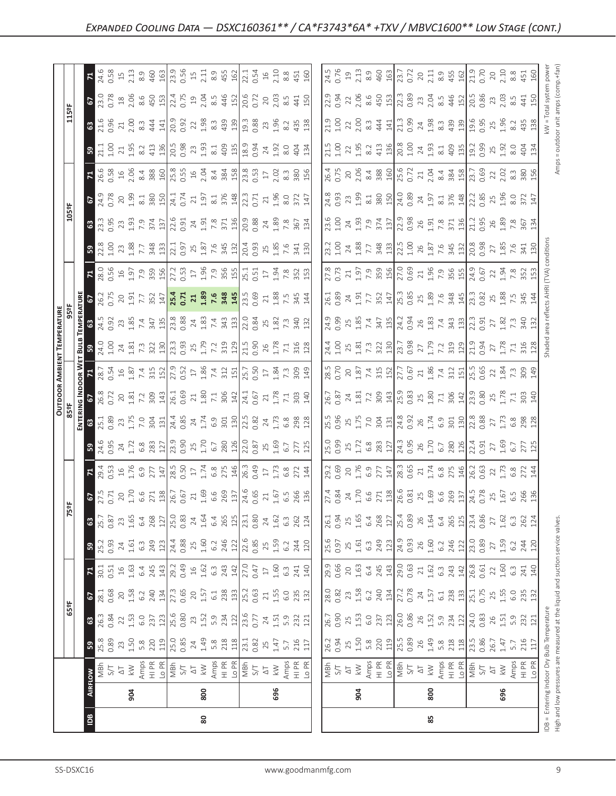|                                                                                                                                                    | 80                                                                                                       |                                                                                                                                                                                                                                                                                                                                                                                                                              | 85                 |                                                                                                                                                                                                                                                                                                                                                                                                    |  |                                                                                                                                                                                                                                                                                                               |     |  |                                   |                           |
|----------------------------------------------------------------------------------------------------------------------------------------------------|----------------------------------------------------------------------------------------------------------|------------------------------------------------------------------------------------------------------------------------------------------------------------------------------------------------------------------------------------------------------------------------------------------------------------------------------------------------------------------------------------------------------------------------------|--------------------|----------------------------------------------------------------------------------------------------------------------------------------------------------------------------------------------------------------------------------------------------------------------------------------------------------------------------------------------------------------------------------------------------|--|---------------------------------------------------------------------------------------------------------------------------------------------------------------------------------------------------------------------------------------------------------------------------------------------------------------|-----|--|-----------------------------------|---------------------------|
|                                                                                                                                                    | 800                                                                                                      | 696                                                                                                                                                                                                                                                                                                                                                                                                                          |                    | 904                                                                                                                                                                                                                                                                                                                                                                                                |  |                                                                                                                                                                                                                                                                                                               | 800 |  | 696                               |                           |
|                                                                                                                                                    |                                                                                                          |                                                                                                                                                                                                                                                                                                                                                                                                                              |                    | $\begin{array}{ l l l l l }\hline \frac{1}{2} & \frac{1}{2} & \frac{1}{2} & \frac{1}{2} & \frac{1}{2} & \frac{1}{2} & \frac{1}{2} & \frac{1}{2} & \frac{1}{2} & \frac{1}{2} & \frac{1}{2} & \frac{1}{2} & \frac{1}{2} & \frac{1}{2} & \frac{1}{2} & \frac{1}{2} & \frac{1}{2} & \frac{1}{2} & \frac{1}{2} & \frac{1}{2} & \frac{1}{2} & \frac{1}{2} & \frac{1}{2} & \frac{1}{2} & \frac{1}{2} & \$ |  |                                                                                                                                                                                                                                                                                                               |     |  |                                   | Amps<br>$\frac{10}{2}$ PR |
| $\begin{array}{c c c c c} \hline s, & s, & s, & s, \\ \hline s, & s, & s, & s, & s, \\ \hline 0.89 & 7.5 & 8.8 & 2.20 & 1.9 \\ \hline \end{array}$ | $385$<br>$249$<br>$-149$<br>$-149$<br>$-149$<br>$-149$<br>$-149$<br>$-149$<br>$-149$<br>$-149$<br>$-149$ | $25$<br>$1.47$<br>$5.7$<br>$216$<br>$117$                                                                                                                                                                                                                                                                                                                                                                                    | 26.2<br>0.94<br>25 |                                                                                                                                                                                                                                                                                                                                                                                                    |  | $\begin{array}{c} 1.58 \\ 5.88 \\ 2.11 \\ 2.11 \\ 2.12 \\ 2.13 \\ 2.14 \\ 2.15 \\ 2.16 \\ 2.17 \\ 2.18 \\ 2.19 \\ 2.19 \\ 2.10 \\ 2.11 \\ 2.12 \\ 2.13 \\ 2.14 \\ 2.15 \\ 2.16 \\ 2.17 \\ 2.19 \\ 2.11 \\ 2.12 \\ 2.13 \\ 2.14 \\ 2.15 \\ 2.16 \\ 2.17 \\ 2.18 \\ 2.19 \\ 2.19 \\ 2.19 \\ 2.19 \\ 2.19 \\ 2.$ |     |  |                                   |                           |
| $\begin{array}{c c} 1.33 & 0.84 \\ 0.84 & 1.53 \\ 1.53 & 6.87 \\ 1.52 & 6.87 \\ \hline \end{array}$                                                |                                                                                                          | $\frac{25}{25}$<br>$\frac{25}{25}$<br>$\frac{25}{25}$<br>$\frac{25}{25}$<br>$\frac{25}{25}$<br>$\frac{25}{25}$<br>$\frac{25}{25}$<br>$\frac{25}{25}$<br>$\frac{25}{25}$<br>$\frac{25}{25}$<br>$\frac{25}{25}$<br>$\frac{25}{25}$<br>$\frac{25}{25}$                                                                                                                                                                          |                    | 26.000 26.000 26.000 26.000 26.000 26.000 26.000 27.000 27.000 27.000 27.000 27.000 27.000 27.000 27.000 27.00                                                                                                                                                                                                                                                                                     |  |                                                                                                                                                                                                                                                                                                               |     |  |                                   |                           |
|                                                                                                                                                    |                                                                                                          | $\begin{array}{l} 23.68 & 22.67 & 23.68 & 24.67 & 25.67 & 26.67 & 27.67 & 28.67 & 29.67 & 20.67 & 20.67 & 20.67 & 20.67 & 20.67 & 20.67 & 20.67 & 20.67 & 20.67 & 20.67 & 20.67 & 20.67 & 20.67 & 20.67 & 20.67 & 20.67 & 20.67 & 20.67 & 20.67 & 20.67 & 20.67 & 20$                                                                                                                                                        |                    |                                                                                                                                                                                                                                                                                                                                                                                                    |  |                                                                                                                                                                                                                                                                                                               |     |  |                                   |                           |
| 30.1<br>0.51<br>1.63<br>4.4<br>245<br>29.2                                                                                                         |                                                                                                          |                                                                                                                                                                                                                                                                                                                                                                                                                              |                    | $\begin{bmatrix} 9 & 6 & 6 & 6 & 7 & 7 & 7 & 8 & 7 & 7 & 8 & 7 & 7 & 8 & 7 & 7 & 8 & 7 & 7 & 8 & 7 & 7 & 8 & 7 & 7 & 8 & 7 & 7 & 8 & 7 & 7 & 8 & 7 & 8 & 7 & 7 & 8 & 7 & 8 & 7 & 7 & 8 & 7 & 8 & 7 & 8 & 7 & 8 & 7 & 8 & 7 & 8 & 7 & 8 & 7 & 8 & 7 & 8 & 7 & 8 & 7 & 8 & 7 & 8 & 7 & 8 & 7 & 8 & 7 & 8 & 7 & $                                                                                     |  |                                                                                                                                                                                                                                                                                                               |     |  |                                   |                           |
|                                                                                                                                                    |                                                                                                          | $25.3$ $3.4$ $5.4$ $3.4$ $7.4$ $7.4$ $8.4$ $8.4$ $9.4$ $1.4$ $1.4$ $1.4$ $1.4$ $1.4$ $1.4$ $1.4$ $1.4$ $1.4$ $1.4$ $1.4$ $1.4$ $1.4$ $1.4$ $1.4$ $1.4$ $1.4$ $1.4$ $1.4$ $1.4$ $1.4$ $1.4$ $1.4$ $1.4$ $1.4$ $1.4$ $1.4$ $1.4$                                                                                                                                                                                               |                    | $\begin{array}{ l } \hline 15.6 \\ 0.97 \\ 0.51 \\ 1.61 \\ 6.3 \\ \hline \end{array}$                                                                                                                                                                                                                                                                                                              |  | $\begin{array}{ l l l l l } \hline 24.9 & 0.9 & 0.00 & 0.00 & 0.00 & 0.00 & 0.00 & 0.00 & 0.00 & 0.00 & 0.00 & 0.00 & 0.00 & 0.00 & 0.00 & 0.00 & 0.00 & 0.00 & 0.00 & 0.00 & 0.00 & 0.00 & 0.00 & 0.00 & 0.00 & 0.00 & 0.00 & 0.00 & 0.00 & 0.00 & 0.00 & 0.00 & 0.00 & 0.$                                  |     |  | $1.59$<br>6.2                     | 244                       |
|                                                                                                                                                    |                                                                                                          | $3.537$ $\frac{15}{10}$ $\frac{15}{10}$ $\frac{15}{10}$ $\frac{15}{10}$ $\frac{15}{10}$ $\frac{15}{10}$ $\frac{15}{10}$ $\frac{33}{10}$ $\frac{15}{10}$ $\frac{4}{10}$ $\frac{15}{10}$ $\frac{17}{10}$ $\frac{3}{10}$ $\frac{3}{10}$ $\frac{4}{10}$ $\frac{15}{10}$ $\frac{3}{10}$ $\frac{4}{10}$ $\frac$                                                                                                                    |                    |                                                                                                                                                                                                                                                                                                                                                                                                    |  |                                                                                                                                                                                                                                                                                                               |     |  | $1.62$<br>$6.3$<br>$262$<br>$124$ |                           |
|                                                                                                                                                    |                                                                                                          | $\begin{array}{l} 7.711 \\ 7.721 \\ 7.731 \\ 7.741 \\ 7.751 \\ 7.761 \\ 7.772 \\ 7.773 \\ 7.773 \\ 7.773 \\ 7.773 \\ 7.773 \\ 7.773 \\ 7.773 \\ 7.773 \\ 7.773 \\ 7.773 \\ 7.773 \\ 7.773 \\ 7.773 \\ 7.773 \\ 7.773 \\ 7.773 \\ 7.773 \\ 7.773 \\ 7.773 \\ 7.773 \\ 7.773 \\ 7.773 \\ 7.773 \\ 7.$                                                                                                                          |                    | $\begin{bmatrix} 7.7 & 8 & 7 & 7 & 8 \\ 7.7 & 8 & 7 & 7 & 8 \\ 7.7 & 7.7 & 8 & 7 & 8 \\ 7.7 & 8 & 7 & 8 & 8 \\ 7.7 & 8 & 8 & 7 & 8 \\ 8 & 8 & 8 & 8 & 8 \\ 9 & 9 & 1 & 8 & 8 \\ 10 & 10 & 10 & 8 & 8 \\ 11 & 11 & 11 & 12 & 8 \\ 12 & 13 & 15 & 15 & 8 \\ 13 & 16 & 15 & 15 & 8 \\ 14 & 15 & 16 & 15 & 8 \\ 15$                                                                                    |  |                                                                                                                                                                                                                                                                                                               |     |  |                                   |                           |
|                                                                                                                                                    |                                                                                                          | $\begin{array}{cccccccccc} 23.53 & 6 & 22.7 & 24.7 & 25.7 & 26.7 & 27.7 & 28.7 & 29.7 & 20.7 & 27.7 & 28.7 & 29.7 & 20.7 & 20.7 & 20.7 & 27.7 & 28.7 & 29.7 & 20.7 & 20.7 & 20.7 & 20.7 & 20.7 & 20.7 & 20.7 & 20.7 & 20.7 & 20.7 & 20.7 & 20.7 & 20.7 & 20.7 & 20.7 & 20.7 & 20$                                                                                                                                            |                    |                                                                                                                                                                                                                                                                                                                                                                                                    |  |                                                                                                                                                                                                                                                                                                               |     |  |                                   |                           |
|                                                                                                                                                    |                                                                                                          | $(3.95 \times 2.87)$<br>$(3.95 \times 2.7)$<br>$(3.95 \times 2.7)$<br>$(3.95 \times 2.7)$<br>$(3.95 \times 2.7)$<br>$(3.95 \times 2.7)$<br>$(3.95 \times 2.7)$                                                                                                                                                                                                                                                               |                    |                                                                                                                                                                                                                                                                                                                                                                                                    |  |                                                                                                                                                                                                                                                                                                               |     |  |                                   |                           |
|                                                                                                                                                    |                                                                                                          |                                                                                                                                                                                                                                                                                                                                                                                                                              |                    |                                                                                                                                                                                                                                                                                                                                                                                                    |  |                                                                                                                                                                                                                                                                                                               |     |  |                                   |                           |
|                                                                                                                                                    |                                                                                                          | $\begin{bmatrix} 8 & 2 & 2 & 3 & 4 \\ 2 & 2 & 2 & 3 & 4 \\ 3 & 2 & 2 & 3 & 4 \\ 2 & 3 & 2 & 4 & 5 \\ 3 & 4 & 5 & 5 & 6 \\ 4 & 5 & 5 & 6 & 7 \\ 5 & 6 & 6 & 7 & 7 \\ 6 & 6 & 7 & 8 & 7 \\ 6 & 6 & 7 & 7 & 8 \\ 7 & 8 & 7 & 8 & 7 \\ 8 & 9 & 1 & 1 & 2 \\ 10 & 10 & 10 & 1 & 2 \\ 11 & 11 & 12 & 1 & 2 \\ 12 & 13 & 13 & $                                                                                                     |                    |                                                                                                                                                                                                                                                                                                                                                                                                    |  |                                                                                                                                                                                                                                                                                                               |     |  |                                   |                           |
|                                                                                                                                                    |                                                                                                          | $\begin{array}{l} 28.7 \\ 0.54 \\ 1.31 \\ 7.4 \\ 8.2 \end{array}$                                                                                                                                                                                                                                                                                                                                                            |                    | $\begin{bmatrix} 8.8 & 8 & 7 & 7 & 13 \\ 8.8 & 1 & 1 & 13 \\ 9.8 & 1 & 1 & 13 \\ 1 & 1 & 1 & 1 & 15 \\ 1 & 1 & 1 & 1 & 15 \\ 1 & 1 & 1 & 1 & 15 \\ 1 & 1 & 1 & 1 & 15 \\ 1 & 1 & 1 & 1 & 15 \\ 1 & 1 & 1 & 1 & 15 \\ 1 & 1 & 1 & 1 & 15 \\ 1 & 1 & 1 & 1 & 15 \\ 1 & 1 & 1 & 1 & 15 \\ 1 & 1 & 1 & 1 & 15 \\ 1 & 1 &$                                                                              |  |                                                                                                                                                                                                                                                                                                               |     |  |                                   |                           |
|                                                                                                                                                    |                                                                                                          | $\left[\frac{1}{2}, \frac{1}{2}, \frac{1}{2}, \frac{1}{2}, \frac{1}{2}, \frac{1}{2}, \frac{1}{2}, \frac{1}{2}, \frac{1}{2}, \frac{1}{2}, \frac{1}{2}, \frac{1}{2}, \frac{1}{2}, \frac{1}{2}, \frac{1}{2}, \frac{1}{2}, \frac{1}{2}, \frac{1}{2}, \frac{1}{2}, \frac{1}{2}, \frac{1}{2}, \frac{1}{2}, \frac{1}{2}, \frac{1}{2}, \frac{1}{2}, \frac{1}{2}, \frac{1}{2}, \frac{1}{2}, \frac{1}{2}, \frac{1}{2}, \frac{1}{2}, \$ |                    |                                                                                                                                                                                                                                                                                                                                                                                                    |  |                                                                                                                                                                                                                                                                                                               |     |  |                                   |                           |
|                                                                                                                                                    |                                                                                                          | $\begin{array}{l} 4.93 \ 2.81 \ 2.92 \ 2.93 \ 2.94 \ 2.95 \ 2.96 \ 2.97 \ 2.97 \ 2.98 \ 2.97 \ 2.99 \ 2.99 \ 2.99 \ 2.99 \ 2.99 \ 2.99 \ 2.99 \ 2.99 \ 2.99 \ 2.99 \ 2.99 \ 2.99 \ 2.99 \ 2.99 \ 2.99 \ 2.99 \ 2.99 \ 2.99 \ 2.99 \ 2.99 \ 2.99 \ 2.99 \ 2.99 \ 2.99 \ 2.$                                                                                                                                                   |                    | $\begin{bmatrix} 3 & 3 & 3 & 3 & 4 & 5 & 6 \\ 4 & 3 & 3 & 5 & 4 & 5 & 6 \\ 5 & 6 & 6 & 3 & 5 & 5 & 6 \\ 6 & 6 & 6 & 3 & 5 & 6 & 6 \\ 7 & 8 & 3 & 3 & 6 & 7 & 8 \\ 8 & 10 & 3 & 3 & 6 & 8 & 8 \\ 9 & 11 & 3 & 3 & 6 & 8 & 8 \\ 10 & 3 & 3 & 3 & 6 & 8 & 8 \\ 11 & 3 & 3 & 3 & 6 & 8 & 8 \\ 12 & 3 & 3 & 3 & 6 & 8 & 8$                                                                              |  |                                                                                                                                                                                                                                                                                                               |     |  |                                   |                           |
|                                                                                                                                                    |                                                                                                          |                                                                                                                                                                                                                                                                                                                                                                                                                              |                    |                                                                                                                                                                                                                                                                                                                                                                                                    |  |                                                                                                                                                                                                                                                                                                               |     |  |                                   |                           |
|                                                                                                                                                    |                                                                                                          |                                                                                                                                                                                                                                                                                                                                                                                                                              |                    |                                                                                                                                                                                                                                                                                                                                                                                                    |  |                                                                                                                                                                                                                                                                                                               |     |  |                                   |                           |
|                                                                                                                                                    |                                                                                                          | $\begin{array}{c} 23.63 & 23.64 & 24.65 \\ 24.61 & 24.63 & 25.64 \\ 25.62 & 25.64 & 25.64 \\ 25.63 & 25.64 & 25.64 \\ 25.64 & 25.64 & 25.64 \\ 25.65 & 25.64 & 25.64 \\ 25.65 & 25.64 & 25.64 \\ 25.67 & 25.64 & 25.64 \\ 25.67 & 25.64 & 25.64 \\ 25.67 & 25.64 & 25.64 \\ 25$                                                                                                                                              |                    |                                                                                                                                                                                                                                                                                                                                                                                                    |  |                                                                                                                                                                                                                                                                                                               |     |  |                                   |                           |
|                                                                                                                                                    |                                                                                                          | $\begin{array}{c} 33.65 & 23.67 & 24.67 & 25.67 \\ 25.67 & 25.67 & 25.67 & 25.67 \\ 25.67 & 25.67 & 25.67 & 25.67 \\ 25.67 & 25.67 & 25.67 & 25.67 \\ 25.67 & 25.67 & 25.67 & 25.67 \\ 25.67 & 25.67 & 25.67 & 25.67 \\ 25.67 & 25.67 & 25.67 & 25.67 \\ 25.67 & 25.67 & 25$                                                                                                                                                 |                    |                                                                                                                                                                                                                                                                                                                                                                                                    |  |                                                                                                                                                                                                                                                                                                               |     |  |                                   |                           |
|                                                                                                                                                    |                                                                                                          | $\begin{array}{l} 21.8 \\ 22.8 \\ 23.8 \\ 24.8 \\ 25.8 \\ 26.8 \\ 27.4 \\ 28.8 \\ 29.4 \\ 21.4 \\ 23.4 \\ 24.4 \\ 25.4 \\ 26.4 \\ 27.4 \\ 28.4 \\ 29.4 \\ 20.4 \\ 21.4 \\ 22.4 \\ 23.4 \\ 24.4 \\ 25.4 \\ 26.4 \\ 27.4 \\ 28.4 \\ 29.4 \\ 21.4 \\ 22.4 \\ 23.4 \\ 24.4 \\ 25.4 \\ 26.4 \\ 27.4 \\ 28.4 \\ 29$                                                                                                                |                    |                                                                                                                                                                                                                                                                                                                                                                                                    |  |                                                                                                                                                                                                                                                                                                               |     |  |                                   |                           |
|                                                                                                                                                    |                                                                                                          |                                                                                                                                                                                                                                                                                                                                                                                                                              |                    |                                                                                                                                                                                                                                                                                                                                                                                                    |  |                                                                                                                                                                                                                                                                                                               |     |  |                                   |                           |
|                                                                                                                                                    |                                                                                                          |                                                                                                                                                                                                                                                                                                                                                                                                                              |                    |                                                                                                                                                                                                                                                                                                                                                                                                    |  |                                                                                                                                                                                                                                                                                                               |     |  |                                   |                           |
|                                                                                                                                                    |                                                                                                          |                                                                                                                                                                                                                                                                                                                                                                                                                              |                    | $\begin{bmatrix} 1 & 1 & 1 & 1 \\ 1 & 1 & 1 & 1 \\ 1 & 1 & 1 & 1 \\ 1 & 1 & 1 & 1 \\ 1 & 1 & 1 & 1 \\ 1 & 1 & 1 & 1 \\ 1 & 1 & 1 & 1 \\ 1 & 1 & 1 & 1 \\ 1 & 1 & 1 & 1 \\ 1 & 1 & 1 & 1 \\ 1 & 1 & 1 & 1 \\ 1 & 1 & 1 & 1 \\ 1 & 1 & 1 & 1 \\ 1 & 1 & 1 & 1 \\ 1 & 1 & 1 & 1 \\ 1 & 1 & 1 & 1 \\ 1 & 1 & 1 & 1 \\ 1 & 1 & 1 & $                                                                    |  |                                                                                                                                                                                                                                                                                                               |     |  |                                   |                           |
|                                                                                                                                                    |                                                                                                          |                                                                                                                                                                                                                                                                                                                                                                                                                              |                    |                                                                                                                                                                                                                                                                                                                                                                                                    |  |                                                                                                                                                                                                                                                                                                               |     |  |                                   |                           |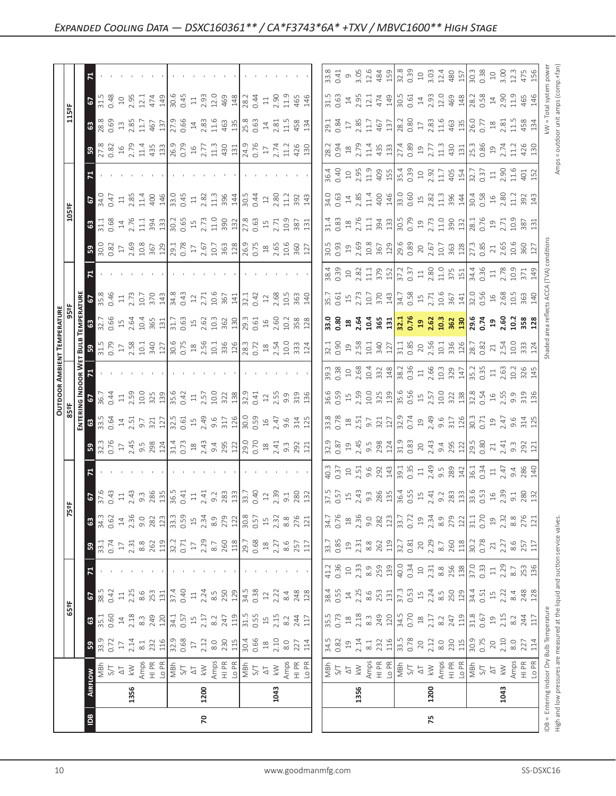|                                      |                                                                                                                                                                                                        |      |                                                                                                                                                                                                                                                                                                                                                                                                                                                                                                                                                                                                                                                                                                                                                                                                                                                                                                                                                                                                                                                                                                                                                                                                                                                                                                                                                                                                                                                                                                                                                                                                                                                                                                                                                                                                                                                                                                                                                                                                                                                                                                                                                                                                                                                                                                                                                                                                                                                                                                                                                                                                                                                                                                                                                                                                                                                                                                                                                                                                                                                                      |      | $227$<br>$114$                                                                                                                                                                                                                                                                                                                                                                                                                                                                                                                                                                                                                                                                                                                                                                                                                                                                                                                                                                                                                                                                                                                                                                                                                                                                                                                                                                                                                                                                                                                             |
|--------------------------------------|--------------------------------------------------------------------------------------------------------------------------------------------------------------------------------------------------------|------|----------------------------------------------------------------------------------------------------------------------------------------------------------------------------------------------------------------------------------------------------------------------------------------------------------------------------------------------------------------------------------------------------------------------------------------------------------------------------------------------------------------------------------------------------------------------------------------------------------------------------------------------------------------------------------------------------------------------------------------------------------------------------------------------------------------------------------------------------------------------------------------------------------------------------------------------------------------------------------------------------------------------------------------------------------------------------------------------------------------------------------------------------------------------------------------------------------------------------------------------------------------------------------------------------------------------------------------------------------------------------------------------------------------------------------------------------------------------------------------------------------------------------------------------------------------------------------------------------------------------------------------------------------------------------------------------------------------------------------------------------------------------------------------------------------------------------------------------------------------------------------------------------------------------------------------------------------------------------------------------------------------------------------------------------------------------------------------------------------------------------------------------------------------------------------------------------------------------------------------------------------------------------------------------------------------------------------------------------------------------------------------------------------------------------------------------------------------------------------------------------------------------------------------------------------------------------------------------------------------------------------------------------------------------------------------------------------------------------------------------------------------------------------------------------------------------------------------------------------------------------------------------------------------------------------------------------------------------------------------------------------------------------------------------------------------------|------|--------------------------------------------------------------------------------------------------------------------------------------------------------------------------------------------------------------------------------------------------------------------------------------------------------------------------------------------------------------------------------------------------------------------------------------------------------------------------------------------------------------------------------------------------------------------------------------------------------------------------------------------------------------------------------------------------------------------------------------------------------------------------------------------------------------------------------------------------------------------------------------------------------------------------------------------------------------------------------------------------------------------------------------------------------------------------------------------------------------------------------------------------------------------------------------------------------------------------------------------------------------------------------------------------------------------------------------------------------------------------------------------------------------------------------------------------------------------------------------------------------------------------------------------|
|                                      |                                                                                                                                                                                                        |      |                                                                                                                                                                                                                                                                                                                                                                                                                                                                                                                                                                                                                                                                                                                                                                                                                                                                                                                                                                                                                                                                                                                                                                                                                                                                                                                                                                                                                                                                                                                                                                                                                                                                                                                                                                                                                                                                                                                                                                                                                                                                                                                                                                                                                                                                                                                                                                                                                                                                                                                                                                                                                                                                                                                                                                                                                                                                                                                                                                                                                                                                      |      |                                                                                                                                                                                                                                                                                                                                                                                                                                                                                                                                                                                                                                                                                                                                                                                                                                                                                                                                                                                                                                                                                                                                                                                                                                                                                                                                                                                                                                                                                                                                            |
|                                      |                                                                                                                                                                                                        |      |                                                                                                                                                                                                                                                                                                                                                                                                                                                                                                                                                                                                                                                                                                                                                                                                                                                                                                                                                                                                                                                                                                                                                                                                                                                                                                                                                                                                                                                                                                                                                                                                                                                                                                                                                                                                                                                                                                                                                                                                                                                                                                                                                                                                                                                                                                                                                                                                                                                                                                                                                                                                                                                                                                                                                                                                                                                                                                                                                                                                                                                                      |      | 1043                                                                                                                                                                                                                                                                                                                                                                                                                                                                                                                                                                                                                                                                                                                                                                                                                                                                                                                                                                                                                                                                                                                                                                                                                                                                                                                                                                                                                                                                                                                                       |
| $\vert \underline{\mathbb{B}} \vert$ | $\overline{2}$                                                                                                                                                                                         |      |                                                                                                                                                                                                                                                                                                                                                                                                                                                                                                                                                                                                                                                                                                                                                                                                                                                                                                                                                                                                                                                                                                                                                                                                                                                                                                                                                                                                                                                                                                                                                                                                                                                                                                                                                                                                                                                                                                                                                                                                                                                                                                                                                                                                                                                                                                                                                                                                                                                                                                                                                                                                                                                                                                                                                                                                                                                                                                                                                                                                                                                                      | 75   |                                                                                                                                                                                                                                                                                                                                                                                                                                                                                                                                                                                                                                                                                                                                                                                                                                                                                                                                                                                                                                                                                                                                                                                                                                                                                                                                                                                                                                                                                                                                            |
|                                      | $\sqrt{2}$<br>63<br>$\sqrt{3}$<br>$-5$<br>63<br>$\sqrt{3}$<br>$\mathbf{z}$<br>55<br>ទី ន<br><u>ដ្ឋី ឩ</u><br><b>CTLE CA</b><br>CTLE CTLE<br>冒8<br>ြို့<br>59<br>$\sqrt{2}$<br><b>8</b><br>ြို့<br>1356 | 1200 | $\begin{bmatrix} 8 & 8 & 6 & 8 \\ 6 & 6 & 9 & 15 \\ 1 & 1 & 15 & 15 \\ 1 & 1 & 15 & 15 \\ 1 & 1 & 15 & 15 \\ 1 & 1 & 15 & 15 \\ 1 & 1 & 15 & 15 \\ 1 & 1 & 15 & 15 \\ 1 & 1 & 15 & 15 \\ 1 & 1 & 15 & 15 \\ 1 & 1 & 15 & 15 & 15 \\ 1 & 1 & 15 & 15 & 15 \\ 1 & 1 & 15 & 15 & 15 \\ 1 & 15 & 15 & 15 & 15 \\ 1 & $<br>$\begin{array}{l} 23.82 \oplus 22.7 \\ 25.84 \oplus 22.7 \\ 25.1 \oplus 32.7 \\ 25.1 \oplus 32.7 \\ 25.1 \oplus 32.7 \\ 25.1 \oplus 32.7 \\ 25.1 \oplus 32.7 \\ 25.1 \oplus 32.7 \\ 25.1 \oplus 32.7 \\ 25.1 \oplus 32.7 \\ 25.1 \oplus 32.7 \\ 25.1 \oplus 32.7 \\ 25.1 \oplus 32.7 \\ 25.1 \oplus 32.7 \\ 25.1 \oplus 32.7 \\ $<br>$\begin{array}{c} 1186 \\ 1362 \end{array} \begin{array}{c} 121 \\ 1564 \end{array} \begin{array}{c} 121 \\ 1564 \end{array} \begin{array}{c} 121 \\ 1564 \end{array} \begin{array}{c} 121 \\ 1564 \end{array} \begin{array}{c} 121 \\ 1564 \end{array} \begin{array}{c} 121 \\ 1564 \end{array}$<br>$\begin{array}{l} 0.83 \hbox{ } C_1 \hbox{ } C_2 \hbox{ } C_3 \hbox{ } C_4 \hbox{ } C_5 \hbox{ } C_6 \hbox{ } C_7 \hbox{ } C_8 \hbox{ } C_9 \hbox{ } C_9 \hbox{ } C_9 \hbox{ } C_9 \hbox{ } C_9 \hbox{ } C_9 \hbox{ } C_9 \hbox{ } C_9 \hbox{ } C_9 \hbox{ } C_9 \hbox{ } C_9 \hbox{ } C_9 \hbox{ } C_9 \hbox{ } C_9 \hbox{ } C_9 \hbox{ } C_9 \hbox{ } C_9 \hbox{ } C_9$<br>$\begin{array}{l} 35.8 \\ 36.9 \\ 27.1 \\ 27.1 \\ 28.1 \\ 29.1 \\ 20.1 \\ 21.1 \\ 22.1 \\ 23.1 \\ 24.1 \\ 25.1 \\ 26.1 \\ 27.1 \\ 28.1 \\ 29.1 \\ 20.1 \\ 20.1 \\ 20.1 \\ 20.1 \\ 20.1 \\ 20.1 \\ 20.1 \\ 20.1 \\ 20.1 \\ 20.1 \\ 20.1 \\ 20.1 \\ 20.1 \\ 20.1 \\ 20.1 \\ 20.1 \\ 20.1 \\ 20.1 \\ 20.1 \\ 20$<br>$\frac{1}{2}$ $\frac{1}{2}$ $\frac{1}{6}$ $\frac{1}{2}$ $\frac{1}{6}$ $\frac{1}{6}$ $\frac{1}{6}$ $\frac{1}{6}$ $\frac{1}{6}$ $\frac{1}{6}$ $\frac{1}{6}$ $\frac{1}{6}$ $\frac{1}{6}$ $\frac{1}{6}$ $\frac{1}{6}$ $\frac{1}{6}$ $\frac{1}{6}$ $\frac{1}{6}$ $\frac{1}{6}$ $\frac{1}{6}$ $\frac{1}{6}$ $\frac{1}{6}$<br>$\begin{array}{c} 11.6 & 12.6 & 12.6 & 12.6 & 12.6 & 12.6 & 12.6 & 12.6 & 12.6 & 12.6 & 12.6 & 12.6 & 12.6 & 12.6 & 12.6 & 12.6 & 12.6 & 12.6 & 12.6 & 12.6 & 12.6 & 12.6 & 12.6 & 12.6 & 12.6 & 12.6 & 12.6 & 12.6 & 12.6 & 12.6 & 12.6 & 12.6 & 12.6 & 12.6 & 12.6 & 12$<br>$\begin{array}{l} 3.65 & 7.43 & 8.83 & 1.43 & 1.43 & 1.43 & 1.43 & 1.43 & 1.43 & 1.43 & 1.43 & 1.43 & 1.43 & 1.43 & 1.43 & 1.43 & 1.43 & 1.43 & 1.43 & 1.43 & 1.43 & 1.43 & 1.43 & 1.43 & 1.43 & 1.43 & 1.43 & 1.43 & 1.43 & 1.43 & 1.43 & 1.43 & 1.43 & 1.43 & 1.43 & 1.$<br>$\begin{array}{l} 33.75 \rightarrow 27.75 \rightarrow 27.75 \rightarrow 27.75 \rightarrow 27.75 \rightarrow 27.75 \rightarrow 27.75 \rightarrow 27.75 \rightarrow 27.75 \rightarrow 27.75 \rightarrow 27.75 \rightarrow 27.75 \rightarrow 27.75 \rightarrow 27.75 \rightarrow 27.75 \rightarrow 27.75 \rightarrow 27.75 \rightarrow 27.75 \rightarrow 27.75 \rightarrow 27.75 \rightarrow 27.75 \rightarrow 27.75 \rightarrow 27.75 \rightarrow 27.75 \rightarrow 27.75 \rightarrow 27.75 \rightarrow 27.7$<br>1043 | 1356 | $\begin{bmatrix} 88.8 & 8 & 17.6 & 17.6 & 17.6 & 17.6 & 17.6 & 17.6 & 17.6 & 17.6 & 17.6 & 17.6 & 17.6 & 17.6 & 17.6 & 17.6 & 17.6 & 17.6 & 17.6 & 17.6 & 17.6 & 17.6 & 17.6 & 17.6 & 17.6 & 17.6 & 17.6 & 17.6 & 17.6 & 17.6 & 17.6 & 17.6 & 17.6 & 17.6 & 17.6 & 17.6 & $<br>$\begin{bmatrix} \frac{1}{36} & \frac{1}{16} & \frac{1}{16} & \frac{1}{16} & \frac{1}{16} \\ \frac{1}{16} & \frac{1}{16} & \frac{1}{16} & \frac{1}{16} & \frac{1}{16} \\ \frac{1}{16} & \frac{1}{16} & \frac{1}{16} & \frac{1}{16} & \frac{1}{16} \\ \frac{1}{16} & \frac{1}{16} & \frac{1}{16} & \frac{1}{16} & \frac{1}{16} \\ \frac{1}{16} & \frac{1}{16} & \frac{1}{16} & \frac{1}{16$<br>$\begin{bmatrix} \frac{17}{31} & \frac{17}{32} & \frac{17}{32} & \frac{17}{32} & \frac{17}{32} & \frac{17}{32} & \frac{17}{32} & \frac{17}{32} & \frac{17}{32} & \frac{17}{32} & \frac{17}{32} & \frac{17}{32} & \frac{17}{32} & \frac{17}{32} & \frac{17}{32} & \frac{17}{32} & \frac{17}{32} & \frac{17}{32} & \frac{17}{32} & \frac{17}{32} & \frac{17}{32} & \frac{1$<br>$\begin{array}{ l l l l l }\hline \frac{\pi}{2} & \pi & \pi & \pi \\ \hline \frac{\pi}{2} & \pi & \pi & \pi \\ \hline \frac{\pi}{2} & \pi & \pi & \pi \\ \hline \frac{\pi}{2} & \pi & \pi & \pi \\ \hline \frac{\pi}{2} & \pi & \pi & \pi \\ \hline \frac{\pi}{2} & \pi & \pi & \pi \\ \hline \frac{\pi}{2} & \pi & \pi & \pi \\ \hline \frac{\pi}{2} & \pi & \pi & \pi \\ \hline \frac{\pi}{2} & \pi & \pi & \pi \\ \hline \frac{\pi}{2} & \pi & \pi & \pi \\ \hline \$<br>1200 |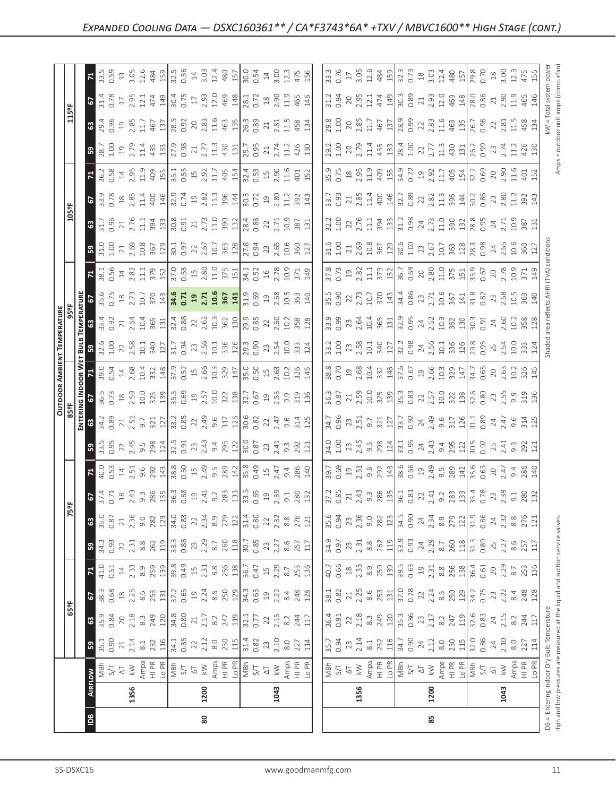|                                                                                                                                                                                                                                                                                                                                            | ≌                                                                                                                                                                                                                                                                                                                                                                                                                                                                                                                | 80                          |                                                                                                                                                                                                                                                                                                               |                                                                  |                                                                                                                                                                                                                                                                                                                                                                                                                            | 85                                                                                                                                                                                                                                                                                                                                                                                                                                                                                                                                                                                                                                     |                                                                                                                                                                                                                                                                                                               |                                                                   | $EB =$<br>High a      |
|--------------------------------------------------------------------------------------------------------------------------------------------------------------------------------------------------------------------------------------------------------------------------------------------------------------------------------------------|------------------------------------------------------------------------------------------------------------------------------------------------------------------------------------------------------------------------------------------------------------------------------------------------------------------------------------------------------------------------------------------------------------------------------------------------------------------------------------------------------------------|-----------------------------|---------------------------------------------------------------------------------------------------------------------------------------------------------------------------------------------------------------------------------------------------------------------------------------------------------------|------------------------------------------------------------------|----------------------------------------------------------------------------------------------------------------------------------------------------------------------------------------------------------------------------------------------------------------------------------------------------------------------------------------------------------------------------------------------------------------------------|----------------------------------------------------------------------------------------------------------------------------------------------------------------------------------------------------------------------------------------------------------------------------------------------------------------------------------------------------------------------------------------------------------------------------------------------------------------------------------------------------------------------------------------------------------------------------------------------------------------------------------------|---------------------------------------------------------------------------------------------------------------------------------------------------------------------------------------------------------------------------------------------------------------------------------------------------------------|-------------------------------------------------------------------|-----------------------|
|                                                                                                                                                                                                                                                                                                                                            | 1356                                                                                                                                                                                                                                                                                                                                                                                                                                                                                                             | 1200                        |                                                                                                                                                                                                                                                                                                               | 1043                                                             | 1356                                                                                                                                                                                                                                                                                                                                                                                                                       | 1200                                                                                                                                                                                                                                                                                                                                                                                                                                                                                                                                                                                                                                   |                                                                                                                                                                                                                                                                                                               | 1043                                                              | ng In<br>Enter        |
|                                                                                                                                                                                                                                                                                                                                            | $\begin{array}{l} \left[\begin{array}{c} \frac{1}{2} & \frac{1}{2} \\ \frac{1}{2} & \frac{1}{2} \\ \frac{1}{2} & \frac{1}{2} \\ \frac{1}{2} & \frac{1}{2} \\ \frac{1}{2} & \frac{1}{2} \\ \frac{1}{2} & \frac{1}{2} \\ \frac{1}{2} & \frac{1}{2} \\ \frac{1}{2} & \frac{1}{2} \\ \frac{1}{2} & \frac{1}{2} \\ \frac{1}{2} & \frac{1}{2} \\ \frac{1}{2} & \frac{1}{2} \\ \frac{1}{2} & \frac{1}{2} \\ \frac{1}{2} & \frac{1$<br>RFLOW                                                                             |                             |                                                                                                                                                                                                                                                                                                               |                                                                  | $\begin{array}{ l l l l l }\hline\hline \mathbf{g} & \mathbf{g} & \mathbf{g} & \mathbf{g} & \mathbf{g} & \mathbf{g} & \mathbf{g} & \mathbf{g} & \mathbf{g} & \mathbf{g} & \mathbf{g} & \mathbf{g} & \mathbf{g} & \mathbf{g} & \mathbf{g} & \mathbf{g} & \mathbf{g} & \mathbf{g} & \mathbf{g} & \mathbf{g} & \mathbf{g} & \mathbf{g} & \mathbf{g} & \mathbf{g} & \mathbf{g} & \mathbf{g} & \mathbf{g} & \mathbf{g} & \math$ |                                                                                                                                                                                                                                                                                                                                                                                                                                                                                                                                                                                                                                        |                                                                                                                                                                                                                                                                                                               |                                                                   | ă                     |
|                                                                                                                                                                                                                                                                                                                                            | ြို့                                                                                                                                                                                                                                                                                                                                                                                                                                                                                                             |                             |                                                                                                                                                                                                                                                                                                               |                                                                  |                                                                                                                                                                                                                                                                                                                                                                                                                            |                                                                                                                                                                                                                                                                                                                                                                                                                                                                                                                                                                                                                                        |                                                                                                                                                                                                                                                                                                               |                                                                   | ∐<br>⊟                |
|                                                                                                                                                                                                                                                                                                                                            | $\begin{array}{l} 35.36 \\ 0.36 \\ 0.37 \\ 0.38 \\ \end{array} \begin{array}{l} 25.36 \\ 25.37 \\ 25.38 \\ 25.39 \\ 25.30 \\ \end{array} \begin{array}{l} 25.36 \\ 25.37 \\ 25.37 \\ 25.37 \\ 25.37 \\ 25.37 \\ \end{array}$<br>63                                                                                                                                                                                                                                                                               |                             |                                                                                                                                                                                                                                                                                                               |                                                                  |                                                                                                                                                                                                                                                                                                                                                                                                                            |                                                                                                                                                                                                                                                                                                                                                                                                                                                                                                                                                                                                                                        |                                                                                                                                                                                                                                                                                                               |                                                                   |                       |
|                                                                                                                                                                                                                                                                                                                                            | $\begin{array}{l} 38.33 \\ 0.68 \\ 0.87 \\ 0.98 \\ 0.01 \\ 0.02 \\ 0.03 \\ 0.04 \\ 0.05 \\ 0.07 \\ 0.07 \\ 0.07 \\ 0.07 \\ 0.07 \\ 0.07 \\ 0.07 \\ 0.07 \\ 0.07 \\ 0.07 \\ 0.07 \\ 0.07 \\ 0.07 \\ 0.07 \\ 0.07 \\ 0.07 \\ 0.07 \\ 0.07 \\ 0.07 \\ 0.07 \\ 0.07 \\ 0.07 \\ 0.07 \\ 0.07 \\ 0.07 \\ 0.07 \\ 0$<br>$\frac{5}{2}$                                                                                                                                                                                   |                             |                                                                                                                                                                                                                                                                                                               |                                                                  | $\begin{bmatrix} 180 & 180 & 180 \\ 180 & 180 & 180 \\ 180 & 180 & 180 \\ 180 & 180 & 180 \\ 180 & 180 & 180 \\ 180 & 180 & 180 \\ 180 & 180 & 180 \\ 180 & 180 & 180 \\ 180 & 180 & 180 \\ 180 & 180 & 180 \\ 180 & 180 & 180 \\ 180 & 180 & 180 \\ 180 & 180 & 180 \\ 180 & 180 & 180 \\ 180$                                                                                                                            |                                                                                                                                                                                                                                                                                                                                                                                                                                                                                                                                                                                                                                        |                                                                                                                                                                                                                                                                                                               |                                                                   |                       |
|                                                                                                                                                                                                                                                                                                                                            | $\begin{bmatrix} 1 & 1 & 1 & 1 \\ 1 & 1 & 1 & 1 \\ 1 & 1 & 1 & 1 \\ 1 & 1 & 1 & 1 \\ 1 & 1 & 1 & 1 \\ 1 & 1 & 1 & 1 \\ 1 & 1 & 1 & 1 \\ 1 & 1 & 1 & 1 \\ 1 & 1 & 1 & 1 \\ 1 & 1 & 1 & 1 \\ 1 & 1 & 1 & 1 \\ 1 & 1 & 1 & 1 \\ 1 & 1 & 1 & 1 \\ 1 & 1 & 1 & 1 \\ 1 & 1 & 1 & 1 \\ 1 & 1 & 1 & 1 \\ 1 & 1 & 1 & 1 \\ 1 & 1 & 1 & $<br>$\mathbf{z}$                                                                                                                                                                  |                             |                                                                                                                                                                                                                                                                                                               |                                                                  | $\begin{bmatrix} 1 & 1 & 1 & 1 & 1 \\ 1 & 1 & 1 & 1 & 1 & 1 \\ 1 & 1 & 1 & 1 & 1 & 1 \\ 1 & 1 & 1 & 1 & 1 & 1 \\ 1 & 1 & 1 & 1 & 1 & 1 \\ 1 & 1 & 1 & 1 & 1 & 1 \\ 1 & 1 & 1 & 1 & 1 & 1 \\ 1 & 1 & 1 & 1 & 1 & 1 \\ 1 & 1 & 1 & 1 & 1 & 1 \\ 1 & 1 & 1 & 1 & 1 & 1 \\ 1 & 1 & 1 & 1 & 1 & 1 \\ 1 & 1 & 1 & 1 & 1 & 1 \\ $                                                                                                 |                                                                                                                                                                                                                                                                                                                                                                                                                                                                                                                                                                                                                                        |                                                                                                                                                                                                                                                                                                               |                                                                   |                       |
|                                                                                                                                                                                                                                                                                                                                            | ြို့                                                                                                                                                                                                                                                                                                                                                                                                                                                                                                             |                             |                                                                                                                                                                                                                                                                                                               |                                                                  |                                                                                                                                                                                                                                                                                                                                                                                                                            |                                                                                                                                                                                                                                                                                                                                                                                                                                                                                                                                                                                                                                        |                                                                                                                                                                                                                                                                                                               |                                                                   | 257                   |
|                                                                                                                                                                                                                                                                                                                                            | $\frac{35}{36}$ $\frac{25}{36}$ $\frac{27}{36}$ $\frac{36}{36}$ $\frac{28}{31}$ $\frac{12}{36}$ $\frac{42}{36}$ $\frac{32}{32}$ $\frac{37}{36}$ $\frac{32}{32}$ $\frac{21}{31}$ $\frac{4}{31}$ $\frac{36}{36}$ $\frac{31}{31}$ $\frac{33}{36}$ $\frac{32}{31}$ $\frac{31}{31}$                                                                                                                                                                                                                                   |                             |                                                                                                                                                                                                                                                                                                               |                                                                  |                                                                                                                                                                                                                                                                                                                                                                                                                            |                                                                                                                                                                                                                                                                                                                                                                                                                                                                                                                                                                                                                                        |                                                                                                                                                                                                                                                                                                               |                                                                   |                       |
|                                                                                                                                                                                                                                                                                                                                            | $\frac{3}{2}$ , $\frac{1}{2}$ , $\frac{3}{2}$ , $\frac{3}{2}$ , $\frac{3}{2}$ , $\frac{3}{2}$ , $\frac{3}{2}$ , $\frac{3}{2}$ , $\frac{3}{2}$ , $\frac{3}{2}$ , $\frac{3}{2}$ , $\frac{3}{2}$ , $\frac{3}{2}$ , $\frac{3}{2}$ , $\frac{3}{2}$ , $\frac{3}{2}$ , $\frac{3}{2}$ , $\frac{3}{2}$ , $\frac{3}{2}$ , $\frac{3}{2}$ ,<br>$\frac{5}{2}$                                                                                                                                                                 |                             |                                                                                                                                                                                                                                                                                                               |                                                                  | $\frac{37.2}{0.85}$                                                                                                                                                                                                                                                                                                                                                                                                        | $\begin{array}{l} 2.43\\ 2.36\\ 3.67\\ 2.88\\ 2.14\\ 2.16\\ 2.16\\ 2.16\\ 2.16\\ 2.16\\ 2.16\\ 2.17\\ 2.18\\ 2.18\\ 2.18\\ 2.18\\ 2.19\\ 2.18\\ 2.19\\ 2.18\\ 2.19\\ 2.19\\ 2.19\\ 2.19\\ 2.19\\ 2.19\\ 2.19\\ 2.19\\ 2.19\\ 2.19\\ 2.19\\ 2.19\\ 2.19\\ 2.19\\ 2.19\\ 2.$                                                                                                                                                                                                                                                                                                                                                             |                                                                                                                                                                                                                                                                                                               |                                                                   |                       |
|                                                                                                                                                                                                                                                                                                                                            | $2.51$<br>$9.6$<br>$9.2$<br>$9.3$<br>$143$<br>$38.8$<br>$0.50$<br>$40.0$<br>0.53<br>14<br>$\mathbb{R}$                                                                                                                                                                                                                                                                                                                                                                                                           | $15$<br>$2.49$<br>$9.5$     | $\begin{array}{c c}\n 289 \\  142 \\  35.8 \\  0.49 \\  15\n\end{array}$                                                                                                                                                                                                                                      | $2.47$<br>9.4 86<br>280                                          |                                                                                                                                                                                                                                                                                                                                                                                                                            |                                                                                                                                                                                                                                                                                                                                                                                                                                                                                                                                                                                                                                        |                                                                                                                                                                                                                                                                                                               |                                                                   |                       |
|                                                                                                                                                                                                                                                                                                                                            | $\frac{33.5}{0.95}$ $\frac{24.45}{0.95}$ $\frac{33.41}{0.98}$ $\frac{24.5}{0.95}$<br>ြို့                                                                                                                                                                                                                                                                                                                                                                                                                        | $2.43$<br>9.4<br>0.91<br>23 | $\begin{array}{c c}\n395 & 21 \\ 200 & 30 \\ 0 & 30 \\ 0 & 3\n\end{array}$                                                                                                                                                                                                                                    |                                                                  |                                                                                                                                                                                                                                                                                                                                                                                                                            |                                                                                                                                                                                                                                                                                                                                                                                                                                                                                                                                                                                                                                        |                                                                                                                                                                                                                                                                                                               |                                                                   |                       |
| $\begin{bmatrix} 1 & 0 \\ 0 & 0 \\ 0 & 0 \\ 0 & 0 \\ 0 & 0 \\ 0 & 0 \\ 0 & 0 \\ 0 & 0 \\ 0 & 0 \\ 0 & 0 \\ 0 & 0 \\ 0 & 0 \\ 0 & 0 \\ 0 & 0 \\ 0 & 0 \\ 0 & 0 \\ 0 & 0 \\ 0 & 0 \\ 0 & 0 \\ 0 & 0 \\ 0 & 0 \\ 0 & 0 & 0 \\ 0 & 0 & 0 \\ 0 & 0 & 0 \\ 0 & 0 & 0 & 0 \\ 0 & 0 & 0 & 0 \\ 0 & 0 & 0 & 0 \\ 0 & 0 & 0 & 0 \\ 0 & 0 & 0 & 0 & $ | $\frac{8}{2}$ $\frac{8}{2}$ $\frac{1}{2}$ $\frac{1}{2}$ $\frac{1}{2}$ $\frac{1}{2}$ $\frac{1}{2}$ $\frac{1}{2}$ $\frac{1}{2}$ $\frac{1}{2}$ $\frac{1}{2}$ $\frac{1}{2}$ $\frac{1}{2}$ $\frac{1}{2}$ $\frac{1}{2}$ $\frac{1}{2}$ $\frac{1}{2}$ $\frac{1}{2}$ $\frac{1}{2}$ $\frac{1}{2}$ $\frac{1}{2}$ $\frac{1}{2}$                                                                                                                                                                                              |                             |                                                                                                                                                                                                                                                                                                               |                                                                  |                                                                                                                                                                                                                                                                                                                                                                                                                            |                                                                                                                                                                                                                                                                                                                                                                                                                                                                                                                                                                                                                                        |                                                                                                                                                                                                                                                                                                               |                                                                   |                       |
| <b>OUTDOOR AMBIE</b><br>LEGE<br><b>AC INDOOR WE</b><br>67<br>67                                                                                                                                                                                                                                                                            |                                                                                                                                                                                                                                                                                                                                                                                                                                                                                                                  |                             |                                                                                                                                                                                                                                                                                                               |                                                                  |                                                                                                                                                                                                                                                                                                                                                                                                                            |                                                                                                                                                                                                                                                                                                                                                                                                                                                                                                                                                                                                                                        |                                                                                                                                                                                                                                                                                                               |                                                                   |                       |
|                                                                                                                                                                                                                                                                                                                                            | $\begin{array}{cccccc}\n39.0 & 7 & 4 & 8 & 4 & 8 & 7 & 8 & 8 & 7 & 8 & 8 & 7 & 8 & 8 & 7 & 8 & 8 & 7 & 8 & 8 & 7 & 8 & 8 & 7 & 8 & 8 & 7 & 8 & 8 & 7 & 8 & 8 & 7 & 8 & 8 & 7 & 8 & 8 & 9 & 8 & 9 & 9 & 9 & 8 & 9 & 8 & 9 & 8 & 9 & 8 & 9 & 8 & 9 & 8 & 9 & 8 & 9 & 8 & 9 & 8 & 9 & 8 & 9 & 8 & 9 & 8 & 9 & 8 & 9$                                                                                                                                                                                                |                             |                                                                                                                                                                                                                                                                                                               | $\frac{15}{15}$ $\frac{63}{10.2}$ $\frac{326}{345}$              | $\begin{array}{l} 8,65\atop 8,66\atop 10,66\atop 10,66\atop 10,66\atop 10,66\atop 10,66\atop 10,66\atop 10,66\atop 10,66\atop 10,66\atop 10,66\atop 10,66\atop 10,66\atop 10,66\atop 10,66\atop 10,66\atop 10,66\atop 10,66\atop 10,66\atop 10,66\atop 10,66\atop 10,66\atop 10,66\at$                                                                                                                                     |                                                                                                                                                                                                                                                                                                                                                                                                                                                                                                                                                                                                                                        |                                                                                                                                                                                                                                                                                                               |                                                                   |                       |
| <b>TEMPERATURE</b><br>959F<br>Es                                                                                                                                                                                                                                                                                                           |                                                                                                                                                                                                                                                                                                                                                                                                                                                                                                                  |                             |                                                                                                                                                                                                                                                                                                               |                                                                  |                                                                                                                                                                                                                                                                                                                                                                                                                            |                                                                                                                                                                                                                                                                                                                                                                                                                                                                                                                                                                                                                                        |                                                                                                                                                                                                                                                                                                               |                                                                   |                       |
|                                                                                                                                                                                                                                                                                                                                            | $\begin{array}{c} 33.3 \\ 0.91 \\ 2.61 \\ 0.91 \\ 0.91 \\ 0.91 \\ 0.91 \\ 0.91 \\ 0.91 \\ 0.91 \\ 0.91 \\ 0.91 \\ 0.91 \\ 0.91 \\ 0.91 \\ 0.92 \\ 0.91 \\ 0.92 \\ 0.93 \\ 0.93 \\ 0.93 \\ 0.93 \\ 0.93 \\ 0.93 \\ 0.93 \\ 0.93 \\ 0.93 \\ 0.93 \\ 0.93 \\ 0.93 \\ 0.93 \\ 0.93 \\ 0.93 \\ 0.93 \\ 0.93 \\ 0.$                                                                                                                                                                                                    | $0.88$<br>22                | $\begin{array}{c} 1.62 \\ 1.36 \\ 2.60 \\ 3.60 \\ 1.80 \\ 2.85 \\ 3.85 \\ 4.80 \\ 5.80 \\ 1.28 \\ 1.28 \\ 1.28 \\ 1.28 \\ 1.28 \\ 1.28 \\ 1.28 \\ 1.28 \\ 1.28 \\ 1.28 \\ 1.28 \\ 1.28 \\ 1.28 \\ 1.28 \\ 1.28 \\ 1.28 \\ 1.28 \\ 1.28 \\ 1.28 \\ 1.28 \\ 1.28 \\ 1.28 \\ 1.28 \\ 1.28 \\ 1.28 \\ 1.28 \\ 1.$ | 2.68<br>10.5<br>363<br>140                                       | 35.5<br>0.90<br>22<br>$\frac{9}{0.99}$                                                                                                                                                                                                                                                                                                                                                                                     | $\begin{array}{l} 2.75 \\ 2.75 \\ 2.75 \\ 2.75 \\ 2.75 \\ 2.75 \\ 2.75 \\ 2.75 \\ 2.75 \\ 2.75 \\ 2.75 \\ 2.75 \\ 2.75 \\ 2.75 \\ 2.75 \\ 2.75 \\ 2.75 \\ 2.75 \\ 2.75 \\ 2.75 \\ 2.75 \\ 2.75 \\ 2.75 \\ 2.75 \\ 2.75 \\ 2.75 \\ 2.75 \\ 2.75 \\ 2.75 \\ 2.75 \\ 2.75 \\ 2.75 \\ 2.75 \\ 2.75 \\ 2.75 \\ 2.$<br>$23.58$ $\frac{1}{2}$ $\frac{1}{2}$ $\frac{1}{2}$ $\frac{1}{2}$ $\frac{1}{2}$ $\frac{1}{2}$ $\frac{1}{2}$ $\frac{1}{2}$ $\frac{1}{2}$ $\frac{1}{2}$ $\frac{1}{2}$ $\frac{1}{2}$ $\frac{1}{2}$ $\frac{1}{2}$ $\frac{1}{2}$ $\frac{1}{2}$ $\frac{1}{2}$ $\frac{1}{2}$ $\frac{1}{2}$ $\frac{1}{2}$ $\frac{1}{2}$ $\frac$ |                                                                                                                                                                                                                                                                                                               |                                                                   |                       |
|                                                                                                                                                                                                                                                                                                                                            | 38.1<br>0.56<br>$\begin{array}{c}\n 14 \\  23 \\  11 \\  37 \\  57 \\  6\n \end{array}$<br>$\mathbb{R}$                                                                                                                                                                                                                                                                                                                                                                                                          |                             | $0.53$<br>$1.38$<br>$2.80$<br>$1.51$<br>$1.51$<br>$3.41$<br>$3.52$<br>16                                                                                                                                                                                                                                      | 2.78<br>10.9<br>371<br>149                                       | 37.8                                                                                                                                                                                                                                                                                                                                                                                                                       |                                                                                                                                                                                                                                                                                                                                                                                                                                                                                                                                                                                                                                        |                                                                                                                                                                                                                                                                                                               | 0.67                                                              | $2.78$<br>10.9<br>371 |
|                                                                                                                                                                                                                                                                                                                                            | $\begin{array}{c c c c c c} 1.03 & 0.01 & 0.01 & 0.01 & 0.01 & 0.01 & 0.01 & 0.01 & 0.01 & 0.01 & 0.01 & 0.01 & 0.01 & 0.01 & 0.01 & 0.01 & 0.01 & 0.01 & 0.01 & 0.01 & 0.01 & 0.01 & 0.01 & 0.01 & 0.01 & 0.01 & 0.01 & 0.01 & 0.01 & 0.01 & 0.01 & 0.01 & 0.01 & 0.01$<br>ြို့                                                                                                                                                                                                                                 |                             |                                                                                                                                                                                                                                                                                                               | 2.65<br>10.6<br>360<br>127                                       |                                                                                                                                                                                                                                                                                                                                                                                                                            |                                                                                                                                                                                                                                                                                                                                                                                                                                                                                                                                                                                                                                        | $\begin{array}{c c} 1.00 \\ 2.07 \\ 2.07 \\ 2.07 \\ 2.08 \\ 2.09 \\ 2.09 \\ 2.09 \\ 2.09 \\ 2.09 \\ 2.09 \\ 2.09 \\ 2.09 \\ 2.09 \\ 2.09 \\ 2.09 \\ 2.09 \\ 2.09 \\ 2.09 \\ 2.09 \\ 2.09 \\ 2.09 \\ 2.09 \\ 2.09 \\ 2.09 \\ 2.09 \\ 2.09 \\ 2.09 \\ 2.09 \\ 2.09 \\ 2.09 \\ 2.09 \\ 2.09 \\ 2.09 \\ 2.09 \\ $ |                                                                   |                       |
|                                                                                                                                                                                                                                                                                                                                            | $\begin{array}{c c} 21 & 21 & 21 \\ 21 & 11 & 39 & 30 \\ 13 & 13 & 30 & 30 \\ 14 & 10 & 30 & 31 \\ 15 & 13 & 30 & 31 \\ 16 & 13 & 30 & 31 \\ 17 & 18 & 31 & 31 \\ 18 & 19 & 31 & 31 \\ 19 & 10 & 31 & 31 \\ 11 & 10 & 31 & 31 \\ 13 & 12 & 32 & 31 & 31 \\ 14 & 13 & 33 & 31 & 31 \\ 16 & 13 & 33 & 31$<br>0.96<br>63                                                                                                                                                                                            |                             | $\begin{array}{c c} 2.73 \\ 11.0 \\ 390 \\ 132 \\ 28.4 \\ 0.88 \end{array}$                                                                                                                                                                                                                                   | $2,71$<br>$10.9$<br>$387$<br>$131$                               | $\begin{array}{l} 23.65 & 25.75 & 25.75 & 25.75 & 25.75 & 25.75 & 25.75 & 25.75 & 25.75 & 25.75 & 25.75 & 25.75 & 25.75 & 25.75 & 25.75 & 25.75 & 25.75 & 25.75 & 25.75 & 25.75 & 25.75 & 25.75 & 25.75 & 25.75 & 25.75 & 25.75 & 25.75 & 25.75 & 25.75 & 25.75 & 25$                                                                                                                                                      |                                                                                                                                                                                                                                                                                                                                                                                                                                                                                                                                                                                                                                        |                                                                                                                                                                                                                                                                                                               |                                                                   |                       |
| ë                                                                                                                                                                                                                                                                                                                                          | 0.78<br>$\begin{array}{c} \begin{array}{c} \vdots \\ \vdots \\ \end{array} \\ \begin{array}{c} \mathbf{a} \\ \mathbf{c} \\ \mathbf{c} \\ \mathbf{c} \\ \mathbf{d} \end{array} \\ \begin{array}{c} \mathbf{a} \\ \mathbf{c} \\ \mathbf{d} \\ \mathbf{c} \\ \mathbf{c} \\ \mathbf{c} \\ \mathbf{c} \end{array} \\ \begin{array}{c} \mathbf{a} \\ \mathbf{c} \\ \mathbf{c} \\ \mathbf{c} \\ \mathbf{c} \\ \mathbf{c} \\ \mathbf{c} \\ \mathbf{c} \\ \mathbf{c} \end{array} \\ \begin{array}{c} \math$<br><u>[ 9</u> |                             | $\overline{19}$                                                                                                                                                                                                                                                                                               | $2.80$<br>$1.13$<br>$392$<br>$143$                               | $2.85$<br>11.4<br>400<br>14<br>32.7<br>33.7<br>21                                                                                                                                                                                                                                                                                                                                                                          |                                                                                                                                                                                                                                                                                                                                                                                                                                                                                                                                                                                                                                        | $0.89$<br>$2.82$<br>$2.81$<br>$3.96$<br>$44$<br>$3.86$<br>$0.86$                                                                                                                                                                                                                                              | $\begin{array}{c} 23 \\ 2.80 \\ 1.1 \\ 392 \\ 141 \\ \end{array}$ |                       |
|                                                                                                                                                                                                                                                                                                                                            | $\begin{array}{c} 36.83 & 46.81 & 46.82 \\ 26.81 & 46.81 & 46.83 \\ 26.82 & 46.81 & 46.83 \\ 26.83 & 46.81 & 46.83 \\ 26.84 & 26.81 & 46.83 \\ 26.85 & 26.81 & 46.83 \\ 26.87 & 26.81 & 46.83 \\ 26.87 & 26.81 & 46.83 \\ 26.81 & 26.82 & 46.83 \\ 26.81 & 26.83 & 46.83 \\ 26$<br>$\mathbf{z}$                                                                                                                                                                                                                  |                             |                                                                                                                                                                                                                                                                                                               | 2.90<br>11.6<br>401<br>152                                       | 35.9<br>0.75                                                                                                                                                                                                                                                                                                                                                                                                               |                                                                                                                                                                                                                                                                                                                                                                                                                                                                                                                                                                                                                                        |                                                                                                                                                                                                                                                                                                               |                                                                   |                       |
|                                                                                                                                                                                                                                                                                                                                            | $\begin{array}{c} 0.00 \\ 0.01 \end{array}$<br>$2.79$<br>$11.4$<br>$43.3$<br>$17.9$<br>ြို့                                                                                                                                                                                                                                                                                                                                                                                                                      | 0.98                        | $\begin{array}{c} 21 \\ 2.77 \\ 11.3 \\ 430 \\ \hline 19.7 \\ 25.7 \\ 0.95 \\ \hline \end{array}$<br>21                                                                                                                                                                                                       | 2.74<br>11.2<br>426<br>130                                       | 29.2<br>1.00<br>$2.79$<br>$11.4$<br>$43.3$<br>$13.4$<br>$28.4$<br>20                                                                                                                                                                                                                                                                                                                                                       |                                                                                                                                                                                                                                                                                                                                                                                                                                                                                                                                                                                                                                        | $\begin{array}{c} 1.00 \\ 2.7 \\ 2.7 \\ 1.13 \\ 4.30 \\ \hline \end{array}$                                                                                                                                                                                                                                   | $2.74$<br>$1.2$<br>$426$<br>$1.3$<br>0.99                         |                       |
|                                                                                                                                                                                                                                                                                                                                            | $0.96$<br>$1.7$<br>$1.7$<br>$4.5$<br>$1.7$<br>$1.7$<br>$1.7$<br>$1.7$<br>$1.7$<br>$1.7$<br>$1.7$<br>$1.7$<br>$1.7$<br>$1.7$<br>$1.7$<br>$1.7$<br>$1.7$<br>$1.7$<br>$1.7$<br>$1.7$<br>$1.7$<br>$1.7$<br>$1.7$<br>$1.7$<br>$1.7$<br>$1.7$<br>$1.7$<br>$1.7$<br>$1.7$<br>$1.7$<br>$1.7$<br>$1.$<br>ြို့                                                                                                                                                                                                             |                             | $\begin{array}{c}\n 20 \\  2.83 \\  \hline\n 11.6 \\  \hline\n 463 \\  \hline\n 136.3 \\  \hline\n 0.89 \\  \hline\n 0.89\n \end{array}$<br>21                                                                                                                                                                | 2.81<br>11.5<br>458<br>134                                       | 29.8<br>1.00<br>20                                                                                                                                                                                                                                                                                                                                                                                                         | $2.85 + 2.7$ $2.75 + 2.7$ $2.85 + 2.7$ $2.85 + 2.7$ $2.85 + 2.7$ $2.85 + 2.7$ $2.85 + 2.7$ $2.85 + 2.7$ $2.85 + 2.7$ $2.85 + 2.7$ $2.85 + 2.7$ $2.85 + 2.7$ $2.85 + 2.7$ $2.85 + 2.7$ $2.85 + 2.7$ $2.85 + 2.7$ $2.85 + 2.7$ $2.85 + 2.7$ $2.85$                                                                                                                                                                                                                                                                                                                                                                                       |                                                                                                                                                                                                                                                                                                               | $23.81$<br>$2.81$ 458<br>$4.5$                                    |                       |
|                                                                                                                                                                                                                                                                                                                                            |                                                                                                                                                                                                                                                                                                                                                                                                                                                                                                                  |                             |                                                                                                                                                                                                                                                                                                               |                                                                  |                                                                                                                                                                                                                                                                                                                                                                                                                            |                                                                                                                                                                                                                                                                                                                                                                                                                                                                                                                                                                                                                                        |                                                                                                                                                                                                                                                                                                               |                                                                   |                       |
|                                                                                                                                                                                                                                                                                                                                            | <b>67</b>                                                                                                                                                                                                                                                                                                                                                                                                                                                                                                        |                             |                                                                                                                                                                                                                                                                                                               | $\begin{array}{c}\n 18 \\  29 \\  11 \\  46 \\  4\n \end{array}$ |                                                                                                                                                                                                                                                                                                                                                                                                                            |                                                                                                                                                                                                                                                                                                                                                                                                                                                                                                                                                                                                                                        |                                                                                                                                                                                                                                                                                                               |                                                                   |                       |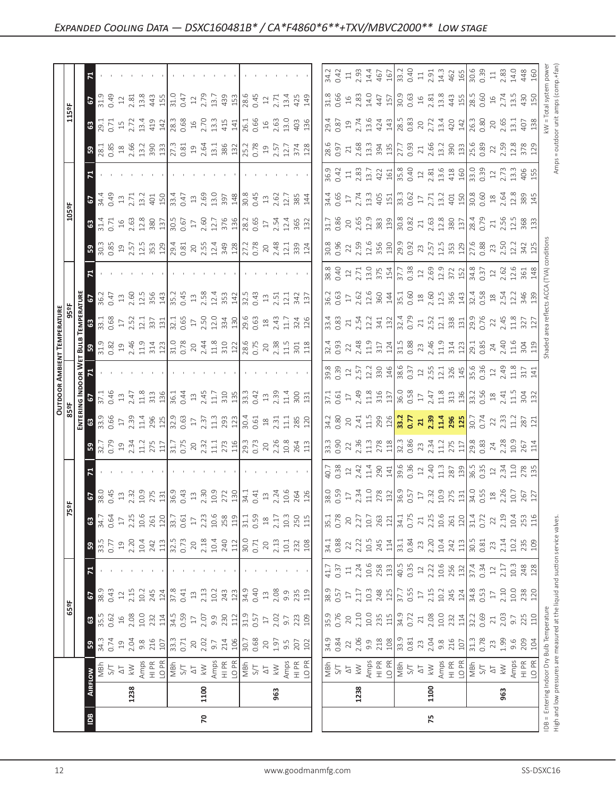|                            |                                                                                                                                                                                                                                                                                                                     |                                                                                                                                                                                                                                                                                                                                                                                                                                                                                                                                                                                                                                                                                                               |                                  | $\begin{bmatrix} x_1 & x_1 & x_2 & x_3 & x_4 & x_5 & x_6 \\ x_1 & x_2 & x_3 & x_4 & x_5 & x_6 \\ x_2 & x_3 & x_4 & x_5 & x_6 & x_7 \\ x_3 & x_4 & x_5 & x_6 & x_7 & x_8 & x_9 \\ x_4 & x_5 & x_6 & x_7 & x_8 & x_9 & x_9 \\ x_6 & x_7 & x_8 & x_9 & x_9 & x_0 & x_0 & x_0 \\ x_7 & x_8 & x_9 & x_9 & x_9 & x_0 & x_0 & x_0 \\ x_8 & x_9 & x_9 & x_9 & x_$                                                                                                                |      |                                                                                                                                                                                                                                                                                                                                                            |
|----------------------------|---------------------------------------------------------------------------------------------------------------------------------------------------------------------------------------------------------------------------------------------------------------------------------------------------------------------|---------------------------------------------------------------------------------------------------------------------------------------------------------------------------------------------------------------------------------------------------------------------------------------------------------------------------------------------------------------------------------------------------------------------------------------------------------------------------------------------------------------------------------------------------------------------------------------------------------------------------------------------------------------------------------------------------------------|----------------------------------|--------------------------------------------------------------------------------------------------------------------------------------------------------------------------------------------------------------------------------------------------------------------------------------------------------------------------------------------------------------------------------------------------------------------------------------------------------------------------|------|------------------------------------------------------------------------------------------------------------------------------------------------------------------------------------------------------------------------------------------------------------------------------------------------------------------------------------------------------------|
|                            | $-5$                                                                                                                                                                                                                                                                                                                | $\begin{array}{c} 31.63 & 32.64 & 33.64 & 34.64 \\ 31.62 & 32.64 & 34.64 & 34.64 \\ 31.63 & 32.64 & 32.64 & 34.64 \\ 31.64 & 32.64 & 32.64 & 34.64 \\ 31.65 & 32.64 & 32.64 & 34.64 \\ 31.65 & 32.64 & 32.64 & 34.64 \\ 31.65 & 32.64 & 32.64 & 34.64 \\ 31.65 & 32.64 & 32$                                                                                                                                                                                                                                                                                                                                                                                                                                  |                                  |                                                                                                                                                                                                                                                                                                                                                                                                                                                                          |      |                                                                                                                                                                                                                                                                                                                                                            |
|                            | <b>63</b>                                                                                                                                                                                                                                                                                                           |                                                                                                                                                                                                                                                                                                                                                                                                                                                                                                                                                                                                                                                                                                               | $2.63$<br>$4.33$<br>$4.35$<br>16 |                                                                                                                                                                                                                                                                                                                                                                                                                                                                          |      |                                                                                                                                                                                                                                                                                                                                                            |
|                            | $\begin{bmatrix} 28.1 \\ 0.85 \\ 2.66 \\ 1.3 \\ 3.9 \\ 3.9 \\ 1.3 \end{bmatrix}$<br>ြက္တ                                                                                                                                                                                                                            |                                                                                                                                                                                                                                                                                                                                                                                                                                                                                                                                                                                                                                                                                                               |                                  | 2.68<br>13.3<br>394<br>$\frac{28.6}{0.97}$                                                                                                                                                                                                                                                                                                                                                                                                                               |      | $\frac{135}{27.7}$ $\frac{13}{27.7}$ $\frac{33}{27.7}$ $\frac{33}{27.7}$ $\frac{33}{27.7}$ $\frac{33}{27.7}$ $\frac{33}{27.7}$ $\frac{33}{27.7}$ $\frac{33}{27.7}$ $\frac{33}{27.7}$ $\frac{33}{27.7}$ $\frac{33}{27.7}$                                                                                                                                   |
|                            |                                                                                                                                                                                                                                                                                                                     |                                                                                                                                                                                                                                                                                                                                                                                                                                                                                                                                                                                                                                                                                                               |                                  |                                                                                                                                                                                                                                                                                                                                                                                                                                                                          |      |                                                                                                                                                                                                                                                                                                                                                            |
| asa                        | $-2$                                                                                                                                                                                                                                                                                                                |                                                                                                                                                                                                                                                                                                                                                                                                                                                                                                                                                                                                                                                                                                               |                                  |                                                                                                                                                                                                                                                                                                                                                                                                                                                                          |      |                                                                                                                                                                                                                                                                                                                                                            |
|                            | ිස                                                                                                                                                                                                                                                                                                                  | $\begin{array}{l} 3.75 \text{ } \begin{array}{l} \text{1.5}\ \text{1.6}\ \text{2.7}\ \text{2.8}\ \text{3.8}\ \text{3.8}\ \text{4.8}\ \text{4.8}\ \text{5.8}\ \text{5.8}\ \text{6.8}\ \text{6.8}\ \text{7.8}\ \text{7.8}\ \text{8.8}\ \text{8.8}\ \text{9.8}\ \text{10}\ \text{15.8}\ \text{17.8}\ \text{18.8}\ \text{18.8}\ \text{19.8}\ \text{19.8}\ \text{10.8}\ \text{11.8}\ \text{13.8}\$                                                                                                                                                                                                                                                                                                                 |                                  |                                                                                                                                                                                                                                                                                                                                                                                                                                                                          |      |                                                                                                                                                                                                                                                                                                                                                            |
|                            | ြို့                                                                                                                                                                                                                                                                                                                |                                                                                                                                                                                                                                                                                                                                                                                                                                                                                                                                                                                                                                                                                                               |                                  |                                                                                                                                                                                                                                                                                                                                                                                                                                                                          |      |                                                                                                                                                                                                                                                                                                                                                            |
|                            | $\mathbf{z}$                                                                                                                                                                                                                                                                                                        |                                                                                                                                                                                                                                                                                                                                                                                                                                                                                                                                                                                                                                                                                                               |                                  |                                                                                                                                                                                                                                                                                                                                                                                                                                                                          |      |                                                                                                                                                                                                                                                                                                                                                            |
| $\frac{2}{3}$              |                                                                                                                                                                                                                                                                                                                     | $36.377$ $\frac{1}{2}$ $\frac{1}{2}$ $\frac{1}{2}$ $\frac{1}{2}$ $\frac{1}{2}$ $\frac{1}{2}$ $\frac{1}{2}$ $\frac{1}{2}$ $\frac{1}{2}$ $\frac{1}{2}$ $\frac{1}{2}$ $\frac{1}{2}$ $\frac{1}{2}$ $\frac{1}{2}$ $\frac{1}{2}$ $\frac{1}{2}$ $\frac{1}{2}$ $\frac{1}{2}$ $\frac{1}{2}$ $\frac{1}{2}$ $\frac{1}{2}$ $\$                                                                                                                                                                                                                                                                                                                                                                                            |                                  |                                                                                                                                                                                                                                                                                                                                                                                                                                                                          |      |                                                                                                                                                                                                                                                                                                                                                            |
| <b>TEMPERATURE</b><br>959F | ∃ឌ∣                                                                                                                                                                                                                                                                                                                 | $\frac{1}{3}$ $\frac{1}{3}$ $\frac{1}{6}$ $\frac{1}{6}$ $\frac{1}{6}$ $\frac{1}{6}$ $\frac{1}{6}$ $\frac{1}{6}$ $\frac{1}{6}$ $\frac{1}{6}$ $\frac{1}{6}$ $\frac{1}{6}$ $\frac{1}{6}$ $\frac{1}{6}$ $\frac{1}{6}$ $\frac{1}{6}$ $\frac{1}{6}$ $\frac{1}{6}$ $\frac{1}{6}$ $\frac{1}{6}$ $\frac{1}{6}$ $\frac{1}{6}$                                                                                                                                                                                                                                                                                                                                                                                           |                                  | $\begin{bmatrix} \vec{a},\vec{a} & \vec{a} & \vec{c}\\ \vec{a},\vec{a} & \vec{c} & \vec{c}\\ \vec{a},\vec{a} & \vec{c} & \vec{c}\\ \vec{c} & \vec{c} & \vec{c}\\ \vec{c} & \vec{c} & \vec{c}\\ \vec{c} & \vec{c} & \vec{c}\\ \vec{c} & \vec{c} & \vec{c}\\ \vec{c} & \vec{c} & \vec{c}\\ \vec{c} & \vec{c} & \vec{c}\\ \vec{c} & \vec{c} & \vec{c}\\ \vec{c} & \vec{c} & \vec{c}\\ \vec{c} & \vec{c} &$                                                                  |      |                                                                                                                                                                                                                                                                                                                                                            |
| <u>ដ្ឋី ន</u>              |                                                                                                                                                                                                                                                                                                                     |                                                                                                                                                                                                                                                                                                                                                                                                                                                                                                                                                                                                                                                                                                               |                                  | $\begin{vmatrix} \vec{a} & \vec{a} & \vec{b} & \vec{c} \\ \vec{a} & \vec{b} & \vec{c} & \vec{c} \\ \vec{a} & \vec{c} & \vec{c} & \vec{c} \\ \vec{a} & \vec{c} & \vec{c} & \vec{c} \\ \vec{a} & \vec{c} & \vec{c} & \vec{c} \\ \vec{a} & \vec{c} & \vec{c} & \vec{c} \\ \vec{a} & \vec{c} & \vec{c} & \vec{c} \\ \vec{a} & \vec{c} & \vec{c} & \vec{c} \\ \vec{a} & \vec{c} & \vec{c} & \vec{c$                                                                           |      |                                                                                                                                                                                                                                                                                                                                                            |
| <b>OUTDOOR AMBIENT</b>     |                                                                                                                                                                                                                                                                                                                     |                                                                                                                                                                                                                                                                                                                                                                                                                                                                                                                                                                                                                                                                                                               |                                  |                                                                                                                                                                                                                                                                                                                                                                                                                                                                          |      |                                                                                                                                                                                                                                                                                                                                                            |
|                            | G INDOOR V<br>67<br>67<br>21                                                                                                                                                                                                                                                                                        | $\begin{array}{l} 1.76 \\ 2.47 \\ 3.58 \\ 4.71 \\ 5.82 \\ 6.91 \\ 7.11 \\ 7.11 \\ 7.12 \\ 7.13 \\ 7.14 \\ 7.15 \\ 7.12 \\ 7.13 \\ 7.13 \\ 7.14 \\ 7.15 \\ 7.15 \\ 7.15 \\ 7.15 \\ 7.15 \\ 7.15 \\ 7.15 \\ 7.15 \\ 7.15 \\ 7.15 \\ 7.15 \\ 7.15 \\ 7.15 \\ 7.15 \\ 7.15 \\ 7.15 \\ 7.15 \\ 7.15 \\ 7.15 \\ 7.$                                                                                                                                                                                                                                                                                                                                                                                                 |                                  |                                                                                                                                                                                                                                                                                                                                                                                                                                                                          |      |                                                                                                                                                                                                                                                                                                                                                            |
| <b>REER</b><br>63          |                                                                                                                                                                                                                                                                                                                     | $\frac{13}{2}$ $\frac{16}{5}$ $\frac{16}{2}$ $\frac{17}{2}$ $\frac{18}{2}$ $\frac{16}{2}$ $\frac{16}{2}$ $\frac{16}{2}$ $\frac{17}{2}$ $\frac{17}{2}$ $\frac{17}{2}$ $\frac{17}{2}$ $\frac{17}{2}$ $\frac{17}{2}$ $\frac{17}{2}$ $\frac{17}{2}$ $\frac{17}{2}$ $\frac{17}{2}$ $\frac{17}{2}$ $\frac{17}{2}$                                                                                                                                                                                                                                                                                                                                                                                                   |                                  |                                                                                                                                                                                                                                                                                                                                                                                                                                                                          |      |                                                                                                                                                                                                                                                                                                                                                            |
|                            | ြု့                                                                                                                                                                                                                                                                                                                 |                                                                                                                                                                                                                                                                                                                                                                                                                                                                                                                                                                                                                                                                                                               |                                  |                                                                                                                                                                                                                                                                                                                                                                                                                                                                          |      |                                                                                                                                                                                                                                                                                                                                                            |
|                            |                                                                                                                                                                                                                                                                                                                     |                                                                                                                                                                                                                                                                                                                                                                                                                                                                                                                                                                                                                                                                                                               |                                  |                                                                                                                                                                                                                                                                                                                                                                                                                                                                          |      |                                                                                                                                                                                                                                                                                                                                                            |
|                            |                                                                                                                                                                                                                                                                                                                     |                                                                                                                                                                                                                                                                                                                                                                                                                                                                                                                                                                                                                                                                                                               |                                  | $\begin{bmatrix} 89.95 & 10.7 & 10.7 & 10.7 & 10.7 & 10.7 & 10.7 & 10.7 & 10.7 & 10.7 & 10.7 & 10.7 & 10.7 & 10.7 & 10.7 & 10.7 & 10.7 & 10.7 & 10.7 & 10.7 & 10.7 & 10.7 & 10.7 & 10.7 & 10.7 & 10.7 & 10.7 & 10.7 & 10.7 & 10.7 & 10.7 & 10.7 & 10.7 & 10.7 & 10.7 & 10$                                                                                                                                                                                               |      |                                                                                                                                                                                                                                                                                                                                                            |
|                            | $\frac{3}{8}$ $\frac{1}{8}$ $\frac{3}{8}$ $\frac{1}{2}$ $\frac{1}{2}$ $\frac{1}{2}$ $\frac{1}{2}$ $\frac{1}{2}$ $\frac{1}{2}$ $\frac{1}{2}$ $\frac{1}{2}$ $\frac{1}{2}$ $\frac{1}{2}$ $\frac{1}{2}$ $\frac{1}{2}$ $\frac{1}{2}$ $\frac{1}{2}$ $\frac{1}{2}$ $\frac{1}{2}$ $\frac{1}{2}$ $\frac{1}{2}$ $\frac{1}{2}$ |                                                                                                                                                                                                                                                                                                                                                                                                                                                                                                                                                                                                                                                                                                               |                                  |                                                                                                                                                                                                                                                                                                                                                                                                                                                                          |      |                                                                                                                                                                                                                                                                                                                                                            |
|                            | 59                                                                                                                                                                                                                                                                                                                  | $\begin{array}{l} \left  \begin{array}{l} \alpha \\ \beta \end{array} \right  \leq \alpha \\ \left  \begin{array}{l} \alpha \\ \gamma \end{array} \right  \leq \alpha \\ \left  \begin{array}{l} \alpha \\ \beta \end{array} \right  \leq \alpha \\ \left  \begin{array}{l} \alpha \\ \beta \end{array} \right  \leq \alpha \\ \left  \begin{array}{l} \alpha \\ \gamma \end{array} \right  \leq \alpha \\ \left  \begin{array}{l} \alpha \\ \gamma \end{array} \right  \leq \alpha \\ \left  \begin{array}{l} \alpha \\ \gamma \end{array} \right  \leq \alpha \\ \left  \begin{array}{l}$                                                                                                                   |                                  | $\begin{bmatrix} \vec{a} & \vec{a} & \vec{c} \\ \vec{a} & \vec{a} & \vec{c} \\ \vec{c} & \vec{c} & \vec{c} \\ \vec{c} & \vec{c} & \vec{c} \\ \vec{c} & \vec{c} & \vec{c} \\ \vec{c} & \vec{c} & \vec{c} \\ \vec{c} & \vec{c} & \vec{c} \\ \vec{c} & \vec{c} & \vec{c} \\ \vec{c} & \vec{c} & \vec{c} \\ \vec{c} & \vec{c} & \vec{c} \\ \vec{c} & \vec{c} & \vec{c} \\ \vec{c} & \vec{c} & \vec{c$                                                                        |      |                                                                                                                                                                                                                                                                                                                                                            |
|                            |                                                                                                                                                                                                                                                                                                                     |                                                                                                                                                                                                                                                                                                                                                                                                                                                                                                                                                                                                                                                                                                               |                                  |                                                                                                                                                                                                                                                                                                                                                                                                                                                                          |      | $\left  \frac{11}{43} \frac{13}{13} \frac{13}{13} \frac{13}{13} \frac{13}{13} \frac{13}{13} \frac{13}{13} \frac{13}{13} \frac{13}{13} \frac{13}{13} \frac{13}{13} \frac{13}{13} \frac{13}{13} \frac{13}{13} \frac{13}{13} \frac{13}{13} \frac{13}{13} \frac{13}{13} \frac{13}{13} \frac{13}{13} \frac{13}{13} \frac{13}{13} \frac{13}{13} \frac{13}{13} \$ |
|                            | $\sqrt{2}$                                                                                                                                                                                                                                                                                                          |                                                                                                                                                                                                                                                                                                                                                                                                                                                                                                                                                                                                                                                                                                               |                                  |                                                                                                                                                                                                                                                                                                                                                                                                                                                                          |      |                                                                                                                                                                                                                                                                                                                                                            |
| 65a                        | <b>3</b>                                                                                                                                                                                                                                                                                                            | $\begin{bmatrix} 1 & 1 & 1 & 1 & 1 \\ 1 & 1 & 1 & 1 & 1 \\ 1 & 1 & 1 & 1 & 1 \\ 1 & 1 & 1 & 1 & 1 \\ 1 & 1 & 1 & 1 & 1 \\ 1 & 1 & 1 & 1 & 1 \\ 1 & 1 & 1 & 1 & 1 \\ 1 & 1 & 1 & 1 & 1 \\ 1 & 1 & 1 & 1 & 1 \\ 1 & 1 & 1 & 1 & 1 \\ 1 & 1 & 1 & 1 & 1 \\ 1 & 1 & 1 & 1 & 1 \\ 1 & 1 & 1 & 1 & 1 \\ 1 & 1 & 1 & 1 & 1 \\ 1 & $                                                                                                                                                                                                                                                                                                                                                                                  |                                  |                                                                                                                                                                                                                                                                                                                                                                                                                                                                          |      |                                                                                                                                                                                                                                                                                                                                                            |
|                            | $5^{\circ}$                                                                                                                                                                                                                                                                                                         | $\begin{array}{l} 3,7,8,9,3,6,8 \\ 1,3,4,5,6,7,8 \\ 1,4,5,6,7,8 \\ 1,5,6,7,7,8 \\ 1,5,6,7,7,8 \\ 1,5,6,7,7,8 \\ 1,5,6,7,7,8 \\ 1,5,6,7,7,8 \\ 1,5,6,7,7,8 \\ 1,5,6,7,7,8 \\ 1,5,6,7,7,8 \\ 1,5,6,7,7,8 \\ 1,5,6,7,7,8 \\ 1,5,6,7,7,8 \\ 1,5,6,7,7,8 \\ 1,5,6,7,7,8 \\ $                                                                                                                                                                                                                                                                                                                                                                                                                                       |                                  | $\begin{bmatrix} \frac{1}{31} & \frac{1}{32} & \frac{1}{32} & \frac{1}{32} & \frac{1}{32} \\ \frac{1}{31} & \frac{1}{32} & \frac{1}{32} & \frac{1}{32} & \frac{1}{32} \\ \frac{1}{31} & \frac{1}{32} & \frac{1}{32} & \frac{1}{32} & \frac{1}{32} \\ \frac{1}{31} & \frac{1}{32} & \frac{1}{32} & \frac{1}{32} & \frac{1}{32} \\ \frac{1}{31} & \frac{1}{32} & \frac{1}{32} & \frac{1}{32$                                                                               |      |                                                                                                                                                                                                                                                                                                                                                            |
|                            | $\overline{\tilde{S}}$                                                                                                                                                                                                                                                                                              | $\begin{array}{l} \text{MS} \rightarrow \text{MS} \rightarrow \text{MS} \rightarrow \text{MS} \rightarrow \text{MS} \rightarrow \text{MS} \rightarrow \text{MS} \rightarrow \text{MS} \rightarrow \text{MS} \rightarrow \text{MS} \rightarrow \text{MS} \rightarrow \text{MS} \rightarrow \text{MS} \rightarrow \text{MS} \rightarrow \text{MS} \rightarrow \text{MS} \rightarrow \text{MS} \rightarrow \text{MS} \rightarrow \text{MS} \rightarrow \text{MS} \rightarrow \text{MS} \rightarrow \text{MS} \rightarrow \text{MS} \rightarrow \text{MS} \rightarrow \text{MS} \rightarrow \text{MS} \rightarrow \text{MS} \rightarrow \text{MS} \rightarrow \text{MS} \rightarrow \text{MS} \rightarrow \text{$ |                                  | $\begin{array}{ l l l }\hline \frac{\pi}{2} & \xi & \xi & \xi & \xi & \xi \\ \hline \xi & \xi & \xi & \xi & \xi & \xi & \xi \\ \hline \xi & \xi & \xi & \xi & \xi & \xi & \xi \\ \hline \xi & \xi & \xi & \xi & \xi & \xi & \xi \\ \hline \xi & \xi & \xi & \xi & \xi & \xi & \xi \\ \hline \xi & \xi & \xi & \xi & \xi & \xi & \xi \\ \hline \xi & \xi & \xi & \xi & \xi & \xi & \xi \\ \hline \xi & \xi & \xi & \xi & \xi & \xi & \xi \\ \hline \xi & \xi & \xi & \xi$ |      |                                                                                                                                                                                                                                                                                                                                                            |
|                            | 1238                                                                                                                                                                                                                                                                                                                | 1100                                                                                                                                                                                                                                                                                                                                                                                                                                                                                                                                                                                                                                                                                                          | 963                              | 1238                                                                                                                                                                                                                                                                                                                                                                                                                                                                     | 1100 | 963                                                                                                                                                                                                                                                                                                                                                        |
|                            |                                                                                                                                                                                                                                                                                                                     |                                                                                                                                                                                                                                                                                                                                                                                                                                                                                                                                                                                                                                                                                                               |                                  |                                                                                                                                                                                                                                                                                                                                                                                                                                                                          |      |                                                                                                                                                                                                                                                                                                                                                            |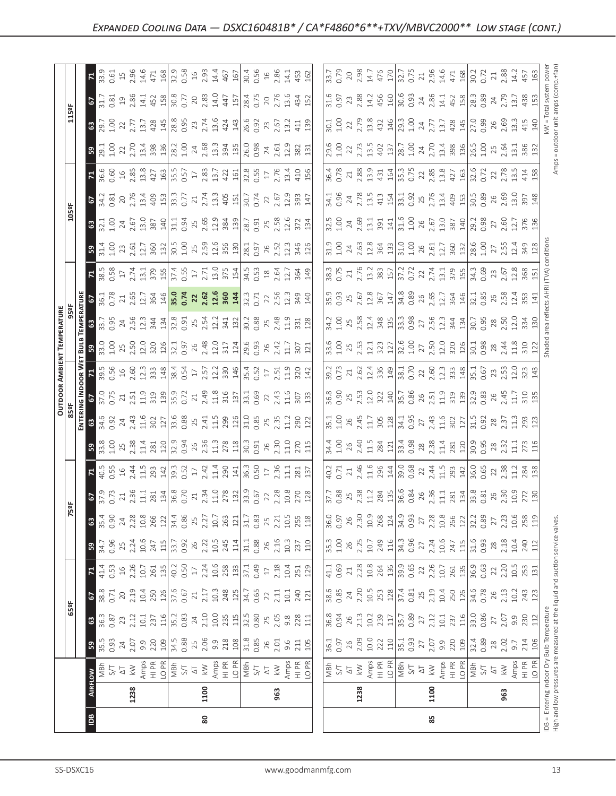|                                        | $\vert \underline{\mathbb{B}} \vert$                                                                                                                                                                                                                                                                                                         | 80                                                                                                                                                                                                                                                                                                                         |     |                                                                                                                                                                                                                                                                                                                                                                                                          | 85   |     |                                              |
|----------------------------------------|----------------------------------------------------------------------------------------------------------------------------------------------------------------------------------------------------------------------------------------------------------------------------------------------------------------------------------------------|----------------------------------------------------------------------------------------------------------------------------------------------------------------------------------------------------------------------------------------------------------------------------------------------------------------------------|-----|----------------------------------------------------------------------------------------------------------------------------------------------------------------------------------------------------------------------------------------------------------------------------------------------------------------------------------------------------------------------------------------------------------|------|-----|----------------------------------------------|
|                                        | 1238                                                                                                                                                                                                                                                                                                                                         | 1100                                                                                                                                                                                                                                                                                                                       | 963 | 1238                                                                                                                                                                                                                                                                                                                                                                                                     | 1100 | 963 | IDB = Entering Indoc<br>High and low pressur |
|                                        |                                                                                                                                                                                                                                                                                                                                              |                                                                                                                                                                                                                                                                                                                            |     | $\begin{array}{ l l l l }\hline \frac{1}{2} & \frac{1}{2} & \frac{1}{2} & \frac{1}{2} & \frac{1}{2} & \frac{1}{2} & \frac{1}{2} & \frac{1}{2} & \frac{1}{2} & \frac{1}{2} \\ \hline \frac{1}{2} & \frac{1}{2} & \frac{1}{2} & \frac{1}{2} & \frac{1}{2} & \frac{1}{2} & \frac{1}{2} & \frac{1}{2} & \frac{1}{2} & \frac{1}{2} & \frac{1}{2} & \frac{1}{2} & \frac{1}{2} & \frac{1}{2} & \frac{1}{2} \\$  |      |     |                                              |
|                                        | 3                                                                                                                                                                                                                                                                                                                                            |                                                                                                                                                                                                                                                                                                                            |     |                                                                                                                                                                                                                                                                                                                                                                                                          |      |     | $\triangleq$                                 |
|                                        |                                                                                                                                                                                                                                                                                                                                              | $3\frac{1}{8}$ $\frac{1}{3}$ $\frac{1}{3}$ $\frac{1}{3}$ $\frac{1}{3}$ $\frac{1}{3}$ $\frac{1}{3}$ $\frac{1}{3}$ $\frac{1}{3}$ $\frac{1}{3}$ $\frac{1}{3}$ $\frac{1}{3}$ $\frac{1}{3}$ $\frac{1}{3}$ $\frac{1}{3}$ $\frac{1}{3}$ $\frac{1}{3}$ $\frac{1}{3}$ $\frac{1}{3}$ $\frac{1}{3}$ $\frac{1}{3}$ $\frac{1}{3}$       |     |                                                                                                                                                                                                                                                                                                                                                                                                          |      |     | eratu                                        |
| $\frac{1}{25}$                         |                                                                                                                                                                                                                                                                                                                                              |                                                                                                                                                                                                                                                                                                                            |     | $\begin{array}{l} 88.6 & 87.4 & 87.6 & 87.6 & 87.6 & 87.6 & 87.6 & 87.6 & 87.6 & 87.6 & 87.6 & 87.6 & 87.6 & 87.6 & 87.6 & 87.6 & 87.6 & 87.6 & 87.6 & 87.6 & 87.6 & 87.6 & 87.6 & 87.6 & 87.6 & 87.6 & 87.6 & 87.6 & 87.6 & 87.6 & 87.6 & 87.6 & 87.6 & 87.6 & 87.6 & 87$                                                                                                                               |      |     |                                              |
|                                        |                                                                                                                                                                                                                                                                                                                                              |                                                                                                                                                                                                                                                                                                                            |     | $\begin{bmatrix} \frac{1}{4} & \frac{1}{3} & \frac{3}{3} & \frac{3}{3} & \frac{3}{3} & \frac{3}{3} & \frac{3}{3} & \frac{3}{3} & \frac{3}{3} & \frac{3}{3} & \frac{3}{3} & \frac{3}{3} & \frac{3}{3} & \frac{3}{3} & \frac{3}{3} & \frac{3}{3} & \frac{3}{3} & \frac{3}{3} & \frac{3}{3} & \frac{3}{3} & \frac{3}{3} & \frac{3}{3} & \frac{3}{3} & \frac{3}{3} & \frac{3}{3} & \frac{3}{3} & \frac{3}{3$ |      |     |                                              |
|                                        | 34.7<br>0.96<br>$\mathbb{R}$                                                                                                                                                                                                                                                                                                                 | $\begin{array}{l} 23.31 & 23.41 & 23.41 & 23.41 & 23.41 & 23.41 & 23.41 & 23.41 & 23.41 & 23.41 & 23.41 & 23.41 & 23.41 & 23.41 & 23.41 & 23.41 & 23.41 & 23.41 & 23.41 & 23.42 & 24.41 & 25.42 & 26.43 & 27.43 & 28.43 & 29.43 & 23.41 & 23.43 & 23.44 & 24.45 & 25$                                                      |     |                                                                                                                                                                                                                                                                                                                                                                                                          |      |     |                                              |
|                                        |                                                                                                                                                                                                                                                                                                                                              | $3.533 \times 2.233 \times 2.233 \times 2.233 \times 2.233 \times 2.233 \times 2.233 \times 2.233 \times 2.233 \times 2.233 \times 2.233 \times 2.233 \times 2.233 \times 2.233 \times 2.233$                                                                                                                              |     |                                                                                                                                                                                                                                                                                                                                                                                                          |      |     |                                              |
|                                        | $\mathbb{C}$                                                                                                                                                                                                                                                                                                                                 | $\begin{array}{l} 22.5 \\ 25.7 \\ 26.7 \\ 27.7 \\ 28.7 \\ 29.7 \\ 21.7 \\ 22.7 \\ 23.7 \\ 24.7 \\ 25.7 \\ 26.7 \\ 27.7 \\ 28.7 \\ 29.7 \\ 20.7 \\ 20.7 \\ 27.7 \\ 28.7 \\ 29.7 \\ 20.7 \\ 20.7 \\ 20.7 \\ 20.7 \\ 20.7 \\ 20.7 \\ 21.7 \\ 22.7 \\ 23.7 \\ 24.7 \\ 25.7 \\ 26.7 \\ 27.7 \\ 28.7 \\ 29.7 \\ 29$              |     |                                                                                                                                                                                                                                                                                                                                                                                                          |      |     |                                              |
|                                        | $\mathbb{E}$                                                                                                                                                                                                                                                                                                                                 | $45.5$ $65.4$ $7.4$ $7.4$ $7.4$ $7.4$ $7.4$ $7.4$ $7.4$ $7.4$ $7.4$ $7.4$ $7.4$ $7.4$ $7.4$ $7.4$ $7.4$ $7.4$ $7.4$ $7.4$ $7.4$ $7.4$ $7.4$ $7.4$ $7.4$ $7.4$ $7.4$ $7.4$ $7.4$ $7.4$ $7.4$ $7.4$ $7.4$ $7.4$ $7.4$ $7.4$ $7.$                                                                                             |     |                                                                                                                                                                                                                                                                                                                                                                                                          |      |     |                                              |
|                                        | B                                                                                                                                                                                                                                                                                                                                            | $\frac{15}{12}$ $\frac{25}{12}$ $\frac{25}{12}$ $\frac{15}{12}$ $\frac{25}{12}$ $\frac{25}{12}$ $\frac{25}{12}$ $\frac{25}{12}$ $\frac{25}{12}$ $\frac{25}{12}$ $\frac{25}{12}$ $\frac{25}{12}$ $\frac{25}{12}$ $\frac{25}{12}$ $\frac{25}{12}$ $\frac{25}{12}$ $\frac{25}{12}$ $\frac{25}{12}$ $\frac{2$                  |     |                                                                                                                                                                                                                                                                                                                                                                                                          |      |     |                                              |
|                                        |                                                                                                                                                                                                                                                                                                                                              |                                                                                                                                                                                                                                                                                                                            |     |                                                                                                                                                                                                                                                                                                                                                                                                          |      |     |                                              |
| OUTDOOR AMBIEN<br>85ºF<br>를 입          |                                                                                                                                                                                                                                                                                                                                              |                                                                                                                                                                                                                                                                                                                            |     |                                                                                                                                                                                                                                                                                                                                                                                                          |      |     |                                              |
| $\frac{2}{5}$ $\overline{5}$           |                                                                                                                                                                                                                                                                                                                                              | $30.56$ $\frac{1}{2}$ $\frac{1}{2}$ $\frac{1}{2}$ $\frac{1}{2}$ $\frac{1}{2}$ $\frac{1}{2}$ $\frac{1}{2}$ $\frac{1}{2}$ $\frac{1}{2}$ $\frac{1}{2}$ $\frac{1}{2}$ $\frac{1}{2}$ $\frac{1}{2}$ $\frac{1}{2}$ $\frac{1}{2}$ $\frac{1}{2}$ $\frac{1}{2}$ $\frac{1}{2}$ $\frac{1}{2}$ $\frac{1}{2}$ $\frac{1}{2}$ $\frac$      |     |                                                                                                                                                                                                                                                                                                                                                                                                          |      |     |                                              |
| TEMPERATURE<br>959F<br><u> ដ្ឋី  ន</u> |                                                                                                                                                                                                                                                                                                                                              |                                                                                                                                                                                                                                                                                                                            |     |                                                                                                                                                                                                                                                                                                                                                                                                          |      |     |                                              |
| 림 의<br>ទី ន                            | 33.7<br>0.95                                                                                                                                                                                                                                                                                                                                 | $\begin{array}{l} 36.7\\ 0.7\\ 2.6\\ 2.6\\ 2.5\\ 3.6\\ 3.7\\ 4\\ 6\\ 9\\ 1\\ 3\\ 6\\ 1\\ 4\\ 9\\ 1\\ 1\\ 1\\ 2\\ 3\\ 1\\ 3\\ 4\\ 1\\ 4\\ 1\\ 1\\ 2\\ 1\\ 3\\ 1\\ 4\\ 1\\ 1\\ 2\\ 1\\ 3\\ 1\\ 4\\ 1\\ 2\\ 1\\ 3\\ 1\\ 2\\ 1\\ 3\\ 1\\ 4\\ 1\\ 4\\ 1\\ 1\\ 2\\ 1\\ 2\\ 1\\ 2\\ 1\\ 2\\ 1\\ 2\\ 1\\ 2\\ 1\\$<br>$\frac{1}{2}$ |     |                                                                                                                                                                                                                                                                                                                                                                                                          |      |     |                                              |
|                                        | F                                                                                                                                                                                                                                                                                                                                            |                                                                                                                                                                                                                                                                                                                            |     |                                                                                                                                                                                                                                                                                                                                                                                                          |      |     |                                              |
|                                        | အျ                                                                                                                                                                                                                                                                                                                                           | $\frac{1}{12}$ and $\frac{1}{2}$ and $\frac{1}{2}$ and $\frac{1}{2}$ and $\frac{1}{2}$ and $\frac{1}{2}$ and $\frac{1}{2}$ and $\frac{1}{2}$ and $\frac{1}{2}$ and $\frac{1}{2}$ and $\frac{1}{2}$ and $\frac{1}{2}$ and $\frac{1}{2}$ and $\frac{1}{2}$ and $\frac{1}{2}$ and $\frac{1}{2}$                               |     |                                                                                                                                                                                                                                                                                                                                                                                                          |      |     |                                              |
|                                        | $\begin{array}{c c}\n1.00 & 24 \\ 2.67 & 1.30 \\ 3.87 & 3.49 \\ 5.11 & 3.30 \\ 1 & 3.30 \\ 1 & 3.30 \\ 1 & 3.30 \\ 1 & 3.30 \\ 1 & 3.30 \\ 1 & 3.30 \\ 1 & 3.30 \\ 1 & 3.30 \\ 1 & 3.30 \\ 1 & 3.30 \\ 1 & 3.30 \\ 1 & 3.30 \\ 1 & 3.30 \\ 1 & 3.30 \\ 1 & 3.30 \\ 1 & 3.30 \\ 1 & 3.30 \\ 1 & 3.30 \\ 1 & 3.30 \\ 1 & 3.30 \\ 1 & 3.30 \\ $ |                                                                                                                                                                                                                                                                                                                            |     |                                                                                                                                                                                                                                                                                                                                                                                                          |      |     |                                              |
| $105$ <sup>e</sup> F                   | 5                                                                                                                                                                                                                                                                                                                                            |                                                                                                                                                                                                                                                                                                                            |     |                                                                                                                                                                                                                                                                                                                                                                                                          |      |     |                                              |
|                                        |                                                                                                                                                                                                                                                                                                                                              |                                                                                                                                                                                                                                                                                                                            |     |                                                                                                                                                                                                                                                                                                                                                                                                          |      |     |                                              |
|                                        | $\mathbb{B}$                                                                                                                                                                                                                                                                                                                                 | $\begin{array}{l} 21.6 \\ 22.7 \\ 23.8 \\ 24.7 \\ 25.8 \\ 26.9 \\ 27.8 \\ 28.9 \\ 29.8 \\ 20.8 \\ 21.8 \\ 22.8 \\ 23.8 \\ 24.8 \\ 25.8 \\ 26.8 \\ 27.8 \\ 28.8 \\ 29.8 \\ 21.8 \\ 22.8 \\ 23.8 \\ 24.8 \\ 25.8 \\ 27.8 \\ 28.8 \\ 29.8 \\ 29.8 \\ 21.8 \\ 23.8 \\ 24.8 \\ 25.8 \\ 26.8 \\ 27.8 \\ 28.8 \\ 29$              |     |                                                                                                                                                                                                                                                                                                                                                                                                          |      |     |                                              |
|                                        | $\frac{3}{6}$                                                                                                                                                                                                                                                                                                                                | $\frac{1}{12}$ $\frac{1}{22}$ $\frac{1}{22}$ $\frac{1}{22}$ $\frac{1}{22}$ $\frac{1}{22}$ $\frac{1}{22}$ $\frac{1}{22}$ $\frac{1}{22}$ $\frac{1}{22}$ $\frac{1}{22}$ $\frac{1}{22}$ $\frac{1}{22}$ $\frac{1}{22}$ $\frac{1}{22}$ $\frac{1}{22}$ $\frac{1}{22}$ $\frac{1}{22}$ $\frac{1}{22}$ $\frac{1}{22}$                |     |                                                                                                                                                                                                                                                                                                                                                                                                          |      |     |                                              |
| $\frac{125eF}{2}$                      | $\mathbb{C}$                                                                                                                                                                                                                                                                                                                                 |                                                                                                                                                                                                                                                                                                                            |     |                                                                                                                                                                                                                                                                                                                                                                                                          |      |     |                                              |
|                                        |                                                                                                                                                                                                                                                                                                                                              |                                                                                                                                                                                                                                                                                                                            |     |                                                                                                                                                                                                                                                                                                                                                                                                          |      |     |                                              |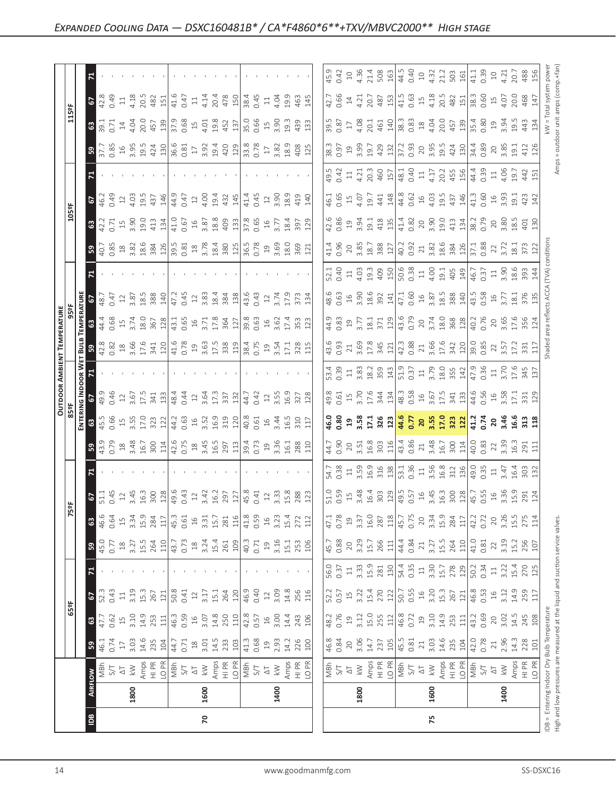| $\frac{1159F}{F}$   | $\overline{6}$                   |                                                                                                |                                                                                                                                                                                                                                                                                                                                                                                                                                                                                                                                            |                                                                                                                                     |                     |                                                                                                                                                                                                                                                                                                                                                                                                                                                                                                                                                                                                                                                                                                                                                                                                                                                                                                                                                                                                                                                                                                                                                                                                                                                                                                                                                                                                                                                                                                                                                                                                                                                                                                                                                                                                                                                                                                                                                                                                                                                                                                                                                                                                                                                                                                                                                                                                                                                                                                                                                                                       |                                                                     |
|---------------------|----------------------------------|------------------------------------------------------------------------------------------------|--------------------------------------------------------------------------------------------------------------------------------------------------------------------------------------------------------------------------------------------------------------------------------------------------------------------------------------------------------------------------------------------------------------------------------------------------------------------------------------------------------------------------------------------|-------------------------------------------------------------------------------------------------------------------------------------|---------------------|---------------------------------------------------------------------------------------------------------------------------------------------------------------------------------------------------------------------------------------------------------------------------------------------------------------------------------------------------------------------------------------------------------------------------------------------------------------------------------------------------------------------------------------------------------------------------------------------------------------------------------------------------------------------------------------------------------------------------------------------------------------------------------------------------------------------------------------------------------------------------------------------------------------------------------------------------------------------------------------------------------------------------------------------------------------------------------------------------------------------------------------------------------------------------------------------------------------------------------------------------------------------------------------------------------------------------------------------------------------------------------------------------------------------------------------------------------------------------------------------------------------------------------------------------------------------------------------------------------------------------------------------------------------------------------------------------------------------------------------------------------------------------------------------------------------------------------------------------------------------------------------------------------------------------------------------------------------------------------------------------------------------------------------------------------------------------------------------------------------------------------------------------------------------------------------------------------------------------------------------------------------------------------------------------------------------------------------------------------------------------------------------------------------------------------------------------------------------------------------------------------------------------------------------------------------------------------------|---------------------------------------------------------------------|
|                     |                                  |                                                                                                |                                                                                                                                                                                                                                                                                                                                                                                                                                                                                                                                            |                                                                                                                                     |                     |                                                                                                                                                                                                                                                                                                                                                                                                                                                                                                                                                                                                                                                                                                                                                                                                                                                                                                                                                                                                                                                                                                                                                                                                                                                                                                                                                                                                                                                                                                                                                                                                                                                                                                                                                                                                                                                                                                                                                                                                                                                                                                                                                                                                                                                                                                                                                                                                                                                                                                                                                                                       |                                                                     |
|                     | $\mathbf{G}$                     |                                                                                                | $\begin{array}{c} 33.71 & 43.61 & 83.61 & 24.61 & 25.61 & 26.61 & 27.62 & 28.61 & 29.61 & 29.61 & 29.61 & 29.61 & 29.61 & 29.61 & 29.61 & 29.61 & 29.61 & 29.61 & 29.61 & 29.61 & 29.61 & 29.61 & 29.61 & 29.61 & 29.61 & 29.61 & 29.61 & 29.61 & 29.61 & 29.61 & 29$                                                                                                                                                                                                                                                                      |                                                                                                                                     |                     |                                                                                                                                                                                                                                                                                                                                                                                                                                                                                                                                                                                                                                                                                                                                                                                                                                                                                                                                                                                                                                                                                                                                                                                                                                                                                                                                                                                                                                                                                                                                                                                                                                                                                                                                                                                                                                                                                                                                                                                                                                                                                                                                                                                                                                                                                                                                                                                                                                                                                                                                                                                       |                                                                     |
|                     | ြို့                             |                                                                                                |                                                                                                                                                                                                                                                                                                                                                                                                                                                                                                                                            |                                                                                                                                     |                     |                                                                                                                                                                                                                                                                                                                                                                                                                                                                                                                                                                                                                                                                                                                                                                                                                                                                                                                                                                                                                                                                                                                                                                                                                                                                                                                                                                                                                                                                                                                                                                                                                                                                                                                                                                                                                                                                                                                                                                                                                                                                                                                                                                                                                                                                                                                                                                                                                                                                                                                                                                                       |                                                                     |
|                     | $\mathbf{z}$                     |                                                                                                |                                                                                                                                                                                                                                                                                                                                                                                                                                                                                                                                            |                                                                                                                                     |                     |                                                                                                                                                                                                                                                                                                                                                                                                                                                                                                                                                                                                                                                                                                                                                                                                                                                                                                                                                                                                                                                                                                                                                                                                                                                                                                                                                                                                                                                                                                                                                                                                                                                                                                                                                                                                                                                                                                                                                                                                                                                                                                                                                                                                                                                                                                                                                                                                                                                                                                                                                                                       |                                                                     |
| $\frac{1058F}{\pi}$ | 67                               |                                                                                                |                                                                                                                                                                                                                                                                                                                                                                                                                                                                                                                                            |                                                                                                                                     |                     |                                                                                                                                                                                                                                                                                                                                                                                                                                                                                                                                                                                                                                                                                                                                                                                                                                                                                                                                                                                                                                                                                                                                                                                                                                                                                                                                                                                                                                                                                                                                                                                                                                                                                                                                                                                                                                                                                                                                                                                                                                                                                                                                                                                                                                                                                                                                                                                                                                                                                                                                                                                       |                                                                     |
|                     | $\mathbf{G}$                     |                                                                                                | $42.71999931314191659988899318989517335729$                                                                                                                                                                                                                                                                                                                                                                                                                                                                                                |                                                                                                                                     |                     |                                                                                                                                                                                                                                                                                                                                                                                                                                                                                                                                                                                                                                                                                                                                                                                                                                                                                                                                                                                                                                                                                                                                                                                                                                                                                                                                                                                                                                                                                                                                                                                                                                                                                                                                                                                                                                                                                                                                                                                                                                                                                                                                                                                                                                                                                                                                                                                                                                                                                                                                                                                       |                                                                     |
|                     | ြိ                               |                                                                                                | $40.89$ $\frac{2}{3}$ $\frac{2}{3}$ $\frac{2}{3}$ $\frac{2}{3}$ $\frac{2}{3}$ $\frac{2}{3}$ $\frac{2}{3}$ $\frac{2}{3}$ $\frac{2}{3}$ $\frac{2}{3}$ $\frac{2}{3}$ $\frac{2}{3}$ $\frac{2}{3}$ $\frac{2}{3}$ $\frac{2}{3}$ $\frac{2}{3}$ $\frac{2}{3}$ $\frac{2}{3}$ $\frac{2}{3}$ $\frac{2}{3}$ $\frac{2}{3}$ $\frac$                                                                                                                                                                                                                      |                                                                                                                                     |                     |                                                                                                                                                                                                                                                                                                                                                                                                                                                                                                                                                                                                                                                                                                                                                                                                                                                                                                                                                                                                                                                                                                                                                                                                                                                                                                                                                                                                                                                                                                                                                                                                                                                                                                                                                                                                                                                                                                                                                                                                                                                                                                                                                                                                                                                                                                                                                                                                                                                                                                                                                                                       |                                                                     |
|                     | $\overline{z}$                   |                                                                                                |                                                                                                                                                                                                                                                                                                                                                                                                                                                                                                                                            |                                                                                                                                     |                     |                                                                                                                                                                                                                                                                                                                                                                                                                                                                                                                                                                                                                                                                                                                                                                                                                                                                                                                                                                                                                                                                                                                                                                                                                                                                                                                                                                                                                                                                                                                                                                                                                                                                                                                                                                                                                                                                                                                                                                                                                                                                                                                                                                                                                                                                                                                                                                                                                                                                                                                                                                                       |                                                                     |
|                     | $3\mathbb{E}$                    |                                                                                                | $\begin{array}{l} 48.7 \\ 60.47 \\ 71.7 \\ 82.8 \\ 93.8 \\ 12.8 \\ 96.8 \\ 97.8 \\ 98.8 \\ 99.8 \\ 90.4 \\ 91.4 \\ 92.4 \\ 93.4 \\ 94.8 \\ 96.4 \\ 96.4 \\ 96.4 \\ 97.4 \\ 98.4 \\ 98.4 \\ 98.4 \\ 98.4 \\ 98.4 \\ 98.4 \\ 98.4 \\ 98.4 \\ 98.4 \\ 98.4 \\ 98.4 \\ 98.4 \\ 98.4 \\ 98.4 \\ 98.4 \\ 98.4 \\ 9$                                                                                                                                                                                                                              |                                                                                                                                     |                     |                                                                                                                                                                                                                                                                                                                                                                                                                                                                                                                                                                                                                                                                                                                                                                                                                                                                                                                                                                                                                                                                                                                                                                                                                                                                                                                                                                                                                                                                                                                                                                                                                                                                                                                                                                                                                                                                                                                                                                                                                                                                                                                                                                                                                                                                                                                                                                                                                                                                                                                                                                                       |                                                                     |
| PERATURE<br>95°F    | ] ឌ                              |                                                                                                |                                                                                                                                                                                                                                                                                                                                                                                                                                                                                                                                            |                                                                                                                                     |                     |                                                                                                                                                                                                                                                                                                                                                                                                                                                                                                                                                                                                                                                                                                                                                                                                                                                                                                                                                                                                                                                                                                                                                                                                                                                                                                                                                                                                                                                                                                                                                                                                                                                                                                                                                                                                                                                                                                                                                                                                                                                                                                                                                                                                                                                                                                                                                                                                                                                                                                                                                                                       |                                                                     |
| EM                  | <u> នី</u> ន                     |                                                                                                | $\begin{bmatrix} 8 & 8 & 8 \\ 6 & 8 & 8 \\ 6 & 8 & 1 \\ 7 & 8 & 1 \\ 8 & 9 & 1 \\ 9 & 10 & 1 \\ 11 & 12 & 1 \\ 12 & 13 & 1 \\ 13 & 14 & 1 \\ 14 & 15 & 1 \\ 15 & 16 & 1 \\ 16 & 17 & 18 \\ 17 & 18 & 1 \\ 18 & 19 & 1 \\ 19 & 19 & 1 \\ 10 & 10 & 1 \\ 11 & 13 & 1 \\ 12 & 14 & 1 \\ 13 & 15 & 1 \\ 14 & 16 & 1 \\ 16 &$                                                                                                                                                                                                                   |                                                                                                                                     |                     |                                                                                                                                                                                                                                                                                                                                                                                                                                                                                                                                                                                                                                                                                                                                                                                                                                                                                                                                                                                                                                                                                                                                                                                                                                                                                                                                                                                                                                                                                                                                                                                                                                                                                                                                                                                                                                                                                                                                                                                                                                                                                                                                                                                                                                                                                                                                                                                                                                                                                                                                                                                       |                                                                     |
| OUTDOOR AMBIENT     | ¤                                |                                                                                                |                                                                                                                                                                                                                                                                                                                                                                                                                                                                                                                                            |                                                                                                                                     |                     |                                                                                                                                                                                                                                                                                                                                                                                                                                                                                                                                                                                                                                                                                                                                                                                                                                                                                                                                                                                                                                                                                                                                                                                                                                                                                                                                                                                                                                                                                                                                                                                                                                                                                                                                                                                                                                                                                                                                                                                                                                                                                                                                                                                                                                                                                                                                                                                                                                                                                                                                                                                       |                                                                     |
|                     | 5                                |                                                                                                |                                                                                                                                                                                                                                                                                                                                                                                                                                                                                                                                            |                                                                                                                                     |                     |                                                                                                                                                                                                                                                                                                                                                                                                                                                                                                                                                                                                                                                                                                                                                                                                                                                                                                                                                                                                                                                                                                                                                                                                                                                                                                                                                                                                                                                                                                                                                                                                                                                                                                                                                                                                                                                                                                                                                                                                                                                                                                                                                                                                                                                                                                                                                                                                                                                                                                                                                                                       |                                                                     |
|                     | ≣ ਃ∣                             |                                                                                                | $45.66$ 5 m $\frac{1}{2}$ 5 m $\frac{1}{2}$ $\frac{1}{3}$ $\frac{1}{6}$ $\frac{1}{6}$ 5 $\frac{1}{6}$ 5 m $\frac{1}{2}$ $\frac{1}{6}$ $\frac{1}{6}$ $\frac{1}{6}$ $\frac{1}{6}$ $\frac{1}{6}$ $\frac{1}{6}$ $\frac{1}{6}$ $\frac{1}{6}$ $\frac{1}{6}$ $\frac{1}{6}$ $\frac{1}{6}$ $\frac{1}{6}$ $\frac{1}{6}$                                                                                                                                                                                                                              |                                                                                                                                     |                     |                                                                                                                                                                                                                                                                                                                                                                                                                                                                                                                                                                                                                                                                                                                                                                                                                                                                                                                                                                                                                                                                                                                                                                                                                                                                                                                                                                                                                                                                                                                                                                                                                                                                                                                                                                                                                                                                                                                                                                                                                                                                                                                                                                                                                                                                                                                                                                                                                                                                                                                                                                                       |                                                                     |
|                     | 59                               |                                                                                                | $\begin{array}{cccccccccc} 43.9 & 8 & 8 & 7 & 8 & 7 & 8 & 7 & 8 & 7 & 8 & 7 & 8 & 7 & 8 & 7 & 8 & 7 & 8 & 7 & 8 & 7 & 8 & 7 & 8 & 7 & 8 & 7 & 8 & 7 & 8 & 7 & 8 & 7 & 8 & 7 & 8 & 7 & 8 & 7 & 8 & 7 & 8 & 7 & 8 & 7 & 8 & 7 & 8 & 7 & 8 & 7 & 8 & 7 & 8 & 7 & 8 & 7 & 8 & 7 & 8 & 7 & 8 & 7 & 8 & 7 & 8 & 7 & 8 & $                                                                                                                                                                                                                        |                                                                                                                                     |                     |                                                                                                                                                                                                                                                                                                                                                                                                                                                                                                                                                                                                                                                                                                                                                                                                                                                                                                                                                                                                                                                                                                                                                                                                                                                                                                                                                                                                                                                                                                                                                                                                                                                                                                                                                                                                                                                                                                                                                                                                                                                                                                                                                                                                                                                                                                                                                                                                                                                                                                                                                                                       |                                                                     |
|                     | $\mathbf{z}$                     | <b>Contract Contract</b>                                                                       |                                                                                                                                                                                                                                                                                                                                                                                                                                                                                                                                            |                                                                                                                                     |                     |                                                                                                                                                                                                                                                                                                                                                                                                                                                                                                                                                                                                                                                                                                                                                                                                                                                                                                                                                                                                                                                                                                                                                                                                                                                                                                                                                                                                                                                                                                                                                                                                                                                                                                                                                                                                                                                                                                                                                                                                                                                                                                                                                                                                                                                                                                                                                                                                                                                                                                                                                                                       |                                                                     |
| $\frac{1}{2}$       | 5                                |                                                                                                |                                                                                                                                                                                                                                                                                                                                                                                                                                                                                                                                            |                                                                                                                                     |                     |                                                                                                                                                                                                                                                                                                                                                                                                                                                                                                                                                                                                                                                                                                                                                                                                                                                                                                                                                                                                                                                                                                                                                                                                                                                                                                                                                                                                                                                                                                                                                                                                                                                                                                                                                                                                                                                                                                                                                                                                                                                                                                                                                                                                                                                                                                                                                                                                                                                                                                                                                                                       |                                                                     |
|                     | 3                                |                                                                                                |                                                                                                                                                                                                                                                                                                                                                                                                                                                                                                                                            | 272<br>112                                                                                                                          |                     |                                                                                                                                                                                                                                                                                                                                                                                                                                                                                                                                                                                                                                                                                                                                                                                                                                                                                                                                                                                                                                                                                                                                                                                                                                                                                                                                                                                                                                                                                                                                                                                                                                                                                                                                                                                                                                                                                                                                                                                                                                                                                                                                                                                                                                                                                                                                                                                                                                                                                                                                                                                       | 0.72<br>20<br>3.26<br>15.5                                          |
|                     | ြို့                             | $45.7$<br>$3.27$<br>$3.27$<br>$3.4$<br>$3.5$<br>$43.7$<br>$43.7$<br>$43.7$<br>$45.7$<br>$45.4$ |                                                                                                                                                                                                                                                                                                                                                                                                                                                                                                                                            | $\begin{array}{c} 19 \\ 3.16 \\ 15.1 \\ 253 \\ 106 \end{array}$<br>$\frac{1}{2}$ 50 $\frac{1}{2}$ 50 $\frac{1}{2}$ 50 $\frac{1}{2}$ | $\frac{45.7}{0.88}$ |                                                                                                                                                                                                                                                                                                                                                                                                                                                                                                                                                                                                                                                                                                                                                                                                                                                                                                                                                                                                                                                                                                                                                                                                                                                                                                                                                                                                                                                                                                                                                                                                                                                                                                                                                                                                                                                                                                                                                                                                                                                                                                                                                                                                                                                                                                                                                                                                                                                                                                                                                                                       |                                                                     |
|                     |                                  |                                                                                                |                                                                                                                                                                                                                                                                                                                                                                                                                                                                                                                                            |                                                                                                                                     |                     | $\begin{bmatrix} 38.5 & 5 & 36.8 \\ 36.5 & 5 & 36.8 \\ 20.5 & 5 & 5 & 5 \\ 30.5 & 5 & 5 & 5 \\ 30.5 & 5 & 5 & 5 \\ 30.5 & 5 & 5 & 5 \\ 30.5 & 5 & 5 & 5 \\ 30.5 & 5 & 5 & 5 \\ 30.5 & 5 & 5 & 5 \\ 30.5 & 5 & 5 & 5 \\ 30.5 & 5 & 5 & 5 \\ 30.5 & 5 & 5 & 5 \\ 30.5 & 5 & 5 & 5 \\ 30.5 & 5 & 5 & 5 \\ 30.$<br>$\begin{bmatrix} 6 & 6 & 6 & 6 \\ 6 & 6 & 6 & 6 \\ 6 & 6 & 6 & 6 \\ 6 & 6 & 6 & 6 \\ 6 & 6 & 6 & 6 \\ 6 & 6 & 6 & 6 \\ 6 & 6 & 6 & 6 \\ 6 & 6 & 6 & 6 \\ 6 & 6 & 6 & 6 \\ 6 & 6 & 6 & 6 \\ 6 & 6 & 6 & 6 \\ 6 & 6 & 6 & 6 \\ 6 & 6 & 6 & 6 \\ 6 & 6 & 6 & 6 & 6 \\ 6 & 6 & 6 & 6 & 6 \\ 7 & 8 & 6 & 6 & 6 \\ 8 & 9 & 10 & 10$<br>$\begin{bmatrix} 1 & 1 & 1 & 1 & 1 \\ 1 & 1 & 1 & 1 & 1 \\ 1 & 1 & 1 & 1 & 1 \\ 1 & 1 & 1 & 1 & 1 \\ 1 & 1 & 1 & 1 & 1 \\ 1 & 1 & 1 & 1 & 1 \\ 1 & 1 & 1 & 1 & 1 \\ 1 & 1 & 1 & 1 & 1 \\ 1 & 1 & 1 & 1 & 1 \\ 1 & 1 & 1 & 1 & 1 \\ 1 & 1 & 1 & 1 & 1 \\ 1 & 1 & 1 & 1 & 1 \\ 1 & 1 & 1 & 1 & 1 \\ 1 & 1 & 1 & 1 & 1 \\ 1 & $<br>$\begin{bmatrix} 4 & 3 & 3 & 5 \\ 4 & 3 & 3 & 5 \\ 5 & 6 & 7 & 3 \\ 6 & 7 & 8 & 5 \\ 7 & 8 & 3 & 5 \\ 8 & 1 & 3 & 5 \\ 9 & 1 & 1 & 1 \\ 1 & 1 & 1 & 1 \\ 1 & 1 & 1 & 1 \\ 1 & 1 & 1 & 1 \\ 1 & 1 & 1 & 1 \\ 1 & 1 & 1 & 1 \\ 1 & 1 & 1 & 1 \\ 1 & 1 & 1 & 1 \\ 1 & 1 & 1 & 1 \\ 1 & 1 & 1 & 1 \\ 1 & 1 & 1 & 1 \\ 1 & 1 & 1 & $<br>$\begin{bmatrix} 8.6 & 1 \\ 9.6 & 1 \\ 0.6 & 1 \end{bmatrix} \begin{bmatrix} 6.7 & 1 \\ 7.7 & 1 \\ 7.7 & 1 \end{bmatrix} \begin{bmatrix} 6.7 & 1 \\ 7.7 & 1 \\ 7.7 & 1 \end{bmatrix} \begin{bmatrix} 6.7 & 1 \\ 7.7 & 1 \\ 7.7 & 1 \end{bmatrix} \begin{bmatrix} 6.7 & 1 \\ 7.7 & 1 \\ 7.7 & 1 \end{bmatrix} \begin{bmatrix} 6.7 & 1 \\ 7.7 & 1 \end{bmatrix} \begin{bmatrix} 6.7 & 1 \\ 7.7$<br>$\begin{bmatrix} \frac{1}{4} & \frac{1}{6} & \frac{1}{6} & \frac{1}{6} & \frac{1}{6} & \frac{1}{6} \\ \frac{1}{6} & \frac{1}{6} & \frac{1}{6} & \frac{1}{6} & \frac{1}{6} & \frac{1}{6} \\ \frac{1}{6} & \frac{1}{6} & \frac{1}{6} & \frac{1}{6} & \frac{1}{6} & \frac{1}{6} \\ \frac{1}{6} & \frac{1}{6} & \frac{1}{6} & \frac{1}{6} & \frac{1}{6} & \frac{1}{6} \\ \frac{1}{6} & \frac{1}{6} & \frac{1}{6$<br>$\begin{array}{l} 3.05 \\ 3.05 \\ 1.06 \\ 1.07 \\ 1.08 \\ 1.09 \\ 1.01 \\ 1.04 \\ 1.05 \\ 1.07 \\ 1.09 \\ 1.01 \\ 1.01 \\ 1.01 \\ 1.01 \\ 1.01 \\ 1.01 \\ 1.01 \\ 1.01 \\ 1.01 \\ 1.01 \\ 1.01 \\ 1.01 \\ 1.01 \\ 1.01 \\ 1.01 \\ 1.01 \\ 1.01 \\ 1.01 \\ 1.01 \\ 1.01 \\ 1.01 \\ 1.01 \\ 1.01 \\ 1.01 \\ 1.$<br>$\begin{array}{c} 3.06 \\ 14.7 \\ 237 \\ 105 \\ 45.5 \\ 0.81 \\ 1 \end{array}$<br>20<br>1800<br>1600<br>75<br>www.goodmanmfg.com |                                                                     |
|                     | $\sqrt{2}$                       |                                                                                                | $\begin{array}{l} \mathbf{12.333} \\ \mathbf{23.43} \\ \mathbf{24.53} \\ \mathbf{25.45} \\ \mathbf{26.54} \\ \mathbf{27.53} \\ \mathbf{28.51} \\ \mathbf{29.51} \\ \mathbf{21.53} \\ \mathbf{28.51} \\ \mathbf{21.53} \\ \mathbf{23.53} \\ \mathbf{24.53} \\ \mathbf{25.53} \\ \mathbf{28.53} \\ \mathbf{29.53} \\ \mathbf{21.53} \\ \mathbf{21.53} \\ \mathbf{22.53} \\ \mathbf$                                                                                                                                                          |                                                                                                                                     |                     |                                                                                                                                                                                                                                                                                                                                                                                                                                                                                                                                                                                                                                                                                                                                                                                                                                                                                                                                                                                                                                                                                                                                                                                                                                                                                                                                                                                                                                                                                                                                                                                                                                                                                                                                                                                                                                                                                                                                                                                                                                                                                                                                                                                                                                                                                                                                                                                                                                                                                                                                                                                       |                                                                     |
| $\frac{1}{25}$      | 63                               | $47.7$<br>$0.62$<br>$1.9$<br>$0.9$<br>$0.5$<br>$1.4$<br>$0.5$<br>$0.5$<br>$0.5$                |                                                                                                                                                                                                                                                                                                                                                                                                                                                                                                                                            |                                                                                                                                     |                     |                                                                                                                                                                                                                                                                                                                                                                                                                                                                                                                                                                                                                                                                                                                                                                                                                                                                                                                                                                                                                                                                                                                                                                                                                                                                                                                                                                                                                                                                                                                                                                                                                                                                                                                                                                                                                                                                                                                                                                                                                                                                                                                                                                                                                                                                                                                                                                                                                                                                                                                                                                                       | $14.5$<br>$245$<br>$108$                                            |
|                     | ြို့                             | $3.03$<br>$14.6$<br>$235$<br>$104.7$<br>$46.74$<br>0.74<br>0.7                                 | $\frac{18}{3.01}$                                                                                                                                                                                                                                                                                                                                                                                                                                                                                                                          | $\begin{array}{c} 19 \\ 2.93 \\ 14.2 \\ 200 \\ \hline \end{array}$<br>$\frac{23}{103}$                                              | $\frac{46.8}{0.84}$ |                                                                                                                                                                                                                                                                                                                                                                                                                                                                                                                                                                                                                                                                                                                                                                                                                                                                                                                                                                                                                                                                                                                                                                                                                                                                                                                                                                                                                                                                                                                                                                                                                                                                                                                                                                                                                                                                                                                                                                                                                                                                                                                                                                                                                                                                                                                                                                                                                                                                                                                                                                                       | $\begin{array}{c} 3.03 \\ 14.6 \\ 235 \\ 240 \\ \hline \end{array}$ |
|                     | $\overline{\tilde{6}}$           |                                                                                                | $\begin{array}{l} \mathbb{E}\setminus\mathbb{E}\setminus\mathbb{E}\setminus\mathbb{E}\setminus\mathbb{E}\setminus\mathbb{E}\setminus\mathbb{E}\setminus\mathbb{E}\setminus\mathbb{E}\setminus\mathbb{E}\setminus\mathbb{E}\setminus\mathbb{E}\setminus\mathbb{E}\setminus\mathbb{E}\setminus\mathbb{E}\setminus\mathbb{E}\setminus\mathbb{E}\setminus\mathbb{E}\setminus\mathbb{E}\setminus\mathbb{E}\setminus\mathbb{E}\setminus\mathbb{E}\setminus\mathbb{E}\setminus\mathbb{E}\setminus\mathbb{E}\setminus\mathbb{E}\setminus\mathbb{E$ |                                                                                                                                     |                     |                                                                                                                                                                                                                                                                                                                                                                                                                                                                                                                                                                                                                                                                                                                                                                                                                                                                                                                                                                                                                                                                                                                                                                                                                                                                                                                                                                                                                                                                                                                                                                                                                                                                                                                                                                                                                                                                                                                                                                                                                                                                                                                                                                                                                                                                                                                                                                                                                                                                                                                                                                                       |                                                                     |
|                     |                                  | 1800                                                                                           | 1600                                                                                                                                                                                                                                                                                                                                                                                                                                                                                                                                       | 1400                                                                                                                                |                     |                                                                                                                                                                                                                                                                                                                                                                                                                                                                                                                                                                                                                                                                                                                                                                                                                                                                                                                                                                                                                                                                                                                                                                                                                                                                                                                                                                                                                                                                                                                                                                                                                                                                                                                                                                                                                                                                                                                                                                                                                                                                                                                                                                                                                                                                                                                                                                                                                                                                                                                                                                                       | 1400                                                                |
|                     | $\boxed{\underline{\mathbf{B}}}$ |                                                                                                | $\mathbf{r}$                                                                                                                                                                                                                                                                                                                                                                                                                                                                                                                               |                                                                                                                                     |                     |                                                                                                                                                                                                                                                                                                                                                                                                                                                                                                                                                                                                                                                                                                                                                                                                                                                                                                                                                                                                                                                                                                                                                                                                                                                                                                                                                                                                                                                                                                                                                                                                                                                                                                                                                                                                                                                                                                                                                                                                                                                                                                                                                                                                                                                                                                                                                                                                                                                                                                                                                                                       |                                                                     |
|                     |                                  |                                                                                                |                                                                                                                                                                                                                                                                                                                                                                                                                                                                                                                                            |                                                                                                                                     |                     |                                                                                                                                                                                                                                                                                                                                                                                                                                                                                                                                                                                                                                                                                                                                                                                                                                                                                                                                                                                                                                                                                                                                                                                                                                                                                                                                                                                                                                                                                                                                                                                                                                                                                                                                                                                                                                                                                                                                                                                                                                                                                                                                                                                                                                                                                                                                                                                                                                                                                                                                                                                       |                                                                     |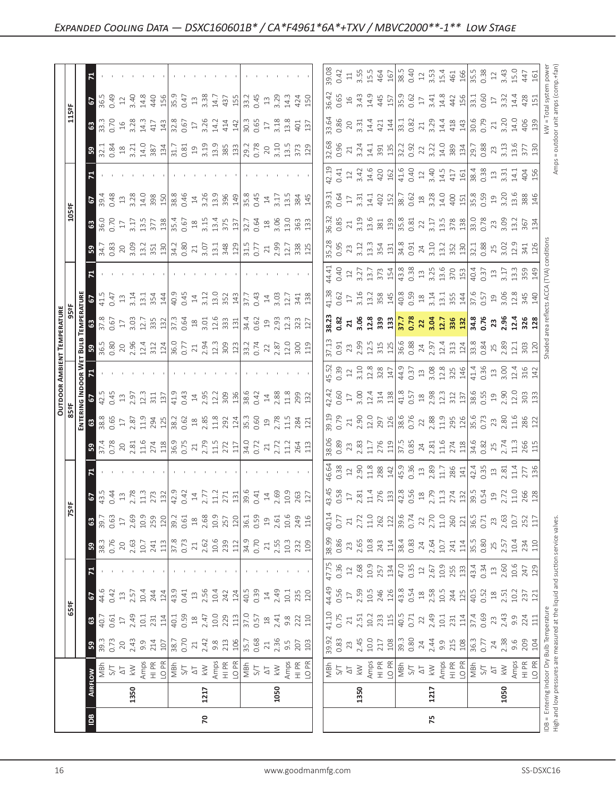| 16                         |                                                                                 |                                                                                                                                                                                                                                                                                                                                                                                                                                                           | www.goodmanmfg.com |                                                                                                                                                                                                                                                                                                                                                                                                                                                                           |      | SS-DSXC16                                                                                                                                                                                                                                                                                                                                                       |
|----------------------------|---------------------------------------------------------------------------------|-----------------------------------------------------------------------------------------------------------------------------------------------------------------------------------------------------------------------------------------------------------------------------------------------------------------------------------------------------------------------------------------------------------------------------------------------------------|--------------------|---------------------------------------------------------------------------------------------------------------------------------------------------------------------------------------------------------------------------------------------------------------------------------------------------------------------------------------------------------------------------------------------------------------------------------------------------------------------------|------|-----------------------------------------------------------------------------------------------------------------------------------------------------------------------------------------------------------------------------------------------------------------------------------------------------------------------------------------------------------------|
|                            | $ \mathbf{\tilde{e}} $                                                          | $\mathbf{r}$                                                                                                                                                                                                                                                                                                                                                                                                                                              |                    |                                                                                                                                                                                                                                                                                                                                                                                                                                                                           | 75   |                                                                                                                                                                                                                                                                                                                                                                 |
|                            | 1350                                                                            | 1217                                                                                                                                                                                                                                                                                                                                                                                                                                                      | 1050               | 1350                                                                                                                                                                                                                                                                                                                                                                                                                                                                      | 1217 | 1050                                                                                                                                                                                                                                                                                                                                                            |
|                            | $\frac{3}{2}$                                                                   |                                                                                                                                                                                                                                                                                                                                                                                                                                                           |                    | $\begin{array}{ l l l }\hline \frac{\pi}{2} & \xi & \xi & \xi & \xi \\ \hline \frac{\pi}{2} & \xi & \xi & \xi & \xi \\ \hline \frac{\pi}{2} & \xi & \xi & \xi & \xi \\ \hline \frac{\pi}{2} & \xi & \xi & \xi & \xi \\ \hline \frac{\pi}{2} & \xi & \xi & \xi & \xi \\ \hline \frac{\pi}{2} & \xi & \xi & \xi & \xi \\ \hline \frac{\pi}{2} & \xi & \xi & \xi & \xi \\ \hline \frac{\pi}{2} & \xi & \xi & \xi & \xi \\ \hline \frac{\pi}{2} & \xi & \xi & \xi & \xi \\ \$ |      |                                                                                                                                                                                                                                                                                                                                                                 |
|                            | 59                                                                              | $\begin{array}{l} 39.33 \\ 0.72 \\ 0.84 \\ 0.93 \\ 0.00 \\ 0.00 \\ 0.00 \\ 0.00 \\ 0.00 \\ 0.00 \\ 0.00 \\ 0.00 \\ 0.00 \\ 0.00 \\ 0.00 \\ 0.00 \\ 0.00 \\ 0.00 \\ 0.00 \\ 0.00 \\ 0.00 \\ 0.00 \\ 0.00 \\ 0.00 \\ 0.00 \\ 0.00 \\ 0.00 \\ 0.00 \\ 0.00 \\ 0.00 \\ 0.00 \\ 0.00 \\ 0.00 \\ 0.00 \\ 0.00 \\ 0$                                                                                                                                             |                    |                                                                                                                                                                                                                                                                                                                                                                                                                                                                           |      |                                                                                                                                                                                                                                                                                                                                                                 |
| $\frac{1}{25}$             | 63                                                                              | $\begin{array}{l} 1200 \\ 1500 \\ 1600 \\ 1700 \\ 1800 \\ 1900 \\ 1900 \\ 1900 \\ 1900 \\ 1900 \\ 1900 \\ 1900 \\ 1900 \\ 1900 \\ 1900 \\ 1900 \\ 1900 \\ 1900 \\ 1900 \\ 1900 \\ 1900 \\ 1900 \\ 1900 \\ 1900 \\ 1900 \\ 1900 \\ 1900 \\ 1900 \\ 1900 \\ 1900 \\ 1900 \\ 1900 \\ 1900 \\ 1900 \\ 1900 \\ 19$                                                                                                                                             |                    | $\begin{bmatrix} 1 & 1 & 1 & 1 & 1 \\ 1 & 1 & 1 & 1 & 1 \\ 1 & 1 & 1 & 1 & 1 \\ 1 & 1 & 1 & 1 & 1 \\ 1 & 1 & 1 & 1 & 1 \\ 1 & 1 & 1 & 1 & 1 \\ 1 & 1 & 1 & 1 & 1 \\ 1 & 1 & 1 & 1 & 1 \\ 1 & 1 & 1 & 1 & 1 \\ 1 & 1 & 1 & 1 & 1 \\ 1 & 1 & 1 & 1 & 1 \\ 1 & 1 & 1 & 1 & 1 \\ 1 & 1 & 1 & 1 & 1 \\ 1 & 1 & 1 & 1 & 1 \\ 1 & $                                                                                                                                              |      |                                                                                                                                                                                                                                                                                                                                                                 |
|                            | $\sqrt{2}$                                                                      |                                                                                                                                                                                                                                                                                                                                                                                                                                                           |                    | $\begin{bmatrix} 4 & 6 & 6 \\ 4 & 6 & 6 \\ 3 & 6 & 7 \\ 1 & 3 & 5 \\ 2 & 6 & 8 \\ 3 & 7 & 8 \\ 4 & 6 & 9 \\ 5 & 6 & 8 \\ 6 & 7 & 8 \\ 7 & 8 & 9 \\ 8 & 9 & 12 \\ 10 & 12 & 4 \\ 11 & 13 & 14 \\ 12 & 14 & 15 \\ 13 & 15 & 16 \\ 15 & 13 & 15 \\ 16 & 13 & 17 \\ 17 & 18 & 19 \\ 18 & 19 & 13 & 17 \\ 19 & 19 & 13 & 17$                                                                                                                                                   |      |                                                                                                                                                                                                                                                                                                                                                                 |
|                            | $\overline{z}$                                                                  |                                                                                                                                                                                                                                                                                                                                                                                                                                                           |                    |                                                                                                                                                                                                                                                                                                                                                                                                                                                                           |      |                                                                                                                                                                                                                                                                                                                                                                 |
|                            | 59                                                                              | $\begin{array}{l} 33.65 & 23.63 & 23.63 & 23.63 & 23.63 & 23.63 & 23.63 & 24.63 & 25.63 & 26.63 & 27.63 & 28.63 & 29.63 & 20.63 & 20.63 & 20.63 & 20.63 & 20.63 & 20.63 & 20.63 & 20.63 & 20.63 & 20.63 & 20.63 & 20.63 & 20.63 & 20.63 & 20.63 & 20.63 & 20.63 & 20$                                                                                                                                                                                     |                    |                                                                                                                                                                                                                                                                                                                                                                                                                                                                           |      |                                                                                                                                                                                                                                                                                                                                                                 |
| א                          | 3                                                                               | $\begin{array}{l} 39.5 \\ 39.5 \\ 21.6 \\ 39.6 \\ 21.6 \\ 22.6 \\ 23.6 \\ 24.6 \\ 25.6 \\ 26.6 \\ 27.6 \\ 28.6 \\ 29.6 \\ 20.6 \\ 21.6 \\ 22.6 \\ 23.6 \\ 24.6 \\ 25.6 \\ 26.6 \\ 27.6 \\ 28.6 \\ 29.6 \\ 21.6 \\ 22.6 \\ 23.6 \\ 24.6 \\ 25.6 \\ 26.6 \\ 27.6 \\ 28.6 \\ 29.6 \\ 29.6 \\ 21.6 \\ 22.6 \\ 23$                                                                                                                                             |                    |                                                                                                                                                                                                                                                                                                                                                                                                                                                                           |      |                                                                                                                                                                                                                                                                                                                                                                 |
|                            | 5                                                                               |                                                                                                                                                                                                                                                                                                                                                                                                                                                           |                    | $\begin{bmatrix} 43.88 \\ 0.58 \\ 2.81 \end{bmatrix} \begin{bmatrix} 2 \\ 2 \\ 3 \\ 4 \end{bmatrix} \begin{bmatrix} 2 \\ 3 \\ 6 \\ 6 \end{bmatrix} \begin{bmatrix} 2 \\ 3 \\ 6 \\ 6 \end{bmatrix} \begin{bmatrix} 2 \\ 3 \\ 2 \\ 1 \end{bmatrix} \begin{bmatrix} 2 \\ 2 \\ 3 \\ 2 \end{bmatrix} \begin{bmatrix} 2 \\ 2 \\ 3 \\ 4 \end{bmatrix} \begin{bmatrix} 2 \\ 3 \\ 4 \\ 6 \end{bmatrix} \begin{bmatrix} 2 \\ 3 \\ 4 \\ 6 \end{bmatrix} \begin{bmatrix}$             |      |                                                                                                                                                                                                                                                                                                                                                                 |
|                            | E                                                                               |                                                                                                                                                                                                                                                                                                                                                                                                                                                           |                    |                                                                                                                                                                                                                                                                                                                                                                                                                                                                           |      |                                                                                                                                                                                                                                                                                                                                                                 |
|                            | ြို့                                                                            |                                                                                                                                                                                                                                                                                                                                                                                                                                                           |                    |                                                                                                                                                                                                                                                                                                                                                                                                                                                                           |      |                                                                                                                                                                                                                                                                                                                                                                 |
|                            | ≣ ਃ∣                                                                            |                                                                                                                                                                                                                                                                                                                                                                                                                                                           |                    |                                                                                                                                                                                                                                                                                                                                                                                                                                                                           |      |                                                                                                                                                                                                                                                                                                                                                                 |
| OUTDOOR AMBIEN             | ∃ឲ                                                                              |                                                                                                                                                                                                                                                                                                                                                                                                                                                           |                    | $\sqrt{42.42}_{0.60}$                                                                                                                                                                                                                                                                                                                                                                                                                                                     |      | $\begin{array}{c} 3.03 \text{ } \frac{1}{2} \text{ } 3.04 \text{ } 2.05 \text{ } 3.04 \text{ } 3.04 \text{ } 3.04 \text{ } 3.04 \text{ } 3.04 \text{ } 3.04 \text{ } 3.04 \text{ } 3.04 \text{ } 3.04 \text{ } 3.04 \text{ } 3.04 \text{ } 3.04 \text{ } 3.04 \text{ } 3.04 \text{ } 3.04 \text{ } 3.04 \text{ } 3.04 \text{ } 3.04 \text{ } 3.04 \text{ } 3.0$ |
|                            | 15                                                                              |                                                                                                                                                                                                                                                                                                                                                                                                                                                           |                    |                                                                                                                                                                                                                                                                                                                                                                                                                                                                           |      |                                                                                                                                                                                                                                                                                                                                                                 |
|                            | $\begin{array}{c} 1.5 \\ 0.80 \\ 0.80 \end{array}$<br>រ៉ាន                      | $\begin{array}{c}\n 1.38 \\  1.40 \\  1.50 \\  1.50 \\  1.50 \\  1.50 \\  1.50 \\  1.50 \\  1.50 \\  1.50 \\  1.50 \\  1.50 \\  1.50 \\  1.50 \\  1.50 \\  1.50 \\  1.50 \\  1.50 \\  1.50 \\  1.50 \\  1.50 \\  1.50 \\  1.50 \\  1.50 \\  1.50 \\  1.50 \\  1.50 \\  1.50 \\  1.50 \\  1.50 \\  1.50 \\  1.50 \\  1.50 \\  1.50 \\  1.50 \\  1$                                                                                                         |                    | $\frac{13}{10.91}$                                                                                                                                                                                                                                                                                                                                                                                                                                                        |      | $\frac{303}{120}$                                                                                                                                                                                                                                                                                                                                               |
| <b>TEMPERATURE</b><br>959F | $\frac{1}{37}$ .<br>$\frac{1}{37}$ .<br>$\frac{1}{67}$<br>$\frac{1}{37}$<br>] ឌ | $\frac{3.5}{2.1}$ $\frac{1}{3.1}$ $\frac{1}{3.1}$ $\frac{1}{3.1}$ $\frac{1}{3.1}$ $\frac{1}{3.1}$ $\frac{1}{3.1}$ $\frac{1}{3.1}$ $\frac{1}{3.1}$ $\frac{1}{3.1}$ $\frac{1}{3.1}$ $\frac{1}{3.1}$ $\frac{1}{3.1}$ $\frac{1}{3.1}$ $\frac{1}{3.1}$ $\frac{1}{3.1}$ $\frac{1}{3.1}$ $\frac{1}{3.1}$ $\frac$                                                                                                                                                 |                    | <mark> ខ្ល</mark> ី ទី ។ ខ្លី ដូ ឌូ ឌូ ឌូ <mark>ខ្វី ខ្វី ទី ម ខ្ញី ខ្លី ដូ ឌូ ឌូ</mark> ខ្លី ។ ខ្ញុំ ខ្លី ។ ខ្លី ដូ ឌូ ឌ <mark>ូ</mark>                                                                                                                                                                                                                                                                                                                                  |      |                                                                                                                                                                                                                                                                                                                                                                 |
|                            | 15 E                                                                            | $\begin{bmatrix} 11 & 2 & 3 & 4 \\ 11 & 2 & 3 & 4 \\ 12 & 3 & 4 & 4 \\ 23 & 4 & 4 & 4 \\ 24 & 4 & 4 & 5 \\ 25 & 4 & 4 & 5 \\ 26 & 4 & 5 & 5 \\ 27 & 4 & 5 & 6 \\ 28 & 4 & 5 & 6 \\ 29 & 5 & 4 & 5 & 6 \\ 20 & 5 & 4 & 5 & 6 \\ 21 & 5 & 5 & 5 & 6 \\ 21 & 5 & 5 & 5 & 6 \\ 21 & 5 & 5 & 5 & 6 \\ 21 & 5 & 5 & 5 & 6 \\ $                                                                                                                                  |                    | $\frac{41.38}{0.62}$<br>$\Gamma$                                                                                                                                                                                                                                                                                                                                                                                                                                          |      |                                                                                                                                                                                                                                                                                                                                                                 |
|                            | 長                                                                               |                                                                                                                                                                                                                                                                                                                                                                                                                                                           |                    | $\begin{bmatrix} 4 & 3 & 3 & 3 & 3 & 4 \\ 4 & 3 & 3 & 3 & 3 & 4 \\ 5 & 6 & 7 & 3 & 3 & 3 & 4 \\ 6 & 7 & 3 & 3 & 3 & 3 & 4 \\ 7 & 8 & 3 & 3 & 3 & 3 & 4 \\ 8 & 9 & 3 & 3 & 3 & 3 & 4 \\ 9 & 10 & 3 & 3 & 3 & 3 & 4 \\ 11 & 11 & 12 & 13 & 13 & 13 & 13 \\ 12 & 13 & 13 & 13 & 13 & 13 & 14 \\ 13 & 14 & 13 & 14 &$                                                                                                                                                         |      |                                                                                                                                                                                                                                                                                                                                                                 |
|                            | ြို့                                                                            |                                                                                                                                                                                                                                                                                                                                                                                                                                                           |                    | 35.28<br>0.95<br>$\begin{bmatrix} 1 & 1 & 1 & 1 & 1 \\ 1 & 1 & 1 & 1 & 1 \\ 1 & 1 & 1 & 1 & 1 \\ 1 & 1 & 1 & 1 & 1 \\ 1 & 1 & 1 & 1 & 1 \\ 1 & 1 & 1 & 1 & 1 \\ 1 & 1 & 1 & 1 & 1 \\ 1 & 1 & 1 & 1 & 1 \\ 1 & 1 & 1 & 1 & 1 \\ 1 & 1 & 1 & 1 & 1 \\ 1 & 1 & 1 & 1 & 1 \\ 1 & 1 & 1 & 1 & 1 \\ 1 & 1 & 1 & 1 & 1 \\ 1 & 1 & 1 & 1 & 1 \\ 1 & $                                                                                                                             |      |                                                                                                                                                                                                                                                                                                                                                                 |
| $\frac{105}{95}$           | $\begin{array}{c} 36.0 \\ 0.70 \\ 17 \end{array}$<br>63                         | $\frac{1}{3} \cdot \frac{1}{3} \cdot \frac{1}{3} \cdot \frac{1}{3} \cdot \frac{1}{3} \cdot \frac{1}{6} \cdot \frac{1}{6} \cdot \frac{1}{3} \cdot \frac{1}{3} \cdot \frac{1}{3} \cdot \frac{1}{3} \cdot \frac{1}{3} \cdot \frac{1}{3} \cdot \frac{1}{6} \cdot \frac{1}{3} \cdot \frac{1}{3} \cdot \frac{1}{3} \cdot \frac{1}{3} \cdot \frac{1}{3} \cdot \frac{1}{3} \cdot \frac{1}{3} \cdot \frac{1}{3} \cdot \frac{1}{3} \cdot \frac{1}{3} \cdot \frac{1$ |                    | $\begin{bmatrix} 26 & 82 & 12 & 12 & 16 \\ 18 & 26 & 12 & 12 & 16 \\ 18 & 24 & 12 & 16 & 16 \\ 18 & 24 & 16 & 16 & 16 \\ 18 & 25 & 12 & 16 & 16 \\ 18 & 25 & 12 & 16 & 16 \\ 18 & 25 & 12 & 16 & 16 \\ 18 & 25 & 12 & 16 & 16 \\ 18 & 25 & 12 & 16 & 16 \\ 18 & 25 & 12 & 16 & 16 \\ 18 & 25 & 12 & 1$                                                                                                                                                                    |      |                                                                                                                                                                                                                                                                                                                                                                 |
|                            | $\overline{6}$                                                                  |                                                                                                                                                                                                                                                                                                                                                                                                                                                           |                    |                                                                                                                                                                                                                                                                                                                                                                                                                                                                           |      |                                                                                                                                                                                                                                                                                                                                                                 |
|                            | $\mathbf{z}$                                                                    |                                                                                                                                                                                                                                                                                                                                                                                                                                                           |                    | $\begin{bmatrix} 1 & 0 & 0 & 0 & 0 \\ 0 & 0 & 0 & 0 & 0 \\ 0 & 0 & 0 & 0 & 0 \\ 0 & 0 & 0 & 0 & 0 \\ 0 & 0 & 0 & 0 & 0 \\ 0 & 0 & 0 & 0 & 0 \\ 0 & 0 & 0 & 0 & 0 \\ 0 & 0 & 0 & 0 & 0 \\ 0 & 0 & 0 & 0 & 0 \\ 0 & 0 & 0 & 0 & 0 \\ 0 & 0 & 0 & 0 & 0 \\ 0 & 0 & 0 & 0 & 0 \\ 0 & 0 & 0 & 0 & 0 \\ 0 & 0 & 0 & 0 & 0 \\ 0 & $                                                                                                                                              |      |                                                                                                                                                                                                                                                                                                                                                                 |
|                            | ြို့                                                                            |                                                                                                                                                                                                                                                                                                                                                                                                                                                           |                    | $\begin{bmatrix} 8 & 8 & 8 \\ 0 & 9 & 1 \\ 0 & 9 & 1 \\ 0 & 1 & 1 \\ 0 & 1 & 1 \\ 0 & 1 & 1 \\ 0 & 1 & 1 \\ 0 & 1 & 1 \\ 0 & 1 & 1 \\ 0 & 1 & 1 \\ 0 & 1 & 1 \\ 0 & 1 & 1 \\ 0 & 1 & 1 \\ 0 & 1 & 1 \\ 0 & 1 & 1 \\ 0 & 1 & 1 \\ 0 & 1 & 1 \\ 0 & 1 & 1 \\ 0 & 1 & 1 \\ 0 & 1 & 1 \\ 0 & 1 & 1 \\ 0 & 1 & 1 \\ 0 & 1 & 1 \\ 0 & 1 & $                                                                                                                                     |      |                                                                                                                                                                                                                                                                                                                                                                 |
| $\frac{1159F}{2}$          | $\mathbf{G}$                                                                    |                                                                                                                                                                                                                                                                                                                                                                                                                                                           |                    |                                                                                                                                                                                                                                                                                                                                                                                                                                                                           |      |                                                                                                                                                                                                                                                                                                                                                                 |
|                            | $\mathbf{e}$                                                                    |                                                                                                                                                                                                                                                                                                                                                                                                                                                           |                    |                                                                                                                                                                                                                                                                                                                                                                                                                                                                           |      |                                                                                                                                                                                                                                                                                                                                                                 |
|                            |                                                                                 |                                                                                                                                                                                                                                                                                                                                                                                                                                                           |                    | $\begin{vmatrix} 8 & 3 & 3 & 3 & 3 & 4 & 6 \\ 3 & 3 & 3 & 3 & 3 & 4 & 6 \\ 3 & 3 & 3 & 3 & 4 & 5 & 6 \\ 4 & 4 & 5 & 3 & 3 & 5 & 6 \\ 5 & 6 & 3 & 3 & 3 & 5 & 6 \\ 6 & 3 & 3 & 3 & 3 & 5 & 6 \\ 7 & 3 & 3 & 3 & 3 & 5 & 6 \\ 8 & 3 & 3 & 3 & 3 & 5 & 6 \\ 9 & 3 & 3 & 3 & 3 & 5 & 6 \\ 10 & 3 & 3 & 3 & 3 & 5 & 6 \\ 11$                                                                                                                                                   |      |                                                                                                                                                                                                                                                                                                                                                                 |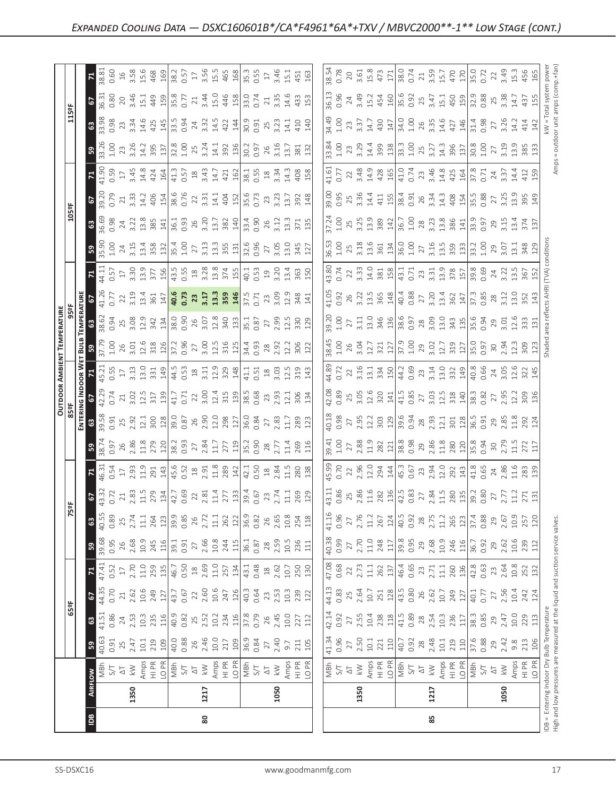|                                              |                                                                                                                                                                                                                                                                                                                     | 80                                                                                                                                                                                                                                                                                                                                                                                                                                                                                                                                                  |      |                                                                                                                                                                                                                                                                                                                                                                                                          |            |                                                                                                                                                                                                                                                                                                                                                                     |                                              |
|----------------------------------------------|---------------------------------------------------------------------------------------------------------------------------------------------------------------------------------------------------------------------------------------------------------------------------------------------------------------------|-----------------------------------------------------------------------------------------------------------------------------------------------------------------------------------------------------------------------------------------------------------------------------------------------------------------------------------------------------------------------------------------------------------------------------------------------------------------------------------------------------------------------------------------------------|------|----------------------------------------------------------------------------------------------------------------------------------------------------------------------------------------------------------------------------------------------------------------------------------------------------------------------------------------------------------------------------------------------------------|------------|---------------------------------------------------------------------------------------------------------------------------------------------------------------------------------------------------------------------------------------------------------------------------------------------------------------------------------------------------------------------|----------------------------------------------|
|                                              | 1350<br>$\frac{8}{2}$                                                                                                                                                                                                                                                                                               | 1217                                                                                                                                                                                                                                                                                                                                                                                                                                                                                                                                                | 1050 | 1350                                                                                                                                                                                                                                                                                                                                                                                                     | 1217<br>85 | 1050                                                                                                                                                                                                                                                                                                                                                                | IDB = Entering Indoc<br>High and low pressur |
|                                              | <b>BIAD</b>                                                                                                                                                                                                                                                                                                         |                                                                                                                                                                                                                                                                                                                                                                                                                                                                                                                                                     |      | $\begin{array}{ l l l l l }\hline \frac{1}{2} & \frac{1}{2} & \frac{1}{2} & \frac{1}{2} & \frac{1}{2} & \frac{1}{2} & \frac{1}{2} & \frac{1}{2} & \frac{1}{2} & \frac{1}{2} & \frac{1}{2} \\ \hline \frac{1}{2} & \frac{1}{2} & \frac{1}{2} & \frac{1}{2} & \frac{1}{2} & \frac{1}{2} & \frac{1}{2} & \frac{1}{2} & \frac{1}{2} & \frac{1}{2} & \frac{1}{2} & \frac{1}{2} & \frac{1}{2} & \frac{1}{2$    |            |                                                                                                                                                                                                                                                                                                                                                                     |                                              |
|                                              | B                                                                                                                                                                                                                                                                                                                   |                                                                                                                                                                                                                                                                                                                                                                                                                                                                                                                                                     |      | $\begin{array}{c c}\n\hline\n41.34 \\ 0.96 \\ 2.50 \\ 2.50 \\ 10.1 \\ 210 \\ 100 \\ 70.92 \\ 0.92 \\ 28\n\end{array}$                                                                                                                                                                                                                                                                                    |            | $\begin{array}{c}\n 2.48 \\  10.1 \\  2.19 \\  3.7 \\  6.88 \\  0.9 \\  0.4 \\  0.8 \\  0.3 \\  0.4 \\  0.5 \\  0.1 \\  0.6 \\  1.0 \\  0.4 \\  0.5 \\  0.7 \\  0.5 \\  0.7 \\  0.6 \\  0.7 \\  0.6 \\  0.7 \\  0.8 \\  0.7 \\  0.8 \\  0.7 \\  0.8 \\  0.7 \\  0.8 \\  0.7 \\  0.8 \\  0.7 \\  0.8 \\  0.7 \\  0.8 \\  0.7 \\  0.8 \\  0.7 \\  0.8 \\  0.7 \\  0.$ | $\triangleq$                                 |
|                                              | 3                                                                                                                                                                                                                                                                                                                   | $\begin{array}{l} 11 \\ 41 \\ 83 \\ 44 \\ 55 \\ \end{array}$ $\begin{array}{l} 2 \\ 2 \\ 2 \\ 3 \\ 4 \\ 5 \\ \end{array}$ $\begin{array}{l} 2 \\ 2 \\ 2 \\ 3 \\ 4 \\ 5 \\ \end{array}$ $\begin{array}{l} 2 \\ 2 \\ 2 \\ 3 \\ 4 \\ 5 \\ \end{array}$ $\begin{array}{l} 2 \\ 2 \\ 2 \\ 3 \\ 4 \\ 5 \\ \end{array}$ $\begin{array}{l} 2 \\ 2 \\ 2 \\ 3 \\ 4 \\ 5 \\ \end{array}$ $\begin{array}{l} 2 \\ 2 \\ 2 \\ 3 \\ $                                                                                                                               |      | $\begin{bmatrix} 1 & 1 & 1 & 1 & 1 \\ 1 & 1 & 1 & 1 & 1 \\ 1 & 1 & 1 & 1 & 1 \\ 1 & 1 & 1 & 1 & 1 \\ 1 & 1 & 1 & 1 & 1 \\ 1 & 1 & 1 & 1 & 1 \\ 1 & 1 & 1 & 1 & 1 \\ 1 & 1 & 1 & 1 & 1 \\ 1 & 1 & 1 & 1 & 1 \\ 1 & 1 & 1 & 1 & 1 \\ 1 & 1 & 1 & 1 & 1 \\ 1 & 1 & 1 & 1 & 1 \\ 1 & 1 & 1 & 1 & 1 \\ 1 & 1 & 1 & 1 & 1 \\ 1 & $                                                                             |            |                                                                                                                                                                                                                                                                                                                                                                     | ratu                                         |
| $\frac{1}{25}$                               | $\sqrt{2}$                                                                                                                                                                                                                                                                                                          | $\begin{array}{l} 43.6 \\ 45.6 \\ 36.7 \\ 47.6 \\ 58.6 \\ 69.6 \\ 71.0 \\ 72.0 \\ 73.0 \\ 74.0 \\ 75.0 \\ 76.0 \\ 77.0 \\ 78.0 \\ 79.0 \\ 79.0 \\ 79.0 \\ 79.0 \\ 79.0 \\ 79.0 \\ 79.0 \\ 79.0 \\ 79.0 \\ 79.0 \\ 79.0 \\ 79.0 \\ 79.0 \\ 79.0 \\ 79.0 \\ 79.0 \\ 79.0 \\ 79.0 \\ 79.0 \\ 79.0 \\ 79.0 \\ 79$                                                                                                                                                                                                                                       |      |                                                                                                                                                                                                                                                                                                                                                                                                          |            |                                                                                                                                                                                                                                                                                                                                                                     |                                              |
|                                              | $\mathbf{z}$                                                                                                                                                                                                                                                                                                        |                                                                                                                                                                                                                                                                                                                                                                                                                                                                                                                                                     |      | $\begin{bmatrix} 8 & 8 & 8 \\ 0 & 6 & 8 \\ 0 & 8 & 1 \end{bmatrix} \begin{bmatrix} 8 & 1 \\ 7 & 11 \\ 11 & 11 \\ 13 & 14 \\ 14 & 15 \\ 15 & 16 \\ 16 & 16 \\ 17 & 11 \\ 18 & 19 \\ 19 & 10 \\ 10 & 10 \\ 11 & 11 \\ 12 & 13 & 10 \\ 13 & 14 & 10 \\ 14 & 10 & 10 \\ 15 & 10 & 10 \\ 16 & 10 & 10 \\ 17 & 11 & 10 \\ 18 & 10 & 10$                                                                        |            |                                                                                                                                                                                                                                                                                                                                                                     |                                              |
|                                              | 39.68<br>0.95<br>$\mathbb{B}$                                                                                                                                                                                                                                                                                       | $\begin{array}{l} 2.68 \\ 2.62 \\ 2.63 \\ 2.44 \\ 2.45 \\ 2.56 \\ 2.57 \\ 2.57 \\ 2.58 \\ 2.59 \\ 2.59 \\ 2.51 \\ 2.51 \\ 2.52 \\ 2.53 \\ 2.54 \\ 2.54 \\ 2.55 \\ 2.57 \\ 2.57 \\ 2.59 \\ 2.51 \\ 2.54 \\ 2.53 \\ 2.55 \\ 2.57 \\ 2.57 \\ 2.58 \\ 2.59 \\ 2.59 \\ 2.59 \\ 2.59 \\ 2.59 \\ 2.59 \\ 2.59 \\ 2.$                                                                                                                                                                                                                                       |      | $\begin{bmatrix} 8 & 8 & 8 \\ 9 & 3 & 8 \\ 0 & 9 & 1 \end{bmatrix}$ $\begin{bmatrix} 8 & 1 & 1 \\ 7 & 1 & 1 \\ 7 & 1 & 1 \end{bmatrix}$ $\begin{bmatrix} 8 & 1 & 1 \\ 8 & 1 & 1 \\ 8 & 1 & 1 \end{bmatrix}$ $\begin{bmatrix} 8 & 1 & 1 \\ 8 & 1 & 1 \\ 8 & 1 & 1 \end{bmatrix}$ $\begin{bmatrix} 8 & 1 & 1 \\ 7 & 1 & 1 \\ 8 & 1 & 1 \end{bmatrix}$ $\begin{bmatrix} 1 & 1 & 1 \\$                       |            |                                                                                                                                                                                                                                                                                                                                                                     |                                              |
|                                              | 63                                                                                                                                                                                                                                                                                                                  | $\begin{array}{l} 43.89\\ 0.80\\ 8.81\\ 7.11\\ 7.11\\ 7.11\\ 8.12\\ 8.12\\ 1.23\\ 8.12\\ 8.12\\ 8.12\\ 8.12\\ 8.12\\ 8.12\\ 8.12\\ 8.12\\ 8.12\\ 8.12\\ 8.12\\ 8.12\\ 8.12\\ 8.12\\ 8.12\\ 8.12\\ 8.12\\ 8.12\\ 8.12\\ 8.12\\ 8.12\\ 8.12\\ 8.12\\ 8.12\\ 8.12\\ 8.12\\ 8$                                                                                                                                                                                                                                                                          |      | $\begin{array}{c c}\n1.16 \\ 0.96 \\ 2.76 \\ 1.12 \\ 2.67 \\ 2.67 \\ 2.67 \\ 2.69 \\ 2.8\n\end{array}$                                                                                                                                                                                                                                                                                                   |            |                                                                                                                                                                                                                                                                                                                                                                     |                                              |
|                                              | $\sqrt{2}$                                                                                                                                                                                                                                                                                                          | $\begin{array}{l} 37.72 \rightarrow 0.72 \rightarrow 0.72 \rightarrow 0.72 \rightarrow 0.72 \rightarrow 0.72 \rightarrow 0.72 \rightarrow 0.72 \rightarrow 0.72 \rightarrow 0.72 \rightarrow 0.72 \rightarrow 0.72 \rightarrow 0.72 \rightarrow 0.72 \rightarrow 0.72 \rightarrow 0.72 \rightarrow 0.72 \rightarrow 0.72 \rightarrow 0.72 \rightarrow 0.72 \rightarrow 0.72 \rightarrow 0.72 \rightarrow 0.72 \rightarrow 0.72 \rightarrow 0.72 \rightarrow 0.72 \rightarrow 0.72 \rightarrow 0.72 \rightarrow 0.72 \rightarrow 0.72 \rightarrow 0$ |      | $\begin{bmatrix} \frac{1}{4} & \frac{1}{4} & \frac{1}{4} & \frac{1}{4} & \frac{1}{4} & \frac{1}{4} & \frac{1}{4} & \frac{1}{4} & \frac{1}{4} & \frac{1}{4} & \frac{1}{4} & \frac{1}{4} & \frac{1}{4} & \frac{1}{4} & \frac{1}{4} & \frac{1}{4} & \frac{1}{4} & \frac{1}{4} & \frac{1}{4} & \frac{1}{4} & \frac{1}{4} & \frac{1}{4} & \frac{1}{4} & \frac{1}{4} & \frac{1}{4} & \frac{1}{4} & \frac{1}{4$ |            |                                                                                                                                                                                                                                                                                                                                                                     |                                              |
|                                              | $\mathbb{E}$                                                                                                                                                                                                                                                                                                        | $\begin{array}{l} 5.3 \\ 6.5 \\ 7.3 \\ 8.4 \end{array}$ $\begin{array}{l} 2.3 \\ 2.3 \\ 2.4 \end{array}$ $\begin{array}{l} 2.3 \\ 2.3 \\ 2.4 \end{array}$ $\begin{array}{l} 2.3 \\ 2.3 \\ 2.4 \end{array}$ $\begin{array}{l} 2.3 \\ 2.3 \\ 2.4 \end{array}$ $\begin{array}{l} 2.3 \\ 2.4 \\ 2.4 \end{array}$ $\begin{array}{l} 2.3 \\ 2.4 \\ 2.4 \end{array}$ $\begin{array}{l} 2.3 \\$                                                                                                                                                             |      |                                                                                                                                                                                                                                                                                                                                                                                                          |            |                                                                                                                                                                                                                                                                                                                                                                     |                                              |
|                                              | $\mathbb{R}$                                                                                                                                                                                                                                                                                                        |                                                                                                                                                                                                                                                                                                                                                                                                                                                                                                                                                     |      |                                                                                                                                                                                                                                                                                                                                                                                                          |            |                                                                                                                                                                                                                                                                                                                                                                     |                                              |
|                                              |                                                                                                                                                                                                                                                                                                                     |                                                                                                                                                                                                                                                                                                                                                                                                                                                                                                                                                     |      |                                                                                                                                                                                                                                                                                                                                                                                                          |            |                                                                                                                                                                                                                                                                                                                                                                     |                                              |
| OUTDOOR AMBIENT<br>85ºF<br>립의                | 42.29<br>0.74                                                                                                                                                                                                                                                                                                       | $\frac{1}{2}$ $\frac{1}{2}$ $\frac{1}{2}$ $\frac{1}{2}$ $\frac{1}{2}$ $\frac{1}{2}$ $\frac{1}{2}$ $\frac{1}{2}$ $\frac{1}{2}$ $\frac{1}{2}$ $\frac{1}{2}$ $\frac{1}{2}$ $\frac{1}{2}$ $\frac{1}{2}$ $\frac{1}{2}$ $\frac{1}{2}$ $\frac{1}{2}$ $\frac{1}{2}$ $\frac{1}{2}$ $\frac{1}{2}$ $\frac{1}{2}$ $\frac{1}{2}$                                                                                                                                                                                                                                 |      |                                                                                                                                                                                                                                                                                                                                                                                                          |            |                                                                                                                                                                                                                                                                                                                                                                     |                                              |
|                                              | $\frac{1}{2}$ $\frac{1}{2}$ $\frac{1}{2}$ $\frac{1}{2}$ $\frac{1}{2}$ $\frac{1}{2}$ $\frac{1}{2}$ $\frac{1}{2}$ $\frac{1}{2}$ $\frac{1}{2}$ $\frac{1}{2}$ $\frac{1}{2}$ $\frac{1}{2}$ $\frac{1}{2}$ $\frac{1}{2}$ $\frac{1}{2}$ $\frac{1}{2}$ $\frac{1}{2}$ $\frac{1}{2}$ $\frac{1}{2}$ $\frac{1}{2}$ $\frac{1}{2}$ |                                                                                                                                                                                                                                                                                                                                                                                                                                                                                                                                                     |      |                                                                                                                                                                                                                                                                                                                                                                                                          |            |                                                                                                                                                                                                                                                                                                                                                                     |                                              |
| <b>TEMPERATURE</b><br>959F<br><u>ដ្ឋី  ន</u> |                                                                                                                                                                                                                                                                                                                     | $\begin{bmatrix} 1 & 0 & 0 & 0 \\ 0 & 0 & 0 & 0 \\ 0 & 0 & 0 & 0 \\ 0 & 0 & 0 & 0 \\ 0 & 0 & 0 & 0 \\ 0 & 0 & 0 & 0 \\ 0 & 0 & 0 & 0 \\ 0 & 0 & 0 & 0 \\ 0 & 0 & 0 & 0 \\ 0 & 0 & 0 & 0 \\ 0 & 0 & 0 & 0 \\ 0 & 0 & 0 & 0 \\ 0 & 0 & 0 & 0 & 0 \\ 0 & 0 & 0 & 0 & 0 \\ 0 & 0 & 0 & 0 & 0 \\ 0 & 0 & 0 & 0 & 0 \\ 0 & 0 & 0 & $                                                                                                                                                                                                                      |      |                                                                                                                                                                                                                                                                                                                                                                                                          |            |                                                                                                                                                                                                                                                                                                                                                                     |                                              |
|                                              | 0.77                                                                                                                                                                                                                                                                                                                |                                                                                                                                                                                                                                                                                                                                                                                                                                                                                                                                                     |      |                                                                                                                                                                                                                                                                                                                                                                                                          |            |                                                                                                                                                                                                                                                                                                                                                                     |                                              |
|                                              | $\mathbb{E}$                                                                                                                                                                                                                                                                                                        | $\frac{41}{35}$ $\frac{15}{2}$ $\frac{15}{2}$ $\frac{15}{2}$ $\frac{15}{2}$ $\frac{15}{2}$ $\frac{15}{2}$ $\frac{15}{2}$ $\frac{15}{2}$ $\frac{15}{2}$ $\frac{15}{2}$ $\frac{15}{2}$ $\frac{15}{2}$ $\frac{15}{2}$ $\frac{15}{2}$ $\frac{15}{2}$ $\frac{15}{2}$ $\frac{15}{2}$ $\frac{15}{2}$ $\frac{15}{2}$                                                                                                                                                                                                                                        |      |                                                                                                                                                                                                                                                                                                                                                                                                          |            |                                                                                                                                                                                                                                                                                                                                                                     |                                              |
|                                              | 1.00                                                                                                                                                                                                                                                                                                                | $\frac{1}{2}$                                                                                                                                                                                                                                                                                                                                                                                                                                                                                                                                       |      |                                                                                                                                                                                                                                                                                                                                                                                                          |            |                                                                                                                                                                                                                                                                                                                                                                     |                                              |
|                                              |                                                                                                                                                                                                                                                                                                                     | $\frac{38}{23}$ $\frac{37}{23}$ $\frac{38}{23}$ $\frac{38}{23}$ $\frac{1}{24}$ $\frac{1}{23}$ $\frac{35}{23}$ $\frac{36}{23}$ $\frac{37}{23}$ $\frac{37}{23}$ $\frac{37}{23}$ $\frac{37}{23}$ $\frac{37}{23}$ $\frac{37}{23}$ $\frac{37}{23}$ $\frac{37}{23}$ $\frac{37}{23}$ $\frac{37}{23}$ $\frac{37}{$                                                                                                                                                                                                                                          |      |                                                                                                                                                                                                                                                                                                                                                                                                          |            |                                                                                                                                                                                                                                                                                                                                                                     |                                              |
| $\frac{1059F}{F}$                            | 0.79<br>5                                                                                                                                                                                                                                                                                                           | $\frac{1}{2}$ $\frac{1}{2}$ $\frac{1}{2}$ $\frac{1}{2}$ $\frac{1}{2}$ $\frac{1}{2}$ $\frac{1}{2}$ $\frac{1}{2}$ $\frac{1}{2}$ $\frac{1}{2}$ $\frac{1}{2}$ $\frac{1}{2}$ $\frac{1}{2}$ $\frac{1}{2}$ $\frac{1}{2}$ $\frac{1}{2}$ $\frac{1}{2}$ $\frac{1}{2}$ $\frac{1}{2}$ $\frac{1}{2}$ $\frac{1}{2}$ $\frac{1}{2}$                                                                                                                                                                                                                                 |      |                                                                                                                                                                                                                                                                                                                                                                                                          |            |                                                                                                                                                                                                                                                                                                                                                                     |                                              |
|                                              | $\mathbf{z}$                                                                                                                                                                                                                                                                                                        |                                                                                                                                                                                                                                                                                                                                                                                                                                                                                                                                                     |      | $\begin{bmatrix} 1 & 1 & 1 & 1 & 1 \\ 1 & 1 & 1 & 1 & 1 \\ 1 & 1 & 1 & 1 & 1 \\ 1 & 1 & 1 & 1 & 1 \\ 1 & 1 & 1 & 1 & 1 \\ 1 & 1 & 1 & 1 & 1 \\ 1 & 1 & 1 & 1 & 1 \\ 1 & 1 & 1 & 1 & 1 \\ 1 & 1 & 1 & 1 & 1 \\ 1 & 1 & 1 & 1 & 1 \\ 1 & 1 & 1 & 1 & 1 \\ 1 & 1 & 1 & 1 & 1 \\ 1 & 1 & 1 & 1 & 1 \\ 1 & 1 & 1 & 1 & 1 \\ 1 & $                                                                             |            |                                                                                                                                                                                                                                                                                                                                                                     |                                              |
|                                              | $\mathbb{B}$                                                                                                                                                                                                                                                                                                        |                                                                                                                                                                                                                                                                                                                                                                                                                                                                                                                                                     |      | $\begin{array}{l} 13.83 \\ 13.9 \end{array}$ $\begin{array}{l} 52.9 \\ 13.9 \end{array}$ $\begin{array}{l} 54.9 \\ 13.9 \end{array}$ $\begin{array}{l} 54.9 \\ 13.9 \end{array}$ $\begin{array}{l} 54.9 \\ 13.9 \end{array}$ $\begin{array}{l} 54.9 \\ 13.9 \end{array}$ $\begin{array}{l} 54.9 \\ 13.9 \end{array}$ $\begin{array}{l} 54.9 \\ 13.9 \end{array}$ $\begin{array}{l} 54.$                  |            |                                                                                                                                                                                                                                                                                                                                                                     |                                              |
|                                              | $\frac{3}{6}$                                                                                                                                                                                                                                                                                                       |                                                                                                                                                                                                                                                                                                                                                                                                                                                                                                                                                     |      |                                                                                                                                                                                                                                                                                                                                                                                                          |            |                                                                                                                                                                                                                                                                                                                                                                     |                                              |
| $\frac{125eF}{2}$                            | 3 <sup>2</sup>                                                                                                                                                                                                                                                                                                      | 36.80 0 46 11 9 9 9 9 0 1 2 3 4 5 6 9 9 0 1 2 3 4 5 6 7 8 9 9 9 1 3 4 5 6 7 9 9 9 9 9 1 4 5 6 7 9 9 9 9 9 1 7                                                                                                                                                                                                                                                                                                                                                                                                                                       |      |                                                                                                                                                                                                                                                                                                                                                                                                          |            |                                                                                                                                                                                                                                                                                                                                                                     |                                              |
|                                              |                                                                                                                                                                                                                                                                                                                     |                                                                                                                                                                                                                                                                                                                                                                                                                                                                                                                                                     |      |                                                                                                                                                                                                                                                                                                                                                                                                          |            | $\begin{array}{l} \n 183.88 \quad 0.72 \\ \n 39.89 \quad 0.73 \quad 0.73 \quad 0.74 \quad 0.75 \quad 0.77 \\ \n 30.81 \quad 0.74 \quad 0.75 \quad 0.77 \quad 0.77 \quad 0.77 \quad 0.77 \quad 0.77 \quad 0.77 \quad 0.77 \quad 0.77 \quad 0.77 \quad 0.77 \quad 0.77 \quad 0.77 \quad 0.77 \quad 0.77 \quad 0.77 \quad 0.77 \quad 0.77 \quad 0.77 \quad 0$          | $22$ $3,49$<br>$15.3$<br>$456$               |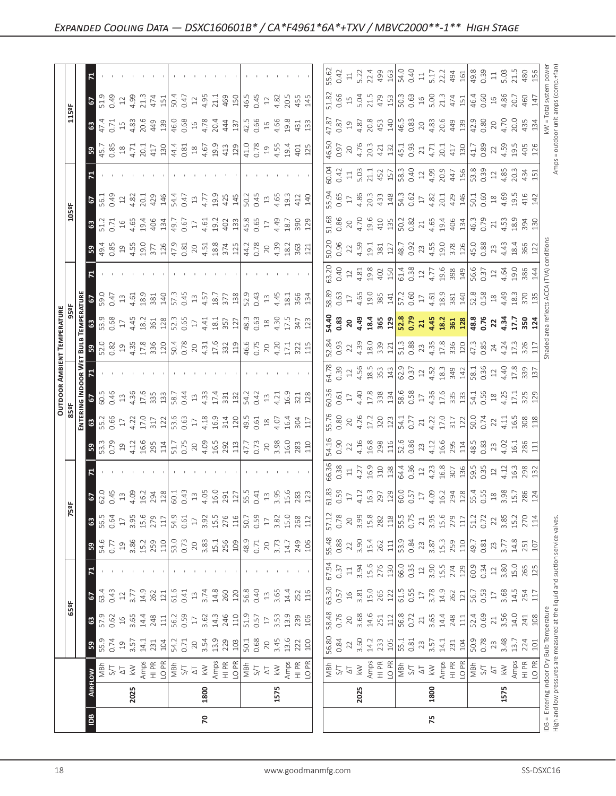|           | $\Xi$               |                    | $\mathbf{r}$                                                                                                                                                                                                                                                                                                                                                                                                                                                                                                 |                                                           |                                                                                                                                                                                                                                                                                                                                                                                                                                          | 75                                                                                                                                                                                                                                                                                                                                                                                                                                                                                              |                                                                                                                                                                                                                                        |
|-----------|---------------------|--------------------|--------------------------------------------------------------------------------------------------------------------------------------------------------------------------------------------------------------------------------------------------------------------------------------------------------------------------------------------------------------------------------------------------------------------------------------------------------------------------------------------------------------|-----------------------------------------------------------|------------------------------------------------------------------------------------------------------------------------------------------------------------------------------------------------------------------------------------------------------------------------------------------------------------------------------------------------------------------------------------------------------------------------------------------|-------------------------------------------------------------------------------------------------------------------------------------------------------------------------------------------------------------------------------------------------------------------------------------------------------------------------------------------------------------------------------------------------------------------------------------------------------------------------------------------------|----------------------------------------------------------------------------------------------------------------------------------------------------------------------------------------------------------------------------------------|
|           | FLOW                | 2025               | 1800                                                                                                                                                                                                                                                                                                                                                                                                                                                                                                         | 1575                                                      | 2025                                                                                                                                                                                                                                                                                                                                                                                                                                     | 1800                                                                                                                                                                                                                                                                                                                                                                                                                                                                                            | 1575                                                                                                                                                                                                                                   |
|           |                     |                    |                                                                                                                                                                                                                                                                                                                                                                                                                                                                                                              |                                                           | $\begin{array}{ l l }\hline\hline\mathbf{g} & \mathbf{g} & \mathbf{g} \\ \hline\mathbf{g} & \mathbf{g} & \mathbf{g} \\ \hline\mathbf{g} & \mathbf{g} & \mathbf{g} \\ \hline\mathbf{g} & \mathbf{g} & \mathbf{g} \\ \hline\mathbf{g} & \mathbf{g} & \mathbf{g} \\ \hline\mathbf{g} & \mathbf{g} & \mathbf{g} \\ \hline\mathbf{g} & \mathbf{g} & \mathbf{g} \\ \hline\mathbf{g} & \mathbf{g} & \mathbf{g} \\ \hline\mathbf{g} & \mathbf{g$ | $\begin{array}{rcl}\n\ddots & \text{if } & \text{if } & \text{if } & \text{if } & \text{if } & \text{if } & \text{if } & \text{if } & \text{if } & \text{if } & \text{if } & \text{if } & \text{if } & \text{if } & \text{if } & \text{if } & \text{if } & \text{if } & \text{if } & \text{if } & \text{if } & \text{if } & \text{if } & \text{if } & \text{if } & \text{if } & \text{if } & \text{if } & \text{if } & \text{if } & \text{if } & \text{if } & \text{if } & \text{if } & \text{$ | $\begin{array}{c}\n\begin{array}{c}\n\overline{1} & \text{if } \overline{1} \\ \overline{1} & \text{if } \overline{1} \\ \overline{1} & \text{if } \overline{1} \\ \overline{1} & \text{if } \overline{1} \\ \end{array}\n\end{array}$ |
|           | ြို့                |                    | $35.35 \times 10.75 \times 10.75 \times 10.75 \times 10.75 \times 10.75 \times 10.75 \times 10.75 \times 10.75 \times 10.75 \times 10.75 \times 10.75 \times 10.75 \times 10.75 \times 10.75 \times 10.75 \times 10.75 \times 10.75 \times 10.75 \times 10.75 \times 10.75 \times 10.75 \times 10.75 \times 10.75 \times 10.75 \times 10.75 \times 10.75 \times 10.7$                                                                                                                                        |                                                           | $\begin{array}{ l } \hline 56.81 \\ 0.84 \\ 2.2 \\ 3.60 \\ 14.3 \\ 2.9 \\ \hline \end{array}$                                                                                                                                                                                                                                                                                                                                            | $14.82$<br>$0.81$<br>$0.81$<br>$0.31$                                                                                                                                                                                                                                                                                                                                                                                                                                                           |                                                                                                                                                                                                                                        |
| <b>GS</b> | 5<br>3 <sup>o</sup> |                    |                                                                                                                                                                                                                                                                                                                                                                                                                                                                                                              |                                                           | $\begin{array}{c} 63.30 \\ 0.57 \\ 16 \\ 3.81 \\ 15.0 \\ 265 \\ 12 \end{array}$<br>58.48<br>0.76<br>20<br>3.68<br>14.51<br>251                                                                                                                                                                                                                                                                                                           |                                                                                                                                                                                                                                                                                                                                                                                                                                                                                                 |                                                                                                                                                                                                                                        |
|           | $\mathbf{z}$        |                    |                                                                                                                                                                                                                                                                                                                                                                                                                                                                                                              |                                                           | $\begin{array}{c cc}\n\hline\n67.94 \\ 0.37 \\ 1.3 \\ 1.94 \\ 1.5.6 \\ 276 \\ \hline\n\end{array}$                                                                                                                                                                                                                                                                                                                                       |                                                                                                                                                                                                                                                                                                                                                                                                                                                                                                 |                                                                                                                                                                                                                                        |
|           | ြို့                |                    | $\begin{array}{l} \left[ \begin{array}{l} 4.6 \\ 4.7 \end{array} \right] \end{array} \begin{array}{l} \begin{array}{l} 2 \\ 3 \end{array} \end{array} \begin{array}{l} \begin{array}{l} 2 \\ 2 \end{array} \end{array} \begin{array}{l} \begin{array}{l} 2 \\ 2 \end{array} \end{array} \begin{array}{l} \begin{array}{l} 2 \\ 2 \end{array} \end{array} \begin{array}{l} \begin{array}{l} 2 \\ 2 \end{array} \end{array} \begin{array}{l} \begin{array}{l} 2 \\ 2 \end{array} \end{array} \begin{array}{l}$ | 249<br>106                                                | $\begin{array}{ l } \hline 55.48 \\ 0.88 \\ 2.2 \\ 3.90 \\ 15.4 \\ 262 \\ \hline \end{array}$                                                                                                                                                                                                                                                                                                                                            | 3.87<br>15.3<br>259<br>$\frac{3}{3}$ .<br>0.82<br>23                                                                                                                                                                                                                                                                                                                                                                                                                                            | $4.8$<br>$25$<br>$10$<br>$\frac{1}{4}$ = $\frac{1}{4}$ $\frac{1}{4}$ $\frac{1}{4}$ $\frac{1}{4}$ $\frac{1}{4}$<br>$0.\overline{8}$<br>$2.\overline{3}$<br>$3.\overline{7}$                                                             |
|           | 3                   | 56.5<br>0.64<br>17 | $\begin{array}{c} 3.956 \\ 3.170 \\ 2.710 \\ 3.61 \\ 4.91 \\ 5.61 \\ 6.61 \\ 7.71 \\ 7.71 \\ 7.71 \\ 7.71 \\ 7.71 \\ 7.71 \\ 7.71 \\ 7.71 \\ 7.71 \\ 7.71 \\ 7.71 \\ 7.71 \\ 7.71 \\ 7.71 \\ 7.72 \\ 7.73 \\ 7.73 \\ 7.74 \\ 7.75 \\ 7.75 \\ 7.75 \\ 7.75 \\ 7.75 \\ 7.75 \\ 7.75 \\ 7.75 \\ 7.75 \\ 7.75 \\$                                                                                                                                                                                                | $\begin{array}{c} 3.82 \\ 15.0 \\ 268 \\ 112 \end{array}$ | 20<br>3.99<br>15.8<br>282<br>118<br>57.12<br>0.78                                                                                                                                                                                                                                                                                                                                                                                        | $\begin{array}{c} 3.95 \\ 15.6 \\ 279 \\ 111 \\ 51.2 \\ 0.72 \end{array}$<br>55.5<br>0.75<br>21                                                                                                                                                                                                                                                                                                                                                                                                 |                                                                                                                                                                                                                                        |
|           | 5                   |                    |                                                                                                                                                                                                                                                                                                                                                                                                                                                                                                              |                                                           |                                                                                                                                                                                                                                                                                                                                                                                                                                          |                                                                                                                                                                                                                                                                                                                                                                                                                                                                                                 |                                                                                                                                                                                                                                        |
|           |                     |                    |                                                                                                                                                                                                                                                                                                                                                                                                                                                                                                              |                                                           | $\begin{bmatrix} 66.88 & 7 & 7 & 3 \\ 60.38 & 7 & 4.2 & 3 \\ 4.2 & 16.3 & 7 & 3 \\ 16.3 & 7 & 3 & 4 \\ 6.4 & 7 & 6 & 5 \\ 6.5 & 7 & 7 & 3 & 5 \\ 7 & 8 & 1 & 3 & 5 \\ 8 & 1 & 1 & 3 & 5 \\ 10 & 10 & 10 & 15 \\ 11 & 10 & 10 & 15 \\ 12 & 11 & 11 & 15 \\ 13 & 12 & 13 & 15 \\ 14 & 13 & 14 & 15 \\ 15 & 15$                                                                                                                             |                                                                                                                                                                                                                                                                                                                                                                                                                                                                                                 |                                                                                                                                                                                                                                        |
|           | ြို့                |                    | $\begin{array}{l} 33.65 & 0.73 \\ 35.65 & 0.73 \\ 35.67 & 0.73 \\ 35.67 & 0.73 \\ 35.67 & 35.67 \\ 35.67 & 35.67 \\ 35.67 & 35.67 \\ 35.67 & 35.67 \\ 35.67 & 35.67 \\ 35.67 & 35.67 \\ 35.67 & 35.67 \\ 35.67 & 35.67 \\ 35.67 & 35.67 \\ 35.67 & 35.67 \\ 35.67 & 35.67 \\ 35.67 &$                                                                                                                                                                                                                        |                                                           |                                                                                                                                                                                                                                                                                                                                                                                                                                          |                                                                                                                                                                                                                                                                                                                                                                                                                                                                                                 |                                                                                                                                                                                                                                        |
|           | ឨ៓៓៲៓               |                    |                                                                                                                                                                                                                                                                                                                                                                                                                                                                                                              |                                                           |                                                                                                                                                                                                                                                                                                                                                                                                                                          |                                                                                                                                                                                                                                                                                                                                                                                                                                                                                                 |                                                                                                                                                                                                                                        |
|           | $\frac{1}{2}$       |                    |                                                                                                                                                                                                                                                                                                                                                                                                                                                                                                              |                                                           |                                                                                                                                                                                                                                                                                                                                                                                                                                          |                                                                                                                                                                                                                                                                                                                                                                                                                                                                                                 |                                                                                                                                                                                                                                        |
|           | 17                  |                    |                                                                                                                                                                                                                                                                                                                                                                                                                                                                                                              |                                                           |                                                                                                                                                                                                                                                                                                                                                                                                                                          |                                                                                                                                                                                                                                                                                                                                                                                                                                                                                                 |                                                                                                                                                                                                                                        |
|           | <u> ដ្ឋី  ន</u>     |                    | $\begin{array}{l} 5.89\\ 0.82\\ 0.94\\ 3.53\\ 0.86\\ 0.87\\ 0.86\\ 0.87\\ 0.87\\ 0.87\\ 0.87\\ 0.87\\ 0.87\\ 0.87\\ 0.87\\ 0.87\\ 0.87\\ 0.87\\ 0.87\\ 0.87\\ 0.87\\ 0.87\\ 0.87\\ 0.87\\ 0.87\\ 0.87\\ 0.87\\ 0.87\\ 0.87\\ 0.87\\ 0.87\\ 0.87\\ 0.87\\ 0.87\\ 0.87\\ 0.$                                                                                                                                                                                                                                   |                                                           |                                                                                                                                                                                                                                                                                                                                                                                                                                          |                                                                                                                                                                                                                                                                                                                                                                                                                                                                                                 |                                                                                                                                                                                                                                        |
|           | ∃ ឌ                 |                    | $3.88$ $2.44$ $3.84$ $3.81$ $3.81$ $3.81$ $3.81$ $3.81$ $3.81$ $3.81$ $3.81$ $3.81$ $3.81$ $3.81$ $3.81$ $3.81$ $3.81$ $3.81$ $3.81$ $3.81$ $3.81$ $3.81$ $3.81$ $3.81$ $3.81$ $3.81$ $3.81$ $3.81$ $3.81$ $3.81$ $3.81$ $3.8$                                                                                                                                                                                                                                                                               |                                                           |                                                                                                                                                                                                                                                                                                                                                                                                                                          |                                                                                                                                                                                                                                                                                                                                                                                                                                                                                                 |                                                                                                                                                                                                                                        |
| ျွီး      | $\frac{3}{6}$       |                    | $\begin{array}{l} 59.5 \\ 0.4 \\ 4.5 \\ 3.8 \\ 5.9 \\ \end{array} \begin{array}{l} 24 \\ 24 \\ 25 \\ 26 \\ 27 \\ 28 \\ 29 \\ 20 \\ 20 \\ 24 \\ 26 \\ 27 \\ 28 \\ 29 \\ 20 \\ 24 \\ 26 \\ 27 \\ 28 \\ 29 \\ 20 \\ 24 \\ 24 \\ 25 \\ 26 \\ 27 \\ 28 \\ 29 \\ 29 \\ 20 \\ 24 \\ 25 \\ 27 \\ 28 \\ 29 \\ 29 \\ 20 \\ 24 \\ 25 \\ 26 \\ 27 \\ 28 \\ 29 \\ 29$                                                                                                                                                     |                                                           |                                                                                                                                                                                                                                                                                                                                                                                                                                          |                                                                                                                                                                                                                                                                                                                                                                                                                                                                                                 |                                                                                                                                                                                                                                        |
|           |                     |                    |                                                                                                                                                                                                                                                                                                                                                                                                                                                                                                              |                                                           |                                                                                                                                                                                                                                                                                                                                                                                                                                          |                                                                                                                                                                                                                                                                                                                                                                                                                                                                                                 |                                                                                                                                                                                                                                        |
|           |                     |                    | $4589$ $459$ $578$ $579$ $579$ $579$ $579$ $579$ $579$ $579$ $579$ $579$ $579$ $579$ $579$ $579$ $579$ $579$ $579$ $579$ $579$ $579$ $579$ $579$ $579$ $579$ $579$ $579$ $579$ $579$ $579$ $579$ $579$ $579$ $579$ $579$ $579$                                                                                                                                                                                                                                                                               |                                                           |                                                                                                                                                                                                                                                                                                                                                                                                                                          |                                                                                                                                                                                                                                                                                                                                                                                                                                                                                                 |                                                                                                                                                                                                                                        |
|           | 63                  |                    | $\begin{array}{l} 23.75 & \text{A} & \text{A} & \text{B} & \text{C} \\ 25.75 & \text{A} & \text{A} & \text{B} & \text{A} \\ 25.75 & \text{A} & \text{A} & \text{B} & \text{A} \\ 25.75 & \text{A} & \text{A} & \text{B} & \text{B} \end{array}$                                                                                                                                                                                                                                                              |                                                           |                                                                                                                                                                                                                                                                                                                                                                                                                                          |                                                                                                                                                                                                                                                                                                                                                                                                                                                                                                 |                                                                                                                                                                                                                                        |
|           | $\overline{6}$      |                    |                                                                                                                                                                                                                                                                                                                                                                                                                                                                                                              |                                                           |                                                                                                                                                                                                                                                                                                                                                                                                                                          |                                                                                                                                                                                                                                                                                                                                                                                                                                                                                                 |                                                                                                                                                                                                                                        |
|           |                     |                    |                                                                                                                                                                                                                                                                                                                                                                                                                                                                                                              |                                                           |                                                                                                                                                                                                                                                                                                                                                                                                                                          |                                                                                                                                                                                                                                                                                                                                                                                                                                                                                                 |                                                                                                                                                                                                                                        |
|           | ြို့                |                    | 45 8 8 7 5 1 5 9 1 4 8 8 9 4 5 9 1 9 1 9 2 8 9 5 7 9 4 5 9 1 9 4 5 9 7 9 9 4 5 9 9 9 9 9 9 9 9 9 9 9 1 9 9 1 9                                                                                                                                                                                                                                                                                                                                                                                               |                                                           |                                                                                                                                                                                                                                                                                                                                                                                                                                          |                                                                                                                                                                                                                                                                                                                                                                                                                                                                                                 |                                                                                                                                                                                                                                        |
|           | ි                   |                    | $4.515$ $\frac{1}{2}$ $\frac{1}{2}$ $\frac{1}{2}$ $\frac{1}{2}$ $\frac{1}{2}$ $\frac{1}{2}$ $\frac{1}{2}$ $\frac{1}{2}$ $\frac{1}{2}$ $\frac{1}{2}$ $\frac{1}{2}$ $\frac{1}{2}$ $\frac{1}{2}$ $\frac{1}{2}$ $\frac{1}{2}$ $\frac{1}{2}$ $\frac{1}{2}$ $\frac{1}{2}$ $\frac{1}{2}$ $\frac{1}{2}$ $\frac{1}{2}$ $\frac$                                                                                                                                                                                        |                                                           |                                                                                                                                                                                                                                                                                                                                                                                                                                          |                                                                                                                                                                                                                                                                                                                                                                                                                                                                                                 |                                                                                                                                                                                                                                        |
|           | $\sqrt{2}$          |                    | $\begin{bmatrix} 0 & 0 & 0 & 0 & 0 \\ 0 & 0 & 0 & 0 & 0 \\ 0 & 0 & 0 & 0 & 0 \\ 0 & 0 & 0 & 0 & 0 \\ 0 & 0 & 0 & 0 & 0 \\ 0 & 0 & 0 & 0 & 0 \\ 0 & 0 & 0 & 0 & 0 \\ 0 & 0 & 0 & 0 & 0 \\ 0 & 0 & 0 & 0 & 0 \\ 0 & 0 & 0 & 0 & 0 \\ 0 & 0 & 0 & 0 & 0 \\ 0 & 0 & 0 & 0 & 0 \\ 0 & 0 & 0 & 0 & 0 \\ 0 & 0 & 0 & 0 & 0 \\ 0 & $                                                                                                                                                                                 |                                                           |                                                                                                                                                                                                                                                                                                                                                                                                                                          |                                                                                                                                                                                                                                                                                                                                                                                                                                                                                                 |                                                                                                                                                                                                                                        |
|           |                     |                    |                                                                                                                                                                                                                                                                                                                                                                                                                                                                                                              |                                                           |                                                                                                                                                                                                                                                                                                                                                                                                                                          |                                                                                                                                                                                                                                                                                                                                                                                                                                                                                                 |                                                                                                                                                                                                                                        |
|           |                     |                    |                                                                                                                                                                                                                                                                                                                                                                                                                                                                                                              |                                                           |                                                                                                                                                                                                                                                                                                                                                                                                                                          |                                                                                                                                                                                                                                                                                                                                                                                                                                                                                                 |                                                                                                                                                                                                                                        |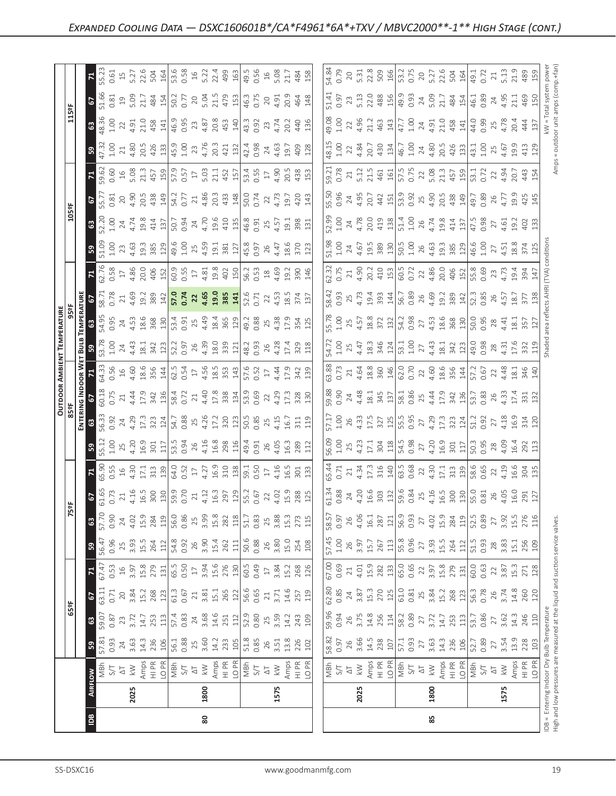| $\frac{8}{2}$                                            | 80                                                                                                                                                                                                                                                                                                                                                                                                            |      |      | 85                                                                                                                                                                                                                                                                                                                                                                                                    |      |
|----------------------------------------------------------|---------------------------------------------------------------------------------------------------------------------------------------------------------------------------------------------------------------------------------------------------------------------------------------------------------------------------------------------------------------------------------------------------------------|------|------|-------------------------------------------------------------------------------------------------------------------------------------------------------------------------------------------------------------------------------------------------------------------------------------------------------------------------------------------------------------------------------------------------------|------|
| 2025                                                     | 1800                                                                                                                                                                                                                                                                                                                                                                                                          | 1575 | 2025 | 1800                                                                                                                                                                                                                                                                                                                                                                                                  | 1575 |
| FLOW<br>  MBh                                            | $\begin{array}{l} 5\overline{)71} \\ 5\overline{)41} \\ 6\overline{)41} \\ 7\overline{)51} \\ 8\overline{)41} \\ 1\overline{)51} \\ 1\overline{)51} \\ 1\overline{)51} \\ 1\overline{)51} \\ 1\overline{)51} \\ 1\overline{)51} \\ 1\overline{)51} \\ 1\overline{)51} \\ 1\overline{)51} \\ 1\overline{)51} \\ 1\overline{)51} \\ 1\overline{)51} \\ 1\overline{)51} \\ 1\overline{)51} \\ 1\over$            |      |      | $\begin{array}{ l l l l }\hline \frac{1}{2} & \frac{1}{2} & \frac{1}{2} & \frac{1}{2} & \frac{1}{2} & \frac{1}{2} & \frac{1}{2} & \frac{1}{2} & \frac{1}{2} & \frac{1}{2} & \frac{1}{2} & \frac{1}{2} & \frac{1}{2} & \frac{1}{2} & \frac{1}{2} & \frac{1}{2} & \frac{1}{2} & \frac{1}{2} & \frac{1}{2} & \frac{1}{2} & \frac{1}{2} & \frac{1}{2} & \frac{1}{2} & \frac{1}{2} & \frac{1}{2} & \frac{$ |      |
| 3                                                        |                                                                                                                                                                                                                                                                                                                                                                                                               |      |      | $\begin{array}{l} \  \  \, 88\, \, 22\, \\ \  \  0.93\, \\ \  \  2\, \\ \  \  0.94\, \\ \  \  0.95\, \\ \  \  0.96\, \\ \  \  0.97\, \\ \  \  0.97\, \\ \  \  0.97\, \\ \  \  0.97\, \\ \  \  0.97\, \\ \  \  0.97\, \\ \  \  0.97\, \\ \  \  0.97\, \\ \  \  0.97\, \\ \  \  0.97\, \\ \  \  0.97\, \\ \  \  $                                                                                       |      |
| $\frac{1}{25}$<br>$\mathbf{G}$                           | $\begin{array}{l} 55.87\\ 3.87\\ 3.77\\ 7.77\\ 7.77\\ 7.79\\ 7.71\\ 7.73\\ 7.73\\ 7.73\\ 7.73\\ 7.73\\ 7.73\\ 7.73\\ 7.73\\ 7.73\\ 7.73\\ 7.73\\ 7.73\\ 7.73\\ 7.73\\ 7.73\\ 7.73\\ 7.73\\ 7.73\\ 7.73\\ 7.73\\ 7.73\\ 7.73\\ 7.73\\ 7.73\\ 7.73\\ 7.73\\ 7.73\\ 7.73\\ 7$                                                                                                                                    |      |      | $\begin{bmatrix} 69.36 & 0.000 & 0.000 & 0.000 & 0.000 & 0.000 & 0.000 & 0.000 & 0.000 & 0.000 & 0.000 & 0.000 & 0.000 & 0.000 & 0.000 & 0.000 & 0.000 & 0.000 & 0.000 & 0.000 & 0.000 & 0.000 & 0.000 & 0.000 & 0.000 & 0.000 & 0.000 & 0.000 & 0.000 & 0.000 & 0.0$                                                                                                                                 |      |
| 3 <sup>2</sup>                                           | $\begin{array}{l} 63.71 \\ 63.72 \\ 65.73 \\ 75.74 \\ 75.75 \\ 75.75 \\ 75.76 \\ 75.77 \\ 75.77 \\ 75.77 \\ 75.77 \\ 75.77 \\ 75.77 \\ 75.77 \\ 75.77 \\ 75.77 \\ 75.77 \\ 75.77 \\ 75.77 \\ 75.77 \\ 75.77 \\ 75.77 \\ 75.77 \\ 75.77 \\ 75.77 \\ 75.77 \\ 75.77 \\ 75.77 \\ 75.77 \\ 75.77 \\ 75$                                                                                                           |      |      | $\begin{bmatrix} 8 & 8 & 3 & 4 & 8 & 7 & 7 & 8 & 8 & 7 & 8 & 7 & 8 & 7 & 8 & 7 & 8 & 7 & 8 & 7 & 8 & 7 & 8 & 7 & 8 & 7 & 8 & 7 & 8 & 7 & 8 & 7 & 8 & 7 & 8 & 7 & 8 & 7 & 8 & 7 & 8 & 7 & 8 & 7 & 8 & 7 & 8 & 7 & 8 & 7 & 8 & 7 & 8 & 7 & 8 & 8 & 7 & 8 & 7 & 8 & 8 & 7 & 8 & 7 & 8 & 8 & 7 & 8 & 8 & 7 & 8 & $                                                                                        |      |
| $\mathbf{z}$                                             | $\begin{array}{l} 6.33\\ 6.92\\ 6.93\\ 7.34\\ 8.95\\ 8.96\\ 8.97\\ 12.83\\ 13.83\\ 14.83\\ 15.83\\ 16.83\\ 17.83\\ 18.83\\ 19.83\\ 19.84\\ 19.83\\ 19.84\\ 19.84\\ 19.84\\ 19.84\\ 19.84\\ 19.84\\ 19.84\\ 19.84\\ 19.84\\ 19.84\\ 19.84\\ 19.84\\ 19.84\\ 19.84\\ 19$                                                                                                                                        |      |      | $\begin{bmatrix} 6 & 6 & 6 & 6 \\ 6 & 6 & 6 & 6 \\ 6 & 6 & 6 & 6 \\ 6 & 6 & 6 & 6 \\ 6 & 6 & 6 & 6 \\ 6 & 6 & 6 & 6 \\ 6 & 6 & 6 & 6 \\ 6 & 6 & 6 & 6 & 6 \\ 6 & 6 & 6 & 6 & 6 \\ 7 & 8 & 6 & 6 & 6 \\ 8 & 9 & 10 & 10 & 10 \\ 10 & 10 & 10 & 10 & 10 \\ 11 & 11 & 12 & 13 & 11 \\ 12 & 13 & 14 & 15 & 12 \\ 13 & 15$                                                                                 |      |
| B                                                        | $\begin{array}{l} 6.96 \, \mathrm{C} \\ 0.9 \, \mathrm{C} \\ 0.9 \, \mathrm{C} \\ 0.9 \, \mathrm{C} \\ 0.9 \, \mathrm{C} \\ 0.9 \, \mathrm{C} \\ 0.9 \, \mathrm{C} \\ 0.9 \, \mathrm{C} \\ 0.9 \, \mathrm{C} \\ 0.9 \, \mathrm{C} \\ 0.9 \, \mathrm{C} \\ 0.9 \, \mathrm{C} \\ 0.9 \, \mathrm{C} \\ 0.9 \, \mathrm{C} \\ 0.9 \, \mathrm{C} \\ 0.9 \, \mathrm{C} \\ 0.9 \, \mathrm{C} \\ 0.9 \, \mathrm$       |      |      |                                                                                                                                                                                                                                                                                                                                                                                                       |      |
| 63                                                       | $\begin{array}{l} 57.96 \\ 0.97 \\ 4.02 \\ 0.03 \\ 0.04 \\ 0.05 \\ 0.07 \\ 0.08 \\ 0.09 \\ 0.09 \\ 0.09 \\ 0.09 \\ 0.09 \\ 0.09 \\ 0.09 \\ 0.09 \\ 0.01 \\ 0.03 \\ 0.03 \\ 0.03 \\ 0.01 \\ 0.03 \\ 0.03 \\ 0.03 \\ 0.01 \\ 0.03 \\ 0.03 \\ 0.03 \\ 0.01 \\ 0.03 \\ 0.03 \\ 0.03 \\ 0.03 \\ 0.03 \\ 0.03 \\ 0$                                                                                                 |      |      |                                                                                                                                                                                                                                                                                                                                                                                                       |      |
| 5 <sup>2</sup>                                           | $\begin{array}{l} 65.73 \\ 0.72 \end{array} \begin{array}{l} 74.76 \\ 44.76 \end{array} \begin{array}{l} 80 \\ 100 \\ 100 \end{array} \begin{array}{l} 100 \\ 100 \\ 100 \end{array} \begin{array}{l} 100 \\ 100 \\ 100 \end{array} \begin{array}{l} 100 \\ 100 \\ 100 \end{array} \begin{array}{l} 100 \\ 100 \\ 100 \end{array} \begin{array}{l} 100 \\ 100 \\ 100 \end{array} \begin{array}{l} 100 \\ 100$ |      |      |                                                                                                                                                                                                                                                                                                                                                                                                       |      |
| $\mathbb{R}$                                             | 0.5<br>1 4 3 5 7 1 3 3 9 9 9 0 1 2 3 9 9 9 9 9 0 1 4 3 9 9 1 9 9 9 0 1 4 4 5 9 9 1 9 9 1 4 5 9 7 1                                                                                                                                                                                                                                                                                                            |      |      |                                                                                                                                                                                                                                                                                                                                                                                                       |      |
| $5^{\circ}$                                              |                                                                                                                                                                                                                                                                                                                                                                                                               |      |      |                                                                                                                                                                                                                                                                                                                                                                                                       |      |
|                                                          | $36.33 \times 34.21 \times 35.33 \times 35.33 \times 35.33 \times 35.33 \times 35.33 \times 35.33 \times 35.33 \times 35.33 \times 35.33 \times 35.33 \times 35.33 \times 35.33 \times 35.33 \times 35.33 \times 35.33 \times 35.33 \times 35.33 \times 35.33 \times 35.33 \times 35.33 \times 35.33 \times 35.33 \times 35.33 \times 35.33 \times 35.33 \times 35.3$                                         |      |      |                                                                                                                                                                                                                                                                                                                                                                                                       |      |
| OUTDOOR /<br>85ºF<br>60.18<br>$\frac{25}{15}$            | $\begin{array}{l} 0.25 & 0.75 & 0.75 & 0.75 & 0.75 & 0.75 & 0.75 & 0.75 & 0.75 & 0.75 & 0.75 & 0.75 & 0.75 & 0.75 & 0.75 & 0.75 & 0.75 & 0.75 & 0.75 & 0.75 & 0.75 & 0.75 & 0.75 & 0.75 & 0.75 & 0.75 & 0.75 & 0.75 & 0.75 & 0.75 & 0.75 & 0.75 & 0.75 & 0.75 & 0.75 & 0.$                                                                                                                                    |      |      | $\begin{bmatrix} 88 & 8\\ 98 & 8\\ 0 & 9\\ 0 & 9\\ 0 & 9\\ 0 & 4 & 3\\ 0 & 1 & 3\\ 0 & 1 & 1\\ 0 & 1 & 1\\ 0 & 1 & 1\\ 0 & 1 & 1 & 1\\ 0 & 1 & 1 & 1\\ 0 & 1 & 1 & 1\\ 0 & 1 & 1 & 1\\ 0 & 1 & 1 & 1\\ 0 & 1 & 1 & 1\\ 0 & 1 & 1 & 1\\ 0 & 1 & 1 & 1\\ 0 & 1 & 1 & 1\\ 0 & 1 & 1 & 1\\ 0 & 1 & 1 & 1 & 1\\ 0$                                                                                         |      |
| AMBIE<br>$\epsilon$ E                                    |                                                                                                                                                                                                                                                                                                                                                                                                               |      |      | $\begin{bmatrix} 88.0 & 10.0 & 10.0 & 10.0 & 10.0 & 10.0 & 10.0 & 10.0 & 10.0 & 10.0 & 10.0 & 10.0 & 10.0 & 10.0 & 10.0 & 10.0 & 10.0 & 10.0 & 10.0 & 10.0 & 10.0 & 10.0 & 10.0 & 10.0 & 10.0 & 10.0 & 10.0 & 10.0 & 10.0 & 10.0 & 10.0 & 10.0 & 10.0 & 10.0 & 10.0 & 10.$                                                                                                                            |      |
| <u>TEMPERATURE</u><br>BIOPERATURE<br>불 3<br><u> នី ឌ</u> | $\begin{bmatrix} 1 & 3 & 4 & 3 \\ 1 & 4 & 3 & 3 \\ 4 & 3 & 4 & 3 \\ 5 & 6 & 7 & 8 \\ 6 & 7 & 8 & 9 \\ 7 & 8 & 9 & 9 \\ 8 & 9 & 9 & 1 \\ 10 & 10 & 10 & 10 \\ 11 & 11 & 10 & 10 \\ 12 & 13 & 10 & 10 \\ 13 & 10 & 10 & 10 \\ 14 & 10 & 10 & 10 \\ 15 & 11 & 10 & 10 \\ 16 & 11 & 10 & 10 \\ 17 & 10 & 10 & 10 \\ 1$                                                                                            |      |      |                                                                                                                                                                                                                                                                                                                                                                                                       |      |
|                                                          |                                                                                                                                                                                                                                                                                                                                                                                                               |      |      |                                                                                                                                                                                                                                                                                                                                                                                                       |      |
| $\mathbf{E}$                                             |                                                                                                                                                                                                                                                                                                                                                                                                               |      |      |                                                                                                                                                                                                                                                                                                                                                                                                       |      |
| $rac{0}{23}$<br>ြို့                                     | $\begin{array}{l} 4.93 \overline{10} \\ 19.3 \overline{10} \\ 21.3 \overline{10} \\ 23.3 \overline{10} \\ 24.3 \overline{10} \\ 25.3 \overline{10} \\ 26.3 \overline{10} \\ 27.3 \overline{10} \\ 28.3 \overline{10} \\ 21.3 \overline{10} \\ 21.3 \overline{10} \\ 21.3 \overline{10} \\ 21.3 \overline{10} \\ 22.3 \overline{10} \\ 21.3 \overline{10} \\ 22.3 \overline{10} \\ 21.3$                       |      |      |                                                                                                                                                                                                                                                                                                                                                                                                       |      |
| $\mathbf{G}$                                             |                                                                                                                                                                                                                                                                                                                                                                                                               |      |      |                                                                                                                                                                                                                                                                                                                                                                                                       |      |
| 5<br>$105$ <sup>e</sup> F                                | 03 0 9 9 9 9 9 0 1 2 0 1 2 4 9 0 1 2 4 7 8 9 0 1 2 4 7 8 9 0 1 2 7 0 1 2 9 0 1 2 7 0 1 2 4 7 1 2 7 0 1 2 7 1 2                                                                                                                                                                                                                                                                                                |      |      |                                                                                                                                                                                                                                                                                                                                                                                                       |      |
| $\mathbf{z}$                                             | $\begin{array}{l} 0.66 \\ 0.67 \\ 0.68 \end{array} \begin{array}{l} 0.77 \\ 0.77 \\ 0.77 \end{array} \begin{array}{l} 0.77 \\ 0.77 \\ 0.77 \end{array} \begin{array}{l} 0.77 \\ 0.77 \\ 0.77 \end{array} \begin{array}{l} 0.77 \\ 0.77 \\ 0.77 \end{array} \begin{array}{l} 0.77 \\ 0.77 \\ 0.77 \end{array} \begin{array}{l} 0.77 \\ 0.77 \\ 0.77 \end{array} \begin{array}{l} 0.77 \\ 0.7$                  |      |      |                                                                                                                                                                                                                                                                                                                                                                                                       |      |
| $\mathbb{R}$                                             | $\frac{1}{100}$ $\frac{1}{20}$ $\frac{1}{20}$ $\frac{1}{20}$ $\frac{1}{20}$ $\frac{1}{20}$ $\frac{1}{20}$ $\frac{1}{20}$ $\frac{1}{20}$ $\frac{1}{20}$ $\frac{1}{20}$ $\frac{1}{20}$ $\frac{1}{20}$ $\frac{1}{20}$ $\frac{1}{20}$ $\frac{1}{20}$ $\frac{1}{20}$ $\frac{1}{20}$                                                                                                                                |      |      |                                                                                                                                                                                                                                                                                                                                                                                                       |      |
| $\frac{3}{6}$                                            |                                                                                                                                                                                                                                                                                                                                                                                                               |      |      |                                                                                                                                                                                                                                                                                                                                                                                                       |      |
| 3 <sup>2</sup><br>$\frac{125}{5}$                        |                                                                                                                                                                                                                                                                                                                                                                                                               |      |      |                                                                                                                                                                                                                                                                                                                                                                                                       |      |
|                                                          |                                                                                                                                                                                                                                                                                                                                                                                                               |      |      |                                                                                                                                                                                                                                                                                                                                                                                                       |      |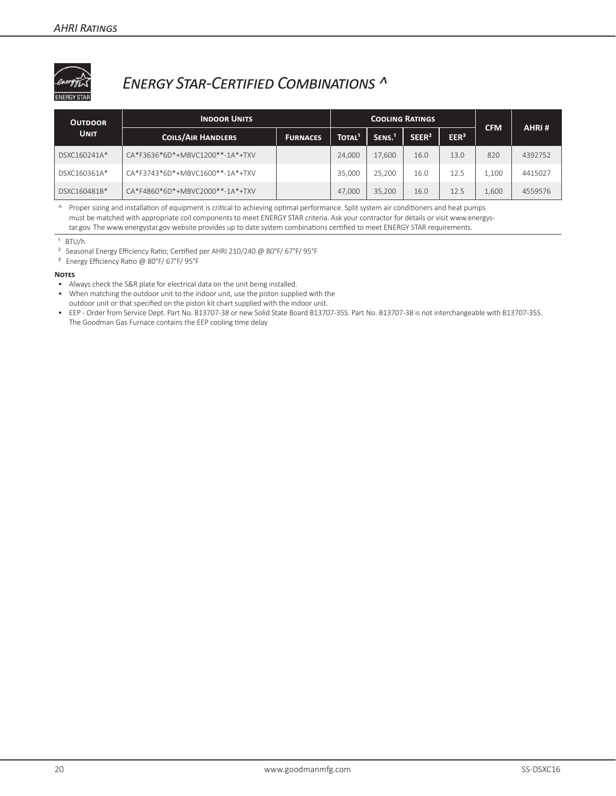

### *Energy Star-Certified Combinations ^*

| <b>OUTDOOR</b> | <b>INDOOR UNITS</b>             |                 |                    | <b>COOLING RATINGS</b> |                   |                  |            | AHRI#   |  |
|----------------|---------------------------------|-----------------|--------------------|------------------------|-------------------|------------------|------------|---------|--|
| <b>UNIT</b>    | <b>COILS/AIR HANDLERS</b>       | <b>FURNACES</b> | TOTAL <sup>1</sup> | SENS. <sup>1</sup>     | SEER <sup>2</sup> | EER <sup>3</sup> | <b>CFM</b> |         |  |
| DSXC160241A*   | CA*F3636*6D*+MBVC1200**-1A*+TXV |                 | 24,000             | 17,600                 | 16.0              | 13.0             | 820        | 4392752 |  |
| DSXC160361A*   | CA*F3743*6D*+MBVC1600**-1A*+TXV |                 | 35,000             | 25,200                 | 16.0              | 12.5             | 1,100      | 4415027 |  |
| DSXC160481B*   | CA*F4860*6D*+MBVC2000**-1A*+TXV |                 | 47.000             | 35.200                 | 16.0              | 12.5             | 1,600      | 4559576 |  |

^ Proper sizing and installation of equipment is critical to achieving optimal performance. Split system air conditioners and heat pumps must be matched with appropriate coil components to meet ENERGY STAR criteria. Ask your contractor for details or visit www.energystar.gov. The www.energystar.gov website provides up to date system combinations certified to meet ENERGY STAR requirements.

- ² Seasonal Energy Efficiency Ratio; Certified per AHRI 210/240 @ 80°F/ 67°F/ 95°F
- ³ Energy Efficiency Ratio @ 80°F/ 67°F/ 95°F

#### **Notes**

- Always check the S&R plate for electrical data on the unit being installed.
- When matching the outdoor unit to the indoor unit, use the piston supplied with the outdoor unit or that specified on the piston kit chart supplied with the indoor unit.
- EEP Order from Service Dept. Part No. B13707-38 or new Solid State Board B13707-35S. Part No. B13707-38 is not interchangeable with B13707-35S. The Goodman Gas Furnace contains the EEP cooling time delay

 $1$  BTU/h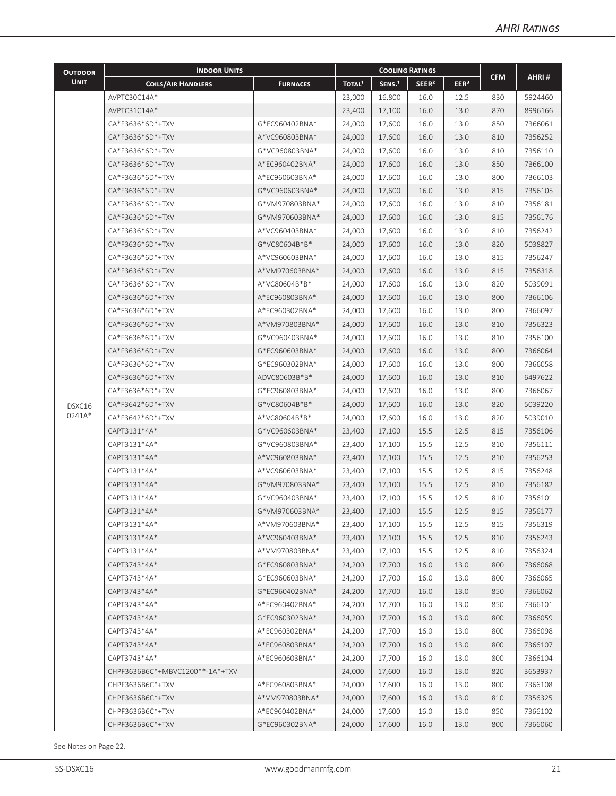| <b>OUTDOOR</b> | <b>INDOOR UNITS</b>             |                 | <b>COOLING RATINGS</b> |                    |                   |                  |            |         |
|----------------|---------------------------------|-----------------|------------------------|--------------------|-------------------|------------------|------------|---------|
| <b>UNIT</b>    | <b>COILS/AIR HANDLERS</b>       | <b>FURNACES</b> | TOTAL <sup>1</sup>     | SENS. <sup>1</sup> | SEER <sup>2</sup> | EER <sup>3</sup> | <b>CFM</b> | AHRI#   |
|                | AVPTC30C14A*                    |                 | 23,000                 | 16,800             | 16.0              | 12.5             | 830        | 5924460 |
|                | AVPTC31C14A*                    |                 | 23,400                 | 17,100             | 16.0              | 13.0             | 870        | 8996166 |
|                | CA*F3636*6D*+TXV                | G*EC960402BNA*  | 24.000                 | 17,600             | 16.0              | 13.0             | 850        | 7366061 |
|                | CA*F3636*6D*+TXV                | A*VC960803BNA*  | 24,000                 | 17,600             | 16.0              | 13.0             | 810        | 7356252 |
|                | CA*F3636*6D*+TXV                | G*VC960803BNA*  | 24,000                 | 17,600             | 16.0              | 13.0             | 810        | 7356110 |
|                | CA*F3636*6D*+TXV                | A*EC960402BNA*  | 24,000                 | 17,600             | 16.0              | 13.0             | 850        | 7366100 |
|                | CA*F3636*6D*+TXV                | A*EC960603BNA*  | 24,000                 | 17,600             | 16.0              | 13.0             | 800        | 7366103 |
|                | CA*F3636*6D*+TXV                | G*VC960603BNA*  | 24,000                 | 17,600             | 16.0              | 13.0             | 815        | 7356105 |
|                | CA*F3636*6D*+TXV                | G*VM970803BNA*  | 24,000                 | 17,600             | 16.0              | 13.0             | 810        | 7356181 |
|                | CA*F3636*6D*+TXV                | G*VM970603BNA*  | 24,000                 | 17,600             | 16.0              | 13.0             | 815        | 7356176 |
|                | CA*F3636*6D*+TXV                | A*VC960403BNA*  | 24,000                 | 17,600             | 16.0              | 13.0             | 810        | 7356242 |
|                | CA*F3636*6D*+TXV                | G*VC80604B*B*   | 24,000                 | 17,600             | 16.0              | 13.0             | 820        | 5038827 |
|                | CA*F3636*6D*+TXV                | A*VC960603BNA*  | 24,000                 | 17,600             | 16.0              | 13.0             | 815        | 7356247 |
|                | CA*F3636*6D*+TXV                | A*VM970603BNA*  | 24,000                 | 17,600             | 16.0              | 13.0             | 815        | 7356318 |
|                | CA*F3636*6D*+TXV                | A*VC80604B*B*   | 24,000                 | 17,600             | 16.0              | 13.0             | 820        | 5039091 |
|                | CA*F3636*6D*+TXV                | A*EC960803BNA*  | 24,000                 | 17,600             | 16.0              | 13.0             | 800        | 7366106 |
|                | CA*F3636*6D*+TXV                | A*EC960302BNA*  | 24,000                 | 17,600             | 16.0              | 13.0             | 800        | 7366097 |
|                | CA*F3636*6D*+TXV                | A*VM970803BNA*  | 24,000                 | 17,600             | 16.0              | 13.0             | 810        | 7356323 |
|                | CA*F3636*6D*+TXV                | G*VC960403BNA*  | 24,000                 | 17,600             | 16.0              | 13.0             | 810        | 7356100 |
|                | CA*F3636*6D*+TXV                | G*EC960603BNA*  | 24,000                 | 17,600             | 16.0              | 13.0             | 800        | 7366064 |
|                | CA*F3636*6D*+TXV                | G*EC960302BNA*  | 24,000                 | 17,600             | 16.0              | 13.0             | 800        | 7366058 |
|                | CA*F3636*6D*+TXV                | ADVC80603B*B*   | 24,000                 | 17,600             | 16.0              | 13.0             | 810        | 6497622 |
|                | CA*F3636*6D*+TXV                | G*EC960803BNA*  | 24,000                 | 17,600             | 16.0              | 13.0             | 800        | 7366067 |
| DSXC16         | CA*F3642*6D*+TXV                | G*VC80604B*B*   | 24,000                 | 17,600             | 16.0              | 13.0             | 820        | 5039220 |
| 0241A*         | CA*F3642*6D*+TXV                | A*VC80604B*B*   | 24,000                 | 17,600             | 16.0              | 13.0             | 820        | 5039010 |
|                | CAPT3131*4A*                    | G*VC960603BNA*  | 23,400                 | 17,100             | 15.5              | 12.5             | 815        | 7356106 |
|                | CAPT3131*4A*                    | G*VC960803BNA*  | 23,400                 | 17,100             | 15.5              | 12.5             | 810        | 7356111 |
|                | CAPT3131*4A*                    | A*VC960803BNA*  | 23,400                 | 17,100             | 15.5              | 12.5             | 810        | 7356253 |
|                | CAPT3131*4A*                    | A*VC960603BNA*  | 23,400                 | 17,100             | 15.5              | 12.5             | 815        | 7356248 |
|                | CAPT3131*4A*                    | G*VM970803BNA*  | 23,400                 | 17,100             | 15.5              | 12.5             | 810        | 7356182 |
|                | CAPT3131*4A*                    | G*VC960403BNA*  | 23,400                 | 17,100             | 15.5              | 12.5             | 810        | 7356101 |
|                | CAPT3131*4A*                    | G*VM970603BNA*  | 23,400                 | 17,100             | 15.5              | 12.5             | 815        | 7356177 |
|                | CAPT3131*4A*                    | A*VM970603BNA*  | 23,400                 | 17,100             | 15.5              | 12.5             | 815        | 7356319 |
|                | CAPT3131*4A*                    | A*VC960403BNA*  | 23,400                 | 17,100             | 15.5              | 12.5             | 810        | 7356243 |
|                | CAPT3131*4A*                    | A*VM970803BNA*  | 23,400                 | 17,100             | 15.5              | 12.5             | 810        | 7356324 |
|                | CAPT3743*4A*                    | G*EC960803BNA*  | 24,200                 | 17,700             | 16.0              | 13.0             | 800        | 7366068 |
|                | CAPT3743*4A*                    | G*EC960603BNA*  | 24,200                 | 17,700             | 16.0              | 13.0             | 800        | 7366065 |
|                | CAPT3743*4A*                    | G*EC960402BNA*  | 24,200                 | 17,700             | 16.0              | 13.0             | 850        | 7366062 |
|                | CAPT3743*4A*                    | A*EC960402BNA*  | 24,200                 | 17,700             | 16.0              | 13.0             | 850        | 7366101 |
|                | CAPT3743*4A*                    | G*EC960302BNA*  | 24,200                 | 17,700             | 16.0              | 13.0             | 800        | 7366059 |
|                | CAPT3743*4A*                    | A*EC960302BNA*  | 24,200                 | 17,700             | 16.0              | 13.0             | 800        | 7366098 |
|                | CAPT3743*4A*                    | A*EC960803BNA*  | 24,200                 | 17,700             | 16.0              | 13.0             | 800        | 7366107 |
|                | CAPT3743*4A*                    | A*EC960603BNA*  | 24,200                 | 17,700             | 16.0              | 13.0             | 800        | 7366104 |
|                | CHPF3636B6C*+MBVC1200**-1A*+TXV |                 | 24,000                 | 17,600             | 16.0              | 13.0             | 820        | 3653937 |
|                | CHPF3636B6C*+TXV                | A*EC960803BNA*  | 24,000                 | 17,600             | 16.0              | 13.0             | 800        | 7366108 |
|                | CHPF3636B6C*+TXV                | A*VM970803BNA*  | 24,000                 | 17,600             | 16.0              | 13.0             | 810        | 7356325 |
|                | CHPF3636B6C*+TXV                | A*EC960402BNA*  | 24,000                 | 17,600             | 16.0              | 13.0             | 850        | 7366102 |
|                | CHPF3636B6C*+TXV                | G*EC960302BNA*  | 24,000                 | 17,600             | 16.0              | 13.0             | 800        | 7366060 |

See Notes on Page 22.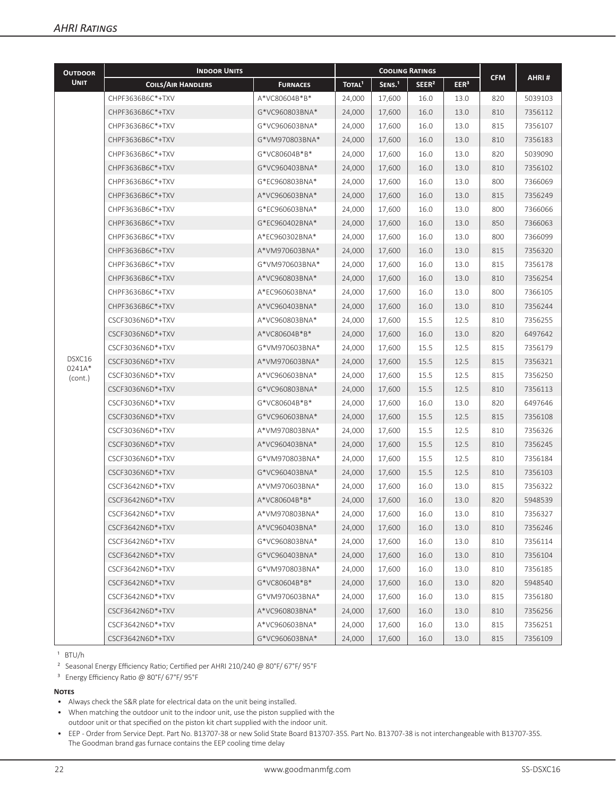| <b>OUTDOOR</b>   | <b>INDOOR UNITS</b>       |                 | <b>COOLING RATINGS</b> |                    |                   |                  |            |         |
|------------------|---------------------------|-----------------|------------------------|--------------------|-------------------|------------------|------------|---------|
| <b>UNIT</b>      | <b>COILS/AIR HANDLERS</b> | <b>FURNACES</b> | TOTAL <sup>1</sup>     | SENS. <sup>1</sup> | SEER <sup>2</sup> | EER <sup>3</sup> | <b>CFM</b> | AHRI#   |
|                  | CHPF3636B6C*+TXV          | A*VC80604B*B*   | 24,000                 | 17,600             | 16.0              | 13.0             | 820        | 5039103 |
|                  | CHPF3636B6C*+TXV          | G*VC960803BNA*  | 24,000                 | 17,600             | 16.0              | 13.0             | 810        | 7356112 |
|                  | CHPF3636B6C*+TXV          | G*VC960603BNA*  | 24,000                 | 17,600             | 16.0              | 13.0             | 815        | 7356107 |
|                  | CHPF3636B6C*+TXV          | G*VM970803BNA*  | 24,000                 | 17,600             | 16.0              | 13.0             | 810        | 7356183 |
|                  | CHPF3636B6C*+TXV          | G*VC80604B*B*   | 24,000                 | 17,600             | 16.0              | 13.0             | 820        | 5039090 |
|                  | CHPF3636B6C*+TXV          | G*VC960403BNA*  | 24.000                 | 17,600             | 16.0              | 13.0             | 810        | 7356102 |
|                  | CHPF3636B6C*+TXV          | G*EC960803BNA*  | 24,000                 | 17,600             | 16.0              | 13.0             | 800        | 7366069 |
|                  | CHPF3636B6C*+TXV          | A*VC960603BNA*  | 24,000                 | 17,600             | 16.0              | 13.0             | 815        | 7356249 |
|                  | CHPF3636B6C*+TXV          | G*EC960603BNA*  | 24,000                 | 17,600             | 16.0              | 13.0             | 800        | 7366066 |
|                  | CHPF3636B6C*+TXV          | G*EC960402BNA*  | 24,000                 | 17,600             | 16.0              | 13.0             | 850        | 7366063 |
|                  | CHPF3636B6C*+TXV          | A*EC960302BNA*  | 24,000                 | 17,600             | 16.0              | 13.0             | 800        | 7366099 |
|                  | CHPF3636B6C*+TXV          | A*VM970603BNA*  | 24,000                 | 17,600             | 16.0              | 13.0             | 815        | 7356320 |
|                  | CHPF3636B6C*+TXV          | G*VM970603BNA*  | 24,000                 | 17,600             | 16.0              | 13.0             | 815        | 7356178 |
|                  | CHPF3636B6C*+TXV          | A*VC960803BNA*  | 24,000                 | 17,600             | 16.0              | 13.0             | 810        | 7356254 |
|                  | CHPF3636B6C*+TXV          | A*EC960603BNA*  | 24,000                 | 17,600             | 16.0              | 13.0             | 800        | 7366105 |
|                  | CHPF3636B6C*+TXV          | A*VC960403BNA*  | 24,000                 | 17,600             | 16.0              | 13.0             | 810        | 7356244 |
|                  | CSCF3036N6D*+TXV          | A*VC960803BNA*  | 24,000                 | 17,600             | 15.5              | 12.5             | 810        | 7356255 |
|                  | CSCF3036N6D*+TXV          | A*VC80604B*B*   | 24,000                 | 17,600             | 16.0              | 13.0             | 820        | 6497642 |
|                  | CSCF3036N6D*+TXV          | G*VM970603BNA*  | 24,000                 | 17,600             | 15.5              | 12.5             | 815        | 7356179 |
| DSXC16<br>0241A* | CSCF3036N6D*+TXV          | A*VM970603BNA*  | 24,000                 | 17,600             | 15.5              | 12.5             | 815        | 7356321 |
| (cont.)          | CSCF3036N6D*+TXV          | A*VC960603BNA*  | 24,000                 | 17,600             | 15.5              | 12.5             | 815        | 7356250 |
|                  | CSCF3036N6D*+TXV          | G*VC960803BNA*  | 24,000                 | 17,600             | 15.5              | 12.5             | 810        | 7356113 |
|                  | CSCF3036N6D*+TXV          | G*VC80604B*B*   | 24,000                 | 17,600             | 16.0              | 13.0             | 820        | 6497646 |
|                  | CSCF3036N6D*+TXV          | G*VC960603BNA*  | 24,000                 | 17,600             | 15.5              | 12.5             | 815        | 7356108 |
|                  | CSCF3036N6D*+TXV          | A*VM970803BNA*  | 24,000                 | 17,600             | 15.5              | 12.5             | 810        | 7356326 |
|                  | CSCF3036N6D*+TXV          | A*VC960403BNA*  | 24,000                 | 17,600             | 15.5              | 12.5             | 810        | 7356245 |
|                  | CSCF3036N6D*+TXV          | G*VM970803BNA*  | 24,000                 | 17,600             | 15.5              | 12.5             | 810        | 7356184 |
|                  | CSCF3036N6D*+TXV          | G*VC960403BNA*  | 24,000                 | 17,600             | 15.5              | 12.5             | 810        | 7356103 |
|                  | CSCF3642N6D*+TXV          | A*VM970603BNA*  | 24,000                 | 17,600             | 16.0              | 13.0             | 815        | 7356322 |
|                  | CSCF3642N6D*+TXV          | A*VC80604B*B*   | 24,000                 | 17,600             | 16.0              | 13.0             | 820        | 5948539 |
|                  | CSCF3642N6D*+TXV          | A*VM970803BNA*  | 24,000                 | 17,600             | 16.0              | 13.0             | 810        | 7356327 |
|                  | CSCF3642N6D*+TXV          | A*VC960403BNA*  | 24,000                 | 17,600             | 16.0              | 13.0             | 810        | 7356246 |
|                  | CSCF3642N6D*+TXV          | G*VC960803BNA*  | 24,000                 | 17,600             | 16.0              | 13.0             | 810        | 7356114 |
|                  | CSCF3642N6D*+TXV          | G*VC960403BNA*  | 24,000                 | 17,600             | 16.0              | 13.0             | 810        | 7356104 |
|                  | CSCF3642N6D*+TXV          | G*VM970803BNA*  | 24,000                 | 17,600             | 16.0              | 13.0             | 810        | 7356185 |
|                  | CSCF3642N6D*+TXV          | G*VC80604B*B*   | 24,000                 | 17,600             | 16.0              | 13.0             | 820        | 5948540 |
|                  | CSCF3642N6D*+TXV          | G*VM970603BNA*  | 24,000                 | 17,600             | 16.0              | 13.0             | 815        | 7356180 |
|                  | CSCF3642N6D*+TXV          | A*VC960803BNA*  | 24,000                 | 17,600             | 16.0              | 13.0             | 810        | 7356256 |
|                  | CSCF3642N6D*+TXV          | A*VC960603BNA*  | 24,000                 | 17,600             | 16.0              | 13.0             | 815        | 7356251 |
|                  | CSCF3642N6D*+TXV          | G*VC960603BNA*  | 24,000                 | 17,600             | 16.0              | 13.0             | 815        | 7356109 |

 $1$  BTU/h

² Seasonal Energy Efficiency Ratio; Certified per AHRI 210/240 @ 80°F/ 67°F/ 95°F

³ Energy Efficiency Ratio @ 80°F/ 67°F/ 95°F

#### **Notes**

• Always check the S&R plate for electrical data on the unit being installed.

- When matching the outdoor unit to the indoor unit, use the piston supplied with the outdoor unit or that specified on the piston kit chart supplied with the indoor unit.
- EEP Order from Service Dept. Part No. B13707-38 or new Solid State Board B13707-35S. Part No. B13707-38 is not interchangeable with B13707-35S. The Goodman brand gas furnace contains the EEP cooling time delay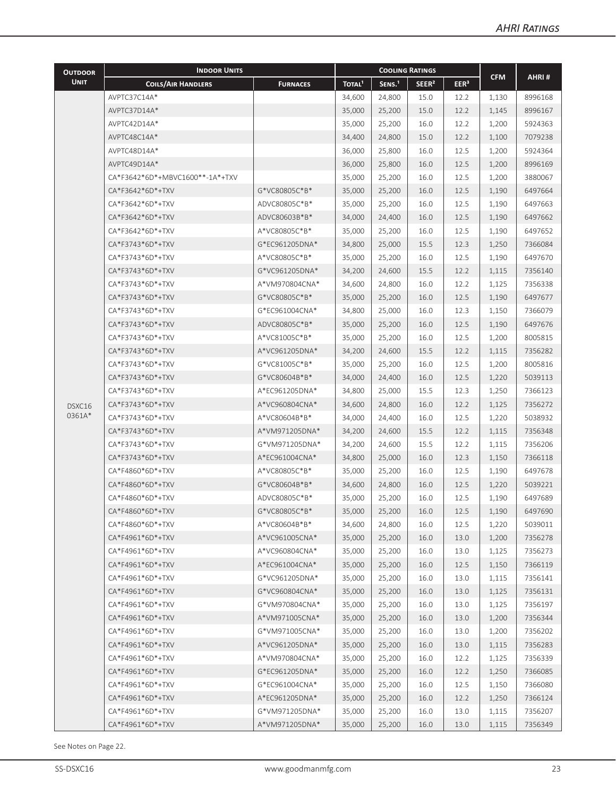| <b>OUTDOOR</b>   | <b>INDOOR UNITS</b>             | <b>COOLING RATINGS</b><br><b>CFM</b> |                    |                    |                   |                  |                |         |
|------------------|---------------------------------|--------------------------------------|--------------------|--------------------|-------------------|------------------|----------------|---------|
| <b>UNIT</b>      | <b>COILS/AIR HANDLERS</b>       | <b>FURNACES</b>                      | TOTAL <sup>1</sup> | SENS. <sup>1</sup> | SEER <sup>2</sup> | EER <sup>3</sup> |                | AHRI#   |
|                  | AVPTC37C14A*                    |                                      | 34,600             | 24,800             | 15.0              | 12.2             | 1,130          | 8996168 |
|                  | AVPTC37D14A*                    |                                      | 35,000             | 25,200             | 15.0              | 12.2             | 1,145          | 8996167 |
|                  | AVPTC42D14A*                    |                                      | 35,000             | 25,200             | 16.0              | 12.2             | 1,200          | 5924363 |
|                  | AVPTC48C14A*                    |                                      | 34,400             | 24,800             | 15.0              | 12.2             | 1,100          | 7079238 |
|                  | AVPTC48D14A*                    |                                      | 36,000             | 25,800             | 16.0              | 12.5             | 1,200          | 5924364 |
|                  | AVPTC49D14A*                    |                                      | 36,000             | 25,800             | 16.0              | 12.5             | 1,200          | 8996169 |
|                  | CA*F3642*6D*+MBVC1600**-1A*+TXV |                                      | 35,000             | 25,200             | 16.0              | 12.5             | 1,200          | 3880067 |
|                  | CA*F3642*6D*+TXV                | G*VC80805C*B*                        | 35,000             | 25,200             | 16.0              | 12.5             | 1,190          | 6497664 |
|                  | CA*F3642*6D*+TXV                | ADVC80805C*B*                        | 35,000             | 25,200             | 16.0              | 12.5             | 1,190          | 6497663 |
|                  | CA*F3642*6D*+TXV                | ADVC80603B*B*                        | 34,000             | 24,400             | 16.0              | 12.5             | 1,190          | 6497662 |
|                  | CA*F3642*6D*+TXV                | A*VC80805C*B*                        | 35,000             | 25,200             | 16.0              | 12.5             | 1,190          | 6497652 |
|                  | CA*F3743*6D*+TXV                | G*EC961205DNA*                       | 34,800             | 25,000             | 15.5              | 12.3             | 1,250          | 7366084 |
|                  | CA*F3743*6D*+TXV                | A*VC80805C*B*                        | 35,000             | 25,200             | 16.0              | 12.5             | 1,190          | 6497670 |
|                  | CA*F3743*6D*+TXV                | G*VC961205DNA*                       | 34,200             | 24,600             | 15.5              | 12.2             | 1,115          | 7356140 |
|                  | CA*F3743*6D*+TXV                | A*VM970804CNA*                       | 34,600             | 24,800             | 16.0              | 12.2             | 1,125          | 7356338 |
|                  | CA*F3743*6D*+TXV                | G*VC80805C*B*                        | 35,000             | 25,200             | 16.0              | 12.5             | 1,190          | 6497677 |
|                  | CA*F3743*6D*+TXV                | G*EC961004CNA*                       | 34,800             | 25,000             | 16.0              | 12.3             | 1,150          | 7366079 |
|                  | CA*F3743*6D*+TXV                | ADVC80805C*B*                        | 35,000             | 25,200             | 16.0              | 12.5             | 1,190          | 6497676 |
|                  | CA*F3743*6D*+TXV                | A*VC81005C*B*                        | 35,000             | 25,200             | 16.0              | 12.5             | 1,200          | 8005815 |
|                  | CA*F3743*6D*+TXV                | A*VC961205DNA*                       | 34,200             | 24,600             | 15.5              | 12.2             | 1,115          | 7356282 |
|                  | CA*F3743*6D*+TXV                | G*VC81005C*B*                        | 35,000             | 25,200             | 16.0              | 12.5             | 1,200          | 8005816 |
|                  | CA*F3743*6D*+TXV                | G*VC80604B*B*                        | 34,000             | 24,400             | 16.0              | 12.5             | 1,220          | 5039113 |
|                  | CA*F3743*6D*+TXV                | A*EC961205DNA*                       | 34,800             | 25,000             | 15.5              | 12.3             |                | 7366123 |
|                  | CA*F3743*6D*+TXV                | A*VC960804CNA*                       | 34,600             | 24,800             | 16.0              | 12.2             | 1,250<br>1,125 | 7356272 |
| DSXC16<br>0361A* |                                 | A*VC80604B*B*                        |                    |                    |                   |                  |                |         |
|                  | CA*F3743*6D*+TXV                |                                      | 34,000             | 24,400             | 16.0              | 12.5             | 1,220          | 5038932 |
|                  | CA*F3743*6D*+TXV                | A*VM971205DNA*                       | 34,200             | 24,600             | 15.5              | 12.2             | 1,115          | 7356348 |
|                  | CA*F3743*6D*+TXV                | G*VM971205DNA*                       | 34,200             | 24,600             | 15.5              | 12.2             | 1,115          | 7356206 |
|                  | CA*F3743*6D*+TXV                | A*EC961004CNA*                       | 34,800             | 25,000             | 16.0              | 12.3             | 1,150          | 7366118 |
|                  | CA*F4860*6D*+TXV                | A*VC80805C*B*                        | 35,000             | 25,200             | 16.0              | 12.5             | 1,190          | 6497678 |
|                  | CA*F4860*6D*+TXV                | G*VC80604B*B*                        | 34,600             | 24,800             | 16.0              | 12.5             | 1,220          | 5039221 |
|                  | CA*F4860*6D*+TXV                | ADVC80805C*B*                        | 35,000             | 25,200             | 16.0              | 12.5             | 1,190          | 6497689 |
|                  | CA*F4860*6D*+TXV                | G*VC80805C*B*                        | 35,000             | 25,200             | 16.0              | 12.5             | 1,190          | 6497690 |
|                  | CA*F4860*6D*+TXV                | A*VC80604B*B*                        | 34,600             | 24,800             | 16.0              | 12.5             | 1,220          | 5039011 |
|                  | CA*F4961*6D*+TXV                | A*VC961005CNA*                       | 35,000             | 25,200             | 16.0              | 13.0             | 1,200          | 7356278 |
|                  | CA*F4961*6D*+TXV                | A*VC960804CNA*                       | 35,000             | 25,200             | 16.0              | 13.0             | 1,125          | 7356273 |
|                  | CA*F4961*6D*+TXV                | A*EC961004CNA*                       | 35,000             | 25,200             | 16.0              | 12.5             | 1,150          | 7366119 |
|                  | CA*F4961*6D*+TXV                | G*VC961205DNA*                       | 35,000             | 25,200             | 16.0              | 13.0             | 1,115          | 7356141 |
|                  | CA*F4961*6D*+TXV                | G*VC960804CNA*                       | 35,000             | 25,200             | 16.0              | 13.0             | 1,125          | 7356131 |
|                  | CA*F4961*6D*+TXV                | G*VM970804CNA*                       | 35,000             | 25,200             | 16.0              | 13.0             | 1,125          | 7356197 |
|                  | CA*F4961*6D*+TXV                | A*VM971005CNA*                       | 35,000             | 25,200             | 16.0              | 13.0             | 1,200          | 7356344 |
|                  | CA*F4961*6D*+TXV                | G*VM971005CNA*                       | 35,000             | 25,200             | 16.0              | 13.0             | 1,200          | 7356202 |
|                  | CA*F4961*6D*+TXV                | A*VC961205DNA*                       | 35,000             | 25,200             | 16.0              | 13.0             | 1,115          | 7356283 |
|                  | CA*F4961*6D*+TXV                | A*VM970804CNA*                       | 35,000             | 25,200             | 16.0              | 12.2             | 1,125          | 7356339 |
|                  | CA*F4961*6D*+TXV                | G*EC961205DNA*                       | 35,000             | 25,200             | 16.0              | 12.2             | 1,250          | 7366085 |
|                  | CA*F4961*6D*+TXV                | G*EC961004CNA*                       | 35,000             | 25,200             | 16.0              | 12.5             | 1,150          | 7366080 |
|                  | CA*F4961*6D*+TXV                | A*EC961205DNA*                       | 35,000             | 25,200             | 16.0              | 12.2             | 1,250          | 7366124 |
|                  | CA*F4961*6D*+TXV                | G*VM971205DNA*                       | 35,000             | 25,200             | 16.0              | 13.0             | 1,115          | 7356207 |
|                  | CA*F4961*6D*+TXV                | A*VM971205DNA*                       | 35,000             | 25,200             | 16.0              | 13.0             | 1,115          | 7356349 |

See Notes on Page 22.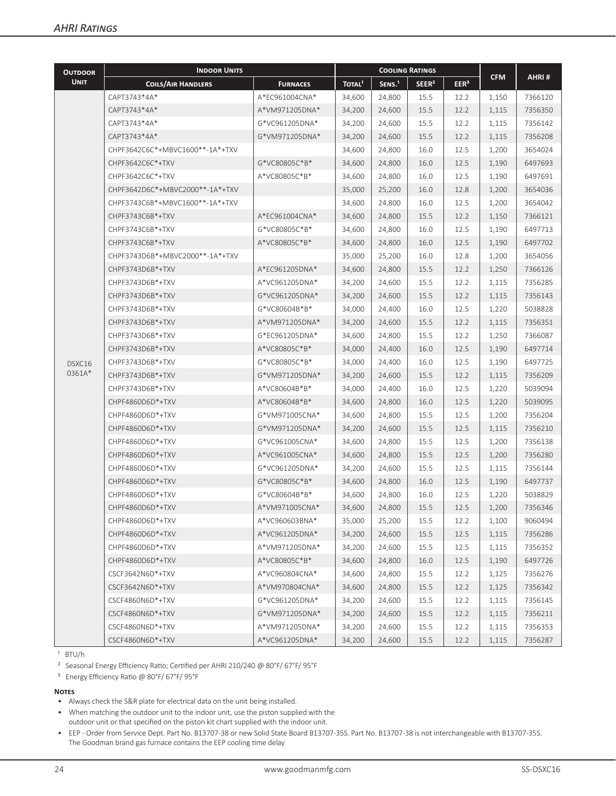| <b>OUTDOOR</b> | <b>INDOOR UNITS</b>             |                 | <b>COOLING RATINGS</b> |                    |                   |                  |            |         |  |
|----------------|---------------------------------|-----------------|------------------------|--------------------|-------------------|------------------|------------|---------|--|
| <b>UNIT</b>    | <b>COILS/AIR HANDLERS</b>       | <b>FURNACES</b> | TOTAL <sup>1</sup>     | SENS. <sup>1</sup> | SEER <sup>2</sup> | EER <sup>3</sup> | <b>CFM</b> | AHRI#   |  |
|                | CAPT3743*4A*                    | A*EC961004CNA*  | 34,600                 | 24,800             | 15.5              | 12.2             | 1,150      | 7366120 |  |
|                | CAPT3743*4A*                    | A*VM971205DNA*  | 34,200                 | 24,600             | 15.5              | 12.2             | 1,115      | 7356350 |  |
|                | CAPT3743*4A*                    | G*VC961205DNA*  | 34,200                 | 24,600             | 15.5              | 12.2             | 1,115      | 7356142 |  |
|                | CAPT3743*4A*                    | G*VM971205DNA*  | 34,200                 | 24,600             | 15.5              | 12.2             | 1,115      | 7356208 |  |
|                | CHPF3642C6C*+MBVC1600**-1A*+TXV |                 | 34,600                 | 24,800             | 16.0              | 12.5             | 1,200      | 3654024 |  |
|                | CHPF3642C6C*+TXV                | G*VC80805C*B*   | 34,600                 | 24,800             | 16.0              | 12.5             | 1,190      | 6497693 |  |
|                | CHPF3642C6C*+TXV                | A*VC80805C*B*   | 34,600                 | 24,800             | 16.0              | 12.5             | 1,190      | 6497691 |  |
|                | CHPF3642D6C*+MBVC2000**-1A*+TXV |                 | 35,000                 | 25,200             | 16.0              | 12.8             | 1,200      | 3654036 |  |
|                | CHPF3743C6B*+MBVC1600**-1A*+TXV |                 | 34,600                 | 24,800             | 16.0              | 12.5             | 1,200      | 3654042 |  |
|                | CHPF3743C6B*+TXV                | A*EC961004CNA*  | 34,600                 | 24,800             | 15.5              | 12.2             | 1,150      | 7366121 |  |
|                | CHPF3743C6B*+TXV                | G*VC80805C*B*   | 34,600                 | 24,800             | 16.0              | 12.5             | 1,190      | 6497713 |  |
|                | CHPF3743C6B*+TXV                | A*VC80805C*B*   | 34,600                 | 24,800             | 16.0              | 12.5             | 1,190      | 6497702 |  |
|                | CHPF3743D6B*+MBVC2000**-1A*+TXV |                 | 35,000                 | 25,200             | 16.0              | 12.8             | 1,200      | 3654056 |  |
|                | CHPF3743D6B*+TXV                | A*EC961205DNA*  | 34,600                 | 24,800             | 15.5              | 12.2             | 1,250      | 7366126 |  |
|                | CHPF3743D6B*+TXV                | A*VC961205DNA*  | 34,200                 | 24,600             | 15.5              | 12.2             | 1,115      | 7356285 |  |
|                | CHPF3743D6B*+TXV                | G*VC961205DNA*  | 34,200                 | 24,600             | 15.5              | 12.2             | 1,115      | 7356143 |  |
|                | CHPF3743D6B*+TXV                | G*VC80604B*B*   | 34,000                 | 24,400             | 16.0              | 12.5             | 1,220      | 5038828 |  |
|                | CHPF3743D6B*+TXV                | A*VM971205DNA*  | 34,200                 | 24,600             | 15.5              | 12.2             | 1,115      | 7356351 |  |
|                | CHPF3743D6B*+TXV                | G*EC961205DNA*  | 34,600                 | 24,800             | 15.5              | 12.2             | 1,250      | 7366087 |  |
|                | CHPF3743D6B*+TXV                | A*VC80805C*B*   | 34,000                 | 24,400             | 16.0              | 12.5             | 1,190      | 6497714 |  |
| DSXC16         | CHPF3743D6B*+TXV                | G*VC80805C*B*   | 34,000                 | 24,400             | 16.0              | 12.5             | 1,190      | 6497725 |  |
| 0361A*         | CHPF3743D6B*+TXV                | G*VM971205DNA*  | 34,200                 | 24,600             | 15.5              | 12.2             | 1,115      | 7356209 |  |
|                | CHPF3743D6B*+TXV                | A*VC80604B*B*   | 34,000                 | 24,400             | 16.0              | 12.5             | 1,220      | 5039094 |  |
|                | CHPF4860D6D*+TXV                | A*VC80604B*B*   | 34,600                 | 24,800             | 16.0              | 12.5             | 1,220      | 5039095 |  |
|                | CHPF4860D6D*+TXV                | G*VM971005CNA*  | 34,600                 | 24,800             | 15.5              | 12.5             | 1,200      | 7356204 |  |
|                | CHPF4860D6D*+TXV                | G*VM971205DNA*  | 34,200                 | 24,600             | 15.5              | 12.5             | 1,115      | 7356210 |  |
|                | CHPF4860D6D*+TXV                | G*VC961005CNA*  | 34,600                 | 24,800             | 15.5              | 12.5             | 1,200      | 7356138 |  |
|                | CHPF4860D6D*+TXV                | A*VC961005CNA*  | 34,600                 | 24,800             | 15.5              | 12.5             | 1,200      | 7356280 |  |
|                | CHPF4860D6D*+TXV                | G*VC961205DNA*  | 34,200                 | 24,600             | 15.5              | 12.5             | 1,115      | 7356144 |  |
|                | CHPF4860D6D*+TXV                | G*VC80805C*B*   | 34,600                 | 24,800             | 16.0              | 12.5             | 1,190      | 6497737 |  |
|                | CHPF4860D6D*+TXV                | G*VC80604B*B*   | 34,600                 | 24,800             | 16.0              | 12.5             | 1,220      | 5038829 |  |
|                | CHPF4860D6D*+TXV                | A*VM971005CNA*  | 34,600                 | 24,800             | 15.5              | 12.5             | 1,200      | 7356346 |  |
|                | CHPF4860D6D*+TXV                | A*VC960603BNA*  | 35,000                 | 25,200             | 15.5              | 12.2             | 1,100      | 9060494 |  |
|                | CHPF4860D6D*+TXV                | A*VC961205DNA*  | 34,200                 | 24,600             | 15.5              | 12.5             | 1,115      | 7356286 |  |
|                | CHPF4860D6D*+TXV                | A*VM971205DNA*  | 34,200                 | 24,600             | 15.5              | 12.5             | 1,115      | 7356352 |  |
|                | CHPF4860D6D*+TXV                | A*VC80805C*B*   | 34,600                 | 24,800             | 16.0              | 12.5             | 1,190      | 6497726 |  |
|                | CSCF3642N6D*+TXV                | A*VC960804CNA*  | 34,600                 | 24,800             | 15.5              | 12.2             | 1,125      | 7356276 |  |
|                | CSCF3642N6D*+TXV                | A*VM970804CNA*  | 34,600                 | 24,800             | 15.5              | 12.2             | 1,125      | 7356342 |  |
|                | CSCF4860N6D*+TXV                | G*VC961205DNA*  | 34,200                 | 24,600             | 15.5              | 12.2             | 1,115      | 7356145 |  |
|                | CSCF4860N6D*+TXV                | G*VM971205DNA*  | 34,200                 | 24,600             | 15.5              | 12.2             | 1,115      | 7356211 |  |
|                | CSCF4860N6D*+TXV                | A*VM971205DNA*  | 34,200                 | 24,600             | 15.5              | 12.2             | 1,115      | 7356353 |  |
|                | CSCF4860N6D*+TXV                | A*VC961205DNA*  | 34,200                 | 24,600             | 15.5              | 12.2             | 1,115      | 7356287 |  |

 $1$  BTU/h

² Seasonal Energy Efficiency Ratio; Certified per AHRI 210/240 @ 80°F/ 67°F/ 95°F

³ Energy Efficiency Ratio @ 80°F/ 67°F/ 95°F

#### **Notes**

• Always check the S&R plate for electrical data on the unit being installed.

- When matching the outdoor unit to the indoor unit, use the piston supplied with the outdoor unit or that specified on the piston kit chart supplied with the indoor unit.
- EEP Order from Service Dept. Part No. B13707-38 or new Solid State Board B13707-35S. Part No. B13707-38 is not interchangeable with B13707-35S. The Goodman brand gas furnace contains the EEP cooling time delay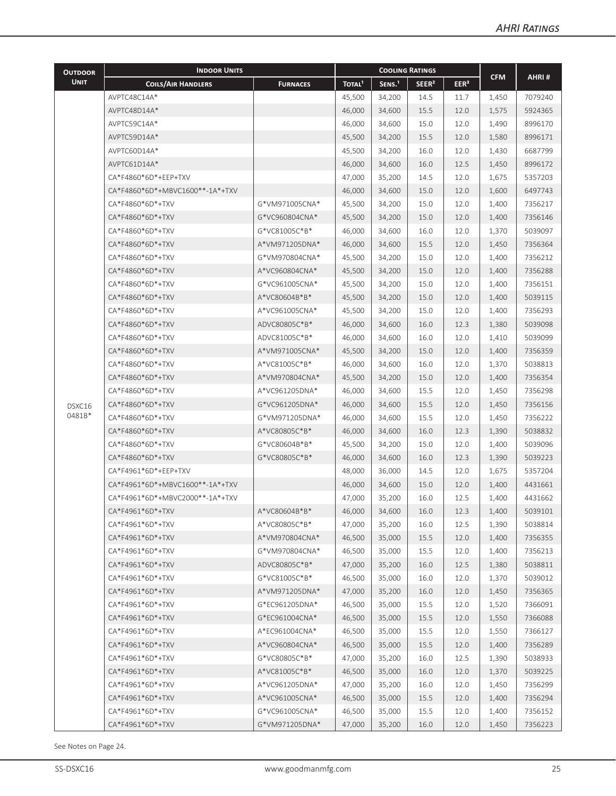| <b>INDOOR UNITS</b><br><b>COOLING RATINGS</b><br><b>OUTDOOR</b>                                                                                  |            |         |  |
|--------------------------------------------------------------------------------------------------------------------------------------------------|------------|---------|--|
| <b>UNIT</b><br>SENS. <sup>1</sup><br><b>COILS/AIR HANDLERS</b><br>TOTAL <sup>1</sup><br>SEER <sup>2</sup><br>EER <sup>3</sup><br><b>FURNACES</b> | <b>CFM</b> | AHRI#   |  |
| AVPTC48C14A*<br>45,500<br>34,200<br>14.5<br>11.7                                                                                                 | 1,450      | 7079240 |  |
| 15.5<br>AVPTC48D14A*<br>46,000<br>34,600<br>12.0                                                                                                 | 1,575      | 5924365 |  |
| AVPTC59C14A*<br>46,000<br>15.0<br>34,600<br>12.0                                                                                                 | 1,490      | 8996170 |  |
| AVPTC59D14A*<br>45,500<br>15.5<br>34,200<br>12.0                                                                                                 | 1,580      | 8996171 |  |
| AVPTC60D14A*<br>16.0<br>45,500<br>34,200<br>12.0                                                                                                 | 1,430      | 6687799 |  |
| 16.0<br>AVPTC61D14A*<br>46,000<br>34,600<br>12.5                                                                                                 | 1,450      | 8996172 |  |
| CA*F4860*6D*+EEP+TXV<br>14.5<br>47,000<br>35,200<br>12.0                                                                                         | 1,675      | 5357203 |  |
| CA*F4860*6D*+MBVC1600**-1A*+TXV<br>15.0<br>46,000<br>34,600<br>12.0                                                                              | 1,600      | 6497743 |  |
| CA*F4860*6D*+TXV<br>G*VM971005CNA*<br>45,500<br>15.0<br>34,200<br>12.0                                                                           | 1,400      | 7356217 |  |
| CA*F4860*6D*+TXV<br>G*VC960804CNA*<br>45,500<br>15.0<br>34,200<br>12.0                                                                           | 1,400      | 7356146 |  |
| CA*F4860*6D*+TXV<br>G*VC81005C*B*<br>46,000<br>16.0<br>12.0<br>34,600                                                                            | 1,370      | 5039097 |  |
| 15.5<br>CA*F4860*6D*+TXV<br>A*VM971205DNA*<br>46,000<br>34,600<br>12.0                                                                           | 1,450      | 7356364 |  |
| CA*F4860*6D*+TXV<br>G*VM970804CNA*<br>45,500<br>34,200<br>15.0<br>12.0                                                                           | 1,400      | 7356212 |  |
| CA*F4860*6D*+TXV<br>A*VC960804CNA*<br>15.0<br>45,500<br>34,200<br>12.0                                                                           | 1,400      | 7356288 |  |
| CA*F4860*6D*+TXV<br>G*VC961005CNA*<br>15.0<br>45,500<br>34,200<br>12.0                                                                           | 1,400      | 7356151 |  |
| CA*F4860*6D*+TXV<br>A*VC80604B*B*<br>15.0<br>45,500<br>34,200<br>12.0                                                                            | 1,400      | 5039115 |  |
| CA*F4860*6D*+TXV<br>15.0<br>A*VC961005CNA*<br>45,500<br>34,200<br>12.0                                                                           | 1,400      | 7356293 |  |
| CA*F4860*6D*+TXV<br>ADVC80805C*B*<br>46,000<br>16.0<br>34,600<br>12.3                                                                            | 1,380      | 5039098 |  |
| CA*F4860*6D*+TXV<br>ADVC81005C*B*<br>46,000<br>34,600<br>16.0<br>12.0                                                                            | 1,410      | 5039099 |  |
| CA*F4860*6D*+TXV<br>A*VM971005CNA*<br>45,500<br>34,200<br>15.0<br>12.0                                                                           | 1,400      | 7356359 |  |
| CA*F4860*6D*+TXV<br>A*VC81005C*B*<br>46,000<br>34,600<br>16.0<br>12.0                                                                            | 1,370      | 5038813 |  |
| CA*F4860*6D*+TXV<br>A*VM970804CNA*<br>45,500<br>34,200<br>15.0<br>12.0                                                                           | 1,400      | 7356354 |  |
| CA*F4860*6D*+TXV<br>A*VC961205DNA*<br>15.5<br>46,000<br>34,600<br>12.0                                                                           | 1,450      | 7356298 |  |
| CA*F4860*6D*+TXV<br>G*VC961205DNA*<br>15.5<br>46,000<br>34,600<br>12.0<br>DSXC16                                                                 | 1,450      | 7356156 |  |
| 0481B*<br>15.5<br>CA*F4860*6D*+TXV<br>G*VM971205DNA*<br>12.0<br>46,000<br>34,600                                                                 | 1,450      | 7356222 |  |
| 16.0<br>CA*F4860*6D*+TXV<br>A*VC80805C*B*<br>46,000<br>34,600<br>12.3                                                                            | 1,390      | 5038832 |  |
| G*VC80604B*B*<br>CA*F4860*6D*+TXV<br>45,500<br>34,200<br>15.0<br>12.0                                                                            | 1,400      | 5039096 |  |
| G*VC80805C*B*<br>CA*F4860*6D*+TXV<br>46,000<br>34,600<br>16.0<br>12.3                                                                            | 1,390      | 5039223 |  |
| CA*F4961*6D*+EEP+TXV<br>48,000<br>36,000<br>14.5<br>12.0                                                                                         | 1,675      | 5357204 |  |
| CA*F4961*6D*+MBVC1600**-1A*+TXV<br>15.0<br>46,000<br>34,600<br>12.0                                                                              | 1,400      | 4431661 |  |
| CA*F4961*6D*+MBVC2000**-1A*+TXV<br>47,000<br>35,200<br>16.0<br>12.5                                                                              | 1,400      | 4431662 |  |
| CA*F4961*6D*+TXV<br>46,000<br>34,600<br>A*VC80604B*B*<br>16.0<br>12.3                                                                            | 1,400      | 5039101 |  |
| 47,000<br>CA*F4961*6D*+TXV<br>A*VC80805C*B*<br>35,200<br>16.0<br>12.5                                                                            | 1,390      | 5038814 |  |
| A*VM970804CNA*<br>46,500<br>35,000<br>15.5<br>CA*F4961*6D*+TXV<br>12.0                                                                           | 1,400      | 7356355 |  |
| G*VM970804CNA*<br>46,500<br>15.5<br>CA*F4961*6D*+TXV<br>35,000<br>12.0                                                                           | 1,400      | 7356213 |  |
| 47,000<br>CA*F4961*6D*+TXV<br>ADVC80805C*B*<br>35,200<br>16.0<br>12.5                                                                            | 1,380      | 5038811 |  |
| CA*F4961*6D*+TXV<br>G*VC81005C*B*<br>46,500<br>35,000<br>16.0<br>12.0                                                                            | 1,370      | 5039012 |  |
| CA*F4961*6D*+TXV<br>A*VM971205DNA*<br>47,000<br>35,200<br>16.0<br>12.0                                                                           | 1,450      | 7356365 |  |
| CA*F4961*6D*+TXV<br>G*EC961205DNA*<br>46,500<br>35,000<br>15.5<br>12.0                                                                           | 1,520      | 7366091 |  |
| G*EC961004CNA*<br>46,500<br>35,000<br>15.5<br>CA*F4961*6D*+TXV<br>12.0                                                                           | 1,550      | 7366088 |  |
| CA*F4961*6D*+TXV<br>A*EC961004CNA*<br>46,500<br>35,000<br>15.5<br>12.0                                                                           | 1,550      | 7366127 |  |
| A*VC960804CNA*<br>46,500<br>35,000<br>15.5<br>CA*F4961*6D*+TXV<br>12.0                                                                           | 1,400      | 7356289 |  |
| G*VC80805C*B*<br>47,000<br>CA*F4961*6D*+TXV<br>35,200<br>16.0<br>12.5                                                                            | 1,390      | 5038933 |  |
| A*VC81005C*B*<br>CA*F4961*6D*+TXV<br>46,500<br>35,000<br>16.0<br>12.0                                                                            | 1,370      | 5039225 |  |
| 47,000<br>CA*F4961*6D*+TXV<br>A*VC961205DNA*<br>35,200<br>16.0<br>12.0                                                                           | 1,450      | 7356299 |  |
| CA*F4961*6D*+TXV<br>A*VC961005CNA*<br>46,500<br>35,000<br>15.5<br>12.0                                                                           | 1,400      | 7356294 |  |
| CA*F4961*6D*+TXV<br>G*VC961005CNA*<br>46,500<br>35,000<br>15.5<br>12.0                                                                           | 1,400      | 7356152 |  |
| G*VM971205DNA*<br>47,000<br>35,200<br>16.0<br>CA*F4961*6D*+TXV<br>12.0                                                                           | 1,450      | 7356223 |  |

See Notes on Page 24.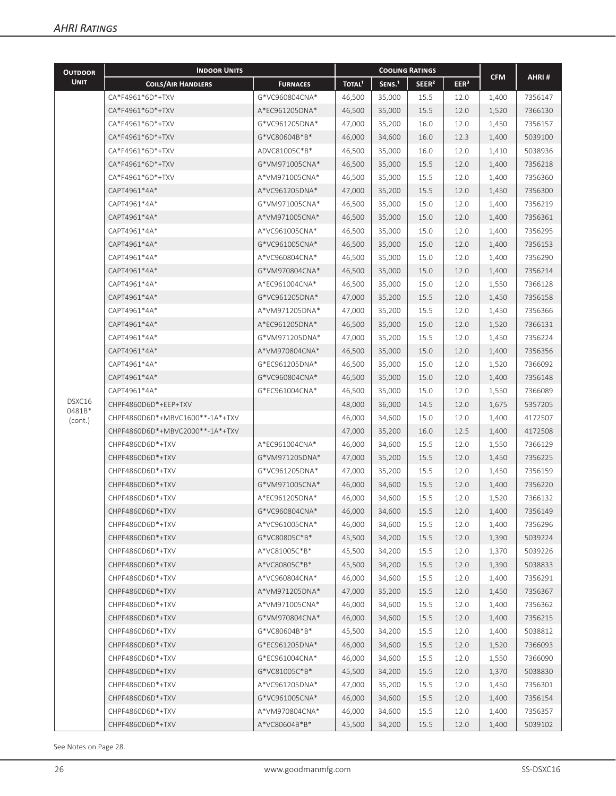| <b>OUTDOOR</b>    | <b>INDOOR UNITS</b>             |                 | <b>COOLING RATINGS</b> |                    |                   |                  |            |         |
|-------------------|---------------------------------|-----------------|------------------------|--------------------|-------------------|------------------|------------|---------|
| <b>UNIT</b>       | <b>COILS/AIR HANDLERS</b>       | <b>FURNACES</b> | TOTAL <sup>1</sup>     | SENS. <sup>1</sup> | SEER <sup>2</sup> | EER <sup>3</sup> | <b>CFM</b> | AHRI#   |
|                   | CA*F4961*6D*+TXV                | G*VC960804CNA*  | 46,500                 | 35,000             | 15.5              | 12.0             | 1,400      | 7356147 |
|                   | CA*F4961*6D*+TXV                | A*EC961205DNA*  | 46,500                 | 35,000             | 15.5              | 12.0             | 1,520      | 7366130 |
|                   | CA*F4961*6D*+TXV                | G*VC961205DNA*  | 47,000                 | 35,200             | 16.0              | 12.0             | 1,450      | 7356157 |
|                   | CA*F4961*6D*+TXV                | G*VC80604B*B*   | 46,000                 | 34,600             | 16.0              | 12.3             | 1,400      | 5039100 |
|                   | CA*F4961*6D*+TXV                | ADVC81005C*B*   | 46,500                 | 35,000             | 16.0              | 12.0             | 1,410      | 5038936 |
|                   | CA*F4961*6D*+TXV                | G*VM971005CNA*  | 46,500                 | 35,000             | 15.5              | 12.0             | 1,400      | 7356218 |
|                   | CA*F4961*6D*+TXV                | A*VM971005CNA*  | 46,500                 | 35,000             | 15.5              | 12.0             | 1,400      | 7356360 |
|                   | CAPT4961*4A*                    | A*VC961205DNA*  | 47,000                 | 35,200             | 15.5              | 12.0             | 1,450      | 7356300 |
|                   | CAPT4961*4A*                    | G*VM971005CNA*  | 46,500                 | 35,000             | 15.0              | 12.0             | 1,400      | 7356219 |
|                   | CAPT4961*4A*                    | A*VM971005CNA*  | 46,500                 | 35,000             | 15.0              | 12.0             | 1,400      | 7356361 |
|                   | CAPT4961*4A*                    | A*VC961005CNA*  | 46,500                 | 35,000             | 15.0              | 12.0             | 1,400      | 7356295 |
|                   | CAPT4961*4A*                    | G*VC961005CNA*  | 46,500                 | 35,000             | 15.0              | 12.0             | 1,400      | 7356153 |
|                   | CAPT4961*4A*                    | A*VC960804CNA*  | 46,500                 | 35,000             | 15.0              | 12.0             | 1,400      | 7356290 |
|                   | CAPT4961*4A*                    | G*VM970804CNA*  | 46,500                 | 35,000             | 15.0              | 12.0             | 1,400      | 7356214 |
|                   | CAPT4961*4A*                    | A*EC961004CNA*  | 46,500                 | 35,000             | 15.0              | 12.0             | 1,550      | 7366128 |
|                   | CAPT4961*4A*                    | G*VC961205DNA*  | 47,000                 | 35,200             | 15.5              | 12.0             | 1,450      | 7356158 |
|                   | CAPT4961*4A*                    | A*VM971205DNA*  | 47,000                 | 35,200             | 15.5              | 12.0             | 1,450      | 7356366 |
|                   | CAPT4961*4A*                    | A*EC961205DNA*  | 46,500                 | 35,000             | 15.0              | 12.0             | 1,520      | 7366131 |
|                   | CAPT4961*4A*                    | G*VM971205DNA*  | 47,000                 | 35,200             | 15.5              | 12.0             | 1,450      | 7356224 |
|                   | CAPT4961*4A*                    | A*VM970804CNA*  | 46,500                 | 35,000             | 15.0              | 12.0             | 1,400      | 7356356 |
|                   | CAPT4961*4A*                    | G*EC961205DNA*  | 46,500                 | 35,000             | 15.0              | 12.0             | 1,520      | 7366092 |
|                   | CAPT4961*4A*                    | G*VC960804CNA*  | 46,500                 | 35,000             | 15.0              | 12.0             | 1,400      | 7356148 |
|                   | CAPT4961*4A*                    | G*EC961004CNA*  | 46,500                 | 35,000             | 15.0              | 12.0             | 1,550      | 7366089 |
| DSXC16            | CHPF4860D6D*+EEP+TXV            |                 | 48,000                 | 36,000             | 14.5              | 12.0             | 1,675      | 5357205 |
| 0481B*<br>(cont.) | CHPF4860D6D*+MBVC1600**-1A*+TXV |                 | 46,000                 | 34,600             | 15.0              | 12.0             | 1,400      | 4172507 |
|                   | CHPF4860D6D*+MBVC2000**-1A*+TXV |                 | 47,000                 | 35,200             | 16.0              | 12.5             | 1,400      | 4172508 |
|                   | CHPF4860D6D*+TXV                | A*EC961004CNA*  | 46,000                 | 34,600             | 15.5              | 12.0             | 1,550      | 7366129 |
|                   | CHPF4860D6D*+TXV                | G*VM971205DNA*  | 47,000                 | 35,200             | 15.5              | 12.0             | 1,450      | 7356225 |
|                   | CHPF4860D6D*+TXV                | G*VC961205DNA*  | 47,000                 | 35,200             | 15.5              | 12.0             | 1,450      | 7356159 |
|                   | CHPF4860D6D*+TXV                | G*VM971005CNA*  | 46,000                 | 34,600             | 15.5              | 12.0             | 1,400      | 7356220 |
|                   | CHPF4860D6D*+TXV                | A*EC961205DNA*  | 46,000                 | 34,600             | 15.5              | 12.0             | 1,520      | 7366132 |
|                   | CHPF4860D6D*+TXV                | G*VC960804CNA*  | 46,000                 | 34,600             | 15.5              | 12.0             | 1,400      | 7356149 |
|                   | CHPF4860D6D*+TXV                | A*VC961005CNA*  | 46,000                 | 34,600             | 15.5              | 12.0             | 1,400      | 7356296 |
|                   | CHPF4860D6D*+TXV                | G*VC80805C*B*   | 45,500                 | 34,200             | 15.5              | 12.0             | 1,390      | 5039224 |
|                   | CHPF4860D6D*+TXV                | A*VC81005C*B*   | 45,500                 | 34,200             | 15.5              | 12.0             | 1,370      | 5039226 |
|                   | CHPF4860D6D*+TXV                | A*VC80805C*B*   | 45,500                 | 34,200             | 15.5              | 12.0             | 1,390      | 5038833 |
|                   | CHPF4860D6D*+TXV                | A*VC960804CNA*  | 46,000                 | 34,600             | 15.5              | 12.0             | 1,400      | 7356291 |
|                   | CHPF4860D6D*+TXV                | A*VM971205DNA*  | 47,000                 | 35,200             | 15.5              | 12.0             | 1,450      | 7356367 |
|                   | CHPF4860D6D*+TXV                | A*VM971005CNA*  | 46,000                 | 34,600             | 15.5              | 12.0             | 1,400      | 7356362 |
|                   | CHPF4860D6D*+TXV                | G*VM970804CNA*  | 46,000                 | 34,600             | 15.5              | 12.0             | 1,400      | 7356215 |
|                   | CHPF4860D6D*+TXV                | G*VC80604B*B*   | 45,500                 | 34,200             | 15.5              | 12.0             | 1,400      | 5038812 |
|                   | CHPF4860D6D*+TXV                | G*EC961205DNA*  | 46,000                 | 34,600             | 15.5              | 12.0             | 1,520      | 7366093 |
|                   | CHPF4860D6D*+TXV                | G*EC961004CNA*  | 46,000                 | 34,600             | 15.5              | 12.0             | 1,550      | 7366090 |
|                   | CHPF4860D6D*+TXV                | G*VC81005C*B*   | 45,500                 | 34,200             | 15.5              | 12.0             | 1,370      | 5038830 |
|                   | CHPF4860D6D*+TXV                | A*VC961205DNA*  | 47,000                 | 35,200             | 15.5              | 12.0             | 1,450      | 7356301 |
|                   | CHPF4860D6D*+TXV                | G*VC961005CNA*  | 46,000                 | 34,600             | 15.5              | 12.0             | 1,400      | 7356154 |
|                   | CHPF4860D6D*+TXV                | A*VM970804CNA*  | 46,000                 | 34,600             | 15.5              | 12.0             | 1,400      | 7356357 |
|                   | CHPF4860D6D*+TXV                | A*VC80604B*B*   | 45,500                 | 34,200             | 15.5              | 12.0             | 1,400      | 5039102 |

See Notes on Page 28.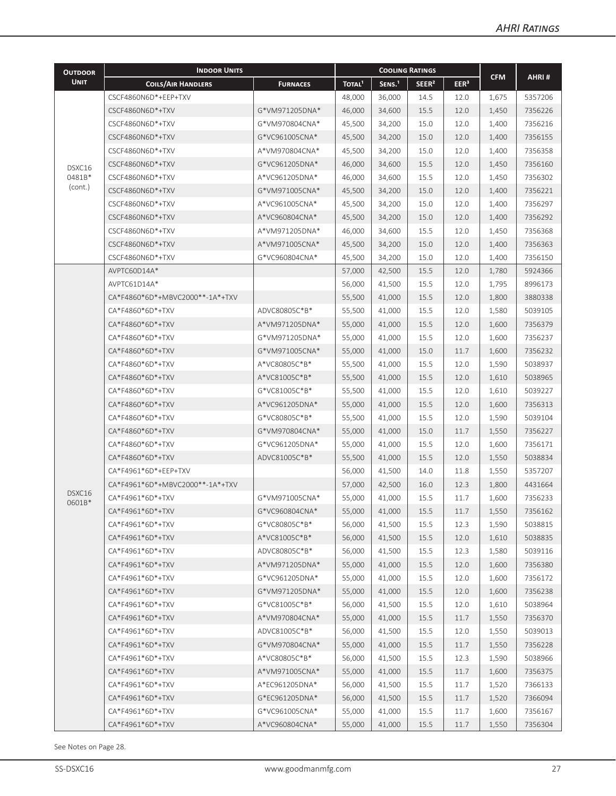| <b>CFM</b><br><b>UNIT</b><br>TOTAL <sup>1</sup><br>SENS. <sup>1</sup><br>SEER <sup>2</sup><br>EER <sup>3</sup><br><b>COILS/AIR HANDLERS</b><br><b>FURNACES</b><br>CSCF4860N6D*+EEP+TXV<br>48,000<br>36,000<br>14.5<br>5357206<br>12.0<br>1,675<br>CSCF4860N6D*+TXV<br>G*VM971205DNA*<br>15.5<br>46,000<br>34,600<br>12.0<br>1,450<br>7356226<br>15.0<br>7356216<br>CSCF4860N6D*+TXV<br>G*VM970804CNA*<br>45,500<br>34,200<br>12.0<br>1,400<br>G*VC961005CNA*<br>45,500<br>15.0<br>7356155<br>CSCF4860N6D*+TXV<br>34,200<br>12.0<br>1,400<br>45,500<br>15.0<br>7356358<br>CSCF4860N6D*+TXV<br>A*VM970804CNA*<br>34,200<br>12.0<br>1,400<br>G*VC961205DNA*<br>15.5<br>7356160<br>CSCF4860N6D*+TXV<br>46,000<br>34,600<br>12.0<br>1,450<br>DSXC16<br>0481B*<br>15.5<br>7356302<br>CSCF4860N6D*+TXV<br>A*VC961205DNA*<br>46,000<br>34,600<br>12.0<br>1,450<br>(cont.)<br>45,500<br>15.0<br>7356221<br>CSCF4860N6D*+TXV<br>G*VM971005CNA*<br>34,200<br>12.0<br>1,400<br>15.0<br>7356297<br>CSCF4860N6D*+TXV<br>A*VC961005CNA*<br>45,500<br>34,200<br>12.0<br>1,400<br>A*VC960804CNA*<br>45,500<br>15.0<br>7356292<br>CSCF4860N6D*+TXV<br>34,200<br>12.0<br>1,400<br>15.5<br>12.0<br>7356368<br>CSCF4860N6D*+TXV<br>A*VM971205DNA*<br>46,000<br>34,600<br>1,450<br>15.0<br>CSCF4860N6D*+TXV<br>A*VM971005CNA*<br>45,500<br>34,200<br>12.0<br>1,400<br>7356363<br>7356150<br>CSCF4860N6D*+TXV<br>G*VC960804CNA*<br>45,500<br>34,200<br>15.0<br>12.0<br>1,400<br>AVPTC60D14A*<br>57,000<br>42,500<br>15.5<br>5924366<br>12.0<br>1,780<br>AVPTC61D14A*<br>15.5<br>8996173<br>56,000<br>41,500<br>12.0<br>1,795<br>CA*F4860*6D*+MBVC2000**-1A*+TXV<br>55,500<br>15.5<br>3880338<br>41,000<br>12.0<br>1,800<br>ADVC80805C*B*<br>55,500<br>15.5<br>5039105<br>CA*F4860*6D*+TXV<br>41,000<br>12.0<br>1,580<br>CA*F4860*6D*+TXV<br>A*VM971205DNA*<br>55,000<br>15.5<br>7356379<br>41,000<br>12.0<br>1,600<br>CA*F4860*6D*+TXV<br>G*VM971205DNA*<br>55,000<br>15.5<br>7356237<br>41,000<br>12.0<br>1,600<br>15.0<br>7356232<br>CA*F4860*6D*+TXV<br>G*VM971005CNA*<br>55,000<br>41,000<br>11.7<br>1,600<br>CA*F4860*6D*+TXV<br>A*VC80805C*B*<br>55,500<br>15.5<br>5038937<br>41,000<br>12.0<br>1,590<br>CA*F4860*6D*+TXV<br>A*VC81005C*B*<br>55,500<br>15.5<br>5038965<br>41,000<br>12.0<br>1,610<br>CA*F4860*6D*+TXV<br>G*VC81005C*B*<br>55,500<br>15.5<br>12.0<br>5039227<br>41,000<br>1,610<br>CA*F4860*6D*+TXV<br>55,000<br>15.5<br>7356313<br>A*VC961205DNA*<br>41,000<br>12.0<br>1,600<br>CA*F4860*6D*+TXV<br>G*VC80805C*B*<br>15.5<br>12.0<br>5039104<br>55,500<br>41,000<br>1,590<br>15.0<br>CA*F4860*6D*+TXV<br>G*VM970804CNA*<br>55,000<br>41,000<br>11.7<br>1,550<br>7356227<br>CA*F4860*6D*+TXV<br>15.5<br>7356171<br>G*VC961205DNA*<br>55,000<br>41,000<br>12.0<br>1,600<br>CA*F4860*6D*+TXV<br>ADVC81005C*B*<br>55,500<br>15.5<br>5038834<br>41,000<br>12.0<br>1,550<br>CA*F4961*6D*+EEP+TXV<br>14.0<br>5357207<br>56,000<br>41,500<br>11.8<br>1,550<br>CA*F4961*6D*+MBVC2000**-1A*+TXV<br>57,000<br>42,500<br>16.0<br>12.3<br>1,800<br>4431664<br>DSXC16<br>G*VM971005CNA*<br>15.5<br>7356233<br>CA*F4961*6D*+TXV<br>55,000<br>41,000<br>11.7<br>1,600<br>0601B*<br>CA*F4961*6D*+TXV<br>G*VC960804CNA*<br>55,000<br>41,000<br>1,550<br>15.5<br>11.7<br>7356162<br>G*VC80805C*B*<br>56,000<br>41,500<br>15.5<br>5038815<br>CA*F4961*6D*+TXV<br>12.3<br>1,590<br>A*VC81005C*B*<br>56,000<br>41,500<br>15.5<br>5038835<br>CA*F4961*6D*+TXV<br>12.0<br>1,610<br>15.5<br>CA*F4961*6D*+TXV<br>ADVC80805C*B*<br>56,000<br>41,500<br>12.3<br>1,580<br>5039116<br>55,000<br>41,000<br>15.5<br>CA*F4961*6D*+TXV<br>A*VM971205DNA*<br>12.0<br>1,600<br>7356380<br>7356172<br>CA*F4961*6D*+TXV<br>G*VC961205DNA*<br>55,000<br>41,000<br>15.5<br>12.0<br>1,600<br>CA*F4961*6D*+TXV<br>G*VM971205DNA*<br>55,000<br>41,000<br>15.5<br>12.0<br>7356238<br>1,600<br>CA*F4961*6D*+TXV<br>G*VC81005C*B*<br>56,000<br>41,500<br>15.5<br>12.0<br>5038964<br>1,610<br>A*VM970804CNA*<br>55,000<br>41,000<br>15.5<br>CA*F4961*6D*+TXV<br>11.7<br>1,550<br>7356370<br>CA*F4961*6D*+TXV<br>ADVC81005C*B*<br>56,000<br>41,500<br>15.5<br>12.0<br>1,550<br>5039013<br>G*VM970804CNA*<br>55,000<br>15.5<br>11.7<br>7356228<br>CA*F4961*6D*+TXV<br>41,000<br>1,550<br>A*VC80805C*B*<br>56,000<br>15.5<br>5038966<br>CA*F4961*6D*+TXV<br>41,500<br>12.3<br>1,590<br>CA*F4961*6D*+TXV<br>A*VM971005CNA*<br>55,000<br>15.5<br>11.7<br>7356375<br>41,000<br>1,600<br>CA*F4961*6D*+TXV<br>56,000<br>15.5<br>7366133<br>A*EC961205DNA*<br>41,500<br>11.7<br>1,520<br>CA*F4961*6D*+TXV<br>G*EC961205DNA*<br>56,000<br>41,500<br>15.5<br>11.7<br>1,520<br>7366094<br>CA*F4961*6D*+TXV<br>G*VC961005CNA*<br>55,000<br>41,000<br>15.5<br>7356167<br>11.7<br>1,600<br>CA*F4961*6D*+TXV | <b>OUTDOOR</b> | <b>INDOOR UNITS</b> |                | <b>COOLING RATINGS</b> |        |      |      |       |         |
|-----------------------------------------------------------------------------------------------------------------------------------------------------------------------------------------------------------------------------------------------------------------------------------------------------------------------------------------------------------------------------------------------------------------------------------------------------------------------------------------------------------------------------------------------------------------------------------------------------------------------------------------------------------------------------------------------------------------------------------------------------------------------------------------------------------------------------------------------------------------------------------------------------------------------------------------------------------------------------------------------------------------------------------------------------------------------------------------------------------------------------------------------------------------------------------------------------------------------------------------------------------------------------------------------------------------------------------------------------------------------------------------------------------------------------------------------------------------------------------------------------------------------------------------------------------------------------------------------------------------------------------------------------------------------------------------------------------------------------------------------------------------------------------------------------------------------------------------------------------------------------------------------------------------------------------------------------------------------------------------------------------------------------------------------------------------------------------------------------------------------------------------------------------------------------------------------------------------------------------------------------------------------------------------------------------------------------------------------------------------------------------------------------------------------------------------------------------------------------------------------------------------------------------------------------------------------------------------------------------------------------------------------------------------------------------------------------------------------------------------------------------------------------------------------------------------------------------------------------------------------------------------------------------------------------------------------------------------------------------------------------------------------------------------------------------------------------------------------------------------------------------------------------------------------------------------------------------------------------------------------------------------------------------------------------------------------------------------------------------------------------------------------------------------------------------------------------------------------------------------------------------------------------------------------------------------------------------------------------------------------------------------------------------------------------------------------------------------------------------------------------------------------------------------------------------------------------------------------------------------------------------------------------------------------------------------------------------------------------------------------------------------------------------------------------------------------------------------------------------------------------------------------------------------------------------------------------------------------------------------------------------------------------------------------------------------------------------------------------------------------------------------------------------------------------------------------------------------------------------------------------------------------------------------------------------------------------------------------------------------------------------------------------------------------------------------------------------------------------------------------|----------------|---------------------|----------------|------------------------|--------|------|------|-------|---------|
|                                                                                                                                                                                                                                                                                                                                                                                                                                                                                                                                                                                                                                                                                                                                                                                                                                                                                                                                                                                                                                                                                                                                                                                                                                                                                                                                                                                                                                                                                                                                                                                                                                                                                                                                                                                                                                                                                                                                                                                                                                                                                                                                                                                                                                                                                                                                                                                                                                                                                                                                                                                                                                                                                                                                                                                                                                                                                                                                                                                                                                                                                                                                                                                                                                                                                                                                                                                                                                                                                                                                                                                                                                                                                                                                                                                                                                                                                                                                                                                                                                                                                                                                                                                                                                                                                                                                                                                                                                                                                                                                                                                                                                                                                                                                               |                |                     |                |                        |        |      |      |       | AHRI#   |
|                                                                                                                                                                                                                                                                                                                                                                                                                                                                                                                                                                                                                                                                                                                                                                                                                                                                                                                                                                                                                                                                                                                                                                                                                                                                                                                                                                                                                                                                                                                                                                                                                                                                                                                                                                                                                                                                                                                                                                                                                                                                                                                                                                                                                                                                                                                                                                                                                                                                                                                                                                                                                                                                                                                                                                                                                                                                                                                                                                                                                                                                                                                                                                                                                                                                                                                                                                                                                                                                                                                                                                                                                                                                                                                                                                                                                                                                                                                                                                                                                                                                                                                                                                                                                                                                                                                                                                                                                                                                                                                                                                                                                                                                                                                                               |                |                     |                |                        |        |      |      |       |         |
|                                                                                                                                                                                                                                                                                                                                                                                                                                                                                                                                                                                                                                                                                                                                                                                                                                                                                                                                                                                                                                                                                                                                                                                                                                                                                                                                                                                                                                                                                                                                                                                                                                                                                                                                                                                                                                                                                                                                                                                                                                                                                                                                                                                                                                                                                                                                                                                                                                                                                                                                                                                                                                                                                                                                                                                                                                                                                                                                                                                                                                                                                                                                                                                                                                                                                                                                                                                                                                                                                                                                                                                                                                                                                                                                                                                                                                                                                                                                                                                                                                                                                                                                                                                                                                                                                                                                                                                                                                                                                                                                                                                                                                                                                                                                               |                |                     |                |                        |        |      |      |       |         |
|                                                                                                                                                                                                                                                                                                                                                                                                                                                                                                                                                                                                                                                                                                                                                                                                                                                                                                                                                                                                                                                                                                                                                                                                                                                                                                                                                                                                                                                                                                                                                                                                                                                                                                                                                                                                                                                                                                                                                                                                                                                                                                                                                                                                                                                                                                                                                                                                                                                                                                                                                                                                                                                                                                                                                                                                                                                                                                                                                                                                                                                                                                                                                                                                                                                                                                                                                                                                                                                                                                                                                                                                                                                                                                                                                                                                                                                                                                                                                                                                                                                                                                                                                                                                                                                                                                                                                                                                                                                                                                                                                                                                                                                                                                                                               |                |                     |                |                        |        |      |      |       |         |
|                                                                                                                                                                                                                                                                                                                                                                                                                                                                                                                                                                                                                                                                                                                                                                                                                                                                                                                                                                                                                                                                                                                                                                                                                                                                                                                                                                                                                                                                                                                                                                                                                                                                                                                                                                                                                                                                                                                                                                                                                                                                                                                                                                                                                                                                                                                                                                                                                                                                                                                                                                                                                                                                                                                                                                                                                                                                                                                                                                                                                                                                                                                                                                                                                                                                                                                                                                                                                                                                                                                                                                                                                                                                                                                                                                                                                                                                                                                                                                                                                                                                                                                                                                                                                                                                                                                                                                                                                                                                                                                                                                                                                                                                                                                                               |                |                     |                |                        |        |      |      |       |         |
|                                                                                                                                                                                                                                                                                                                                                                                                                                                                                                                                                                                                                                                                                                                                                                                                                                                                                                                                                                                                                                                                                                                                                                                                                                                                                                                                                                                                                                                                                                                                                                                                                                                                                                                                                                                                                                                                                                                                                                                                                                                                                                                                                                                                                                                                                                                                                                                                                                                                                                                                                                                                                                                                                                                                                                                                                                                                                                                                                                                                                                                                                                                                                                                                                                                                                                                                                                                                                                                                                                                                                                                                                                                                                                                                                                                                                                                                                                                                                                                                                                                                                                                                                                                                                                                                                                                                                                                                                                                                                                                                                                                                                                                                                                                                               |                |                     |                |                        |        |      |      |       |         |
|                                                                                                                                                                                                                                                                                                                                                                                                                                                                                                                                                                                                                                                                                                                                                                                                                                                                                                                                                                                                                                                                                                                                                                                                                                                                                                                                                                                                                                                                                                                                                                                                                                                                                                                                                                                                                                                                                                                                                                                                                                                                                                                                                                                                                                                                                                                                                                                                                                                                                                                                                                                                                                                                                                                                                                                                                                                                                                                                                                                                                                                                                                                                                                                                                                                                                                                                                                                                                                                                                                                                                                                                                                                                                                                                                                                                                                                                                                                                                                                                                                                                                                                                                                                                                                                                                                                                                                                                                                                                                                                                                                                                                                                                                                                                               |                |                     |                |                        |        |      |      |       |         |
|                                                                                                                                                                                                                                                                                                                                                                                                                                                                                                                                                                                                                                                                                                                                                                                                                                                                                                                                                                                                                                                                                                                                                                                                                                                                                                                                                                                                                                                                                                                                                                                                                                                                                                                                                                                                                                                                                                                                                                                                                                                                                                                                                                                                                                                                                                                                                                                                                                                                                                                                                                                                                                                                                                                                                                                                                                                                                                                                                                                                                                                                                                                                                                                                                                                                                                                                                                                                                                                                                                                                                                                                                                                                                                                                                                                                                                                                                                                                                                                                                                                                                                                                                                                                                                                                                                                                                                                                                                                                                                                                                                                                                                                                                                                                               |                |                     |                |                        |        |      |      |       |         |
|                                                                                                                                                                                                                                                                                                                                                                                                                                                                                                                                                                                                                                                                                                                                                                                                                                                                                                                                                                                                                                                                                                                                                                                                                                                                                                                                                                                                                                                                                                                                                                                                                                                                                                                                                                                                                                                                                                                                                                                                                                                                                                                                                                                                                                                                                                                                                                                                                                                                                                                                                                                                                                                                                                                                                                                                                                                                                                                                                                                                                                                                                                                                                                                                                                                                                                                                                                                                                                                                                                                                                                                                                                                                                                                                                                                                                                                                                                                                                                                                                                                                                                                                                                                                                                                                                                                                                                                                                                                                                                                                                                                                                                                                                                                                               |                |                     |                |                        |        |      |      |       |         |
|                                                                                                                                                                                                                                                                                                                                                                                                                                                                                                                                                                                                                                                                                                                                                                                                                                                                                                                                                                                                                                                                                                                                                                                                                                                                                                                                                                                                                                                                                                                                                                                                                                                                                                                                                                                                                                                                                                                                                                                                                                                                                                                                                                                                                                                                                                                                                                                                                                                                                                                                                                                                                                                                                                                                                                                                                                                                                                                                                                                                                                                                                                                                                                                                                                                                                                                                                                                                                                                                                                                                                                                                                                                                                                                                                                                                                                                                                                                                                                                                                                                                                                                                                                                                                                                                                                                                                                                                                                                                                                                                                                                                                                                                                                                                               |                |                     |                |                        |        |      |      |       |         |
|                                                                                                                                                                                                                                                                                                                                                                                                                                                                                                                                                                                                                                                                                                                                                                                                                                                                                                                                                                                                                                                                                                                                                                                                                                                                                                                                                                                                                                                                                                                                                                                                                                                                                                                                                                                                                                                                                                                                                                                                                                                                                                                                                                                                                                                                                                                                                                                                                                                                                                                                                                                                                                                                                                                                                                                                                                                                                                                                                                                                                                                                                                                                                                                                                                                                                                                                                                                                                                                                                                                                                                                                                                                                                                                                                                                                                                                                                                                                                                                                                                                                                                                                                                                                                                                                                                                                                                                                                                                                                                                                                                                                                                                                                                                                               |                |                     |                |                        |        |      |      |       |         |
|                                                                                                                                                                                                                                                                                                                                                                                                                                                                                                                                                                                                                                                                                                                                                                                                                                                                                                                                                                                                                                                                                                                                                                                                                                                                                                                                                                                                                                                                                                                                                                                                                                                                                                                                                                                                                                                                                                                                                                                                                                                                                                                                                                                                                                                                                                                                                                                                                                                                                                                                                                                                                                                                                                                                                                                                                                                                                                                                                                                                                                                                                                                                                                                                                                                                                                                                                                                                                                                                                                                                                                                                                                                                                                                                                                                                                                                                                                                                                                                                                                                                                                                                                                                                                                                                                                                                                                                                                                                                                                                                                                                                                                                                                                                                               |                |                     |                |                        |        |      |      |       |         |
|                                                                                                                                                                                                                                                                                                                                                                                                                                                                                                                                                                                                                                                                                                                                                                                                                                                                                                                                                                                                                                                                                                                                                                                                                                                                                                                                                                                                                                                                                                                                                                                                                                                                                                                                                                                                                                                                                                                                                                                                                                                                                                                                                                                                                                                                                                                                                                                                                                                                                                                                                                                                                                                                                                                                                                                                                                                                                                                                                                                                                                                                                                                                                                                                                                                                                                                                                                                                                                                                                                                                                                                                                                                                                                                                                                                                                                                                                                                                                                                                                                                                                                                                                                                                                                                                                                                                                                                                                                                                                                                                                                                                                                                                                                                                               |                |                     |                |                        |        |      |      |       |         |
|                                                                                                                                                                                                                                                                                                                                                                                                                                                                                                                                                                                                                                                                                                                                                                                                                                                                                                                                                                                                                                                                                                                                                                                                                                                                                                                                                                                                                                                                                                                                                                                                                                                                                                                                                                                                                                                                                                                                                                                                                                                                                                                                                                                                                                                                                                                                                                                                                                                                                                                                                                                                                                                                                                                                                                                                                                                                                                                                                                                                                                                                                                                                                                                                                                                                                                                                                                                                                                                                                                                                                                                                                                                                                                                                                                                                                                                                                                                                                                                                                                                                                                                                                                                                                                                                                                                                                                                                                                                                                                                                                                                                                                                                                                                                               |                |                     |                |                        |        |      |      |       |         |
|                                                                                                                                                                                                                                                                                                                                                                                                                                                                                                                                                                                                                                                                                                                                                                                                                                                                                                                                                                                                                                                                                                                                                                                                                                                                                                                                                                                                                                                                                                                                                                                                                                                                                                                                                                                                                                                                                                                                                                                                                                                                                                                                                                                                                                                                                                                                                                                                                                                                                                                                                                                                                                                                                                                                                                                                                                                                                                                                                                                                                                                                                                                                                                                                                                                                                                                                                                                                                                                                                                                                                                                                                                                                                                                                                                                                                                                                                                                                                                                                                                                                                                                                                                                                                                                                                                                                                                                                                                                                                                                                                                                                                                                                                                                                               |                |                     |                |                        |        |      |      |       |         |
|                                                                                                                                                                                                                                                                                                                                                                                                                                                                                                                                                                                                                                                                                                                                                                                                                                                                                                                                                                                                                                                                                                                                                                                                                                                                                                                                                                                                                                                                                                                                                                                                                                                                                                                                                                                                                                                                                                                                                                                                                                                                                                                                                                                                                                                                                                                                                                                                                                                                                                                                                                                                                                                                                                                                                                                                                                                                                                                                                                                                                                                                                                                                                                                                                                                                                                                                                                                                                                                                                                                                                                                                                                                                                                                                                                                                                                                                                                                                                                                                                                                                                                                                                                                                                                                                                                                                                                                                                                                                                                                                                                                                                                                                                                                                               |                |                     |                |                        |        |      |      |       |         |
|                                                                                                                                                                                                                                                                                                                                                                                                                                                                                                                                                                                                                                                                                                                                                                                                                                                                                                                                                                                                                                                                                                                                                                                                                                                                                                                                                                                                                                                                                                                                                                                                                                                                                                                                                                                                                                                                                                                                                                                                                                                                                                                                                                                                                                                                                                                                                                                                                                                                                                                                                                                                                                                                                                                                                                                                                                                                                                                                                                                                                                                                                                                                                                                                                                                                                                                                                                                                                                                                                                                                                                                                                                                                                                                                                                                                                                                                                                                                                                                                                                                                                                                                                                                                                                                                                                                                                                                                                                                                                                                                                                                                                                                                                                                                               |                |                     |                |                        |        |      |      |       |         |
|                                                                                                                                                                                                                                                                                                                                                                                                                                                                                                                                                                                                                                                                                                                                                                                                                                                                                                                                                                                                                                                                                                                                                                                                                                                                                                                                                                                                                                                                                                                                                                                                                                                                                                                                                                                                                                                                                                                                                                                                                                                                                                                                                                                                                                                                                                                                                                                                                                                                                                                                                                                                                                                                                                                                                                                                                                                                                                                                                                                                                                                                                                                                                                                                                                                                                                                                                                                                                                                                                                                                                                                                                                                                                                                                                                                                                                                                                                                                                                                                                                                                                                                                                                                                                                                                                                                                                                                                                                                                                                                                                                                                                                                                                                                                               |                |                     |                |                        |        |      |      |       |         |
|                                                                                                                                                                                                                                                                                                                                                                                                                                                                                                                                                                                                                                                                                                                                                                                                                                                                                                                                                                                                                                                                                                                                                                                                                                                                                                                                                                                                                                                                                                                                                                                                                                                                                                                                                                                                                                                                                                                                                                                                                                                                                                                                                                                                                                                                                                                                                                                                                                                                                                                                                                                                                                                                                                                                                                                                                                                                                                                                                                                                                                                                                                                                                                                                                                                                                                                                                                                                                                                                                                                                                                                                                                                                                                                                                                                                                                                                                                                                                                                                                                                                                                                                                                                                                                                                                                                                                                                                                                                                                                                                                                                                                                                                                                                                               |                |                     |                |                        |        |      |      |       |         |
|                                                                                                                                                                                                                                                                                                                                                                                                                                                                                                                                                                                                                                                                                                                                                                                                                                                                                                                                                                                                                                                                                                                                                                                                                                                                                                                                                                                                                                                                                                                                                                                                                                                                                                                                                                                                                                                                                                                                                                                                                                                                                                                                                                                                                                                                                                                                                                                                                                                                                                                                                                                                                                                                                                                                                                                                                                                                                                                                                                                                                                                                                                                                                                                                                                                                                                                                                                                                                                                                                                                                                                                                                                                                                                                                                                                                                                                                                                                                                                                                                                                                                                                                                                                                                                                                                                                                                                                                                                                                                                                                                                                                                                                                                                                                               |                |                     |                |                        |        |      |      |       |         |
|                                                                                                                                                                                                                                                                                                                                                                                                                                                                                                                                                                                                                                                                                                                                                                                                                                                                                                                                                                                                                                                                                                                                                                                                                                                                                                                                                                                                                                                                                                                                                                                                                                                                                                                                                                                                                                                                                                                                                                                                                                                                                                                                                                                                                                                                                                                                                                                                                                                                                                                                                                                                                                                                                                                                                                                                                                                                                                                                                                                                                                                                                                                                                                                                                                                                                                                                                                                                                                                                                                                                                                                                                                                                                                                                                                                                                                                                                                                                                                                                                                                                                                                                                                                                                                                                                                                                                                                                                                                                                                                                                                                                                                                                                                                                               |                |                     |                |                        |        |      |      |       |         |
|                                                                                                                                                                                                                                                                                                                                                                                                                                                                                                                                                                                                                                                                                                                                                                                                                                                                                                                                                                                                                                                                                                                                                                                                                                                                                                                                                                                                                                                                                                                                                                                                                                                                                                                                                                                                                                                                                                                                                                                                                                                                                                                                                                                                                                                                                                                                                                                                                                                                                                                                                                                                                                                                                                                                                                                                                                                                                                                                                                                                                                                                                                                                                                                                                                                                                                                                                                                                                                                                                                                                                                                                                                                                                                                                                                                                                                                                                                                                                                                                                                                                                                                                                                                                                                                                                                                                                                                                                                                                                                                                                                                                                                                                                                                                               |                |                     |                |                        |        |      |      |       |         |
|                                                                                                                                                                                                                                                                                                                                                                                                                                                                                                                                                                                                                                                                                                                                                                                                                                                                                                                                                                                                                                                                                                                                                                                                                                                                                                                                                                                                                                                                                                                                                                                                                                                                                                                                                                                                                                                                                                                                                                                                                                                                                                                                                                                                                                                                                                                                                                                                                                                                                                                                                                                                                                                                                                                                                                                                                                                                                                                                                                                                                                                                                                                                                                                                                                                                                                                                                                                                                                                                                                                                                                                                                                                                                                                                                                                                                                                                                                                                                                                                                                                                                                                                                                                                                                                                                                                                                                                                                                                                                                                                                                                                                                                                                                                                               |                |                     |                |                        |        |      |      |       |         |
|                                                                                                                                                                                                                                                                                                                                                                                                                                                                                                                                                                                                                                                                                                                                                                                                                                                                                                                                                                                                                                                                                                                                                                                                                                                                                                                                                                                                                                                                                                                                                                                                                                                                                                                                                                                                                                                                                                                                                                                                                                                                                                                                                                                                                                                                                                                                                                                                                                                                                                                                                                                                                                                                                                                                                                                                                                                                                                                                                                                                                                                                                                                                                                                                                                                                                                                                                                                                                                                                                                                                                                                                                                                                                                                                                                                                                                                                                                                                                                                                                                                                                                                                                                                                                                                                                                                                                                                                                                                                                                                                                                                                                                                                                                                                               |                |                     |                |                        |        |      |      |       |         |
|                                                                                                                                                                                                                                                                                                                                                                                                                                                                                                                                                                                                                                                                                                                                                                                                                                                                                                                                                                                                                                                                                                                                                                                                                                                                                                                                                                                                                                                                                                                                                                                                                                                                                                                                                                                                                                                                                                                                                                                                                                                                                                                                                                                                                                                                                                                                                                                                                                                                                                                                                                                                                                                                                                                                                                                                                                                                                                                                                                                                                                                                                                                                                                                                                                                                                                                                                                                                                                                                                                                                                                                                                                                                                                                                                                                                                                                                                                                                                                                                                                                                                                                                                                                                                                                                                                                                                                                                                                                                                                                                                                                                                                                                                                                                               |                |                     |                |                        |        |      |      |       |         |
|                                                                                                                                                                                                                                                                                                                                                                                                                                                                                                                                                                                                                                                                                                                                                                                                                                                                                                                                                                                                                                                                                                                                                                                                                                                                                                                                                                                                                                                                                                                                                                                                                                                                                                                                                                                                                                                                                                                                                                                                                                                                                                                                                                                                                                                                                                                                                                                                                                                                                                                                                                                                                                                                                                                                                                                                                                                                                                                                                                                                                                                                                                                                                                                                                                                                                                                                                                                                                                                                                                                                                                                                                                                                                                                                                                                                                                                                                                                                                                                                                                                                                                                                                                                                                                                                                                                                                                                                                                                                                                                                                                                                                                                                                                                                               |                |                     |                |                        |        |      |      |       |         |
|                                                                                                                                                                                                                                                                                                                                                                                                                                                                                                                                                                                                                                                                                                                                                                                                                                                                                                                                                                                                                                                                                                                                                                                                                                                                                                                                                                                                                                                                                                                                                                                                                                                                                                                                                                                                                                                                                                                                                                                                                                                                                                                                                                                                                                                                                                                                                                                                                                                                                                                                                                                                                                                                                                                                                                                                                                                                                                                                                                                                                                                                                                                                                                                                                                                                                                                                                                                                                                                                                                                                                                                                                                                                                                                                                                                                                                                                                                                                                                                                                                                                                                                                                                                                                                                                                                                                                                                                                                                                                                                                                                                                                                                                                                                                               |                |                     |                |                        |        |      |      |       |         |
|                                                                                                                                                                                                                                                                                                                                                                                                                                                                                                                                                                                                                                                                                                                                                                                                                                                                                                                                                                                                                                                                                                                                                                                                                                                                                                                                                                                                                                                                                                                                                                                                                                                                                                                                                                                                                                                                                                                                                                                                                                                                                                                                                                                                                                                                                                                                                                                                                                                                                                                                                                                                                                                                                                                                                                                                                                                                                                                                                                                                                                                                                                                                                                                                                                                                                                                                                                                                                                                                                                                                                                                                                                                                                                                                                                                                                                                                                                                                                                                                                                                                                                                                                                                                                                                                                                                                                                                                                                                                                                                                                                                                                                                                                                                                               |                |                     |                |                        |        |      |      |       |         |
|                                                                                                                                                                                                                                                                                                                                                                                                                                                                                                                                                                                                                                                                                                                                                                                                                                                                                                                                                                                                                                                                                                                                                                                                                                                                                                                                                                                                                                                                                                                                                                                                                                                                                                                                                                                                                                                                                                                                                                                                                                                                                                                                                                                                                                                                                                                                                                                                                                                                                                                                                                                                                                                                                                                                                                                                                                                                                                                                                                                                                                                                                                                                                                                                                                                                                                                                                                                                                                                                                                                                                                                                                                                                                                                                                                                                                                                                                                                                                                                                                                                                                                                                                                                                                                                                                                                                                                                                                                                                                                                                                                                                                                                                                                                                               |                |                     |                |                        |        |      |      |       |         |
|                                                                                                                                                                                                                                                                                                                                                                                                                                                                                                                                                                                                                                                                                                                                                                                                                                                                                                                                                                                                                                                                                                                                                                                                                                                                                                                                                                                                                                                                                                                                                                                                                                                                                                                                                                                                                                                                                                                                                                                                                                                                                                                                                                                                                                                                                                                                                                                                                                                                                                                                                                                                                                                                                                                                                                                                                                                                                                                                                                                                                                                                                                                                                                                                                                                                                                                                                                                                                                                                                                                                                                                                                                                                                                                                                                                                                                                                                                                                                                                                                                                                                                                                                                                                                                                                                                                                                                                                                                                                                                                                                                                                                                                                                                                                               |                |                     |                |                        |        |      |      |       |         |
|                                                                                                                                                                                                                                                                                                                                                                                                                                                                                                                                                                                                                                                                                                                                                                                                                                                                                                                                                                                                                                                                                                                                                                                                                                                                                                                                                                                                                                                                                                                                                                                                                                                                                                                                                                                                                                                                                                                                                                                                                                                                                                                                                                                                                                                                                                                                                                                                                                                                                                                                                                                                                                                                                                                                                                                                                                                                                                                                                                                                                                                                                                                                                                                                                                                                                                                                                                                                                                                                                                                                                                                                                                                                                                                                                                                                                                                                                                                                                                                                                                                                                                                                                                                                                                                                                                                                                                                                                                                                                                                                                                                                                                                                                                                                               |                |                     |                |                        |        |      |      |       |         |
|                                                                                                                                                                                                                                                                                                                                                                                                                                                                                                                                                                                                                                                                                                                                                                                                                                                                                                                                                                                                                                                                                                                                                                                                                                                                                                                                                                                                                                                                                                                                                                                                                                                                                                                                                                                                                                                                                                                                                                                                                                                                                                                                                                                                                                                                                                                                                                                                                                                                                                                                                                                                                                                                                                                                                                                                                                                                                                                                                                                                                                                                                                                                                                                                                                                                                                                                                                                                                                                                                                                                                                                                                                                                                                                                                                                                                                                                                                                                                                                                                                                                                                                                                                                                                                                                                                                                                                                                                                                                                                                                                                                                                                                                                                                                               |                |                     |                |                        |        |      |      |       |         |
|                                                                                                                                                                                                                                                                                                                                                                                                                                                                                                                                                                                                                                                                                                                                                                                                                                                                                                                                                                                                                                                                                                                                                                                                                                                                                                                                                                                                                                                                                                                                                                                                                                                                                                                                                                                                                                                                                                                                                                                                                                                                                                                                                                                                                                                                                                                                                                                                                                                                                                                                                                                                                                                                                                                                                                                                                                                                                                                                                                                                                                                                                                                                                                                                                                                                                                                                                                                                                                                                                                                                                                                                                                                                                                                                                                                                                                                                                                                                                                                                                                                                                                                                                                                                                                                                                                                                                                                                                                                                                                                                                                                                                                                                                                                                               |                |                     |                |                        |        |      |      |       |         |
|                                                                                                                                                                                                                                                                                                                                                                                                                                                                                                                                                                                                                                                                                                                                                                                                                                                                                                                                                                                                                                                                                                                                                                                                                                                                                                                                                                                                                                                                                                                                                                                                                                                                                                                                                                                                                                                                                                                                                                                                                                                                                                                                                                                                                                                                                                                                                                                                                                                                                                                                                                                                                                                                                                                                                                                                                                                                                                                                                                                                                                                                                                                                                                                                                                                                                                                                                                                                                                                                                                                                                                                                                                                                                                                                                                                                                                                                                                                                                                                                                                                                                                                                                                                                                                                                                                                                                                                                                                                                                                                                                                                                                                                                                                                                               |                |                     |                |                        |        |      |      |       |         |
|                                                                                                                                                                                                                                                                                                                                                                                                                                                                                                                                                                                                                                                                                                                                                                                                                                                                                                                                                                                                                                                                                                                                                                                                                                                                                                                                                                                                                                                                                                                                                                                                                                                                                                                                                                                                                                                                                                                                                                                                                                                                                                                                                                                                                                                                                                                                                                                                                                                                                                                                                                                                                                                                                                                                                                                                                                                                                                                                                                                                                                                                                                                                                                                                                                                                                                                                                                                                                                                                                                                                                                                                                                                                                                                                                                                                                                                                                                                                                                                                                                                                                                                                                                                                                                                                                                                                                                                                                                                                                                                                                                                                                                                                                                                                               |                |                     |                |                        |        |      |      |       |         |
|                                                                                                                                                                                                                                                                                                                                                                                                                                                                                                                                                                                                                                                                                                                                                                                                                                                                                                                                                                                                                                                                                                                                                                                                                                                                                                                                                                                                                                                                                                                                                                                                                                                                                                                                                                                                                                                                                                                                                                                                                                                                                                                                                                                                                                                                                                                                                                                                                                                                                                                                                                                                                                                                                                                                                                                                                                                                                                                                                                                                                                                                                                                                                                                                                                                                                                                                                                                                                                                                                                                                                                                                                                                                                                                                                                                                                                                                                                                                                                                                                                                                                                                                                                                                                                                                                                                                                                                                                                                                                                                                                                                                                                                                                                                                               |                |                     |                |                        |        |      |      |       |         |
|                                                                                                                                                                                                                                                                                                                                                                                                                                                                                                                                                                                                                                                                                                                                                                                                                                                                                                                                                                                                                                                                                                                                                                                                                                                                                                                                                                                                                                                                                                                                                                                                                                                                                                                                                                                                                                                                                                                                                                                                                                                                                                                                                                                                                                                                                                                                                                                                                                                                                                                                                                                                                                                                                                                                                                                                                                                                                                                                                                                                                                                                                                                                                                                                                                                                                                                                                                                                                                                                                                                                                                                                                                                                                                                                                                                                                                                                                                                                                                                                                                                                                                                                                                                                                                                                                                                                                                                                                                                                                                                                                                                                                                                                                                                                               |                |                     |                |                        |        |      |      |       |         |
|                                                                                                                                                                                                                                                                                                                                                                                                                                                                                                                                                                                                                                                                                                                                                                                                                                                                                                                                                                                                                                                                                                                                                                                                                                                                                                                                                                                                                                                                                                                                                                                                                                                                                                                                                                                                                                                                                                                                                                                                                                                                                                                                                                                                                                                                                                                                                                                                                                                                                                                                                                                                                                                                                                                                                                                                                                                                                                                                                                                                                                                                                                                                                                                                                                                                                                                                                                                                                                                                                                                                                                                                                                                                                                                                                                                                                                                                                                                                                                                                                                                                                                                                                                                                                                                                                                                                                                                                                                                                                                                                                                                                                                                                                                                                               |                |                     |                |                        |        |      |      |       |         |
|                                                                                                                                                                                                                                                                                                                                                                                                                                                                                                                                                                                                                                                                                                                                                                                                                                                                                                                                                                                                                                                                                                                                                                                                                                                                                                                                                                                                                                                                                                                                                                                                                                                                                                                                                                                                                                                                                                                                                                                                                                                                                                                                                                                                                                                                                                                                                                                                                                                                                                                                                                                                                                                                                                                                                                                                                                                                                                                                                                                                                                                                                                                                                                                                                                                                                                                                                                                                                                                                                                                                                                                                                                                                                                                                                                                                                                                                                                                                                                                                                                                                                                                                                                                                                                                                                                                                                                                                                                                                                                                                                                                                                                                                                                                                               |                |                     |                |                        |        |      |      |       |         |
|                                                                                                                                                                                                                                                                                                                                                                                                                                                                                                                                                                                                                                                                                                                                                                                                                                                                                                                                                                                                                                                                                                                                                                                                                                                                                                                                                                                                                                                                                                                                                                                                                                                                                                                                                                                                                                                                                                                                                                                                                                                                                                                                                                                                                                                                                                                                                                                                                                                                                                                                                                                                                                                                                                                                                                                                                                                                                                                                                                                                                                                                                                                                                                                                                                                                                                                                                                                                                                                                                                                                                                                                                                                                                                                                                                                                                                                                                                                                                                                                                                                                                                                                                                                                                                                                                                                                                                                                                                                                                                                                                                                                                                                                                                                                               |                |                     |                |                        |        |      |      |       |         |
|                                                                                                                                                                                                                                                                                                                                                                                                                                                                                                                                                                                                                                                                                                                                                                                                                                                                                                                                                                                                                                                                                                                                                                                                                                                                                                                                                                                                                                                                                                                                                                                                                                                                                                                                                                                                                                                                                                                                                                                                                                                                                                                                                                                                                                                                                                                                                                                                                                                                                                                                                                                                                                                                                                                                                                                                                                                                                                                                                                                                                                                                                                                                                                                                                                                                                                                                                                                                                                                                                                                                                                                                                                                                                                                                                                                                                                                                                                                                                                                                                                                                                                                                                                                                                                                                                                                                                                                                                                                                                                                                                                                                                                                                                                                                               |                |                     |                |                        |        |      |      |       |         |
|                                                                                                                                                                                                                                                                                                                                                                                                                                                                                                                                                                                                                                                                                                                                                                                                                                                                                                                                                                                                                                                                                                                                                                                                                                                                                                                                                                                                                                                                                                                                                                                                                                                                                                                                                                                                                                                                                                                                                                                                                                                                                                                                                                                                                                                                                                                                                                                                                                                                                                                                                                                                                                                                                                                                                                                                                                                                                                                                                                                                                                                                                                                                                                                                                                                                                                                                                                                                                                                                                                                                                                                                                                                                                                                                                                                                                                                                                                                                                                                                                                                                                                                                                                                                                                                                                                                                                                                                                                                                                                                                                                                                                                                                                                                                               |                |                     |                |                        |        |      |      |       |         |
|                                                                                                                                                                                                                                                                                                                                                                                                                                                                                                                                                                                                                                                                                                                                                                                                                                                                                                                                                                                                                                                                                                                                                                                                                                                                                                                                                                                                                                                                                                                                                                                                                                                                                                                                                                                                                                                                                                                                                                                                                                                                                                                                                                                                                                                                                                                                                                                                                                                                                                                                                                                                                                                                                                                                                                                                                                                                                                                                                                                                                                                                                                                                                                                                                                                                                                                                                                                                                                                                                                                                                                                                                                                                                                                                                                                                                                                                                                                                                                                                                                                                                                                                                                                                                                                                                                                                                                                                                                                                                                                                                                                                                                                                                                                                               |                |                     |                |                        |        |      |      |       |         |
|                                                                                                                                                                                                                                                                                                                                                                                                                                                                                                                                                                                                                                                                                                                                                                                                                                                                                                                                                                                                                                                                                                                                                                                                                                                                                                                                                                                                                                                                                                                                                                                                                                                                                                                                                                                                                                                                                                                                                                                                                                                                                                                                                                                                                                                                                                                                                                                                                                                                                                                                                                                                                                                                                                                                                                                                                                                                                                                                                                                                                                                                                                                                                                                                                                                                                                                                                                                                                                                                                                                                                                                                                                                                                                                                                                                                                                                                                                                                                                                                                                                                                                                                                                                                                                                                                                                                                                                                                                                                                                                                                                                                                                                                                                                                               |                |                     |                |                        |        |      |      |       |         |
|                                                                                                                                                                                                                                                                                                                                                                                                                                                                                                                                                                                                                                                                                                                                                                                                                                                                                                                                                                                                                                                                                                                                                                                                                                                                                                                                                                                                                                                                                                                                                                                                                                                                                                                                                                                                                                                                                                                                                                                                                                                                                                                                                                                                                                                                                                                                                                                                                                                                                                                                                                                                                                                                                                                                                                                                                                                                                                                                                                                                                                                                                                                                                                                                                                                                                                                                                                                                                                                                                                                                                                                                                                                                                                                                                                                                                                                                                                                                                                                                                                                                                                                                                                                                                                                                                                                                                                                                                                                                                                                                                                                                                                                                                                                                               |                |                     |                |                        |        |      |      |       |         |
|                                                                                                                                                                                                                                                                                                                                                                                                                                                                                                                                                                                                                                                                                                                                                                                                                                                                                                                                                                                                                                                                                                                                                                                                                                                                                                                                                                                                                                                                                                                                                                                                                                                                                                                                                                                                                                                                                                                                                                                                                                                                                                                                                                                                                                                                                                                                                                                                                                                                                                                                                                                                                                                                                                                                                                                                                                                                                                                                                                                                                                                                                                                                                                                                                                                                                                                                                                                                                                                                                                                                                                                                                                                                                                                                                                                                                                                                                                                                                                                                                                                                                                                                                                                                                                                                                                                                                                                                                                                                                                                                                                                                                                                                                                                                               |                |                     |                |                        |        |      |      |       |         |
|                                                                                                                                                                                                                                                                                                                                                                                                                                                                                                                                                                                                                                                                                                                                                                                                                                                                                                                                                                                                                                                                                                                                                                                                                                                                                                                                                                                                                                                                                                                                                                                                                                                                                                                                                                                                                                                                                                                                                                                                                                                                                                                                                                                                                                                                                                                                                                                                                                                                                                                                                                                                                                                                                                                                                                                                                                                                                                                                                                                                                                                                                                                                                                                                                                                                                                                                                                                                                                                                                                                                                                                                                                                                                                                                                                                                                                                                                                                                                                                                                                                                                                                                                                                                                                                                                                                                                                                                                                                                                                                                                                                                                                                                                                                                               |                |                     |                |                        |        |      |      |       |         |
|                                                                                                                                                                                                                                                                                                                                                                                                                                                                                                                                                                                                                                                                                                                                                                                                                                                                                                                                                                                                                                                                                                                                                                                                                                                                                                                                                                                                                                                                                                                                                                                                                                                                                                                                                                                                                                                                                                                                                                                                                                                                                                                                                                                                                                                                                                                                                                                                                                                                                                                                                                                                                                                                                                                                                                                                                                                                                                                                                                                                                                                                                                                                                                                                                                                                                                                                                                                                                                                                                                                                                                                                                                                                                                                                                                                                                                                                                                                                                                                                                                                                                                                                                                                                                                                                                                                                                                                                                                                                                                                                                                                                                                                                                                                                               |                |                     |                |                        |        |      |      |       |         |
|                                                                                                                                                                                                                                                                                                                                                                                                                                                                                                                                                                                                                                                                                                                                                                                                                                                                                                                                                                                                                                                                                                                                                                                                                                                                                                                                                                                                                                                                                                                                                                                                                                                                                                                                                                                                                                                                                                                                                                                                                                                                                                                                                                                                                                                                                                                                                                                                                                                                                                                                                                                                                                                                                                                                                                                                                                                                                                                                                                                                                                                                                                                                                                                                                                                                                                                                                                                                                                                                                                                                                                                                                                                                                                                                                                                                                                                                                                                                                                                                                                                                                                                                                                                                                                                                                                                                                                                                                                                                                                                                                                                                                                                                                                                                               |                |                     | A*VC960804CNA* | 55,000                 | 41,000 | 15.5 | 11.7 | 1,550 | 7356304 |

See Notes on Page 28.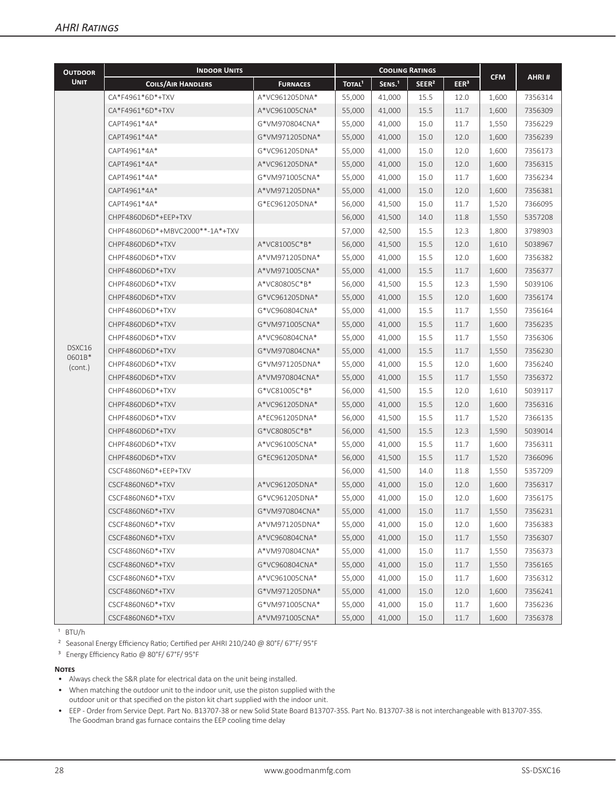| <b>OUTDOOR</b>    | <b>INDOOR UNITS</b>             |                 | <b>COOLING RATINGS</b> |                    |                   |                  |            |         |
|-------------------|---------------------------------|-----------------|------------------------|--------------------|-------------------|------------------|------------|---------|
| <b>UNIT</b>       | <b>COILS/AIR HANDLERS</b>       | <b>FURNACES</b> | TOTAL <sup>1</sup>     | SENS. <sup>1</sup> | SEER <sup>2</sup> | EER <sup>3</sup> | <b>CFM</b> | AHRI#   |
|                   | CA*F4961*6D*+TXV                | A*VC961205DNA*  | 55,000                 | 41,000             | 15.5              | 12.0             | 1,600      | 7356314 |
|                   | CA*F4961*6D*+TXV                | A*VC961005CNA*  | 55,000                 | 41,000             | 15.5              | 11.7             | 1,600      | 7356309 |
|                   | CAPT4961*4A*                    | G*VM970804CNA*  | 55,000                 | 41,000             | 15.0              | 11.7             | 1,550      | 7356229 |
|                   | CAPT4961*4A*                    | G*VM971205DNA*  | 55,000                 | 41,000             | 15.0              | 12.0             | 1,600      | 7356239 |
|                   | CAPT4961*4A*                    | G*VC961205DNA*  | 55,000                 | 41,000             | 15.0              | 12.0             | 1,600      | 7356173 |
|                   | CAPT4961*4A*                    | A*VC961205DNA*  | 55,000                 | 41,000             | 15.0              | 12.0             | 1,600      | 7356315 |
|                   | CAPT4961*4A*                    | G*VM971005CNA*  | 55,000                 | 41,000             | 15.0              | 11.7             | 1,600      | 7356234 |
|                   | CAPT4961*4A*                    | A*VM971205DNA*  | 55,000                 | 41,000             | 15.0              | 12.0             | 1,600      | 7356381 |
|                   | CAPT4961*4A*                    | G*EC961205DNA*  | 56,000                 | 41,500             | 15.0              | 11.7             | 1,520      | 7366095 |
|                   | CHPF4860D6D*+EEP+TXV            |                 | 56,000                 | 41,500             | 14.0              | 11.8             | 1,550      | 5357208 |
|                   | CHPF4860D6D*+MBVC2000**-1A*+TXV |                 | 57,000                 | 42,500             | 15.5              | 12.3             | 1,800      | 3798903 |
|                   | CHPF4860D6D*+TXV                | A*VC81005C*B*   | 56,000                 | 41,500             | 15.5              | 12.0             | 1,610      | 5038967 |
|                   | CHPF4860D6D*+TXV                | A*VM971205DNA*  | 55,000                 | 41,000             | 15.5              | 12.0             | 1,600      | 7356382 |
|                   | CHPF4860D6D*+TXV                | A*VM971005CNA*  | 55,000                 | 41,000             | 15.5              | 11.7             | 1,600      | 7356377 |
|                   | CHPF4860D6D*+TXV                | A*VC80805C*B*   | 56,000                 | 41,500             | 15.5              | 12.3             | 1,590      | 5039106 |
|                   | CHPF4860D6D*+TXV                | G*VC961205DNA*  | 55,000                 | 41,000             | 15.5              | 12.0             | 1,600      | 7356174 |
|                   | CHPF4860D6D*+TXV                | G*VC960804CNA*  | 55,000                 | 41,000             | 15.5              | 11.7             | 1,550      | 7356164 |
|                   | CHPF4860D6D*+TXV                | G*VM971005CNA*  | 55,000                 | 41,000             | 15.5              | 11.7             | 1,600      | 7356235 |
|                   | CHPF4860D6D*+TXV                | A*VC960804CNA*  | 55,000                 | 41,000             | 15.5              | 11.7             | 1,550      | 7356306 |
| DSXC16            | CHPF4860D6D*+TXV                | G*VM970804CNA*  | 55.000                 | 41,000             | 15.5              | 11.7             | 1,550      | 7356230 |
| 0601B*<br>(cont.) | CHPF4860D6D*+TXV                | G*VM971205DNA*  | 55,000                 | 41,000             | 15.5              | 12.0             | 1,600      | 7356240 |
|                   | CHPF4860D6D*+TXV                | A*VM970804CNA*  | 55,000                 | 41,000             | 15.5              | 11.7             | 1,550      | 7356372 |
|                   | CHPF4860D6D*+TXV                | G*VC81005C*B*   | 56,000                 | 41,500             | 15.5              | 12.0             | 1,610      | 5039117 |
|                   | CHPF4860D6D*+TXV                | A*VC961205DNA*  | 55,000                 | 41,000             | 15.5              | 12.0             | 1,600      | 7356316 |
|                   | CHPF4860D6D*+TXV                | A*EC961205DNA*  | 56,000                 | 41,500             | 15.5              | 11.7             | 1,520      | 7366135 |
|                   | CHPF4860D6D*+TXV                | G*VC80805C*B*   | 56,000                 | 41,500             | 15.5              | 12.3             | 1,590      | 5039014 |
|                   | CHPF4860D6D*+TXV                | A*VC961005CNA*  | 55,000                 | 41,000             | 15.5              | 11.7             | 1,600      | 7356311 |
|                   | CHPF4860D6D*+TXV                | G*EC961205DNA*  | 56,000                 | 41,500             | 15.5              | 11.7             | 1,520      | 7366096 |
|                   | CSCF4860N6D*+EEP+TXV            |                 | 56,000                 | 41,500             | 14.0              | 11.8             | 1,550      | 5357209 |
|                   | CSCF4860N6D*+TXV                | A*VC961205DNA*  | 55,000                 | 41,000             | 15.0              | 12.0             | 1,600      | 7356317 |
|                   | CSCF4860N6D*+TXV                | G*VC961205DNA*  | 55,000                 | 41,000             | 15.0              | 12.0             | 1,600      | 7356175 |
|                   | CSCF4860N6D*+TXV                | G*VM970804CNA*  | 55,000                 | 41,000             | 15.0              | 11.7             | 1,550      | 7356231 |
|                   | CSCF4860N6D*+TXV                | A*VM971205DNA*  | 55,000                 | 41,000             | 15.0              | 12.0             | 1,600      | 7356383 |
|                   | CSCF4860N6D*+TXV                | A*VC960804CNA*  | 55,000                 | 41,000             | 15.0              | 11.7             | 1,550      | 7356307 |
|                   | CSCF4860N6D*+TXV                | A*VM970804CNA*  | 55,000                 | 41,000             | 15.0              | 11.7             | 1,550      | 7356373 |
|                   | CSCF4860N6D*+TXV                | G*VC960804CNA*  | 55,000                 | 41,000             | 15.0              | 11.7             | 1,550      | 7356165 |
|                   | CSCF4860N6D*+TXV                | A*VC961005CNA*  | 55,000                 | 41,000             | 15.0              | 11.7             | 1,600      | 7356312 |
|                   | CSCF4860N6D*+TXV                | G*VM971205DNA*  | 55,000                 | 41,000             | 15.0              | 12.0             | 1,600      | 7356241 |
|                   | CSCF4860N6D*+TXV                | G*VM971005CNA*  | 55,000                 | 41,000             | 15.0              | 11.7             | 1,600      | 7356236 |
|                   | CSCF4860N6D*+TXV                | A*VM971005CNA*  | 55,000                 | 41,000             | 15.0              | 11.7             | 1,600      | 7356378 |

 $1$  BTU/h

² Seasonal Energy Efficiency Ratio; Certified per AHRI 210/240 @ 80°F/ 67°F/ 95°F

³ Energy Efficiency Ratio @ 80°F/ 67°F/ 95°F

#### **Notes**

- Always check the S&R plate for electrical data on the unit being installed.
- When matching the outdoor unit to the indoor unit, use the piston supplied with the outdoor unit or that specified on the piston kit chart supplied with the indoor unit.
- EEP Order from Service Dept. Part No. B13707-38 or new Solid State Board B13707-35S. Part No. B13707-38 is not interchangeable with B13707-35S. The Goodman brand gas furnace contains the EEP cooling time delay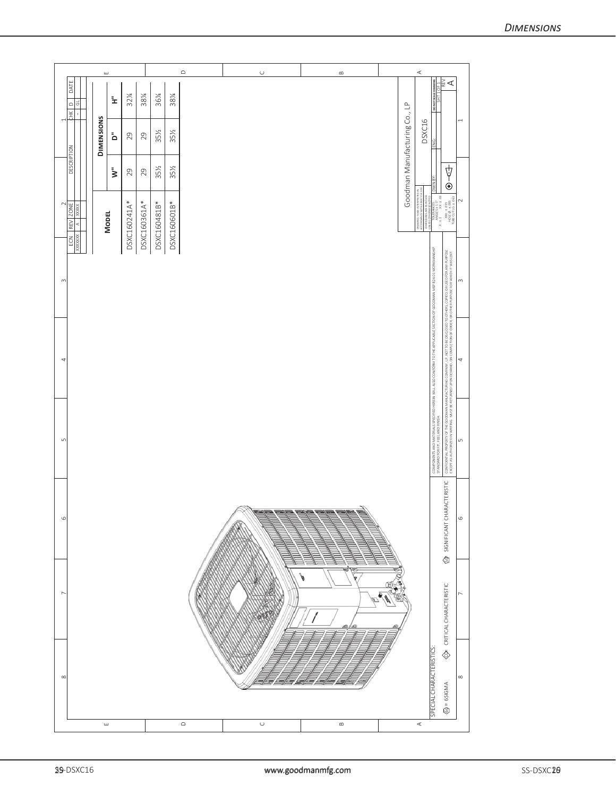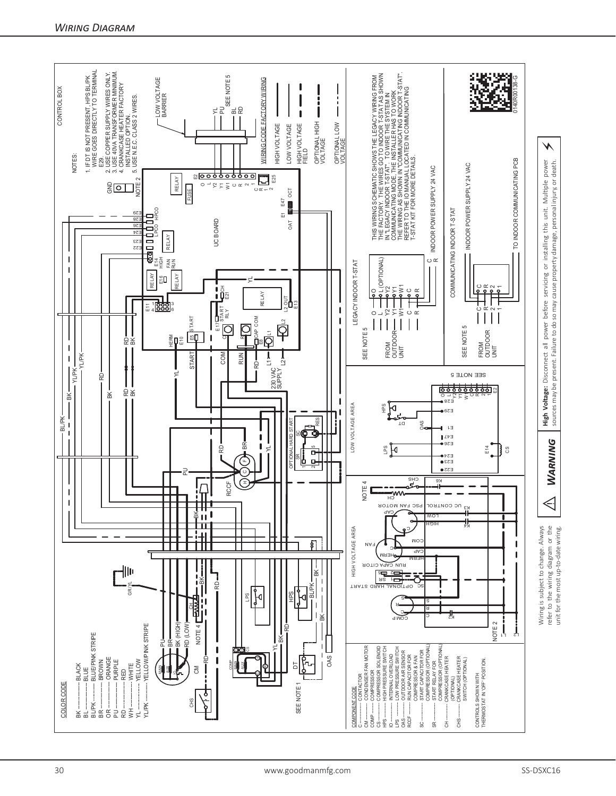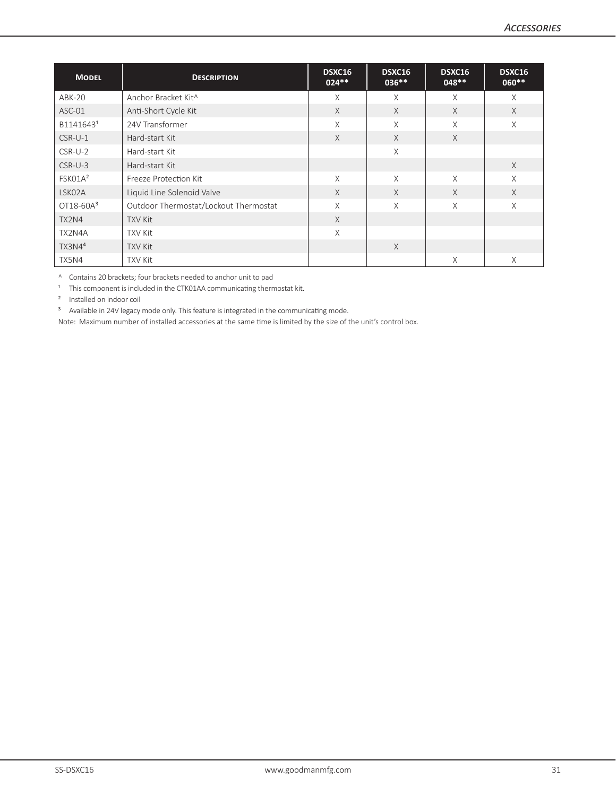| <b>MODEL</b>          | <b>DESCRIPTION</b>                    | DSXC16<br>$024**$ | DSXC16<br>$036***$ | DSXC16<br>$048**$ | DSXC16<br>$060**$ |
|-----------------------|---------------------------------------|-------------------|--------------------|-------------------|-------------------|
| ABK-20                | Anchor Bracket Kit^                   | X                 | X                  | X                 | X                 |
| ASC-01                | Anti-Short Cycle Kit                  | X                 | X                  | X                 | X                 |
| B1141643 <sup>1</sup> | 24V Transformer                       | X                 | $\chi$             | X                 | X                 |
| $CSR-U-1$             | Hard-start Kit                        | $\chi$            | $\times$           | $\chi$            |                   |
| $CSR-U-2$             | Hard-start Kit                        |                   | $\times$           |                   |                   |
| $CSR-U-3$             | Hard-start Kit                        |                   |                    |                   | X                 |
| FSK01A <sup>2</sup>   | Freeze Protection Kit                 | X                 | $\chi$             | X                 | X                 |
| LSK02A                | Liquid Line Solenoid Valve            | X                 | X                  | $\times$          | X                 |
| $OT18-60A3$           | Outdoor Thermostat/Lockout Thermostat | X                 | $\times$           | X                 | X                 |
| TX2N4                 | <b>TXV Kit</b>                        | X                 |                    |                   |                   |
| TX2N4A                | <b>TXV Kit</b>                        | X                 |                    |                   |                   |
| TX3N4 <sup>4</sup>    | <b>TXV Kit</b>                        |                   | $\times$           |                   |                   |
| TX5N4                 | <b>TXV Kit</b>                        |                   |                    | X                 | X                 |

^ Contains 20 brackets; four brackets needed to anchor unit to pad

 $1$  This component is included in the CTK01AA communicating thermostat kit.

² Installed on indoor coil

<sup>3</sup> Available in 24V legacy mode only. This feature is integrated in the communicating mode.

Note: Maximum number of installed accessories at the same time is limited by the size of the unit's control box.